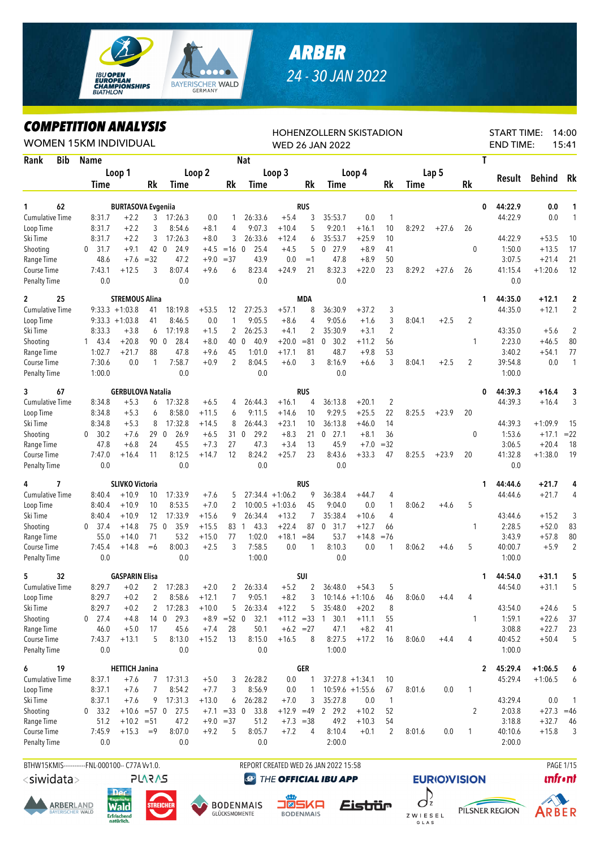

## **ARBER** 24 - 30 JAN 2022

## **COMPETITION ANALYSIS**

| LUMPEIIIIUN ANALIƏIƏ<br><b>WOMEN 15KM INDIVIDUAL</b> |     |                  |                           |                     |                     |                    |                  |                     |                             |            | <b>HOHENZOLLERN SKISTADION</b><br><b>WED 26 JAN 2022</b> |                               |                |        |         |                |   | <b>START TIME:</b><br><b>END TIME:</b> |                      | 14:00<br>15:41 |
|------------------------------------------------------|-----|------------------|---------------------------|---------------------|---------------------|--------------------|------------------|---------------------|-----------------------------|------------|----------------------------------------------------------|-------------------------------|----------------|--------|---------|----------------|---|----------------------------------------|----------------------|----------------|
| Rank                                                 | Bib | <b>Name</b>      |                           |                     |                     |                    |                  | <b>Nat</b>          |                             |            |                                                          |                               |                |        |         |                | T |                                        |                      |                |
|                                                      |     |                  | Loop 1                    |                     |                     | Loop 2             |                  |                     | Loop 3                      |            |                                                          | Loop 4                        |                |        | Lap 5   |                |   |                                        |                      |                |
|                                                      |     | Time             |                           | Rk                  | Time                |                    | Rk               | Time                |                             | Rk         | Time                                                     |                               | Rk             | Time   |         | Rk             |   | Result                                 | <b>Behind</b>        | Rk             |
|                                                      |     |                  |                           |                     |                     |                    |                  |                     |                             |            |                                                          |                               |                |        |         |                |   |                                        |                      |                |
| 62<br>1                                              |     |                  | <b>BURTASOVA Evgeniia</b> |                     |                     |                    |                  |                     |                             | <b>RUS</b> |                                                          |                               |                |        |         |                | 0 | 44:22.9                                | 0.0                  | 1              |
| Cumulative Time                                      |     | 8:31.7           | $+2.2$                    | 3                   | 17:26.3             | 0.0                | 1                | 26:33.6             | $+5.4$                      | 3<br>5     | 35:53.7<br>9:20.1                                        | 0.0                           | $\mathbf{1}$   |        |         |                |   | 44:22.9                                | 0.0                  | 1              |
| Loop Time                                            |     | 8:31.7           | $+2.2$                    | 3                   | 8:54.6              | $+8.1$             | 4                | 9:07.3<br>26:33.6   | $+10.4$                     |            | 35:53.7                                                  | $+16.1$                       | 10             | 8:29.2 | $+27.6$ | 26             |   | 44:22.9                                |                      |                |
| Ski Time                                             |     | 8:31.7           | $+2.2$                    | 3                   | 17:26.3             | $+8.0$             | 3                |                     | $+12.4$                     | 6          |                                                          | $+25.9$                       | 10             |        |         |                |   |                                        | $+53.5$              | 10             |
| Shooting                                             |     | $0$ 31.7         | $+9.1$                    | 42 0                | 24.9                | $+4.5$             | $=16$ 0<br>$=37$ | 25.4                | $+4.5$                      | 5<br>$=1$  | $0$ 27.9                                                 | $+8.9$                        | 41             |        |         | 0              |   | 1:50.0                                 | $+13.5$              | 17             |
| Range Time<br>Course Time                            |     | 48.6<br>7:43.1   | $+7.6$<br>$+12.5$         | $=32$<br>3          | 47.2<br>8:07.4      | $+9.0$<br>$+9.6$   | 6                | 43.9<br>8:23.4      | 0.0<br>$+24.9$              | 21         | 47.8<br>8:32.3                                           | $+8.9$<br>$+22.0$             | 50<br>23       | 8:29.2 | $+27.6$ | 26             |   | 3:07.5<br>41:15.4                      | $+21.4$<br>$+1:20.6$ | 21<br>12       |
| <b>Penalty Time</b>                                  |     | 0.0              |                           |                     | 0.0                 |                    |                  | 0.0                 |                             |            | 0.0                                                      |                               |                |        |         |                |   | 0.0                                    |                      |                |
| $\overline{c}$<br>25                                 |     |                  | <b>STREMOUS Alina</b>     |                     |                     |                    |                  |                     |                             | <b>MDA</b> |                                                          |                               |                |        |         |                | 1 | 44:35.0                                | $+12.1$              | $\mathbf{2}$   |
| Cumulative Time                                      |     |                  | $9:33.3 +1:03.8$          | 41                  | 18:19.8             | $+53.5$            | 12               | 27:25.3             | $+57.1$                     | 8          | 36:30.9                                                  | $+37.2$                       | 3              |        |         |                |   | 44:35.0                                | $+12.1$              | 2              |
| Loop Time                                            |     |                  | $9:33.3 +1:03.8$          | 41                  | 8:46.5              | 0.0                | 1                | 9:05.5              | $+8.6$                      | 4          | 9:05.6                                                   | $+1.6$                        | 3              | 8:04.1 | $+2.5$  | 2              |   |                                        |                      |                |
| Ski Time                                             |     | 8:33.3           | $+3.8$                    | 6                   | 17:19.8             | $+1.5$             | 2                | 26:25.3             | $+4.1$                      | 2          | 35:30.9                                                  | $+3.1$                        | $\overline{2}$ |        |         |                |   | 43:35.0                                | $+5.6$               | $\overline{2}$ |
| Shooting                                             |     | 143.4            | $+20.8$                   | 90 0                | 28.4                | $+8.0$             | 40 0             | 40.9                | $+20.0$                     | $= 81$     | 30.2<br>0                                                | $+11.2$                       | 56             |        |         | 1              |   | 2:23.0                                 | $+46.5$              | 80             |
| Range Time                                           |     | 1:02.7           | $+21.7$                   | 88                  | 47.8                | $+9.6$             | 45               | 1:01.0              | $+17.1$                     | 81         | 48.7                                                     | $+9.8$                        | 53             |        |         |                |   | 3:40.2                                 | $+54.1$              | 77             |
| Course Time                                          |     | 7:30.6           | 0.0                       | 1                   | 7:58.7              | $+0.9$             | $\overline{2}$   | 8:04.5              | $+6.0$                      | 3          | 8:16.9                                                   | $+6.6$                        | 3              | 8:04.1 | $+2.5$  | $\overline{2}$ |   | 39:54.8                                | 0.0                  | $\mathbf{1}$   |
| <b>Penalty Time</b>                                  |     | 1:00.0           |                           |                     | 0.0                 |                    |                  | 0.0                 |                             |            | 0.0                                                      |                               |                |        |         |                |   | 1:00.0                                 |                      |                |
| 3<br>67                                              |     |                  | <b>GERBULOVA Natalia</b>  |                     |                     |                    |                  |                     |                             | <b>RUS</b> |                                                          |                               |                |        |         |                | 0 | 44:39.3                                | +16.4                | 3              |
| <b>Cumulative Time</b>                               |     | 8:34.8           | $+5.3$                    | 6                   | 17:32.8             | $+6.5$             | 4                | 26:44.3             | $+16.1$                     | 4          | 36:13.8                                                  | $+20.1$                       | 2              |        |         |                |   | 44:39.3                                | $+16.4$              | 3              |
| Loop Time                                            |     | 8:34.8           | $+5.3$                    | 6                   | 8:58.0              | $+11.5$            | 6                | 9:11.5              | $+14.6$                     | 10         | 9:29.5                                                   | $+25.5$                       | 22             | 8:25.5 | $+23.9$ | 20             |   |                                        |                      |                |
| Ski Time                                             |     | 8:34.8           | $+5.3$                    | 8                   | 17:32.8             | $+14.5$            | 8                | 26:44.3             | $+23.1$                     | 10         | 36:13.8                                                  | $+46.0$                       | 14             |        |         |                |   | 44:39.3                                | $+1:09.9$            | 15             |
| Shooting                                             |     | 0 30.2           | $+7.6$                    | 29                  | $\mathbf 0$<br>26.9 | $+6.5$             | 31               | 29.2<br>$\mathbf 0$ | $+8.3$                      | 21         | 27.1<br>0                                                | $+8.1$                        | 36             |        |         | 0              |   | 1:53.6                                 | $+17.1$              | $= 22$         |
| Range Time                                           |     | 47.8             | $+6.8$                    | 24                  | 45.5                | $+7.3$             | 27               | 47.3                | $+3.4$                      | 13         | 45.9                                                     | $+7.0$                        | $=32$          |        |         |                |   | 3:06.5                                 | $+20.4$              | 18             |
| Course Time                                          |     | 7:47.0           | $+16.4$                   | 11                  | 8:12.5              | $+14.7$            | 12               | 8:24.2              | $+25.7$                     | 23         | 8:43.6                                                   | $+33.3$                       | 47             | 8:25.5 | $+23.9$ | 20             |   | 41:32.8                                | $+1:38.0$            | 19             |
| <b>Penalty Time</b>                                  |     | 0.0              |                           |                     | 0.0                 |                    |                  | 0.0                 |                             |            | 0.0                                                      |                               |                |        |         |                |   | 0.0                                    |                      |                |
| 4<br>7                                               |     |                  | <b>SLIVKO Victoria</b>    |                     |                     |                    |                  |                     |                             | <b>RUS</b> |                                                          |                               |                |        |         |                | 1 | 44:44.6                                | $+21.7$              | 4              |
| <b>Cumulative Time</b>                               |     | 8:40.4           | $+10.9$                   | 10                  | 17:33.9             | $+7.6$             | 5                |                     | $27:34.4 +1:06.2$           | 9          | 36:38.4                                                  | $+44.7$                       | 4              |        |         |                |   | 44:44.6                                | $+21.7$              | 4              |
| Loop Time                                            |     | 8:40.4           | $+10.9$                   | 10                  | 8:53.5              | $+7.0$             | $\overline{2}$   |                     | $10:00.5 + 1:03.6$          | 45         | 9:04.0                                                   | 0.0                           | 1              | 8:06.2 | $+4.6$  | 5              |   |                                        |                      |                |
| Ski Time                                             |     | 8:40.4           | $+10.9$                   | 12                  | 17:33.9             | $+15.6$            | 9                | 26:34.4             | $+13.2$                     | 7          | 35:38.4                                                  | $+10.6$                       | 4              |        |         |                |   | 43:44.6                                | $+15.2$              | 3              |
| Shooting                                             |     | $0$ 37.4         | $+14.8$                   | 75                  | $\mathbf 0$<br>35.9 | $+15.5$            |                  | 83 1<br>43.3        | $+22.4$                     | 87         | 31.7<br>$\mathbf{0}$                                     | $+12.7$                       | 66             |        |         | 1              |   | 2:28.5                                 | $+52.0$              | 83             |
| Range Time                                           |     | 55.0             | $+14.0$                   | 71                  | 53.2                | $+15.0$            | 77               | 1:02.0              | $+18.1$                     | $= 84$     | 53.7                                                     | $+14.8$                       | $= 76$         |        |         |                |   | 3:43.9                                 | $+57.8$              | 80             |
| Course Time                                          |     | 7:45.4           | $+14.8$                   | $=6$                | 8:00.3              | $+2.5$             | 3                | 7:58.5              | 0.0                         | 1          | 8:10.3                                                   | 0.0                           | 1              | 8:06.2 | $+4.6$  | 5              |   | 40:00.7                                | $+5.9$               | $\overline{2}$ |
| <b>Penalty Time</b>                                  |     | 0.0              |                           |                     | 0.0                 |                    |                  | 1:00.0              |                             |            | 0.0                                                      |                               |                |        |         |                |   | 1:00.0                                 |                      |                |
| 5<br>32                                              |     |                  | <b>GASPARIN Elisa</b>     |                     |                     |                    |                  |                     |                             | SUI        |                                                          |                               |                |        |         |                | 1 | 44:54.0                                | $+31.1$              |                |
| <b>Cumulative Time</b>                               |     | 8:29.7           | $+0.2$                    | $\overline{c}$      | 17:28.3             | $+2.0$             | 2<br>7           | 26:33.4<br>9:05.1   | $+5.2$                      | 2<br>3     | 36:48.0                                                  | $+54.3$                       | 5              |        |         | 4              |   | 44:54.0                                | $+31.1$              | 5              |
| Loop Time<br>Ski Time                                |     | 8:29.7<br>8:29.7 | $+0.2$<br>$+0.2$          | $\overline{2}$<br>2 | 8:58.6<br>17:28.3   | $+12.1$<br>$+10.0$ | 5                | 26:33.4             | $+8.2$<br>$+12.2$           | 5          | 35:48.0                                                  | $10:14.6 + 1:10.6$<br>$+20.2$ | 46<br>8        | 8:06.0 | $+4.4$  |                |   | 43:54.0                                |                      | 5              |
| Shooting                                             |     | $0$ 27.4         | $+4.8$                    | 140                 | 29.3                |                    | $+8.9 = 52 0$    | 32.1                |                             |            | 30.1                                                     | $+11.1$                       |                |        |         | 1              |   | 1:59.1                                 | $+24.6$              |                |
| Range Time                                           |     | 46.0             | $+5.0$                    | 17                  | 45.6                | $+7.4$             | 28               | 50.1                | $+11.2 = 33$<br>$+6.2 = 27$ |            | $\mathbf{1}$<br>47.1                                     | $+8.2$                        | 55<br>41       |        |         |                |   | 3:08.8                                 | $+22.6$<br>$+22.7$   | 37<br>23       |
| Course Time                                          |     | 7:43.7           | $+13.1$                   | 5                   | 8:13.0              | $+15.2$            | 13               | 8:15.0              | $+16.5$                     | 8          | 8:27.5                                                   | $+17.2$                       | 16             | 8:06.0 | $+4.4$  | 4              |   | 40:45.2                                | $+50.4$              | 5              |
| <b>Penalty Time</b>                                  |     | 0.0              |                           |                     | 0.0                 |                    |                  | 0.0                 |                             |            | 1:00.0                                                   |                               |                |        |         |                |   | 1:00.0                                 |                      |                |
| 6<br>19                                              |     |                  | <b>HETTICH Janina</b>     |                     |                     |                    |                  |                     |                             | <b>GER</b> |                                                          |                               |                |        |         |                | 2 | 45:29.4                                | $+1:06.5$            | 6              |
| Cumulative Time                                      |     | 8:37.1           | $+7.6$                    | 7                   | 17:31.3             | $+5.0$             | 3                | 26:28.2             | 0.0                         |            |                                                          | $37:27.8 +1:34.1$             | 10             |        |         |                |   | 45:29.4                                | $+1:06.5$            | 6              |
| Loop Time                                            |     | 8:37.1           | $+7.6$                    | 7                   | 8:54.2              | $+7.7$             | 3                | 8:56.9              | 0.0                         | 1          |                                                          | $10:59.6 + 1:55.6$            | 67             | 8:01.6 | 0.0     | 1              |   |                                        |                      |                |
| Ski Time                                             |     | 8:37.1           | $+7.6$                    | 9                   | 17:31.3             | $+13.0$            | 6                | 26:28.2             | $+7.0$                      | 3          | 35:27.8                                                  | 0.0                           | $\mathbf{1}$   |        |         |                |   | 43:29.4                                | 0.0                  | -1             |
| Shooting                                             |     | 0 33.2           | $+10.6 = 57$ 0            |                     | 27.5                |                    | $+7.1$ = 33 0    | 33.8                | $+12.9 = 49$                |            | 2 29.2                                                   | $+10.2$                       | 52             |        |         | 2              |   | 2:03.8                                 | $+27.3 = 46$         |                |
| Range Time                                           |     | 51.2             | $+10.2 = 51$              |                     | 47.2                |                    | $+9.0 = 37$      | 51.2                | $+7.3 = 38$                 |            | 49.2                                                     | $+10.3$                       | 54             |        |         |                |   | 3:18.8                                 | $+32.7$              | 46             |
| Course Time                                          |     | 7:45.9           | $+15.3$                   | $=9$                | 8:07.0              | $+9.2$             | 5                | 8:05.7              | $+7.2$                      | 4          | 8:10.4                                                   | $+0.1$                        | 2              | 8:01.6 | 0.0     | 1              |   | 40:10.6                                | $+15.8$              | 3              |
| <b>Penalty Time</b>                                  |     | 0.0              |                           |                     | 0.0                 |                    |                  | 0.0                 |                             |            | 2:00.0                                                   |                               |                |        |         |                |   | 2:00.0                                 |                      |                |
|                                                      |     |                  |                           |                     |                     |                    |                  |                     |                             |            |                                                          |                               |                |        |         |                |   |                                        |                      |                |



<siwidata>











REPORT CREATED WED 26 JAN 2022 15:58

THE OFFICIAL IBU APP







**PAGE 1/15** 

**unfront**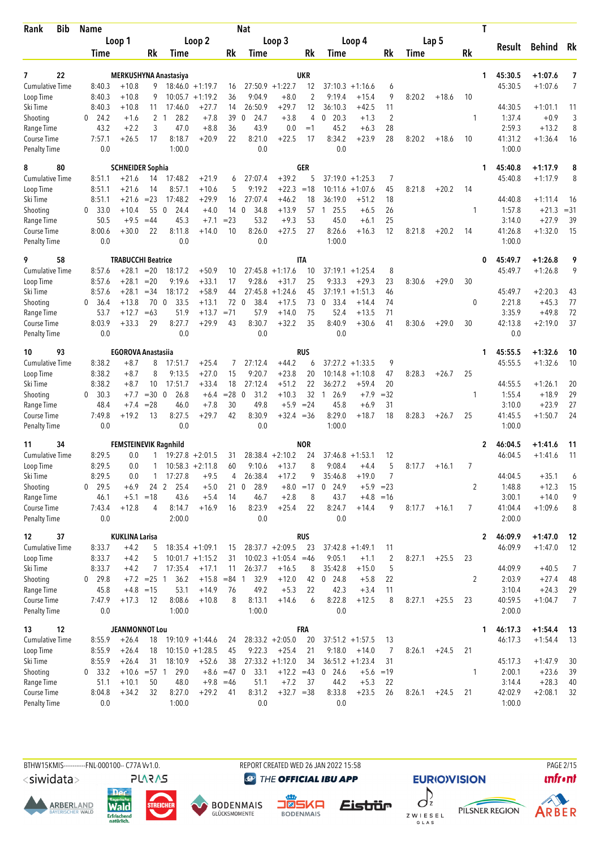| Bib<br>Rank                 | <b>Name</b>                |                              |                    |                              |                    |                | Nat                         |                        |                |                      |                      |                |        |         |    | T                 |                      |                |
|-----------------------------|----------------------------|------------------------------|--------------------|------------------------------|--------------------|----------------|-----------------------------|------------------------|----------------|----------------------|----------------------|----------------|--------|---------|----|-------------------|----------------------|----------------|
|                             |                            | Loop 1                       |                    |                              | Loop 2             |                |                             | Loop 3                 |                |                      | Loop 4               |                |        | Lap 5   |    | Result            | Behind               | Rk             |
|                             | Time                       |                              | Rk                 | Time                         |                    | Rk             | Time                        |                        | Rk             | Time                 |                      | Rk             | Time   |         | Rk |                   |                      |                |
| 22<br>7                     |                            |                              |                    | <b>MERKUSHYNA Anastasiya</b> |                    |                |                             |                        | <b>UKR</b>     |                      |                      |                |        |         |    | 45:30.5<br>1      | $+1:07.6$            | 7              |
| <b>Cumulative Time</b>      | 8:40.3                     | $+10.8$                      | 9.                 |                              | $18:46.0 + 1:19.7$ | 16             |                             | $27:50.9$ +1:22.7      | 12             |                      | $37:10.3 + 1:16.6$   | 6              |        |         |    | 45:30.5           | $+1:07.6$            | $\overline{7}$ |
| Loop Time                   | 8:40.3                     | $+10.8$                      | 9                  |                              | $10:05.7 +1:19.2$  | 36             | 9:04.9                      | $+8.0$                 | $\overline{2}$ | 9:19.4               | $+15.4$              | 9              | 8:20.2 | $+18.6$ | 10 |                   |                      |                |
| Ski Time                    | 8:40.3                     | $+10.8$                      | 11                 | 17:46.0                      | $+27.7$            | 14             | 26:50.9                     | $+29.7$                | 12             | 36:10.3              | $+42.5$              | 11             |        |         |    | 44:30.5           | $+1:01.1$            | 11             |
| Shooting                    | 24.2<br>$\mathbf{0}$       | $+1.6$                       |                    | 2 <sub>1</sub><br>28.2       | $+7.8$             | 39             | 24.7<br>$\Omega$            | $+3.8$                 | 4              | 20.3<br>0            | $+1.3$               | $\overline{2}$ |        |         | 1  | 1:37.4            | $+0.9$               | 3              |
| Range Time                  | 43.2                       | $+2.2$                       | 3                  | 47.0                         | $+8.8$             | 36             | 43.9                        | 0.0                    | $=1$           | 45.2                 | $+6.3$               | 28             |        |         |    | 2:59.3            | $+13.2$              | 8              |
| Course Time<br>Penalty Time | 7:57.1<br>0.0              | $+26.5$                      | 17                 | 8:18.7<br>1:00.0             | $+20.9$            | 22             | 8:21.0<br>0.0               | $+22.5$                | 17             | 8:34.2<br>0.0        | $+23.9$              | 28             | 8:20.2 | $+18.6$ | 10 | 41:31.2<br>1:00.0 | $+1:36.4$            | 16             |
|                             |                            |                              |                    |                              |                    |                |                             |                        |                |                      |                      |                |        |         |    |                   |                      |                |
| 8<br>80                     |                            | <b>SCHNEIDER Sophia</b>      |                    |                              |                    |                |                             |                        | GER            |                      |                      |                |        |         |    | 45:40.8<br>1      | $+1:17.9$            | 8              |
| <b>Cumulative Time</b>      | 8:51.1                     | $+21.6$                      | 14                 | 17:48.2                      | $+21.9$            | 6              | 27:07.4                     | $+39.2$                | 5              |                      | $37:19.0 + 1:25.3$   | 7              |        |         |    | 45:40.8           | $+1:17.9$            | 8              |
| Loop Time<br>Ski Time       | 8:51.1<br>8:51.1           | $+21.6$<br>$+21.6$           | 14<br>$= 23$       | 8:57.1<br>17:48.2            | $+10.6$<br>$+29.9$ | 5<br>16        | 9:19.2<br>27:07.4           | $+22.3$<br>$+46.2$     | $=18$<br>18    | 10:11.6<br>36:19.0   | $+1:07.6$<br>$+51.2$ | 45<br>18       | 8:21.8 | $+20.2$ | 14 | 44:40.8           | $+1:11.4$            | 16             |
| Shooting                    | 33.0<br>0                  | $+10.4$                      | 55 0               | 24.4                         | $+4.0$             | 140            | 34.8                        | $+13.9$                | 57             | 25.5<br>$\mathbf{1}$ | $+6.5$               | 26             |        |         | 1  | 1:57.8            | $+21.3$              | $= 31$         |
| Range Time                  | 50.5                       | $+9.5$                       | $=44$              | 45.3                         | $+7.1$             | $= 23$         | 53.2                        | $+9.3$                 | 53             | 45.0                 | $+6.1$               | 25             |        |         |    | 3:14.0            | $+27.9$              | 39             |
| Course Time                 | 8:00.6                     | $+30.0$                      | 22                 | 8:11.8                       | $+14.0$            | 10             | 8:26.0                      | $+27.5$                | 27             | 8:26.6               | $+16.3$              | 12             | 8:21.8 | $+20.2$ | 14 | 41:26.8           | $+1:32.0$            | 15             |
| <b>Penalty Time</b>         | 0.0                        |                              |                    | 0.0                          |                    |                | 0.0                         |                        |                | 1:00.0               |                      |                |        |         |    | 1:00.0            |                      |                |
| 58<br>9                     |                            | <b>TRABUCCHI Beatrice</b>    |                    |                              |                    |                |                             |                        | ITA            |                      |                      |                |        |         |    | 45:49.7<br>0      | $+1:26.8$            | 9              |
| Cumulative Time             | 8:57.6                     | $+28.1$                      | $=20$              | 18:17.2                      | $+50.9$            | 10             |                             | $27:45.8 + 1:17.6$     | 10             |                      | $37:19.1 + 1:25.4$   | 8              |        |         |    | 45:49.7           | $+1:26.8$            | 9              |
| Loop Time                   | 8:57.6                     | $+28.1$                      | $= 20$             | 9:19.6                       | $+33.1$            | 17             | 9:28.6                      | $+31.7$                | 25             | 9:33.3               | $+29.3$              | 23             | 8:30.6 | $+29.0$ | 30 |                   |                      |                |
| Ski Time                    | 8:57.6                     | $+28.1$                      | $= 34$             | 18:17.2                      | $+58.9$            | 44             | 27:45.8                     | $+1:24.6$              | 45             | 37:19.1              | $+1:51.3$            | 46             |        |         |    | 45:49.7           | $+2:20.3$            | 43             |
| Shooting                    | $\mathbf{0}$<br>36.4       | $+13.8$                      | 70 0               | 33.5                         | $+13.1$            |                | 72 0<br>38.4                | $+17.5$                | 73             | 33.4<br>$\mathbf 0$  | $+14.4$              | 74             |        |         | 0  | 2:21.8            | $+45.3$              | 77             |
| Range Time                  | 53.7                       | $+12.7$                      | $=63$              | 51.9                         | $+13.7$            | $= 71$         | 57.9                        | $+14.0$                | 75             | 52.4                 | $+13.5$              | 71             |        |         |    | 3:35.9            | $+49.8$              | 72             |
| Course Time                 | 8:03.9                     | $+33.3$                      | 29                 | 8:27.7                       | $+29.9$            | 43             | 8:30.7                      | $+32.2$                | 35             | 8:40.9               | $+30.6$              | 41             | 8:30.6 | $+29.0$ | 30 | 42:13.8           | $+2:19.0$            | 37             |
| <b>Penalty Time</b>         | 0.0                        |                              |                    | 0.0                          |                    |                | 0.0                         |                        |                | 0.0                  |                      |                |        |         |    | 0.0               |                      |                |
| 93<br>10                    |                            | <b>EGOROVA Anastasiia</b>    |                    |                              |                    |                |                             |                        | RUS            |                      |                      |                |        |         |    | 45:55.5<br>1      | $+1:32.6$            | 10             |
| <b>Cumulative Time</b>      | 8:38.2                     | $+8.7$                       | 8                  | 17:51.7                      | $+25.4$            | 7              | 27:12.4                     | $+44.2$                | 6              |                      | $37:27.2 + 1:33.5$   | 9              |        |         |    | 45:55.5           | $+1:32.6$            | 10             |
| Loop Time                   | 8:38.2                     | $+8.7$                       | 8                  | 9:13.5                       | $+27.0$            | 15             | 9:20.7                      | $+23.8$                | 20             | 10:14.8              | $+1:10.8$            | 47             | 8:28.3 | $+26.7$ | 25 |                   |                      |                |
| Ski Time<br>Shooting        | 8:38.2<br>30.3<br>$\bf{0}$ | $+8.7$<br>$+7.7$             | 10<br>$=300$       | 17:51.7<br>26.8              | $+33.4$<br>$+6.4$  | 18<br>$= 28$   | 27:12.4<br>31.2<br>$\Omega$ | $+51.2$<br>$+10.3$     | 22<br>32       | 36:27.2<br>26.9<br>1 | $+59.4$<br>$+7.9$    | 20<br>$=32$    |        |         | 1  | 44:55.5<br>1:55.4 | $+1:26.1$<br>$+18.9$ | 20<br>29       |
| Range Time                  | 48.4                       | $+7.4$                       | $= 28$             | 46.0                         | $+7.8$             | 30             | 49.8                        | $+5.9$                 | $= 24$         | 45.8                 | $+6.9$               | 31             |        |         |    | 3:10.0            | $+23.9$              | 27             |
| Course Time                 | 7:49.8                     | $+19.2$                      | 13                 | 8:27.5                       | $+29.7$            | 42             | 8:30.9                      | $+32.4 = 36$           |                | 8:29.0               | $+18.7$              | 18             | 8:28.3 | $+26.7$ | 25 | 41:45.5           | $+1:50.7$            | 24             |
| <b>Penalty Time</b>         | 0.0                        |                              |                    | 0.0                          |                    |                | 0.0                         |                        |                | 1:00.0               |                      |                |        |         |    | 1:00.0            |                      |                |
| 34<br>11                    |                            | <b>FEMSTEINEVIK Ragnhild</b> |                    |                              |                    |                |                             |                        | <b>NOR</b>     |                      |                      |                |        |         |    | 46:04.5<br>2      | $+1:41.6$            | 11             |
| <b>Cumulative Time</b>      | 8:29.5                     | 0.0                          | 1                  |                              | $19:27.8 + 2:01.5$ | 31             | 28:38.4                     | $+2:10.2$              | 24             |                      | $37:46.8 + 1:53.1$   | 12             |        |         |    | 46:04.5           | $+1:41.6$            | 11             |
| Loop Time                   | 8:29.5                     | 0.0                          | 1                  |                              | $10:58.3 + 2:11.8$ | 60             | 9:10.6                      | $+13.7$                | 8              | 9:08.4               | $+4.4$               | 5              | 8:17.7 | $+16.1$ | 7  |                   |                      |                |
| Ski Time                    | 8:29.5                     | 0.0                          | 1                  | 17:27.8                      | $+9.5$             | 4              | 26:38.4                     | $+17.2$                | 9              | 35:46.8              | $+19.0$              | 7              |        |         |    | 44:04.5           | $+35.1$              | 6              |
| Shooting                    | 29.5<br>0                  | $+6.9$                       | 24 2               | 25.4                         | $+5.0$             | 210            | 28.9                        | $+8.0$                 | $=17$          | 24.9<br>0            | $+5.9$               | $= 23$         |        |         | 2  | 1:48.8            | $+12.3$              | 15             |
| Range Time                  | 46.1                       | $+5.1 = 18$                  |                    | 43.6                         | $+5.4$             | 14             | 46.7                        | $+2.8$                 | 8              | 43.7                 |                      | $+4.8 = 16$    |        |         |    | 3:00.1            | $+14.0$              | 9              |
| Course Time                 | 7:43.4                     | $+12.8$                      | 4                  | 8:14.7                       | $+16.9$            | 16             | 8:23.9<br>0.0               | $+25.4$                | 22             | 8:24.7               | $+14.4$              | 9              | 8:17.7 | $+16.1$ | 7  | 41:04.4           | $+1:09.6$            | 8              |
| <b>Penalty Time</b>         | 0.0                        |                              |                    | 2:00.0                       |                    |                |                             |                        |                | 0.0                  |                      |                |        |         |    | 2:00.0            |                      |                |
| 37<br>12                    |                            | <b>KUKLINA Larisa</b>        |                    |                              |                    |                |                             |                        | <b>RUS</b>     |                      |                      |                |        |         |    | 46:09.9<br>2      | $+1:47.0$            | 12             |
| <b>Cumulative Time</b>      | 8:33.7                     | $+4.2$                       | 5                  |                              | $18:35.4 + 1:09.1$ | 15             |                             | $28:37.7 + 2:09.5$     | 23             |                      | $37:42.8 +1:49.1$    | 11             |        |         |    | 46:09.9           | $+1:47.0$            | 12             |
| Loop Time                   | 8:33.7                     | $+4.2$                       | 5                  |                              | $10:01.7 +1:15.2$  | 31             |                             | $10:02.3 +1:05.4 = 46$ |                | 9:05.1               | $+1.1$               | 2              | 8:27.1 | $+25.5$ | 23 |                   |                      |                |
| Ski Time                    | 8:33.7<br>29.8<br>0        | $+4.2$                       | 7<br>$+7.2 = 25$ 1 | 17:35.4<br>36.2              | $+17.1$<br>$+15.8$ | 11<br>$= 84$ 1 | 26:37.7<br>32.9             | $+16.5$<br>$+12.0$     | 8<br>42        | 35:42.8<br>$0$ 24.8  | $+15.0$<br>$+5.8$    | 5<br>22        |        |         | 2  | 44:09.9<br>2:03.9 | $+40.5$<br>$+27.4$   | 7<br>48        |
| Shooting<br>Range Time      | 45.8                       | $+4.8 = 15$                  |                    | 53.1                         | $+14.9$            | 76             | 49.2                        | $+5.3$                 | 22             | 42.3                 | $+3.4$               | 11             |        |         |    | 3:10.4            | $+24.3$              | 29             |
| Course Time                 | 7:47.9                     | $+17.3$                      | 12                 | 8:08.6                       | $+10.8$            | 8              | 8:13.1                      | $+14.6$                | 6              | 8:22.8               | $+12.5$              | 8              | 8:27.1 | $+25.5$ | 23 | 40:59.5           | $+1:04.7$            | 7              |
| <b>Penalty Time</b>         | 0.0                        |                              |                    | 1:00.0                       |                    |                | 1:00.0                      |                        |                | 0.0                  |                      |                |        |         |    | 2:00.0            |                      |                |
| 12<br>13                    |                            | <b>JEANMONNOT Lou</b>        |                    |                              |                    |                |                             |                        | FRA            |                      |                      |                |        |         |    | 46:17.3<br>1      | $+1:54.4$            | 13             |
| <b>Cumulative Time</b>      | 8:55.9                     | $+26.4$                      | 18                 |                              | $19:10.9 + 1:44.6$ | 24             |                             | $28:33.2 + 2:05.0$     | 20             |                      | $37:51.2 +1:57.5$    | 13             |        |         |    | 46:17.3           | $+1:54.4$            | -13            |
| Loop Time                   | 8:55.9                     | $+26.4$                      | 18                 |                              | $10:15.0 + 1:28.5$ | 45             | 9:22.3                      | $+25.4$                | 21             | 9:18.0               | $+14.0$              | 7              | 8:26.1 | $+24.5$ | 21 |                   |                      |                |
| Ski Time                    | 8:55.9                     | $+26.4$                      | 31                 | 18:10.9                      | $+52.6$            | 38             |                             | $27:33.2 +1:12.0$      | 34             |                      | $36:51.2 + 1:23.4$   | 31             |        |         |    | 45:17.3           | $+1:47.9$            | 30             |
| Shooting                    | 0 33.2                     | $+10.6 = 57$ 1               |                    | 29.0                         |                    | $+8.6 = 47$ 0  | 33.1                        | $+12.2 = 43$           |                | $0$ 24.6             |                      | $+5.6 = 19$    |        |         | 1  | 2:00.1            | $+23.6$              | 39             |
| Range Time                  | 51.1                       | $+10.1$                      | 50                 | 48.0                         | $+9.8 = 46$        |                | 51.1                        | $+7.2$                 | 37             | 44.2                 | $+5.3$               | 22             |        |         |    | 3:14.4            | $+28.3$              | 40             |
| Course Time                 | 8:04.8                     | $+34.2$                      | 32                 | 8:27.0                       | $+29.2$            | 41             | 8:31.2                      | $+32.7 = 38$           |                | 8:33.8               | $+23.5$              | 26             | 8:26.1 | $+24.5$ | 21 | 42:02.9           | $+2:08.1$            | 32             |
| <b>Penalty Time</b>         | 0.0                        |                              |                    | 1:00.0                       |                    |                | 0.0                         |                        |                | 0.0                  |                      |                |        |         |    | 1:00.0            |                      |                |

BTHW15KMIS----------FNL-000100-- C77A Vv1.0. REPORT CREATED WED 26 JAN 2022 15:58 PAGE 2/15

<siwidata>









**@** THE OFFICIAL IBU APP





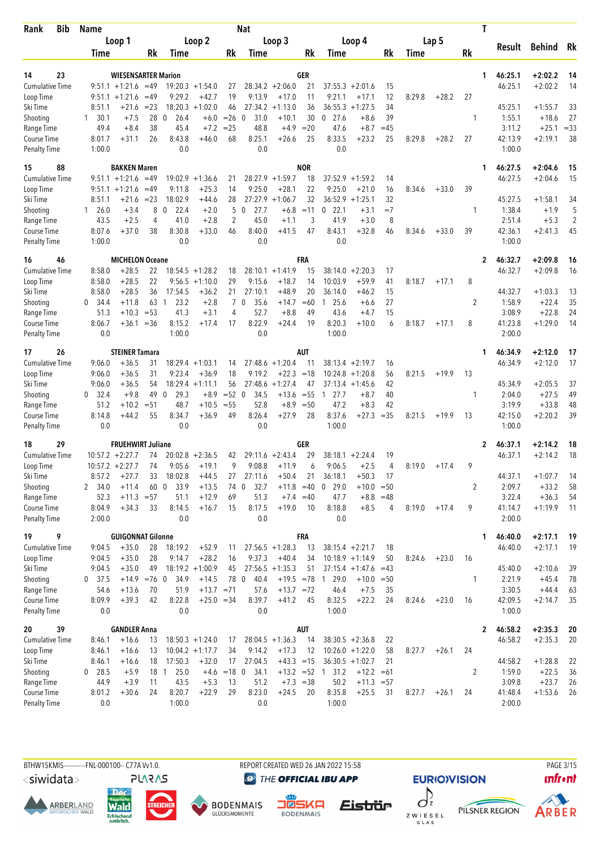| Bib<br>Rank                        | <b>Name</b>           |                                  |              |                          |                      |                | Nat                  |                      |                  |                      |                     |             |        |         |    | T            |                    |                        |                |
|------------------------------------|-----------------------|----------------------------------|--------------|--------------------------|----------------------|----------------|----------------------|----------------------|------------------|----------------------|---------------------|-------------|--------|---------|----|--------------|--------------------|------------------------|----------------|
|                                    |                       | Loop 1                           |              |                          | Loop 2               |                |                      | Loop 3               |                  |                      | Loop 4              |             |        | Lap 5   |    |              |                    |                        |                |
|                                    | Time                  |                                  | Rk           | Time                     |                      | Rk             | Time                 |                      | Rk               | Time                 |                     | Rk          | Time   |         | Rk |              | Result             | Behind                 | Rk             |
|                                    |                       |                                  |              |                          |                      |                |                      |                      |                  |                      |                     |             |        |         |    |              |                    |                        |                |
| 23<br>14                           |                       | <b>WIESENSARTER Marion</b>       |              |                          |                      |                |                      |                      | GER              |                      |                     |             |        |         |    | 1            | 46:25.1            | $+2:02.2$              | 14             |
| <b>Cumulative Time</b>             |                       | $9:51.1 + 1:21.6$                | $=49$        |                          | $19:20.3 + 1:54.0$   | 27             |                      | $28:34.2 + 2:06.0$   | 21               | $37:55.3 + 2:01.6$   |                     | 15          |        |         |    |              | 46:25.1            | $+2:02.2$              | 14             |
| Loop Time                          |                       | $9:51.1 + 1:21.6$                | $=49$        | 9:29.2<br>18:20.3        | $+42.7$<br>$+1:02.0$ | 19             | 9:13.9<br>27:34.2    | $+17.0$              | 11<br>36         | 9:21.1<br>36:55.3    | $+17.1$             | 12<br>34    | 8:29.8 | $+28.2$ | 27 |              | 45:25.1            |                        | 33             |
| Ski Time<br>Shooting               | 8:51.1<br>30.1<br>1   | $+21.6$<br>$+7.5$                | $= 23$<br>28 | $\mathbf{0}$<br>26.4     | $+6.0$               | 46<br>$=26$    | 31.0<br>$\mathbf{0}$ | $+1:13.0$<br>$+10.1$ | 30               | $0$ 27.6             | $+1:27.5$<br>$+8.6$ | 39          |        |         | 1  |              | 1:55.1             | $+1:55.7$<br>$+18.6$   | 27             |
| Range Time                         | 49.4                  | $+8.4$                           | 38           | 45.4                     | $+7.2$               | $= 25$         | 48.8                 | $+4.9$               | $=20$            | 47.6                 | $+8.7$              | $=45$       |        |         |    |              | 3:11.2             | $+25.1$                | $= 33$         |
| Course Time                        | 8:01.7                | $+31.1$                          | 26           | 8:43.8                   | $+46.0$              | 68             | 8:25.1               | $+26.6$              | 25               | 8:33.5               | $+23.2$             | 25          | 8:29.8 | $+28.2$ | 27 |              | 42:13.9            | $+2:19.1$              | 38             |
| <b>Penalty Time</b>                | 1:00.0                |                                  |              | 0.0                      |                      |                | 0.0                  |                      |                  | 0.0                  |                     |             |        |         |    |              | 1:00.0             |                        |                |
| 15<br>88                           |                       | <b>BAKKEN Maren</b>              |              |                          |                      |                |                      |                      | <b>NOR</b>       |                      |                     |             |        |         |    | 1            | 46:27.5            | $+2:04.6$              | 15             |
| <b>Cumulative Time</b>             |                       | $9:51.1 + 1:21.6$                | $=49$        | 19:02.9                  | $+1:36.6$            | 21             |                      | $28:27.9 +1:59.7$    | 18               | $37:52.9 + 1:59.2$   |                     | 14          |        |         |    |              | 46:27.5            | $+2:04.6$              | 15             |
| Loop Time                          |                       | $9:51.1 + 1:21.6$                | $=49$        | 9:11.8                   | $+25.3$              | 14             | 9:25.0               | $+28.1$              | 22               | 9:25.0               | $+21.0$             | 16          | 8:34.6 | $+33.0$ | 39 |              |                    |                        |                |
| Ski Time                           | 8:51.1                | +21.6                            | $= 23$       | 18:02.9                  | $+44.6$              | 28             |                      | $27:27.9 +1:06.7$    | 32               | 36:52.9              | $+1:25.1$           | 32          |        |         |    |              | 45:27.5            | $+1:58.1$              | 34             |
| Shooting                           | $1\quad 26.0$         | $+3.4$                           | 8            | $\mathbf 0$<br>22.4      | $+2.0$               | 5              | 27.7<br>$\mathbf 0$  | $+6.8$               | $=11$            | 22.1<br>0            | $+3.1$              | $=7$        |        |         | 1  |              | 1:38.4             | $+1.9$                 | 5              |
| Range Time                         | 43.5                  | $+2.5$                           | 4            | 41.0                     | $+2.8$               | 2              | 45.0                 | $+1.1$               | 3                | 41.9                 | $+3.0$              | 8           |        |         |    |              | 2:51.4             | $+5.3$                 | $\overline{2}$ |
| <b>Course Time</b>                 | 8:07.6                | $+37.0$                          | 38           | 8:30.8                   | $+33.0$              | 46             | 8:40.0               | $+41.5$              | 47               | 8:43.1               | $+32.8$             | 46          | 8:34.6 | $+33.0$ | 39 |              | 42:36.1            | $+2:41.3$              | 45             |
| <b>Penalty Time</b>                | 1:00.0                |                                  |              | 0.0                      |                      |                | 0.0                  |                      |                  | 0.0                  |                     |             |        |         |    |              | 1:00.0             |                        |                |
| 16<br>46                           |                       | <b>MICHELON Oceane</b>           |              |                          |                      |                |                      |                      | FRA              |                      |                     |             |        |         |    | $\mathbf{2}$ | 46:32.7            | $+2:09.8$              | 16             |
| <b>Cumulative Time</b>             | 8:58.0                | $+28.5$                          | 22           |                          | $18:54.5 + 1:28.2$   | 18             |                      | $28:10.1 + 1:41.9$   | 15               | $38:14.0 + 2:20.3$   |                     | 17          |        |         |    |              | 46:32.7            | $+2:09.8$              | 16             |
| Loop Time                          | 8:58.0                | $+28.5$                          | 22           |                          | $9:56.5 +1:10.0$     | 29             | 9:15.6               | $+18.7$              | 14               | 10:03.9              | $+59.9$             | 41          | 8:18.7 | $+17.1$ | 8  |              |                    |                        |                |
| Ski Time                           | 8:58.0                | $+28.5$                          | 36           | 17:54.5                  | $+36.2$              | 21             | 27:10.1              | $+48.9$              | 20               | 36:14.0              | $+46.2$             | 15          |        |         |    |              | 44:32.7            | $+1:03.3$              | 13             |
| Shooting                           | $\mathbf{0}$<br>-34.4 | $+11.8$                          | 63           | 23.2<br>1                | $+2.8$               | $\overline{7}$ | 0<br>35.6            | $+14.7$              | $=60$            | 25.6<br>1            | $+6.6$              | 27          |        |         | 2  |              | 1:58.9             | $+22.4$                | 35             |
| Range Time                         | 51.3                  | $+10.3$                          | $= 53$       | 41.3                     | $+3.1$               | 4              | 52.7                 | $+8.8$               | 49               | 43.6                 | $+4.7$              | 15          |        |         |    |              | 3:08.9             | $+22.8$                | 24             |
| Course Time<br><b>Penalty Time</b> | 8:06.7<br>0.0         | $+36.1$                          | $=36$        | 8:15.2<br>1:00.0         | $+17.4$              | 17             | 8:22.9<br>0.0        | $+24.4$              | 19               | 8:20.3<br>1:00.0     | $+10.0$             | 6           | 8:18.7 | $+17.1$ | 8  |              | 41:23.8<br>2:00.0  | $+1:29.0$              | 14             |
|                                    |                       |                                  |              |                          |                      |                |                      |                      |                  |                      |                     |             |        |         |    |              |                    |                        |                |
| 26<br>17<br><b>Cumulative Time</b> | 9:06.0                | <b>STEINER Tamara</b><br>$+36.5$ | 31           |                          | $18:29.4 + 1:03.1$   | 14             |                      | $27:48.6 + 1:20.4$   | <b>AUT</b><br>11 | 38:13.4              | $+2:19.7$           | 16          |        |         |    | 1            | 46:34.9<br>46:34.9 | $+2:12.0$<br>$+2:12.0$ | 17<br>17       |
| Loop Time                          | 9:06.0                | $+36.5$                          | 31           | 9:23.4                   | $+36.9$              | 18             | 9:19.2               | $+22.3 = 18$         |                  | 10:24.8              | $+1:20.8$           | 56          | 8:21.5 | $+19.9$ | 13 |              |                    |                        |                |
| Ski Time                           | 9:06.0                | $+36.5$                          | 54           |                          | $18:29.4 +1:11.1$    | 56             | 27:48.6              | $+1:27.4$            | 47               | 37:13.4              | $+1:45.6$           | 42          |        |         |    |              | 45:34.9            | $+2:05.5$              | 37             |
| Shooting                           | $\mathbf{0}$<br>32.4  | $+9.8$                           | 49           | 29.3<br>$\theta$         | $+8.9$               | $= 52$         | 34.5<br>$\mathbf{0}$ | $+13.6$              | $= 55$           | 27.7<br>$\mathbf{1}$ | $+8.7$              | 40          |        |         | 1  |              | 2:04.0             | $+27.5$                | 49             |
| Range Time                         | 51.2                  | $+10.2$                          | $= 51$       | 48.7                     | $+10.5$              | $= 55$         | 52.8                 | $+8.9$               | $= 50$           | 47.2                 | $+8.3$              | 42          |        |         |    |              | 3:19.9             | $+33.8$                | 48             |
| <b>Course Time</b>                 | 8:14.8                | $+44.2$                          | 55           | 8:34.7                   | $+36.9$              | 49             | 8:26.4               | $+27.9$              | 28               | 8:37.6               | $+27.3$             | $=35$       | 8:21.5 | $+19.9$ | 13 |              | 42:15.0            | $+2:20.2$              | 39             |
| <b>Penalty Time</b>                | 0.0                   |                                  |              | 0.0                      |                      |                | 0.0                  |                      |                  | 1:00.0               |                     |             |        |         |    |              | 1:00.0             |                        |                |
| 29<br>18                           |                       | <b>FRUEHWIRT Juliane</b>         |              |                          |                      |                |                      |                      | GER              |                      |                     |             |        |         |    | 2            | 46:37.1            | $+2:14.2$              | 18             |
| <b>Cumulative Time</b>             |                       | $10:57.2 + 2:27.7$               | 74           |                          | $20:02.8 + 2:36.5$   | 42             |                      | $29:11.6 + 2:43.4$   | 29               | $38:18.1 + 2:24.4$   |                     | 19          |        |         |    |              | 46:37.1            | $+2:14.2$              | 18             |
| Loop Time                          |                       | $10:57.2 +2:27.7$                | 74           | 9:05.6                   | $+19.1$              | 9              | 9:08.8               | $+11.9$              | 6                | 9:06.5               | $+2.5$              | 4           | 8:19.0 | $+17.4$ | 9  |              |                    |                        |                |
| Ski Time                           | 8:57.2                | $+27.7$                          | 33           | 18:02.8                  | $+44.5$              | 27             | 27:11.6              | $+50.4$              | 21               | 36:18.1              | $+50.3$             | 17          |        |         |    |              | 44:37.1            | $+1:07.7$              | 14             |
| Shooting                           | 2 34.0                | $+11.4$                          | 60           | 33.9<br>$\boldsymbol{0}$ | $+13.5$              | 74 0           | 32.7                 | $+11.8 = 40$         |                  | 0 29.0               | $+10.0$             | $=50$       |        |         | 2  |              | 2:09.7             | $+33.2$                | 58             |
| Range Time                         | 52.3                  | $+11.3 = 57$                     |              | 51.1                     | $+12.9$              | 69             | 51.3                 |                      | $+7.4 = 40$      | 47.7                 |                     | $+8.8 = 48$ |        |         |    |              | 3:22.4             | $+36.3$                | 54             |
| Course Time<br><b>Penalty Time</b> | 8:04.9<br>2:00.0      | $+34.3$                          | 33           | 8:14.5<br>0.0            | $+16.7$              | 15             | 8:17.5<br>0.0        | $+19.0$              | 10               | 8:18.8<br>0.0        | $+8.5$              | 4           | 8:19.0 | $+17.4$ | 9  |              | 41:14.7<br>2:00.0  | $+1:19.9$              | 11             |
| 19<br>9                            |                       | <b>GUIGONNAT Gilonne</b>         |              |                          |                      |                |                      |                      | <b>FRA</b>       |                      |                     |             |        |         |    |              |                    | $+2:17.1$              |                |
| Cumulative Time                    |                       | $+35.0$                          |              | 18:19.2                  | $+52.9$              |                |                      | $27:56.5 +1:28.3$    |                  | $38:15.4 + 2:21.7$   |                     |             |        |         |    | 1            | 46:40.0<br>46:40.0 | $+2:17.1$              | 19<br>19       |
| Loop Time                          | 9:04.5<br>9:04.5      | $+35.0$                          | 28<br>28     | 9:14.7                   | $+28.2$              | 11<br>16       | 9:37.3               | $+40.4$              | 13<br>34         | $10:18.9 + 1:14.9$   |                     | 18<br>50    | 8:24.6 | $+23.0$ | 16 |              |                    |                        |                |
| Ski Time                           | 9:04.5                | $+35.0$                          | 49           |                          | $18:19.2 + 1:00.9$   | 45             |                      | $27:56.5 +1:35.3$    | 51               |                      | $37:15.4 + 1:47.6$  | $=43$       |        |         |    |              | 45:40.0            | $+2:10.6$              | 39             |
| Shooting                           | $0$ 37.5              | $+14.9$                          | $=76$ 0      | 34.9                     | $+14.5$              | 78 0           | 40.4                 | $+19.5 = 78$ 1       |                  | 29.0                 | $+10.0$             | $=50$       |        |         | 1  |              | 2:21.9             | $+45.4$                | 78             |
| Range Time                         | 54.6                  | $+13.6$                          | 70           | 51.9                     | $+13.7 = 71$         |                | 57.6                 | $+13.7 = 72$         |                  | 46.4                 | $+7.5$              | 35          |        |         |    |              | 3:30.5             | $+44.4$                | 63             |
| Course Time                        | 8:09.9                | $+39.3$                          | 42           | 8:22.8                   | $+25.0 = 34$         |                | 8:39.7               | $+41.2$              | 45               | 8:32.5               | $+22.2$             | 24          | 8:24.6 | $+23.0$ | 16 |              | 42:09.5            | $+2:14.7$              | 35             |
| <b>Penalty Time</b>                | 0.0                   |                                  |              | 0.0                      |                      |                | 0.0                  |                      |                  | 1:00.0               |                     |             |        |         |    |              | 1:00.0             |                        |                |
| 39<br>20                           |                       | <b>GANDLER Anna</b>              |              |                          |                      |                |                      |                      | AUT              |                      |                     |             |        |         |    | 2            | 46:58.2            | $+2:35.3$              | 20             |
| <b>Cumulative Time</b>             | 8:46.1                | $+16.6$                          | 13           |                          | $18:50.3 + 1:24.0$   | 17             |                      | $28:04.5 +1:36.3$    | 14               | $38:30.5 +2:36.8$    |                     | 22          |        |         |    |              | 46:58.2            | $+2:35.3$              | 20             |
| Loop Time                          | 8:46.1                | $+16.6$                          | 13           |                          | $10:04.2 +1:17.7$    | 34             | 9:14.2               | $+17.3$              | 12               | $10:26.0 + 1:22.0$   |                     | 58          | 8:27.7 | $+26.1$ | 24 |              |                    |                        |                |
| Ski Time                           | 8:46.1                | $+16.6$                          | 18           | 17:50.3                  | $+32.0$              | 17             | 27:04.5              | $+43.3 = 15$         |                  | $36:30.5 +1:02.7$    |                     | 21          |        |         |    |              | 44:58.2            | $+1:28.8$              | 22             |
| Shooting                           | $0$ 28.5              | $+5.9$                           |              | 25.0<br>18 1             |                      | $+4.6$ = 18 0  | 34.1                 |                      |                  | $+13.2 = 52 1 31.2$  | $+12.2$             | $=61$       |        |         | 2  |              | 1:59.0             | $+22.5$                | 36             |
| Range Time                         | 44.9                  | $+3.9$                           | 11           | 43.5                     | $+5.3$               | 13             | 51.2                 |                      | $+7.3 = 38$      | 50.2                 | $+11.3 = 57$        |             |        |         |    |              | 3:09.8             | $+23.7$                | 26             |
| Course Time                        | 8:01.2                | $+30.6$                          | 24           | 8:20.7                   | $+22.9$              | 29             | 8:23.0               | $+24.5$              | 20               | 8:35.8               | $+25.5$             | 31          | 8:27.7 | $+26.1$ | 24 |              | 41:48.4            | $+1:53.6$              | -26            |
| <b>Penalty Time</b>                | 0.0                   |                                  |              | 1:00.0                   |                      |                | 0.0                  |                      |                  | 1:00.0               |                     |             |        |         |    |              | 2:00.0             |                        |                |

<siwidata>

**ARBERLAND** 







**DENMAIS** Eistrür

REPORT CREATED WED 26 JAN 2022 15:58

**@** THE OFFICIAL IBU APP



**EURIO)VISION** 

PAGE 3/15 *<u><u>Infront</u>*</u>



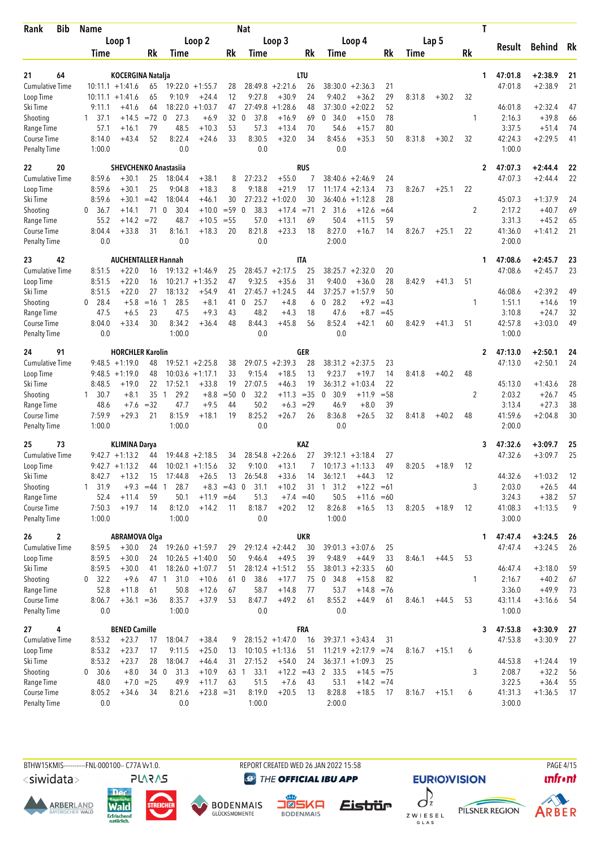| Bib<br>Rank                         | <b>Name</b>        |                                                |             |                                   |                                          |                     | <b>Nat</b>          |                               |            |                                           |                    |             |        |         | T            |                   |                      |          |
|-------------------------------------|--------------------|------------------------------------------------|-------------|-----------------------------------|------------------------------------------|---------------------|---------------------|-------------------------------|------------|-------------------------------------------|--------------------|-------------|--------|---------|--------------|-------------------|----------------------|----------|
|                                     |                    | Loop 1                                         |             |                                   | Loop <sub>2</sub>                        |                     |                     | Loop 3                        |            |                                           | Loop 4             |             |        | Lap 5   |              | Result            | <b>Behind</b>        | Rk       |
|                                     | Time               |                                                | Rk          | Time                              |                                          | Rk                  | Time                |                               | Rk         | Time                                      |                    | Rk          | Time   |         | Rk           |                   |                      |          |
| 21<br>64                            |                    |                                                |             |                                   |                                          |                     |                     |                               | LTU        |                                           |                    |             |        |         | 1            | 47:01.8           | $+2:38.9$            | 21       |
| <b>Cumulative Time</b>              |                    | <b>KOCERGINA Natalja</b><br>$10:11.1 + 1:41.6$ | 65          |                                   | $19:22.0 + 1:55.7$                       | 28                  |                     | $28:49.8 + 2:21.6$            | 26         | $38:30.0 + 2:36.3$                        |                    | 21          |        |         |              | 47:01.8           | $+2:38.9$            | 21       |
| Loop Time                           |                    | $10:11.1 + 1:41.6$                             | 65          | 9:10.9                            | $+24.4$                                  | 12                  | 9:27.8              | $+30.9$                       | 24         | 9:40.2                                    | $+36.2$            | 29          | 8:31.8 | $+30.2$ | 32           |                   |                      |          |
| Ski Time                            | 9:11.1             | $+41.6$                                        | 64          | 18:22.0                           | $+1:03.7$                                | 47                  | 27:49.8             | $+1:28.6$                     | 48         | 37:30.0                                   | $+2:02.2$          | 52          |        |         |              | 46:01.8           | $+2:32.4$            | 47       |
| Shooting                            | $1 \quad 37.1$     | $+14.5$                                        | $=72$ 0     | 27.3                              | $+6.9$                                   | 32                  | 37.8<br>0           | $+16.9$                       | 69         | 0, 34.0                                   | $+15.0$            | 78          |        |         | 1            | 2:16.3            | $+39.8$              | 66       |
| Range Time                          | 57.1               | $+16.1$                                        | 79          | 48.5                              | $+10.3$                                  | 53                  | 57.3                | $+13.4$                       | 70         | 54.6                                      | $+15.7$            | 80          |        |         |              | 3:37.5            | $+51.4$              | 74       |
| Course Time                         | 8:14.0             | $+43.4$                                        | 52          | 8:22.4                            | $+24.6$                                  | 33                  | 8:30.5              | $+32.0$                       | 34         | 8:45.6                                    | $+35.3$            | 50          | 8:31.8 | $+30.2$ | 32           | 42:24.3           | $+2:29.5$            | 41       |
| <b>Penalty Time</b>                 | 1:00.0             |                                                |             | 0.0                               |                                          |                     | 0.0                 |                               |            | 0.0                                       |                    |             |        |         |              | 1:00.0            |                      |          |
| 22<br>20                            |                    | <b>SHEVCHENKO Anastasiia</b>                   |             |                                   |                                          |                     |                     |                               | <b>RUS</b> |                                           |                    |             |        |         | 2            | 47:07.3           | $+2:44.4$            | 22       |
| <b>Cumulative Time</b>              | 8:59.6             | $+30.1$                                        | 25          | 18:04.4                           | $+38.1$                                  | 8                   | 27:23.2             | $+55.0$                       |            | $38:40.6 + 2:46.9$                        |                    | 24          |        |         |              | 47:07.3           | $+2:44.4$            | 22       |
| Loop Time                           | 8:59.6             | +30.1                                          | 25          | 9:04.8                            | $+18.3$                                  | 8                   | 9:18.8              | $+21.9$                       | 17         | 11:17.4                                   | $+2:13.4$          | 73          | 8:26.7 | $+25.1$ | 22           |                   |                      |          |
| Ski Time                            | 8:59.6             | $+30.1$                                        | $=42$       | 18:04.4                           | $+46.1$                                  | 30                  | 27:23.2             | $+1:02.0$                     | 30         | 36:40.6                                   | $+1:12.8$          | 28          |        |         |              | 45:07.3           | $+1:37.9$            | 24       |
| Shooting                            | 0<br>36.7          | $+14.1$                                        | 71          | 30.4<br>0                         | $+10.0$                                  | $= 59$              | 38.3<br>$\mathbf 0$ | $+17.4 = 71$                  |            | 2<br>31.6                                 | $+12.6$            | $=64$       |        |         | 2            | 2:17.2            | $+40.7$              | 69       |
| Range Time                          | 55.2<br>8:04.4     | $+14.2$<br>$+33.8$                             | $=72$<br>31 | 48.7<br>8:16.1                    | $+10.5$<br>$+18.3$                       | $= 55$<br>20        | 57.0<br>8:21.8      | $+13.1$<br>$+23.3$            | 69<br>18   | 50.4<br>8:27.0                            | $+11.5$            | 59<br>14    |        | $+25.1$ | 22           | 3:31.3<br>41:36.0 | $+45.2$<br>$+1:41.2$ | 65<br>21 |
| Course Time<br><b>Penalty Time</b>  | 0.0                |                                                |             | 0.0                               |                                          |                     | 0.0                 |                               |            | 2:00.0                                    | $+16.7$            |             | 8:26.7 |         |              | 2:00.0            |                      |          |
|                                     |                    |                                                |             |                                   |                                          |                     |                     |                               |            |                                           |                    |             |        |         |              |                   |                      |          |
| 42<br>23                            |                    | <b>AUCHENTALLER Hannah</b>                     |             |                                   |                                          |                     |                     |                               | ITA        |                                           |                    |             |        |         | 1            | 47:08.6           | $+2:45.7$            | 23       |
| <b>Cumulative Time</b>              | 8:51.5             | $+22.0$                                        | 16          |                                   | $19:13.2 + 1:46.9$                       | 25                  |                     | $28:45.7 + 2:17.5$            | 25         | $38:25.7 + 2:32.0$                        |                    | 20          |        |         |              | 47:08.6           | $+2:45.7$            | 23       |
| Loop Time                           | 8:51.5             | $+22.0$                                        | 16          |                                   | $10:21.7 + 1:35.2$                       | 47                  | 9:32.5              | $+35.6$                       | 31         | 9:40.0                                    | $+36.0$            | 28          | 8:42.9 | $+41.3$ | 51           |                   |                      |          |
| Ski Time<br>Shooting                | 8:51.5<br>$0$ 28.4 | $+22.0$<br>$+5.8$                              | 27<br>$=16$ | 18:13.2<br>28.5<br>$\overline{1}$ | $+54.9$<br>$+8.1$                        | 41<br>41            | 25.7<br>$\mathbf 0$ | $27:45.7 + 1:24.5$<br>$+4.8$  | 44<br>6    | $37:25.7 + 1:57.9$<br>$\mathbf 0$<br>28.2 | $+9.2$             | 50<br>$=43$ |        |         | 1            | 46:08.6<br>1:51.1 | $+2:39.2$<br>$+14.6$ | 49<br>19 |
| Range Time                          | 47.5               | $+6.5$                                         | 23          | 47.5                              | $+9.3$                                   | 43                  | 48.2                | $+4.3$                        | 18         | 47.6                                      | $+8.7$             | $=45$       |        |         |              | 3:10.8            | $+24.7$              | 32       |
| Course Time                         | 8:04.0             | $+33.4$                                        | 30          | 8:34.2                            | $+36.4$                                  | 48                  | 8:44.3              | $+45.8$                       | 56         | 8:52.4                                    | $+42.1$            | 60          | 8:42.9 | $+41.3$ | 51           | 42:57.8           | $+3:03.0$            | 49       |
| <b>Penalty Time</b>                 | 0.0                |                                                |             | 1:00.0                            |                                          |                     | 0.0                 |                               |            | 0.0                                       |                    |             |        |         |              | 1:00.0            |                      |          |
| 91<br>24                            |                    | <b>HORCHLER Karolin</b>                        |             |                                   |                                          |                     |                     |                               | GER        |                                           |                    |             |        |         | $\mathbf{2}$ | 47:13.0           | $+2:50.1$            | 24       |
| <b>Cumulative Time</b>              |                    | $9:48.5 +1:19.0$                               | 48          |                                   | $19:52.1 + 2:25.8$                       | 38                  |                     | $29:07.5 +2:39.3$             | 28         | $38:31.2 +2:37.5$                         |                    | 23          |        |         |              | 47:13.0           | $+2:50.1$            | 24       |
| Loop Time                           |                    | $9:48.5 +1:19.0$                               | 48          |                                   | $10:03.6 +1:17.1$                        | 33                  | 9:15.4              | $+18.5$                       | 13         | 9:23.7                                    | $+19.7$            | 14          | 8:41.8 | $+40.2$ | 48           |                   |                      |          |
| Ski Time                            | 8:48.5             | $+19.0$                                        | 22          | 17:52.1                           | $+33.8$                                  | 19                  | 27:07.5             | $+46.3$                       | 19         | 36:31.2                                   | $+1:03.4$          | 22          |        |         |              | 45:13.0           | $+1:43.6$            | 28       |
| Shooting                            | 1 30.7             | $+8.1$                                         | 35          | 29.2<br>$\overline{1}$            | $+8.8$                                   | $=50$               | 32.2<br>0           | $+11.3$                       | $=35$      | 30.9<br>$\mathbf 0$                       | $+11.9$            | $= 58$      |        |         | 2            | 2:03.2            | $+26.7$              | 45       |
| Range Time                          | 48.6               | $+7.6$                                         | $=32$       | 47.7                              | $+9.5$                                   | 44                  | 50.2                | $+6.3$                        | $=29$      | 46.9                                      | $+8.0$             | 39          |        |         |              | 3:13.4            | $+27.3$              | 38       |
| Course Time                         | 7:59.9             | $+29.3$                                        | 21          | 8:15.9                            | $+18.1$                                  | 19                  | 8:25.2              | $+26.7$                       | 26         | 8:36.8                                    | $+26.5$            | 32          | 8:41.8 | $+40.2$ | 48           | 41:59.6           | $+2:04.8$            | 30       |
| <b>Penalty Time</b>                 | 1:00.0             |                                                |             | 1:00.0                            |                                          |                     | 0.0                 |                               |            | 0.0                                       |                    |             |        |         |              | 2:00.0            |                      |          |
| 73<br>25                            |                    | <b>KLIMINA Darya</b>                           |             |                                   |                                          |                     |                     |                               | KAZ        |                                           |                    |             |        |         | 3            | 47:32.6           | $+3:09.7$            | 25       |
| <b>Cumulative Time</b>              |                    | $9:42.7 +1:13.2$                               | 44          |                                   | $19:44.8 + 2:18.5$                       | 34                  | 28:54.8             | $+2:26.6$                     | 27         | $39:12.1 + 3:18.4$                        |                    | 27          |        |         |              | 47:32.6           | $+3:09.7$            | 25       |
| Loop Time                           |                    | $9:42.7 +1:13.2$                               | 44          |                                   | $10:02.1 + 1:15.6$                       | 32                  | 9:10.0              | $+13.1$                       | 7          | $10:17.3 + 1:13.3$                        |                    | 49          | 8:20.5 | $+18.9$ | 12           |                   |                      |          |
| Ski Time                            | 8:42.7             | $+13.2$                                        | 15          | 17:44.8                           | $+26.5$                                  | 13                  | 26:54.8             | $+33.6$                       | 14         | 36:12.1                                   | $+44.3$            | 12          |        |         |              | 44:32.6           | $+1:03.2$            | 12       |
| Shooting                            | 1, 31.9            | $+9.3$                                         | $=44$       | 28.7<br>1                         |                                          | $+8.3 = 43 \quad 0$ | 31.1                | $+10.2$                       | 31         | $1 \quad 31.2$                            | $+12.2$            | $=61$       |        |         | 3            | 2:03.0            | $+26.5$              | 44       |
| Range Time<br>Course Time           | 52.4<br>7:50.3     | $+11.4$<br>$+19.7$                             | 59<br>14    | 50.1<br>8:12.0                    | $+11.9 = 64$<br>$+14.2$                  | -11                 | 51.3<br>8:18.7      | $+7.4 = 40$<br>$+20.2$        | 12         | 50.5<br>8:26.8                            | $+11.6$<br>$+16.5$ | $=60$<br>13 | 8:20.5 | $+18.9$ | 12           | 3:24.3<br>41:08.3 | $+38.2$<br>$+1:13.5$ | 57<br>9  |
| <b>Penalty Time</b>                 | 1:00.0             |                                                |             | 1:00.0                            |                                          |                     | 0.0                 |                               |            | 1:00.0                                    |                    |             |        |         |              | 3:00.0            |                      |          |
|                                     |                    |                                                |             |                                   |                                          |                     |                     |                               |            |                                           |                    |             |        |         |              |                   |                      |          |
| 26<br>2                             |                    | <b>ABRAMOVA Olga</b>                           |             |                                   |                                          |                     |                     |                               | <b>UKR</b> |                                           |                    |             |        |         | 1            | 47:47.4           | $+3:24.5$            | 26       |
| <b>Cumulative Time</b><br>Loop Time | 8:59.5<br>8:59.5   | $+30.0$<br>$+30.0$                             | 24<br>24    |                                   | $19:26.0 + 1:59.7$<br>$10:26.5 + 1:40.0$ | 29<br>50            | 9:46.4              | $29:12.4 + 2:44.2$<br>$+49.5$ | 30<br>39   | $39:01.3 + 3:07.6$<br>9:48.9              | $+44.9$            | 25<br>33    | 8:46.1 | $+44.5$ | 53           | 47:47.4           | $+3:24.5$            | 26       |
| Ski Time                            | 8:59.5             | $+30.0$                                        | 41          |                                   | $18:26.0 + 1:07.7$                       | 51                  |                     | $28:12.4 +1:51.2$             | 55         | $38:01.3 + 2:33.5$                        |                    | 60          |        |         |              | 46:47.4           | $+3:18.0$            | 59       |
| Shooting                            | 32.2<br>0          | $+9.6$                                         | 47 1        | 31.0                              | $+10.6$                                  | 61 0                | 38.6                | $+17.7$                       | 75         | 0, 34.8                                   | $+15.8$            | 82          |        |         | 1            | 2:16.7            | $+40.2$              | 67       |
| Range Time                          | 52.8               | $+11.8$                                        | 61          | 50.8                              | $+12.6$                                  | 67                  | 58.7                | $+14.8$                       | 77         | 53.7                                      | $+14.8$            | $=76$       |        |         |              | 3:36.0            | $+49.9$              | 73       |
| Course Time                         | 8:06.7             | $+36.1 = 36$                                   |             | 8:35.7                            | $+37.9$                                  | 53                  | 8:47.7              | $+49.2$                       | 61         | 8:55.2                                    | +44.9              | 61          | 8:46.1 | $+44.5$ | 53           | 43:11.4           | $+3:16.6$            | 54       |
| <b>Penalty Time</b>                 | $0.0\,$            |                                                |             | 1:00.0                            |                                          |                     | 0.0                 |                               |            | 0.0                                       |                    |             |        |         |              | 1:00.0            |                      |          |
| 27<br>4                             |                    | <b>BENED Camille</b>                           |             |                                   |                                          |                     |                     |                               | FRA        |                                           |                    |             |        |         | 3            | 47:53.8           | $+3:30.9$            | 27       |
| <b>Cumulative Time</b>              | 8:53.2             | $+23.7$                                        | 17          | 18:04.7                           | $+38.4$                                  | 9                   |                     | $28:15.2 + 1:47.0$            | 16         | $39:37.1 + 3:43.4$                        |                    | 31          |        |         |              | 47:53.8           | $+3:30.9$            | 27       |
| Loop Time                           | 8:53.2             | $+23.7$                                        | 17          | 9:11.5                            | $+25.0$                                  | 13                  |                     | $10:10.5 + 1:13.6$            | 51         | $11:21.9 +2:17.9 = 74$                    |                    |             | 8:16.7 | $+15.1$ | 6            |                   |                      |          |
| Ski Time                            | 8:53.2             | $+23.7$                                        | 28          | 18:04.7                           | $+46.4$                                  | 31                  | 27:15.2             | $+54.0$                       | 24         | $36:37.1 + 1:09.3$                        |                    | 25          |        |         |              | 44:53.8           | $+1:24.4$            | -19      |
| Shooting                            | 0 30.6             | $+8.0$                                         |             | 34 0<br>31.3                      | $+10.9$                                  | 63 1                | 33.1                | $+12.2 = 43$                  |            | 2 33.5                                    | $+14.5 = 75$       |             |        |         | 3            | 2:08.7            | $+32.2$              | 56       |
| Range Time                          | 48.0               | $+7.0$                                         | $=25$       | 49.9                              | $+11.7$                                  | 63                  | 51.5                | $+7.6$                        | 43         | 53.1                                      | $+14.2 = 74$       |             |        |         |              | 3:22.5            | $+36.4$              | 55       |
| Course Time                         | 8:05.2             | $+34.6$                                        | 34          | 8:21.6                            | $+23.8 = 31$                             |                     | 8:19.0              | $+20.5$                       | 13         | 8:28.8                                    | $+18.5$            | 17          | 8:16.7 | $+15.1$ | 6            | 41:31.3           | $+1:36.5$            | 17       |
| <b>Penalty Time</b>                 | 0.0                |                                                |             | 0.0                               |                                          |                     | 1:00.0              |                               |            | 2:00.0                                    |                    |             |        |         |              | 3:00.0            |                      |          |

BTHW15KMIS----------FNL-000100-- C77A Vv1.0. REPORT CREATED WED 26 JAN 2022 15:58 PAGE 4/15

<siwidata>

**ARBERLAND** 







**@** THE OFFICIAL IBU APP

 $\int_{z}$ Eistrür Z W I E S E L<br>G L A S



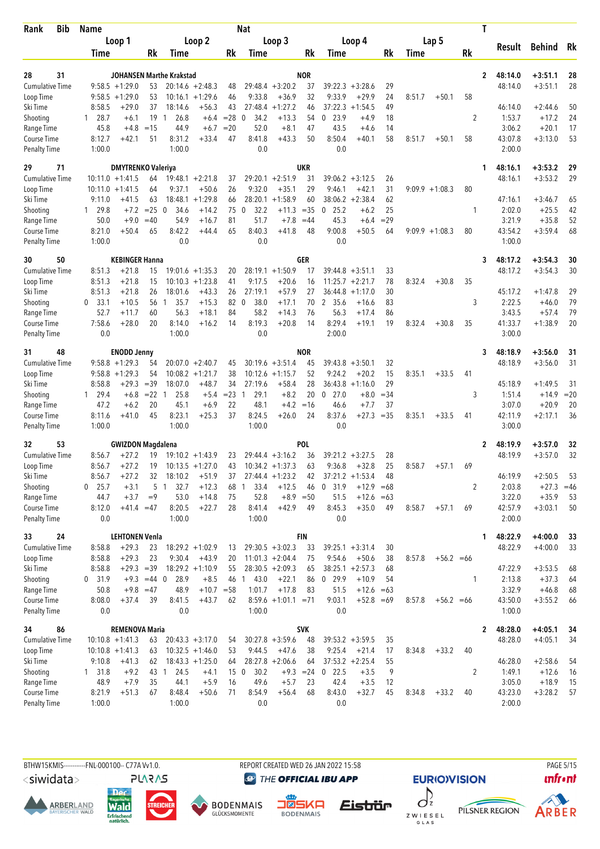| Loop 2<br>Loop 1<br>Loop 3<br>Loop 4<br>Lap 5<br>Behind<br>Rk<br>Result<br>Rk<br><b>Rk</b><br>Rk<br>Rk<br>Time<br>Rk<br>Time<br>Time<br>Time<br>Time<br>28<br>31<br><b>NOR</b><br>$\overline{2}$<br>48:14.0<br>$+3:51.1$<br>28<br>JOHANSEN Marthe Krakstad<br>37<br>$9:58.5 + 1:29.0$<br>$20:14.6 + 2:48.3$<br>$29:48.4 + 3:20.2$<br>29<br>$+3:51.1$<br>28<br><b>Cumulative Time</b><br>53<br>48<br>$39:22.3 + 3:28.6$<br>48:14.0<br>9:33.8<br>32<br>24<br>$9:58.5 + 1:29.0$<br>53<br>$+1:29.6$<br>46<br>$+36.9$<br>9:33.9<br>$+29.9$<br>58<br>Loop Time<br>10:16.1<br>8:51.7<br>$+50.1$<br>$+1:27.2$<br>37:22.3<br>50<br>8:58.5<br>$+29.0$<br>37<br>$+56.3$<br>43<br>27:48.4<br>$+1:54.5$<br>49<br>46:14.0<br>$+2:44.6$<br>Ski Time<br>18:14.6<br>46<br>Shooting<br>$1 \t28.7$<br>19<br>26.8<br>$= 28$<br>34.2<br>0, 23.9<br>2<br>$+17.2$<br>24<br>$+6.1$<br>$\mathbf{1}$<br>$+6.4$<br>$\mathbf 0$<br>$+13.3$<br>54<br>$+4.9$<br>18<br>1:53.7<br>17<br>45.8<br>44.9<br>$=20$<br>52.0<br>$+8.1$<br>43.5<br>3:06.2<br>$+20.1$<br>Range Time<br>$+4.8$<br>$=15$<br>$+6.7$<br>47<br>$+4.6$<br>14<br>50<br>8:50.4<br>43:07.8<br>53<br>8:12.7<br>$+42.1$<br>51<br>8:31.2<br>$+33.4$<br>47<br>8:41.8<br>$+43.3$<br>$+40.1$<br>58<br>8:51.7<br>58<br>$+3:13.0$<br>Course Time<br>$+50.1$<br>1:00.0<br>0.0<br>0.0<br>2:00.0<br>1:00.0<br><b>Penalty Time</b><br><b>UKR</b><br>29<br>71<br><b>DMYTRENKO Valeriya</b><br>$+3:53.2$<br>29<br>48:16.1<br>1<br>31<br>29<br>48:16.1<br>$+3:53.2$<br><b>Cumulative Time</b><br>$10:11.0 + 1:41.5$<br>64<br>$19:48.1 + 2:21.8$<br>$29:20.1 + 2:51.9$<br>$39:06.2 + 3:12.5$<br>26<br>37<br>29<br>$+50.6$<br>26<br>9:32.0<br>$+35.1$<br>31<br>Loop Time<br>$10:11.0 + 1:41.5$<br>64<br>9:37.1<br>9:46.1<br>+42.1<br>$9:09.9 +1:08.3$<br>80<br>$38:06.2 + 2:38.4$<br>62<br>63<br>18:48.1<br>$+1:29.8$<br>66<br>28:20.1<br>$+1:58.9$<br>60<br>47:16.1<br>Ski Time<br>9:11.0<br>$+41.5$<br>$+3:46.7$<br>65<br>75<br>$+11.3$<br>25<br>$= 25$<br>34.6<br>$+14.2$<br>32.2<br>$= 35$<br>0<br>25.2<br>2:02.0<br>$+25.5$<br>42<br>Shooting<br>1 29.8<br>$+7.2$<br>0<br>$\mathbf 0$<br>$+6.2$<br>1<br>45.3<br>3:21.9<br>52<br>50.0<br>$+9.0$<br>54.9<br>$+16.7$<br>81<br>51.7<br>$+7.8$<br>$=29$<br>$+35.8$<br>Range Time<br>$=40$<br>$=44$<br>$+6.4$<br>8:42.2<br>65<br>9:00.8<br>8:21.0<br>8:40.3<br>$+41.8$<br>48<br>$+50.5$<br>$9:09.9 +1:08.3$<br>80<br>43:54.2<br>$+3:59.4$<br>68<br>Course Time<br>$+50.4$<br>65<br>+44.4<br>64<br>0.0<br>0.0<br>0.0<br>1:00.0<br>1:00.0<br><b>Penalty Time</b><br>50<br><b>KEBINGER Hanna</b><br>GER<br>48:17.2<br>$+3:54.3$<br>30<br>3<br>30<br>$+3:54.3$<br><b>Cumulative Time</b><br>$+21.8$<br>$28:19.1 + 1:50.9$<br>48:17.2<br>30<br>8:51.3<br>$19:01.6 + 1:35.3$<br>20<br>17<br>$39:44.8 + 3:51.1$<br>33<br>15<br>8:51.3<br>$+21.8$<br>$10:10.3 + 1:23.8$<br>$+20.6$<br>78<br>35<br>Loop Time<br>15<br>41<br>9:17.5<br>16<br>11:25.7<br>$+2:21.7$<br>8:32.4<br>$+30.8$<br>26<br>27:19.1<br>27<br>30<br>29<br>Ski Time<br>8:51.3<br>$+21.8$<br>26<br>18:01.6<br>$+43.3$<br>$+57.9$<br>36:44.8<br>$+1:17.0$<br>45:17.2<br>$+1:47.8$<br>2:22.5<br>79<br>33.1<br>56<br>$+15.3$<br>82 0<br>38.0<br>2 35.6<br>83<br>3<br>$+46.0$<br>Shooting<br>$\mathbf{0}$<br>$+10.5$<br>$\mathbf{1}$<br>35.7<br>$+17.1$<br>70<br>$+16.6$<br>$+18.1$<br>84<br>58.2<br>56.3<br>79<br>52.7<br>56.3<br>$+14.3$<br>76<br>$+17.4$<br>86<br>3:43.5<br>$+57.4$<br>Range Time<br>$+11.7$<br>60<br>7:58.6<br>$+28.0$<br>8:19.3<br>$+20.8$<br>8:29.4<br>$+19.1$<br>35<br>41:33.7<br>20<br>Course Time<br>20<br>8:14.0<br>$+16.2$<br>14<br>14<br>19<br>8:32.4<br>$+30.8$<br>$+1:38.9$<br>2:00.0<br>1:00.0<br>0.0<br>3:00.0<br><b>Penalty Time</b><br>0.0<br>48<br><b>NOR</b><br>48:18.9<br>$+3:56.0$<br>31<br><b>ENODD Jenny</b><br>31<br>3<br>$9:58.8 + 1:29.3$<br>$30:19.6 + 3:51.4$<br>32<br>48:18.9<br>$+3:56.0$<br>31<br><b>Cumulative Time</b><br>54<br>$20:07.0 + 2:40.7$<br>45<br>45<br>39:43.8<br>$+3:50.1$<br>54<br>52<br>$9:58.8 + 1:29.3$<br>$10:08.2 + 1:21.7$<br>38<br>9:24.2<br>$+20.2$<br>15<br>8:35.1<br>$+33.5$<br>Loop Time<br>$10:12.6 + 1:15.7$<br>41<br>28<br>$+29.3$<br>$=39$<br>18:07.0<br>$+48.7$<br>34<br>27:19.6<br>$+58.4$<br>36:43.8<br>$+1:16.0$<br>29<br>45:18.9<br>$+1:49.5$<br>Ski Time<br>8:58.8<br>31<br>$+8.2$<br>$= 23$<br>29.1<br>20<br>$0$ 27.0<br>$=34$<br>1:51.4<br>$+14.9$<br>$=20$<br>Shooting<br>$1 \quad 29.4$<br>$+6.8$<br>$= 22 \quad 1$<br>25.8<br>$+5.4$<br>1<br>$+8.0$<br>3<br>22<br>48.1<br>$+4.2$<br>3:07.0<br>20<br>47.2<br>$+6.2$<br>20<br>45.1<br>$+6.9$<br>$=16$<br>46.6<br>$+7.7$<br>37<br>$+20.9$<br>Range Time<br>8:23.1<br>37<br>8:24.5<br>24<br>8:37.6<br>$=35$<br>42:11.9<br>36<br>8:11.6<br>$+41.0$<br>45<br>$+25.3$<br>$+26.0$<br>$+27.3$<br>8:35.1<br>$+33.5$<br>41<br>$+2:17.1$<br>Course Time<br>1:00.0<br>0.0<br>1:00.0<br>3:00.0<br><b>Penalty Time</b><br>1:00.0<br><b>POL</b><br>53<br><b>GWIZDON Magdalena</b><br>$+3:57.0$<br>32<br>2<br>48:19.9<br>32<br>32<br><b>Cumulative Time</b><br>8:56.7<br>36<br>48:19.9<br>$+3:57.0$<br>+27.2<br>19<br>$19:10.2 + 1:43.9$<br>23<br>$29:44.4 + 3:16.2$<br>$39:21.2 + 3:27.5$<br>28<br>$+27.2$<br>19<br>43<br>$10:34.2 +1:37.3$<br>63<br>9:36.8<br>$+32.8$<br>25<br>8:58.7<br>Loop Time<br>8:56.7<br>$10:13.5 + 1:27.0$<br>$+57.1$<br>69<br>Ski Time<br>46:19.9<br>$+2:50.5$<br>8:56.7<br>$+27.2$<br>32<br>18:10.2<br>$+51.9$<br>$27:44.4 + 1:23.2$<br>$37:21.2 + 1:53.4$<br>48<br>53<br>37<br>42<br>5<br>Shooting<br>$0$ 25.7<br>$+3.1$<br>32.7<br>$+12.3$<br>33.4<br>$+12.5$<br>0, 31.9<br>$+12.9$<br>2<br>2:03.8<br>$+27.3$<br>$=46$<br>1<br>68<br>46<br>$=68$<br>-1<br>Range Time<br>$+3.7$<br>$=9$<br>53.0<br>52.8<br>$+8.9 = 50$<br>51.5<br>3:22.0<br>$+35.9$<br>44.7<br>$+14.8$<br>75<br>$+12.6$<br>53<br>$=63$<br>$+42.9$<br>8:45.3<br>42:57.9<br>Course Time<br>8:12.0<br>$+41.4 = 47$<br>8:20.5<br>$+22.7$<br>28<br>8:41.4<br>49<br>$+35.0$<br>8:58.7<br>$+3:03.1$<br>50<br>49<br>$+57.1$<br>69<br><b>Penalty Time</b><br>1:00.0<br>1:00.0<br>0.0<br>2:00.0<br>0.0<br><b>FIN</b><br>33<br>24<br><b>LEHTONEN Venla</b><br>48:22.9<br>$+4:00.0$<br>33<br>1<br><b>Cumulative Time</b><br>$+29.3$<br>$18:29.2 + 1:02.9$<br>$29:30.5 +3:02.3$<br>$39:25.1 + 3:31.4$<br>48:22.9<br>$+4:00.0$<br>33<br>8:58.8<br>23<br>33<br>30<br>13<br>$+29.3$<br>$+56.2 = 66$<br>Loop Time<br>8:58.8<br>23<br>9:30.4<br>$+43.9$<br>20<br>$11:01.3 +2:04.4$<br>75<br>9:54.6<br>$+50.6$<br>38<br>8:57.8<br>Ski Time<br>$+29.3 = 39$<br>$18:29.2 + 1:10.9$<br>55<br>$28:30.5 + 2:09.3$<br>$38:25.1 + 2:57.3$<br>47:22.9<br>$+3:53.5$<br>8:58.8<br>65<br>68<br>68<br>Shooting<br>31.9<br>$+9.3 = 44$ 0<br>28.9<br>$+8.5$<br>46 1<br>43.0<br>$+22.1$<br>86<br>0, 29.9<br>$+10.9$<br>2:13.8<br>$+37.3$<br>0<br>54<br>1<br>64<br>3:32.9<br>Range Time<br>50.8<br>$+9.8 = 47$<br>48.9<br>$+10.7 = 58$<br>1:01.7<br>$+17.8$<br>83<br>51.5<br>$+12.6$<br>$+46.8$<br>68<br>$=63$<br>Course Time<br>8:08.0<br>$+37.4$<br>$8:59.6 +1:01.1 = 71$<br>9:03.1<br>43:50.0<br>39<br>8:41.5<br>$+43.7$<br>62<br>$+52.8 = 69$<br>8:57.8<br>$+56.2 = 66$<br>$+3:55.2$<br>66<br>0.0<br>0.0<br>1:00.0<br>0.0<br>1:00.0<br><b>Penalty Time</b><br><b>REMENOVA Maria</b><br><b>SVK</b><br>48:28.0<br>$+4:05.1$<br>34<br>86<br>2<br>34<br><b>Cumulative Time</b><br>$20:43.3 + 3:17.0$<br>$30:27.8 + 3:59.6$<br>48<br>$39:53.2 + 3:59.5$<br>48:28.0<br>$+4:05.1$<br>34<br>$10:10.8 + 1:41.3$<br>35<br>63<br>54<br>Loop Time<br>$10:32.5 +1:46.0$<br>9:44.5<br>$+47.6$<br>9:25.4<br>$+21.4$<br>$10:10.8 + 1:41.3$<br>53<br>38<br>17<br>8:34.8<br>$+33.2$<br>40<br>63<br>$+2:58.6$<br>Ski Time<br>9:10.8<br>$+41.3$<br>$18:43.3 +1:25.0$<br>$28:27.8 + 2:06.6$<br>$37:53.2 +2:25.4$<br>55<br>46:28.0<br>54<br>62<br>64<br>64<br>Shooting<br>131.8<br>$+9.2$<br>43 1<br>24.5<br>15 <sub>0</sub><br>30.2<br>$+9.3 = 24$<br>$0$ 22.5<br>$+3.5$<br>9<br>2<br>1:49.1<br>$+12.6$<br>16<br>$+4.1$<br>42.4<br>Range Time<br>$+7.9$<br>35<br>$+5.9$<br>16<br>49.6<br>$+5.7$<br>$+3.5$<br>3:05.0<br>$+18.9$<br>15<br>48.9<br>44.1<br>23<br>12<br>Course Time<br>8:21.9<br>8:54.9<br>8:43.0<br>$+32.7$<br>43:23.0<br>$+51.3$<br>67<br>8:48.4<br>$+50.6$<br>71<br>$+56.4$<br>68<br>45<br>8:34.8<br>$+33.2$<br>40<br>$+3:28.2$<br>57<br><b>Penalty Time</b><br>0.0<br>1:00.0<br>1:00.0<br>0.0<br>2:00.0 | Bib<br>Rank | <b>Name</b> |  |  | <b>Nat</b> |  |  |  |  | T |  |  |
|---------------------------------------------------------------------------------------------------------------------------------------------------------------------------------------------------------------------------------------------------------------------------------------------------------------------------------------------------------------------------------------------------------------------------------------------------------------------------------------------------------------------------------------------------------------------------------------------------------------------------------------------------------------------------------------------------------------------------------------------------------------------------------------------------------------------------------------------------------------------------------------------------------------------------------------------------------------------------------------------------------------------------------------------------------------------------------------------------------------------------------------------------------------------------------------------------------------------------------------------------------------------------------------------------------------------------------------------------------------------------------------------------------------------------------------------------------------------------------------------------------------------------------------------------------------------------------------------------------------------------------------------------------------------------------------------------------------------------------------------------------------------------------------------------------------------------------------------------------------------------------------------------------------------------------------------------------------------------------------------------------------------------------------------------------------------------------------------------------------------------------------------------------------------------------------------------------------------------------------------------------------------------------------------------------------------------------------------------------------------------------------------------------------------------------------------------------------------------------------------------------------------------------------------------------------------------------------------------------------------------------------------------------------------------------------------------------------------------------------------------------------------------------------------------------------------------------------------------------------------------------------------------------------------------------------------------------------------------------------------------------------------------------------------------------------------------------------------------------------------------------------------------------------------------------------------------------------------------------------------------------------------------------------------------------------------------------------------------------------------------------------------------------------------------------------------------------------------------------------------------------------------------------------------------------------------------------------------------------------------------------------------------------------------------------------------------------------------------------------------------------------------------------------------------------------------------------------------------------------------------------------------------------------------------------------------------------------------------------------------------------------------------------------------------------------------------------------------------------------------------------------------------------------------------------------------------------------------------------------------------------------------------------------------------------------------------------------------------------------------------------------------------------------------------------------------------------------------------------------------------------------------------------------------------------------------------------------------------------------------------------------------------------------------------------------------------------------------------------------------------------------------------------------------------------------------------------------------------------------------------------------------------------------------------------------------------------------------------------------------------------------------------------------------------------------------------------------------------------------------------------------------------------------------------------------------------------------------------------------------------------------------------------------------------------------------------------------------------------------------------------------------------------------------------------------------------------------------------------------------------------------------------------------------------------------------------------------------------------------------------------------------------------------------------------------------------------------------------------------------------------------------------------------------------------------------------------------------------------------------------------------------------------------------------------------------------------------------------------------------------------------------------------------------------------------------------------------------------------------------------------------------------------------------------------------------------------------------------------------------------------------------------------------------------------------------------------------------------------------------------------------------------------------------------------------------------------------------------------------------------------------------------------------------------------------------------------------------------------------------------------------------------------------------------------------------------------------------------------------------------------------------------------------------------------------------------------------------------------------------------------------------------------------------------------------------------------------------------------------------------------------------------------------------------------------------------------------------------------------------------------------------------------------------------------------------------------------------------------------------------------------------------------------------------------------------------------------------------------------------------------------------------------------------------------------------------------------------------------------------------------------------------------------------------------------------------------------------------------------------------------------------------------------------------------------------------------------------------------------------------------------------------------------------------------------------------------------------------------------------------------------------------------------------------------------------------------------------------------------------------------------------------------------------------------------------------------------------------------------------------------------------------------------------------------------------------------------------------------------------------------------------------------------------------------|-------------|-------------|--|--|------------|--|--|--|--|---|--|--|
|                                                                                                                                                                                                                                                                                                                                                                                                                                                                                                                                                                                                                                                                                                                                                                                                                                                                                                                                                                                                                                                                                                                                                                                                                                                                                                                                                                                                                                                                                                                                                                                                                                                                                                                                                                                                                                                                                                                                                                                                                                                                                                                                                                                                                                                                                                                                                                                                                                                                                                                                                                                                                                                                                                                                                                                                                                                                                                                                                                                                                                                                                                                                                                                                                                                                                                                                                                                                                                                                                                                                                                                                                                                                                                                                                                                                                                                                                                                                                                                                                                                                                                                                                                                                                                                                                                                                                                                                                                                                                                                                                                                                                                                                                                                                                                                                                                                                                                                                                                                                                                                                                                                                                                                                                                                                                                                                                                                                                                                                                                                                                                                                                                                                                                                                                                                                                                                                                                                                                                                                                                                                                                                                                                                                                                                                                                                                                                                                                                                                                                                                                                                                                                                                                                                                                                                                                                                                                                                                                                                                                                                                                                                                                                                                                                                                                                                                                                                                                                                                                                                                                                                                                                                                                                                                                                                                                                                                                                                                                                                                                                                                                                                                                                                                                                                                                                         |             |             |  |  |            |  |  |  |  |   |  |  |
|                                                                                                                                                                                                                                                                                                                                                                                                                                                                                                                                                                                                                                                                                                                                                                                                                                                                                                                                                                                                                                                                                                                                                                                                                                                                                                                                                                                                                                                                                                                                                                                                                                                                                                                                                                                                                                                                                                                                                                                                                                                                                                                                                                                                                                                                                                                                                                                                                                                                                                                                                                                                                                                                                                                                                                                                                                                                                                                                                                                                                                                                                                                                                                                                                                                                                                                                                                                                                                                                                                                                                                                                                                                                                                                                                                                                                                                                                                                                                                                                                                                                                                                                                                                                                                                                                                                                                                                                                                                                                                                                                                                                                                                                                                                                                                                                                                                                                                                                                                                                                                                                                                                                                                                                                                                                                                                                                                                                                                                                                                                                                                                                                                                                                                                                                                                                                                                                                                                                                                                                                                                                                                                                                                                                                                                                                                                                                                                                                                                                                                                                                                                                                                                                                                                                                                                                                                                                                                                                                                                                                                                                                                                                                                                                                                                                                                                                                                                                                                                                                                                                                                                                                                                                                                                                                                                                                                                                                                                                                                                                                                                                                                                                                                                                                                                                                                         |             |             |  |  |            |  |  |  |  |   |  |  |
|                                                                                                                                                                                                                                                                                                                                                                                                                                                                                                                                                                                                                                                                                                                                                                                                                                                                                                                                                                                                                                                                                                                                                                                                                                                                                                                                                                                                                                                                                                                                                                                                                                                                                                                                                                                                                                                                                                                                                                                                                                                                                                                                                                                                                                                                                                                                                                                                                                                                                                                                                                                                                                                                                                                                                                                                                                                                                                                                                                                                                                                                                                                                                                                                                                                                                                                                                                                                                                                                                                                                                                                                                                                                                                                                                                                                                                                                                                                                                                                                                                                                                                                                                                                                                                                                                                                                                                                                                                                                                                                                                                                                                                                                                                                                                                                                                                                                                                                                                                                                                                                                                                                                                                                                                                                                                                                                                                                                                                                                                                                                                                                                                                                                                                                                                                                                                                                                                                                                                                                                                                                                                                                                                                                                                                                                                                                                                                                                                                                                                                                                                                                                                                                                                                                                                                                                                                                                                                                                                                                                                                                                                                                                                                                                                                                                                                                                                                                                                                                                                                                                                                                                                                                                                                                                                                                                                                                                                                                                                                                                                                                                                                                                                                                                                                                                                                         |             |             |  |  |            |  |  |  |  |   |  |  |
|                                                                                                                                                                                                                                                                                                                                                                                                                                                                                                                                                                                                                                                                                                                                                                                                                                                                                                                                                                                                                                                                                                                                                                                                                                                                                                                                                                                                                                                                                                                                                                                                                                                                                                                                                                                                                                                                                                                                                                                                                                                                                                                                                                                                                                                                                                                                                                                                                                                                                                                                                                                                                                                                                                                                                                                                                                                                                                                                                                                                                                                                                                                                                                                                                                                                                                                                                                                                                                                                                                                                                                                                                                                                                                                                                                                                                                                                                                                                                                                                                                                                                                                                                                                                                                                                                                                                                                                                                                                                                                                                                                                                                                                                                                                                                                                                                                                                                                                                                                                                                                                                                                                                                                                                                                                                                                                                                                                                                                                                                                                                                                                                                                                                                                                                                                                                                                                                                                                                                                                                                                                                                                                                                                                                                                                                                                                                                                                                                                                                                                                                                                                                                                                                                                                                                                                                                                                                                                                                                                                                                                                                                                                                                                                                                                                                                                                                                                                                                                                                                                                                                                                                                                                                                                                                                                                                                                                                                                                                                                                                                                                                                                                                                                                                                                                                                                         |             |             |  |  |            |  |  |  |  |   |  |  |
|                                                                                                                                                                                                                                                                                                                                                                                                                                                                                                                                                                                                                                                                                                                                                                                                                                                                                                                                                                                                                                                                                                                                                                                                                                                                                                                                                                                                                                                                                                                                                                                                                                                                                                                                                                                                                                                                                                                                                                                                                                                                                                                                                                                                                                                                                                                                                                                                                                                                                                                                                                                                                                                                                                                                                                                                                                                                                                                                                                                                                                                                                                                                                                                                                                                                                                                                                                                                                                                                                                                                                                                                                                                                                                                                                                                                                                                                                                                                                                                                                                                                                                                                                                                                                                                                                                                                                                                                                                                                                                                                                                                                                                                                                                                                                                                                                                                                                                                                                                                                                                                                                                                                                                                                                                                                                                                                                                                                                                                                                                                                                                                                                                                                                                                                                                                                                                                                                                                                                                                                                                                                                                                                                                                                                                                                                                                                                                                                                                                                                                                                                                                                                                                                                                                                                                                                                                                                                                                                                                                                                                                                                                                                                                                                                                                                                                                                                                                                                                                                                                                                                                                                                                                                                                                                                                                                                                                                                                                                                                                                                                                                                                                                                                                                                                                                                                         |             |             |  |  |            |  |  |  |  |   |  |  |
|                                                                                                                                                                                                                                                                                                                                                                                                                                                                                                                                                                                                                                                                                                                                                                                                                                                                                                                                                                                                                                                                                                                                                                                                                                                                                                                                                                                                                                                                                                                                                                                                                                                                                                                                                                                                                                                                                                                                                                                                                                                                                                                                                                                                                                                                                                                                                                                                                                                                                                                                                                                                                                                                                                                                                                                                                                                                                                                                                                                                                                                                                                                                                                                                                                                                                                                                                                                                                                                                                                                                                                                                                                                                                                                                                                                                                                                                                                                                                                                                                                                                                                                                                                                                                                                                                                                                                                                                                                                                                                                                                                                                                                                                                                                                                                                                                                                                                                                                                                                                                                                                                                                                                                                                                                                                                                                                                                                                                                                                                                                                                                                                                                                                                                                                                                                                                                                                                                                                                                                                                                                                                                                                                                                                                                                                                                                                                                                                                                                                                                                                                                                                                                                                                                                                                                                                                                                                                                                                                                                                                                                                                                                                                                                                                                                                                                                                                                                                                                                                                                                                                                                                                                                                                                                                                                                                                                                                                                                                                                                                                                                                                                                                                                                                                                                                                                         |             |             |  |  |            |  |  |  |  |   |  |  |
|                                                                                                                                                                                                                                                                                                                                                                                                                                                                                                                                                                                                                                                                                                                                                                                                                                                                                                                                                                                                                                                                                                                                                                                                                                                                                                                                                                                                                                                                                                                                                                                                                                                                                                                                                                                                                                                                                                                                                                                                                                                                                                                                                                                                                                                                                                                                                                                                                                                                                                                                                                                                                                                                                                                                                                                                                                                                                                                                                                                                                                                                                                                                                                                                                                                                                                                                                                                                                                                                                                                                                                                                                                                                                                                                                                                                                                                                                                                                                                                                                                                                                                                                                                                                                                                                                                                                                                                                                                                                                                                                                                                                                                                                                                                                                                                                                                                                                                                                                                                                                                                                                                                                                                                                                                                                                                                                                                                                                                                                                                                                                                                                                                                                                                                                                                                                                                                                                                                                                                                                                                                                                                                                                                                                                                                                                                                                                                                                                                                                                                                                                                                                                                                                                                                                                                                                                                                                                                                                                                                                                                                                                                                                                                                                                                                                                                                                                                                                                                                                                                                                                                                                                                                                                                                                                                                                                                                                                                                                                                                                                                                                                                                                                                                                                                                                                                         |             |             |  |  |            |  |  |  |  |   |  |  |
|                                                                                                                                                                                                                                                                                                                                                                                                                                                                                                                                                                                                                                                                                                                                                                                                                                                                                                                                                                                                                                                                                                                                                                                                                                                                                                                                                                                                                                                                                                                                                                                                                                                                                                                                                                                                                                                                                                                                                                                                                                                                                                                                                                                                                                                                                                                                                                                                                                                                                                                                                                                                                                                                                                                                                                                                                                                                                                                                                                                                                                                                                                                                                                                                                                                                                                                                                                                                                                                                                                                                                                                                                                                                                                                                                                                                                                                                                                                                                                                                                                                                                                                                                                                                                                                                                                                                                                                                                                                                                                                                                                                                                                                                                                                                                                                                                                                                                                                                                                                                                                                                                                                                                                                                                                                                                                                                                                                                                                                                                                                                                                                                                                                                                                                                                                                                                                                                                                                                                                                                                                                                                                                                                                                                                                                                                                                                                                                                                                                                                                                                                                                                                                                                                                                                                                                                                                                                                                                                                                                                                                                                                                                                                                                                                                                                                                                                                                                                                                                                                                                                                                                                                                                                                                                                                                                                                                                                                                                                                                                                                                                                                                                                                                                                                                                                                                         |             |             |  |  |            |  |  |  |  |   |  |  |
|                                                                                                                                                                                                                                                                                                                                                                                                                                                                                                                                                                                                                                                                                                                                                                                                                                                                                                                                                                                                                                                                                                                                                                                                                                                                                                                                                                                                                                                                                                                                                                                                                                                                                                                                                                                                                                                                                                                                                                                                                                                                                                                                                                                                                                                                                                                                                                                                                                                                                                                                                                                                                                                                                                                                                                                                                                                                                                                                                                                                                                                                                                                                                                                                                                                                                                                                                                                                                                                                                                                                                                                                                                                                                                                                                                                                                                                                                                                                                                                                                                                                                                                                                                                                                                                                                                                                                                                                                                                                                                                                                                                                                                                                                                                                                                                                                                                                                                                                                                                                                                                                                                                                                                                                                                                                                                                                                                                                                                                                                                                                                                                                                                                                                                                                                                                                                                                                                                                                                                                                                                                                                                                                                                                                                                                                                                                                                                                                                                                                                                                                                                                                                                                                                                                                                                                                                                                                                                                                                                                                                                                                                                                                                                                                                                                                                                                                                                                                                                                                                                                                                                                                                                                                                                                                                                                                                                                                                                                                                                                                                                                                                                                                                                                                                                                                                                         |             |             |  |  |            |  |  |  |  |   |  |  |
|                                                                                                                                                                                                                                                                                                                                                                                                                                                                                                                                                                                                                                                                                                                                                                                                                                                                                                                                                                                                                                                                                                                                                                                                                                                                                                                                                                                                                                                                                                                                                                                                                                                                                                                                                                                                                                                                                                                                                                                                                                                                                                                                                                                                                                                                                                                                                                                                                                                                                                                                                                                                                                                                                                                                                                                                                                                                                                                                                                                                                                                                                                                                                                                                                                                                                                                                                                                                                                                                                                                                                                                                                                                                                                                                                                                                                                                                                                                                                                                                                                                                                                                                                                                                                                                                                                                                                                                                                                                                                                                                                                                                                                                                                                                                                                                                                                                                                                                                                                                                                                                                                                                                                                                                                                                                                                                                                                                                                                                                                                                                                                                                                                                                                                                                                                                                                                                                                                                                                                                                                                                                                                                                                                                                                                                                                                                                                                                                                                                                                                                                                                                                                                                                                                                                                                                                                                                                                                                                                                                                                                                                                                                                                                                                                                                                                                                                                                                                                                                                                                                                                                                                                                                                                                                                                                                                                                                                                                                                                                                                                                                                                                                                                                                                                                                                                                         |             |             |  |  |            |  |  |  |  |   |  |  |
|                                                                                                                                                                                                                                                                                                                                                                                                                                                                                                                                                                                                                                                                                                                                                                                                                                                                                                                                                                                                                                                                                                                                                                                                                                                                                                                                                                                                                                                                                                                                                                                                                                                                                                                                                                                                                                                                                                                                                                                                                                                                                                                                                                                                                                                                                                                                                                                                                                                                                                                                                                                                                                                                                                                                                                                                                                                                                                                                                                                                                                                                                                                                                                                                                                                                                                                                                                                                                                                                                                                                                                                                                                                                                                                                                                                                                                                                                                                                                                                                                                                                                                                                                                                                                                                                                                                                                                                                                                                                                                                                                                                                                                                                                                                                                                                                                                                                                                                                                                                                                                                                                                                                                                                                                                                                                                                                                                                                                                                                                                                                                                                                                                                                                                                                                                                                                                                                                                                                                                                                                                                                                                                                                                                                                                                                                                                                                                                                                                                                                                                                                                                                                                                                                                                                                                                                                                                                                                                                                                                                                                                                                                                                                                                                                                                                                                                                                                                                                                                                                                                                                                                                                                                                                                                                                                                                                                                                                                                                                                                                                                                                                                                                                                                                                                                                                                         |             |             |  |  |            |  |  |  |  |   |  |  |
|                                                                                                                                                                                                                                                                                                                                                                                                                                                                                                                                                                                                                                                                                                                                                                                                                                                                                                                                                                                                                                                                                                                                                                                                                                                                                                                                                                                                                                                                                                                                                                                                                                                                                                                                                                                                                                                                                                                                                                                                                                                                                                                                                                                                                                                                                                                                                                                                                                                                                                                                                                                                                                                                                                                                                                                                                                                                                                                                                                                                                                                                                                                                                                                                                                                                                                                                                                                                                                                                                                                                                                                                                                                                                                                                                                                                                                                                                                                                                                                                                                                                                                                                                                                                                                                                                                                                                                                                                                                                                                                                                                                                                                                                                                                                                                                                                                                                                                                                                                                                                                                                                                                                                                                                                                                                                                                                                                                                                                                                                                                                                                                                                                                                                                                                                                                                                                                                                                                                                                                                                                                                                                                                                                                                                                                                                                                                                                                                                                                                                                                                                                                                                                                                                                                                                                                                                                                                                                                                                                                                                                                                                                                                                                                                                                                                                                                                                                                                                                                                                                                                                                                                                                                                                                                                                                                                                                                                                                                                                                                                                                                                                                                                                                                                                                                                                                         |             |             |  |  |            |  |  |  |  |   |  |  |
|                                                                                                                                                                                                                                                                                                                                                                                                                                                                                                                                                                                                                                                                                                                                                                                                                                                                                                                                                                                                                                                                                                                                                                                                                                                                                                                                                                                                                                                                                                                                                                                                                                                                                                                                                                                                                                                                                                                                                                                                                                                                                                                                                                                                                                                                                                                                                                                                                                                                                                                                                                                                                                                                                                                                                                                                                                                                                                                                                                                                                                                                                                                                                                                                                                                                                                                                                                                                                                                                                                                                                                                                                                                                                                                                                                                                                                                                                                                                                                                                                                                                                                                                                                                                                                                                                                                                                                                                                                                                                                                                                                                                                                                                                                                                                                                                                                                                                                                                                                                                                                                                                                                                                                                                                                                                                                                                                                                                                                                                                                                                                                                                                                                                                                                                                                                                                                                                                                                                                                                                                                                                                                                                                                                                                                                                                                                                                                                                                                                                                                                                                                                                                                                                                                                                                                                                                                                                                                                                                                                                                                                                                                                                                                                                                                                                                                                                                                                                                                                                                                                                                                                                                                                                                                                                                                                                                                                                                                                                                                                                                                                                                                                                                                                                                                                                                                         |             |             |  |  |            |  |  |  |  |   |  |  |
|                                                                                                                                                                                                                                                                                                                                                                                                                                                                                                                                                                                                                                                                                                                                                                                                                                                                                                                                                                                                                                                                                                                                                                                                                                                                                                                                                                                                                                                                                                                                                                                                                                                                                                                                                                                                                                                                                                                                                                                                                                                                                                                                                                                                                                                                                                                                                                                                                                                                                                                                                                                                                                                                                                                                                                                                                                                                                                                                                                                                                                                                                                                                                                                                                                                                                                                                                                                                                                                                                                                                                                                                                                                                                                                                                                                                                                                                                                                                                                                                                                                                                                                                                                                                                                                                                                                                                                                                                                                                                                                                                                                                                                                                                                                                                                                                                                                                                                                                                                                                                                                                                                                                                                                                                                                                                                                                                                                                                                                                                                                                                                                                                                                                                                                                                                                                                                                                                                                                                                                                                                                                                                                                                                                                                                                                                                                                                                                                                                                                                                                                                                                                                                                                                                                                                                                                                                                                                                                                                                                                                                                                                                                                                                                                                                                                                                                                                                                                                                                                                                                                                                                                                                                                                                                                                                                                                                                                                                                                                                                                                                                                                                                                                                                                                                                                                                         |             |             |  |  |            |  |  |  |  |   |  |  |
|                                                                                                                                                                                                                                                                                                                                                                                                                                                                                                                                                                                                                                                                                                                                                                                                                                                                                                                                                                                                                                                                                                                                                                                                                                                                                                                                                                                                                                                                                                                                                                                                                                                                                                                                                                                                                                                                                                                                                                                                                                                                                                                                                                                                                                                                                                                                                                                                                                                                                                                                                                                                                                                                                                                                                                                                                                                                                                                                                                                                                                                                                                                                                                                                                                                                                                                                                                                                                                                                                                                                                                                                                                                                                                                                                                                                                                                                                                                                                                                                                                                                                                                                                                                                                                                                                                                                                                                                                                                                                                                                                                                                                                                                                                                                                                                                                                                                                                                                                                                                                                                                                                                                                                                                                                                                                                                                                                                                                                                                                                                                                                                                                                                                                                                                                                                                                                                                                                                                                                                                                                                                                                                                                                                                                                                                                                                                                                                                                                                                                                                                                                                                                                                                                                                                                                                                                                                                                                                                                                                                                                                                                                                                                                                                                                                                                                                                                                                                                                                                                                                                                                                                                                                                                                                                                                                                                                                                                                                                                                                                                                                                                                                                                                                                                                                                                                         |             |             |  |  |            |  |  |  |  |   |  |  |
|                                                                                                                                                                                                                                                                                                                                                                                                                                                                                                                                                                                                                                                                                                                                                                                                                                                                                                                                                                                                                                                                                                                                                                                                                                                                                                                                                                                                                                                                                                                                                                                                                                                                                                                                                                                                                                                                                                                                                                                                                                                                                                                                                                                                                                                                                                                                                                                                                                                                                                                                                                                                                                                                                                                                                                                                                                                                                                                                                                                                                                                                                                                                                                                                                                                                                                                                                                                                                                                                                                                                                                                                                                                                                                                                                                                                                                                                                                                                                                                                                                                                                                                                                                                                                                                                                                                                                                                                                                                                                                                                                                                                                                                                                                                                                                                                                                                                                                                                                                                                                                                                                                                                                                                                                                                                                                                                                                                                                                                                                                                                                                                                                                                                                                                                                                                                                                                                                                                                                                                                                                                                                                                                                                                                                                                                                                                                                                                                                                                                                                                                                                                                                                                                                                                                                                                                                                                                                                                                                                                                                                                                                                                                                                                                                                                                                                                                                                                                                                                                                                                                                                                                                                                                                                                                                                                                                                                                                                                                                                                                                                                                                                                                                                                                                                                                                                         |             |             |  |  |            |  |  |  |  |   |  |  |
|                                                                                                                                                                                                                                                                                                                                                                                                                                                                                                                                                                                                                                                                                                                                                                                                                                                                                                                                                                                                                                                                                                                                                                                                                                                                                                                                                                                                                                                                                                                                                                                                                                                                                                                                                                                                                                                                                                                                                                                                                                                                                                                                                                                                                                                                                                                                                                                                                                                                                                                                                                                                                                                                                                                                                                                                                                                                                                                                                                                                                                                                                                                                                                                                                                                                                                                                                                                                                                                                                                                                                                                                                                                                                                                                                                                                                                                                                                                                                                                                                                                                                                                                                                                                                                                                                                                                                                                                                                                                                                                                                                                                                                                                                                                                                                                                                                                                                                                                                                                                                                                                                                                                                                                                                                                                                                                                                                                                                                                                                                                                                                                                                                                                                                                                                                                                                                                                                                                                                                                                                                                                                                                                                                                                                                                                                                                                                                                                                                                                                                                                                                                                                                                                                                                                                                                                                                                                                                                                                                                                                                                                                                                                                                                                                                                                                                                                                                                                                                                                                                                                                                                                                                                                                                                                                                                                                                                                                                                                                                                                                                                                                                                                                                                                                                                                                                         |             |             |  |  |            |  |  |  |  |   |  |  |
|                                                                                                                                                                                                                                                                                                                                                                                                                                                                                                                                                                                                                                                                                                                                                                                                                                                                                                                                                                                                                                                                                                                                                                                                                                                                                                                                                                                                                                                                                                                                                                                                                                                                                                                                                                                                                                                                                                                                                                                                                                                                                                                                                                                                                                                                                                                                                                                                                                                                                                                                                                                                                                                                                                                                                                                                                                                                                                                                                                                                                                                                                                                                                                                                                                                                                                                                                                                                                                                                                                                                                                                                                                                                                                                                                                                                                                                                                                                                                                                                                                                                                                                                                                                                                                                                                                                                                                                                                                                                                                                                                                                                                                                                                                                                                                                                                                                                                                                                                                                                                                                                                                                                                                                                                                                                                                                                                                                                                                                                                                                                                                                                                                                                                                                                                                                                                                                                                                                                                                                                                                                                                                                                                                                                                                                                                                                                                                                                                                                                                                                                                                                                                                                                                                                                                                                                                                                                                                                                                                                                                                                                                                                                                                                                                                                                                                                                                                                                                                                                                                                                                                                                                                                                                                                                                                                                                                                                                                                                                                                                                                                                                                                                                                                                                                                                                                         |             |             |  |  |            |  |  |  |  |   |  |  |
|                                                                                                                                                                                                                                                                                                                                                                                                                                                                                                                                                                                                                                                                                                                                                                                                                                                                                                                                                                                                                                                                                                                                                                                                                                                                                                                                                                                                                                                                                                                                                                                                                                                                                                                                                                                                                                                                                                                                                                                                                                                                                                                                                                                                                                                                                                                                                                                                                                                                                                                                                                                                                                                                                                                                                                                                                                                                                                                                                                                                                                                                                                                                                                                                                                                                                                                                                                                                                                                                                                                                                                                                                                                                                                                                                                                                                                                                                                                                                                                                                                                                                                                                                                                                                                                                                                                                                                                                                                                                                                                                                                                                                                                                                                                                                                                                                                                                                                                                                                                                                                                                                                                                                                                                                                                                                                                                                                                                                                                                                                                                                                                                                                                                                                                                                                                                                                                                                                                                                                                                                                                                                                                                                                                                                                                                                                                                                                                                                                                                                                                                                                                                                                                                                                                                                                                                                                                                                                                                                                                                                                                                                                                                                                                                                                                                                                                                                                                                                                                                                                                                                                                                                                                                                                                                                                                                                                                                                                                                                                                                                                                                                                                                                                                                                                                                                                         |             |             |  |  |            |  |  |  |  |   |  |  |
|                                                                                                                                                                                                                                                                                                                                                                                                                                                                                                                                                                                                                                                                                                                                                                                                                                                                                                                                                                                                                                                                                                                                                                                                                                                                                                                                                                                                                                                                                                                                                                                                                                                                                                                                                                                                                                                                                                                                                                                                                                                                                                                                                                                                                                                                                                                                                                                                                                                                                                                                                                                                                                                                                                                                                                                                                                                                                                                                                                                                                                                                                                                                                                                                                                                                                                                                                                                                                                                                                                                                                                                                                                                                                                                                                                                                                                                                                                                                                                                                                                                                                                                                                                                                                                                                                                                                                                                                                                                                                                                                                                                                                                                                                                                                                                                                                                                                                                                                                                                                                                                                                                                                                                                                                                                                                                                                                                                                                                                                                                                                                                                                                                                                                                                                                                                                                                                                                                                                                                                                                                                                                                                                                                                                                                                                                                                                                                                                                                                                                                                                                                                                                                                                                                                                                                                                                                                                                                                                                                                                                                                                                                                                                                                                                                                                                                                                                                                                                                                                                                                                                                                                                                                                                                                                                                                                                                                                                                                                                                                                                                                                                                                                                                                                                                                                                                         |             |             |  |  |            |  |  |  |  |   |  |  |
|                                                                                                                                                                                                                                                                                                                                                                                                                                                                                                                                                                                                                                                                                                                                                                                                                                                                                                                                                                                                                                                                                                                                                                                                                                                                                                                                                                                                                                                                                                                                                                                                                                                                                                                                                                                                                                                                                                                                                                                                                                                                                                                                                                                                                                                                                                                                                                                                                                                                                                                                                                                                                                                                                                                                                                                                                                                                                                                                                                                                                                                                                                                                                                                                                                                                                                                                                                                                                                                                                                                                                                                                                                                                                                                                                                                                                                                                                                                                                                                                                                                                                                                                                                                                                                                                                                                                                                                                                                                                                                                                                                                                                                                                                                                                                                                                                                                                                                                                                                                                                                                                                                                                                                                                                                                                                                                                                                                                                                                                                                                                                                                                                                                                                                                                                                                                                                                                                                                                                                                                                                                                                                                                                                                                                                                                                                                                                                                                                                                                                                                                                                                                                                                                                                                                                                                                                                                                                                                                                                                                                                                                                                                                                                                                                                                                                                                                                                                                                                                                                                                                                                                                                                                                                                                                                                                                                                                                                                                                                                                                                                                                                                                                                                                                                                                                                                         |             |             |  |  |            |  |  |  |  |   |  |  |
|                                                                                                                                                                                                                                                                                                                                                                                                                                                                                                                                                                                                                                                                                                                                                                                                                                                                                                                                                                                                                                                                                                                                                                                                                                                                                                                                                                                                                                                                                                                                                                                                                                                                                                                                                                                                                                                                                                                                                                                                                                                                                                                                                                                                                                                                                                                                                                                                                                                                                                                                                                                                                                                                                                                                                                                                                                                                                                                                                                                                                                                                                                                                                                                                                                                                                                                                                                                                                                                                                                                                                                                                                                                                                                                                                                                                                                                                                                                                                                                                                                                                                                                                                                                                                                                                                                                                                                                                                                                                                                                                                                                                                                                                                                                                                                                                                                                                                                                                                                                                                                                                                                                                                                                                                                                                                                                                                                                                                                                                                                                                                                                                                                                                                                                                                                                                                                                                                                                                                                                                                                                                                                                                                                                                                                                                                                                                                                                                                                                                                                                                                                                                                                                                                                                                                                                                                                                                                                                                                                                                                                                                                                                                                                                                                                                                                                                                                                                                                                                                                                                                                                                                                                                                                                                                                                                                                                                                                                                                                                                                                                                                                                                                                                                                                                                                                                         |             |             |  |  |            |  |  |  |  |   |  |  |
|                                                                                                                                                                                                                                                                                                                                                                                                                                                                                                                                                                                                                                                                                                                                                                                                                                                                                                                                                                                                                                                                                                                                                                                                                                                                                                                                                                                                                                                                                                                                                                                                                                                                                                                                                                                                                                                                                                                                                                                                                                                                                                                                                                                                                                                                                                                                                                                                                                                                                                                                                                                                                                                                                                                                                                                                                                                                                                                                                                                                                                                                                                                                                                                                                                                                                                                                                                                                                                                                                                                                                                                                                                                                                                                                                                                                                                                                                                                                                                                                                                                                                                                                                                                                                                                                                                                                                                                                                                                                                                                                                                                                                                                                                                                                                                                                                                                                                                                                                                                                                                                                                                                                                                                                                                                                                                                                                                                                                                                                                                                                                                                                                                                                                                                                                                                                                                                                                                                                                                                                                                                                                                                                                                                                                                                                                                                                                                                                                                                                                                                                                                                                                                                                                                                                                                                                                                                                                                                                                                                                                                                                                                                                                                                                                                                                                                                                                                                                                                                                                                                                                                                                                                                                                                                                                                                                                                                                                                                                                                                                                                                                                                                                                                                                                                                                                                         |             |             |  |  |            |  |  |  |  |   |  |  |
|                                                                                                                                                                                                                                                                                                                                                                                                                                                                                                                                                                                                                                                                                                                                                                                                                                                                                                                                                                                                                                                                                                                                                                                                                                                                                                                                                                                                                                                                                                                                                                                                                                                                                                                                                                                                                                                                                                                                                                                                                                                                                                                                                                                                                                                                                                                                                                                                                                                                                                                                                                                                                                                                                                                                                                                                                                                                                                                                                                                                                                                                                                                                                                                                                                                                                                                                                                                                                                                                                                                                                                                                                                                                                                                                                                                                                                                                                                                                                                                                                                                                                                                                                                                                                                                                                                                                                                                                                                                                                                                                                                                                                                                                                                                                                                                                                                                                                                                                                                                                                                                                                                                                                                                                                                                                                                                                                                                                                                                                                                                                                                                                                                                                                                                                                                                                                                                                                                                                                                                                                                                                                                                                                                                                                                                                                                                                                                                                                                                                                                                                                                                                                                                                                                                                                                                                                                                                                                                                                                                                                                                                                                                                                                                                                                                                                                                                                                                                                                                                                                                                                                                                                                                                                                                                                                                                                                                                                                                                                                                                                                                                                                                                                                                                                                                                                                         |             |             |  |  |            |  |  |  |  |   |  |  |
|                                                                                                                                                                                                                                                                                                                                                                                                                                                                                                                                                                                                                                                                                                                                                                                                                                                                                                                                                                                                                                                                                                                                                                                                                                                                                                                                                                                                                                                                                                                                                                                                                                                                                                                                                                                                                                                                                                                                                                                                                                                                                                                                                                                                                                                                                                                                                                                                                                                                                                                                                                                                                                                                                                                                                                                                                                                                                                                                                                                                                                                                                                                                                                                                                                                                                                                                                                                                                                                                                                                                                                                                                                                                                                                                                                                                                                                                                                                                                                                                                                                                                                                                                                                                                                                                                                                                                                                                                                                                                                                                                                                                                                                                                                                                                                                                                                                                                                                                                                                                                                                                                                                                                                                                                                                                                                                                                                                                                                                                                                                                                                                                                                                                                                                                                                                                                                                                                                                                                                                                                                                                                                                                                                                                                                                                                                                                                                                                                                                                                                                                                                                                                                                                                                                                                                                                                                                                                                                                                                                                                                                                                                                                                                                                                                                                                                                                                                                                                                                                                                                                                                                                                                                                                                                                                                                                                                                                                                                                                                                                                                                                                                                                                                                                                                                                                                         |             |             |  |  |            |  |  |  |  |   |  |  |
|                                                                                                                                                                                                                                                                                                                                                                                                                                                                                                                                                                                                                                                                                                                                                                                                                                                                                                                                                                                                                                                                                                                                                                                                                                                                                                                                                                                                                                                                                                                                                                                                                                                                                                                                                                                                                                                                                                                                                                                                                                                                                                                                                                                                                                                                                                                                                                                                                                                                                                                                                                                                                                                                                                                                                                                                                                                                                                                                                                                                                                                                                                                                                                                                                                                                                                                                                                                                                                                                                                                                                                                                                                                                                                                                                                                                                                                                                                                                                                                                                                                                                                                                                                                                                                                                                                                                                                                                                                                                                                                                                                                                                                                                                                                                                                                                                                                                                                                                                                                                                                                                                                                                                                                                                                                                                                                                                                                                                                                                                                                                                                                                                                                                                                                                                                                                                                                                                                                                                                                                                                                                                                                                                                                                                                                                                                                                                                                                                                                                                                                                                                                                                                                                                                                                                                                                                                                                                                                                                                                                                                                                                                                                                                                                                                                                                                                                                                                                                                                                                                                                                                                                                                                                                                                                                                                                                                                                                                                                                                                                                                                                                                                                                                                                                                                                                                         |             |             |  |  |            |  |  |  |  |   |  |  |
|                                                                                                                                                                                                                                                                                                                                                                                                                                                                                                                                                                                                                                                                                                                                                                                                                                                                                                                                                                                                                                                                                                                                                                                                                                                                                                                                                                                                                                                                                                                                                                                                                                                                                                                                                                                                                                                                                                                                                                                                                                                                                                                                                                                                                                                                                                                                                                                                                                                                                                                                                                                                                                                                                                                                                                                                                                                                                                                                                                                                                                                                                                                                                                                                                                                                                                                                                                                                                                                                                                                                                                                                                                                                                                                                                                                                                                                                                                                                                                                                                                                                                                                                                                                                                                                                                                                                                                                                                                                                                                                                                                                                                                                                                                                                                                                                                                                                                                                                                                                                                                                                                                                                                                                                                                                                                                                                                                                                                                                                                                                                                                                                                                                                                                                                                                                                                                                                                                                                                                                                                                                                                                                                                                                                                                                                                                                                                                                                                                                                                                                                                                                                                                                                                                                                                                                                                                                                                                                                                                                                                                                                                                                                                                                                                                                                                                                                                                                                                                                                                                                                                                                                                                                                                                                                                                                                                                                                                                                                                                                                                                                                                                                                                                                                                                                                                                         |             |             |  |  |            |  |  |  |  |   |  |  |
|                                                                                                                                                                                                                                                                                                                                                                                                                                                                                                                                                                                                                                                                                                                                                                                                                                                                                                                                                                                                                                                                                                                                                                                                                                                                                                                                                                                                                                                                                                                                                                                                                                                                                                                                                                                                                                                                                                                                                                                                                                                                                                                                                                                                                                                                                                                                                                                                                                                                                                                                                                                                                                                                                                                                                                                                                                                                                                                                                                                                                                                                                                                                                                                                                                                                                                                                                                                                                                                                                                                                                                                                                                                                                                                                                                                                                                                                                                                                                                                                                                                                                                                                                                                                                                                                                                                                                                                                                                                                                                                                                                                                                                                                                                                                                                                                                                                                                                                                                                                                                                                                                                                                                                                                                                                                                                                                                                                                                                                                                                                                                                                                                                                                                                                                                                                                                                                                                                                                                                                                                                                                                                                                                                                                                                                                                                                                                                                                                                                                                                                                                                                                                                                                                                                                                                                                                                                                                                                                                                                                                                                                                                                                                                                                                                                                                                                                                                                                                                                                                                                                                                                                                                                                                                                                                                                                                                                                                                                                                                                                                                                                                                                                                                                                                                                                                                         |             |             |  |  |            |  |  |  |  |   |  |  |
|                                                                                                                                                                                                                                                                                                                                                                                                                                                                                                                                                                                                                                                                                                                                                                                                                                                                                                                                                                                                                                                                                                                                                                                                                                                                                                                                                                                                                                                                                                                                                                                                                                                                                                                                                                                                                                                                                                                                                                                                                                                                                                                                                                                                                                                                                                                                                                                                                                                                                                                                                                                                                                                                                                                                                                                                                                                                                                                                                                                                                                                                                                                                                                                                                                                                                                                                                                                                                                                                                                                                                                                                                                                                                                                                                                                                                                                                                                                                                                                                                                                                                                                                                                                                                                                                                                                                                                                                                                                                                                                                                                                                                                                                                                                                                                                                                                                                                                                                                                                                                                                                                                                                                                                                                                                                                                                                                                                                                                                                                                                                                                                                                                                                                                                                                                                                                                                                                                                                                                                                                                                                                                                                                                                                                                                                                                                                                                                                                                                                                                                                                                                                                                                                                                                                                                                                                                                                                                                                                                                                                                                                                                                                                                                                                                                                                                                                                                                                                                                                                                                                                                                                                                                                                                                                                                                                                                                                                                                                                                                                                                                                                                                                                                                                                                                                                                         |             |             |  |  |            |  |  |  |  |   |  |  |
|                                                                                                                                                                                                                                                                                                                                                                                                                                                                                                                                                                                                                                                                                                                                                                                                                                                                                                                                                                                                                                                                                                                                                                                                                                                                                                                                                                                                                                                                                                                                                                                                                                                                                                                                                                                                                                                                                                                                                                                                                                                                                                                                                                                                                                                                                                                                                                                                                                                                                                                                                                                                                                                                                                                                                                                                                                                                                                                                                                                                                                                                                                                                                                                                                                                                                                                                                                                                                                                                                                                                                                                                                                                                                                                                                                                                                                                                                                                                                                                                                                                                                                                                                                                                                                                                                                                                                                                                                                                                                                                                                                                                                                                                                                                                                                                                                                                                                                                                                                                                                                                                                                                                                                                                                                                                                                                                                                                                                                                                                                                                                                                                                                                                                                                                                                                                                                                                                                                                                                                                                                                                                                                                                                                                                                                                                                                                                                                                                                                                                                                                                                                                                                                                                                                                                                                                                                                                                                                                                                                                                                                                                                                                                                                                                                                                                                                                                                                                                                                                                                                                                                                                                                                                                                                                                                                                                                                                                                                                                                                                                                                                                                                                                                                                                                                                                                         |             |             |  |  |            |  |  |  |  |   |  |  |
|                                                                                                                                                                                                                                                                                                                                                                                                                                                                                                                                                                                                                                                                                                                                                                                                                                                                                                                                                                                                                                                                                                                                                                                                                                                                                                                                                                                                                                                                                                                                                                                                                                                                                                                                                                                                                                                                                                                                                                                                                                                                                                                                                                                                                                                                                                                                                                                                                                                                                                                                                                                                                                                                                                                                                                                                                                                                                                                                                                                                                                                                                                                                                                                                                                                                                                                                                                                                                                                                                                                                                                                                                                                                                                                                                                                                                                                                                                                                                                                                                                                                                                                                                                                                                                                                                                                                                                                                                                                                                                                                                                                                                                                                                                                                                                                                                                                                                                                                                                                                                                                                                                                                                                                                                                                                                                                                                                                                                                                                                                                                                                                                                                                                                                                                                                                                                                                                                                                                                                                                                                                                                                                                                                                                                                                                                                                                                                                                                                                                                                                                                                                                                                                                                                                                                                                                                                                                                                                                                                                                                                                                                                                                                                                                                                                                                                                                                                                                                                                                                                                                                                                                                                                                                                                                                                                                                                                                                                                                                                                                                                                                                                                                                                                                                                                                                                         |             |             |  |  |            |  |  |  |  |   |  |  |
|                                                                                                                                                                                                                                                                                                                                                                                                                                                                                                                                                                                                                                                                                                                                                                                                                                                                                                                                                                                                                                                                                                                                                                                                                                                                                                                                                                                                                                                                                                                                                                                                                                                                                                                                                                                                                                                                                                                                                                                                                                                                                                                                                                                                                                                                                                                                                                                                                                                                                                                                                                                                                                                                                                                                                                                                                                                                                                                                                                                                                                                                                                                                                                                                                                                                                                                                                                                                                                                                                                                                                                                                                                                                                                                                                                                                                                                                                                                                                                                                                                                                                                                                                                                                                                                                                                                                                                                                                                                                                                                                                                                                                                                                                                                                                                                                                                                                                                                                                                                                                                                                                                                                                                                                                                                                                                                                                                                                                                                                                                                                                                                                                                                                                                                                                                                                                                                                                                                                                                                                                                                                                                                                                                                                                                                                                                                                                                                                                                                                                                                                                                                                                                                                                                                                                                                                                                                                                                                                                                                                                                                                                                                                                                                                                                                                                                                                                                                                                                                                                                                                                                                                                                                                                                                                                                                                                                                                                                                                                                                                                                                                                                                                                                                                                                                                                                         |             |             |  |  |            |  |  |  |  |   |  |  |
|                                                                                                                                                                                                                                                                                                                                                                                                                                                                                                                                                                                                                                                                                                                                                                                                                                                                                                                                                                                                                                                                                                                                                                                                                                                                                                                                                                                                                                                                                                                                                                                                                                                                                                                                                                                                                                                                                                                                                                                                                                                                                                                                                                                                                                                                                                                                                                                                                                                                                                                                                                                                                                                                                                                                                                                                                                                                                                                                                                                                                                                                                                                                                                                                                                                                                                                                                                                                                                                                                                                                                                                                                                                                                                                                                                                                                                                                                                                                                                                                                                                                                                                                                                                                                                                                                                                                                                                                                                                                                                                                                                                                                                                                                                                                                                                                                                                                                                                                                                                                                                                                                                                                                                                                                                                                                                                                                                                                                                                                                                                                                                                                                                                                                                                                                                                                                                                                                                                                                                                                                                                                                                                                                                                                                                                                                                                                                                                                                                                                                                                                                                                                                                                                                                                                                                                                                                                                                                                                                                                                                                                                                                                                                                                                                                                                                                                                                                                                                                                                                                                                                                                                                                                                                                                                                                                                                                                                                                                                                                                                                                                                                                                                                                                                                                                                                                         |             |             |  |  |            |  |  |  |  |   |  |  |
|                                                                                                                                                                                                                                                                                                                                                                                                                                                                                                                                                                                                                                                                                                                                                                                                                                                                                                                                                                                                                                                                                                                                                                                                                                                                                                                                                                                                                                                                                                                                                                                                                                                                                                                                                                                                                                                                                                                                                                                                                                                                                                                                                                                                                                                                                                                                                                                                                                                                                                                                                                                                                                                                                                                                                                                                                                                                                                                                                                                                                                                                                                                                                                                                                                                                                                                                                                                                                                                                                                                                                                                                                                                                                                                                                                                                                                                                                                                                                                                                                                                                                                                                                                                                                                                                                                                                                                                                                                                                                                                                                                                                                                                                                                                                                                                                                                                                                                                                                                                                                                                                                                                                                                                                                                                                                                                                                                                                                                                                                                                                                                                                                                                                                                                                                                                                                                                                                                                                                                                                                                                                                                                                                                                                                                                                                                                                                                                                                                                                                                                                                                                                                                                                                                                                                                                                                                                                                                                                                                                                                                                                                                                                                                                                                                                                                                                                                                                                                                                                                                                                                                                                                                                                                                                                                                                                                                                                                                                                                                                                                                                                                                                                                                                                                                                                                                         |             |             |  |  |            |  |  |  |  |   |  |  |
|                                                                                                                                                                                                                                                                                                                                                                                                                                                                                                                                                                                                                                                                                                                                                                                                                                                                                                                                                                                                                                                                                                                                                                                                                                                                                                                                                                                                                                                                                                                                                                                                                                                                                                                                                                                                                                                                                                                                                                                                                                                                                                                                                                                                                                                                                                                                                                                                                                                                                                                                                                                                                                                                                                                                                                                                                                                                                                                                                                                                                                                                                                                                                                                                                                                                                                                                                                                                                                                                                                                                                                                                                                                                                                                                                                                                                                                                                                                                                                                                                                                                                                                                                                                                                                                                                                                                                                                                                                                                                                                                                                                                                                                                                                                                                                                                                                                                                                                                                                                                                                                                                                                                                                                                                                                                                                                                                                                                                                                                                                                                                                                                                                                                                                                                                                                                                                                                                                                                                                                                                                                                                                                                                                                                                                                                                                                                                                                                                                                                                                                                                                                                                                                                                                                                                                                                                                                                                                                                                                                                                                                                                                                                                                                                                                                                                                                                                                                                                                                                                                                                                                                                                                                                                                                                                                                                                                                                                                                                                                                                                                                                                                                                                                                                                                                                                                         |             |             |  |  |            |  |  |  |  |   |  |  |
|                                                                                                                                                                                                                                                                                                                                                                                                                                                                                                                                                                                                                                                                                                                                                                                                                                                                                                                                                                                                                                                                                                                                                                                                                                                                                                                                                                                                                                                                                                                                                                                                                                                                                                                                                                                                                                                                                                                                                                                                                                                                                                                                                                                                                                                                                                                                                                                                                                                                                                                                                                                                                                                                                                                                                                                                                                                                                                                                                                                                                                                                                                                                                                                                                                                                                                                                                                                                                                                                                                                                                                                                                                                                                                                                                                                                                                                                                                                                                                                                                                                                                                                                                                                                                                                                                                                                                                                                                                                                                                                                                                                                                                                                                                                                                                                                                                                                                                                                                                                                                                                                                                                                                                                                                                                                                                                                                                                                                                                                                                                                                                                                                                                                                                                                                                                                                                                                                                                                                                                                                                                                                                                                                                                                                                                                                                                                                                                                                                                                                                                                                                                                                                                                                                                                                                                                                                                                                                                                                                                                                                                                                                                                                                                                                                                                                                                                                                                                                                                                                                                                                                                                                                                                                                                                                                                                                                                                                                                                                                                                                                                                                                                                                                                                                                                                                                         |             |             |  |  |            |  |  |  |  |   |  |  |
|                                                                                                                                                                                                                                                                                                                                                                                                                                                                                                                                                                                                                                                                                                                                                                                                                                                                                                                                                                                                                                                                                                                                                                                                                                                                                                                                                                                                                                                                                                                                                                                                                                                                                                                                                                                                                                                                                                                                                                                                                                                                                                                                                                                                                                                                                                                                                                                                                                                                                                                                                                                                                                                                                                                                                                                                                                                                                                                                                                                                                                                                                                                                                                                                                                                                                                                                                                                                                                                                                                                                                                                                                                                                                                                                                                                                                                                                                                                                                                                                                                                                                                                                                                                                                                                                                                                                                                                                                                                                                                                                                                                                                                                                                                                                                                                                                                                                                                                                                                                                                                                                                                                                                                                                                                                                                                                                                                                                                                                                                                                                                                                                                                                                                                                                                                                                                                                                                                                                                                                                                                                                                                                                                                                                                                                                                                                                                                                                                                                                                                                                                                                                                                                                                                                                                                                                                                                                                                                                                                                                                                                                                                                                                                                                                                                                                                                                                                                                                                                                                                                                                                                                                                                                                                                                                                                                                                                                                                                                                                                                                                                                                                                                                                                                                                                                                                         |             |             |  |  |            |  |  |  |  |   |  |  |
|                                                                                                                                                                                                                                                                                                                                                                                                                                                                                                                                                                                                                                                                                                                                                                                                                                                                                                                                                                                                                                                                                                                                                                                                                                                                                                                                                                                                                                                                                                                                                                                                                                                                                                                                                                                                                                                                                                                                                                                                                                                                                                                                                                                                                                                                                                                                                                                                                                                                                                                                                                                                                                                                                                                                                                                                                                                                                                                                                                                                                                                                                                                                                                                                                                                                                                                                                                                                                                                                                                                                                                                                                                                                                                                                                                                                                                                                                                                                                                                                                                                                                                                                                                                                                                                                                                                                                                                                                                                                                                                                                                                                                                                                                                                                                                                                                                                                                                                                                                                                                                                                                                                                                                                                                                                                                                                                                                                                                                                                                                                                                                                                                                                                                                                                                                                                                                                                                                                                                                                                                                                                                                                                                                                                                                                                                                                                                                                                                                                                                                                                                                                                                                                                                                                                                                                                                                                                                                                                                                                                                                                                                                                                                                                                                                                                                                                                                                                                                                                                                                                                                                                                                                                                                                                                                                                                                                                                                                                                                                                                                                                                                                                                                                                                                                                                                                         |             |             |  |  |            |  |  |  |  |   |  |  |
|                                                                                                                                                                                                                                                                                                                                                                                                                                                                                                                                                                                                                                                                                                                                                                                                                                                                                                                                                                                                                                                                                                                                                                                                                                                                                                                                                                                                                                                                                                                                                                                                                                                                                                                                                                                                                                                                                                                                                                                                                                                                                                                                                                                                                                                                                                                                                                                                                                                                                                                                                                                                                                                                                                                                                                                                                                                                                                                                                                                                                                                                                                                                                                                                                                                                                                                                                                                                                                                                                                                                                                                                                                                                                                                                                                                                                                                                                                                                                                                                                                                                                                                                                                                                                                                                                                                                                                                                                                                                                                                                                                                                                                                                                                                                                                                                                                                                                                                                                                                                                                                                                                                                                                                                                                                                                                                                                                                                                                                                                                                                                                                                                                                                                                                                                                                                                                                                                                                                                                                                                                                                                                                                                                                                                                                                                                                                                                                                                                                                                                                                                                                                                                                                                                                                                                                                                                                                                                                                                                                                                                                                                                                                                                                                                                                                                                                                                                                                                                                                                                                                                                                                                                                                                                                                                                                                                                                                                                                                                                                                                                                                                                                                                                                                                                                                                                         |             |             |  |  |            |  |  |  |  |   |  |  |
|                                                                                                                                                                                                                                                                                                                                                                                                                                                                                                                                                                                                                                                                                                                                                                                                                                                                                                                                                                                                                                                                                                                                                                                                                                                                                                                                                                                                                                                                                                                                                                                                                                                                                                                                                                                                                                                                                                                                                                                                                                                                                                                                                                                                                                                                                                                                                                                                                                                                                                                                                                                                                                                                                                                                                                                                                                                                                                                                                                                                                                                                                                                                                                                                                                                                                                                                                                                                                                                                                                                                                                                                                                                                                                                                                                                                                                                                                                                                                                                                                                                                                                                                                                                                                                                                                                                                                                                                                                                                                                                                                                                                                                                                                                                                                                                                                                                                                                                                                                                                                                                                                                                                                                                                                                                                                                                                                                                                                                                                                                                                                                                                                                                                                                                                                                                                                                                                                                                                                                                                                                                                                                                                                                                                                                                                                                                                                                                                                                                                                                                                                                                                                                                                                                                                                                                                                                                                                                                                                                                                                                                                                                                                                                                                                                                                                                                                                                                                                                                                                                                                                                                                                                                                                                                                                                                                                                                                                                                                                                                                                                                                                                                                                                                                                                                                                                         |             |             |  |  |            |  |  |  |  |   |  |  |
|                                                                                                                                                                                                                                                                                                                                                                                                                                                                                                                                                                                                                                                                                                                                                                                                                                                                                                                                                                                                                                                                                                                                                                                                                                                                                                                                                                                                                                                                                                                                                                                                                                                                                                                                                                                                                                                                                                                                                                                                                                                                                                                                                                                                                                                                                                                                                                                                                                                                                                                                                                                                                                                                                                                                                                                                                                                                                                                                                                                                                                                                                                                                                                                                                                                                                                                                                                                                                                                                                                                                                                                                                                                                                                                                                                                                                                                                                                                                                                                                                                                                                                                                                                                                                                                                                                                                                                                                                                                                                                                                                                                                                                                                                                                                                                                                                                                                                                                                                                                                                                                                                                                                                                                                                                                                                                                                                                                                                                                                                                                                                                                                                                                                                                                                                                                                                                                                                                                                                                                                                                                                                                                                                                                                                                                                                                                                                                                                                                                                                                                                                                                                                                                                                                                                                                                                                                                                                                                                                                                                                                                                                                                                                                                                                                                                                                                                                                                                                                                                                                                                                                                                                                                                                                                                                                                                                                                                                                                                                                                                                                                                                                                                                                                                                                                                                                         |             |             |  |  |            |  |  |  |  |   |  |  |
|                                                                                                                                                                                                                                                                                                                                                                                                                                                                                                                                                                                                                                                                                                                                                                                                                                                                                                                                                                                                                                                                                                                                                                                                                                                                                                                                                                                                                                                                                                                                                                                                                                                                                                                                                                                                                                                                                                                                                                                                                                                                                                                                                                                                                                                                                                                                                                                                                                                                                                                                                                                                                                                                                                                                                                                                                                                                                                                                                                                                                                                                                                                                                                                                                                                                                                                                                                                                                                                                                                                                                                                                                                                                                                                                                                                                                                                                                                                                                                                                                                                                                                                                                                                                                                                                                                                                                                                                                                                                                                                                                                                                                                                                                                                                                                                                                                                                                                                                                                                                                                                                                                                                                                                                                                                                                                                                                                                                                                                                                                                                                                                                                                                                                                                                                                                                                                                                                                                                                                                                                                                                                                                                                                                                                                                                                                                                                                                                                                                                                                                                                                                                                                                                                                                                                                                                                                                                                                                                                                                                                                                                                                                                                                                                                                                                                                                                                                                                                                                                                                                                                                                                                                                                                                                                                                                                                                                                                                                                                                                                                                                                                                                                                                                                                                                                                                         |             |             |  |  |            |  |  |  |  |   |  |  |
|                                                                                                                                                                                                                                                                                                                                                                                                                                                                                                                                                                                                                                                                                                                                                                                                                                                                                                                                                                                                                                                                                                                                                                                                                                                                                                                                                                                                                                                                                                                                                                                                                                                                                                                                                                                                                                                                                                                                                                                                                                                                                                                                                                                                                                                                                                                                                                                                                                                                                                                                                                                                                                                                                                                                                                                                                                                                                                                                                                                                                                                                                                                                                                                                                                                                                                                                                                                                                                                                                                                                                                                                                                                                                                                                                                                                                                                                                                                                                                                                                                                                                                                                                                                                                                                                                                                                                                                                                                                                                                                                                                                                                                                                                                                                                                                                                                                                                                                                                                                                                                                                                                                                                                                                                                                                                                                                                                                                                                                                                                                                                                                                                                                                                                                                                                                                                                                                                                                                                                                                                                                                                                                                                                                                                                                                                                                                                                                                                                                                                                                                                                                                                                                                                                                                                                                                                                                                                                                                                                                                                                                                                                                                                                                                                                                                                                                                                                                                                                                                                                                                                                                                                                                                                                                                                                                                                                                                                                                                                                                                                                                                                                                                                                                                                                                                                                         |             |             |  |  |            |  |  |  |  |   |  |  |
|                                                                                                                                                                                                                                                                                                                                                                                                                                                                                                                                                                                                                                                                                                                                                                                                                                                                                                                                                                                                                                                                                                                                                                                                                                                                                                                                                                                                                                                                                                                                                                                                                                                                                                                                                                                                                                                                                                                                                                                                                                                                                                                                                                                                                                                                                                                                                                                                                                                                                                                                                                                                                                                                                                                                                                                                                                                                                                                                                                                                                                                                                                                                                                                                                                                                                                                                                                                                                                                                                                                                                                                                                                                                                                                                                                                                                                                                                                                                                                                                                                                                                                                                                                                                                                                                                                                                                                                                                                                                                                                                                                                                                                                                                                                                                                                                                                                                                                                                                                                                                                                                                                                                                                                                                                                                                                                                                                                                                                                                                                                                                                                                                                                                                                                                                                                                                                                                                                                                                                                                                                                                                                                                                                                                                                                                                                                                                                                                                                                                                                                                                                                                                                                                                                                                                                                                                                                                                                                                                                                                                                                                                                                                                                                                                                                                                                                                                                                                                                                                                                                                                                                                                                                                                                                                                                                                                                                                                                                                                                                                                                                                                                                                                                                                                                                                                                         |             |             |  |  |            |  |  |  |  |   |  |  |
|                                                                                                                                                                                                                                                                                                                                                                                                                                                                                                                                                                                                                                                                                                                                                                                                                                                                                                                                                                                                                                                                                                                                                                                                                                                                                                                                                                                                                                                                                                                                                                                                                                                                                                                                                                                                                                                                                                                                                                                                                                                                                                                                                                                                                                                                                                                                                                                                                                                                                                                                                                                                                                                                                                                                                                                                                                                                                                                                                                                                                                                                                                                                                                                                                                                                                                                                                                                                                                                                                                                                                                                                                                                                                                                                                                                                                                                                                                                                                                                                                                                                                                                                                                                                                                                                                                                                                                                                                                                                                                                                                                                                                                                                                                                                                                                                                                                                                                                                                                                                                                                                                                                                                                                                                                                                                                                                                                                                                                                                                                                                                                                                                                                                                                                                                                                                                                                                                                                                                                                                                                                                                                                                                                                                                                                                                                                                                                                                                                                                                                                                                                                                                                                                                                                                                                                                                                                                                                                                                                                                                                                                                                                                                                                                                                                                                                                                                                                                                                                                                                                                                                                                                                                                                                                                                                                                                                                                                                                                                                                                                                                                                                                                                                                                                                                                                                         |             |             |  |  |            |  |  |  |  |   |  |  |
|                                                                                                                                                                                                                                                                                                                                                                                                                                                                                                                                                                                                                                                                                                                                                                                                                                                                                                                                                                                                                                                                                                                                                                                                                                                                                                                                                                                                                                                                                                                                                                                                                                                                                                                                                                                                                                                                                                                                                                                                                                                                                                                                                                                                                                                                                                                                                                                                                                                                                                                                                                                                                                                                                                                                                                                                                                                                                                                                                                                                                                                                                                                                                                                                                                                                                                                                                                                                                                                                                                                                                                                                                                                                                                                                                                                                                                                                                                                                                                                                                                                                                                                                                                                                                                                                                                                                                                                                                                                                                                                                                                                                                                                                                                                                                                                                                                                                                                                                                                                                                                                                                                                                                                                                                                                                                                                                                                                                                                                                                                                                                                                                                                                                                                                                                                                                                                                                                                                                                                                                                                                                                                                                                                                                                                                                                                                                                                                                                                                                                                                                                                                                                                                                                                                                                                                                                                                                                                                                                                                                                                                                                                                                                                                                                                                                                                                                                                                                                                                                                                                                                                                                                                                                                                                                                                                                                                                                                                                                                                                                                                                                                                                                                                                                                                                                                                         |             |             |  |  |            |  |  |  |  |   |  |  |
|                                                                                                                                                                                                                                                                                                                                                                                                                                                                                                                                                                                                                                                                                                                                                                                                                                                                                                                                                                                                                                                                                                                                                                                                                                                                                                                                                                                                                                                                                                                                                                                                                                                                                                                                                                                                                                                                                                                                                                                                                                                                                                                                                                                                                                                                                                                                                                                                                                                                                                                                                                                                                                                                                                                                                                                                                                                                                                                                                                                                                                                                                                                                                                                                                                                                                                                                                                                                                                                                                                                                                                                                                                                                                                                                                                                                                                                                                                                                                                                                                                                                                                                                                                                                                                                                                                                                                                                                                                                                                                                                                                                                                                                                                                                                                                                                                                                                                                                                                                                                                                                                                                                                                                                                                                                                                                                                                                                                                                                                                                                                                                                                                                                                                                                                                                                                                                                                                                                                                                                                                                                                                                                                                                                                                                                                                                                                                                                                                                                                                                                                                                                                                                                                                                                                                                                                                                                                                                                                                                                                                                                                                                                                                                                                                                                                                                                                                                                                                                                                                                                                                                                                                                                                                                                                                                                                                                                                                                                                                                                                                                                                                                                                                                                                                                                                                                         |             |             |  |  |            |  |  |  |  |   |  |  |
|                                                                                                                                                                                                                                                                                                                                                                                                                                                                                                                                                                                                                                                                                                                                                                                                                                                                                                                                                                                                                                                                                                                                                                                                                                                                                                                                                                                                                                                                                                                                                                                                                                                                                                                                                                                                                                                                                                                                                                                                                                                                                                                                                                                                                                                                                                                                                                                                                                                                                                                                                                                                                                                                                                                                                                                                                                                                                                                                                                                                                                                                                                                                                                                                                                                                                                                                                                                                                                                                                                                                                                                                                                                                                                                                                                                                                                                                                                                                                                                                                                                                                                                                                                                                                                                                                                                                                                                                                                                                                                                                                                                                                                                                                                                                                                                                                                                                                                                                                                                                                                                                                                                                                                                                                                                                                                                                                                                                                                                                                                                                                                                                                                                                                                                                                                                                                                                                                                                                                                                                                                                                                                                                                                                                                                                                                                                                                                                                                                                                                                                                                                                                                                                                                                                                                                                                                                                                                                                                                                                                                                                                                                                                                                                                                                                                                                                                                                                                                                                                                                                                                                                                                                                                                                                                                                                                                                                                                                                                                                                                                                                                                                                                                                                                                                                                                                         |             |             |  |  |            |  |  |  |  |   |  |  |
|                                                                                                                                                                                                                                                                                                                                                                                                                                                                                                                                                                                                                                                                                                                                                                                                                                                                                                                                                                                                                                                                                                                                                                                                                                                                                                                                                                                                                                                                                                                                                                                                                                                                                                                                                                                                                                                                                                                                                                                                                                                                                                                                                                                                                                                                                                                                                                                                                                                                                                                                                                                                                                                                                                                                                                                                                                                                                                                                                                                                                                                                                                                                                                                                                                                                                                                                                                                                                                                                                                                                                                                                                                                                                                                                                                                                                                                                                                                                                                                                                                                                                                                                                                                                                                                                                                                                                                                                                                                                                                                                                                                                                                                                                                                                                                                                                                                                                                                                                                                                                                                                                                                                                                                                                                                                                                                                                                                                                                                                                                                                                                                                                                                                                                                                                                                                                                                                                                                                                                                                                                                                                                                                                                                                                                                                                                                                                                                                                                                                                                                                                                                                                                                                                                                                                                                                                                                                                                                                                                                                                                                                                                                                                                                                                                                                                                                                                                                                                                                                                                                                                                                                                                                                                                                                                                                                                                                                                                                                                                                                                                                                                                                                                                                                                                                                                                         |             |             |  |  |            |  |  |  |  |   |  |  |
|                                                                                                                                                                                                                                                                                                                                                                                                                                                                                                                                                                                                                                                                                                                                                                                                                                                                                                                                                                                                                                                                                                                                                                                                                                                                                                                                                                                                                                                                                                                                                                                                                                                                                                                                                                                                                                                                                                                                                                                                                                                                                                                                                                                                                                                                                                                                                                                                                                                                                                                                                                                                                                                                                                                                                                                                                                                                                                                                                                                                                                                                                                                                                                                                                                                                                                                                                                                                                                                                                                                                                                                                                                                                                                                                                                                                                                                                                                                                                                                                                                                                                                                                                                                                                                                                                                                                                                                                                                                                                                                                                                                                                                                                                                                                                                                                                                                                                                                                                                                                                                                                                                                                                                                                                                                                                                                                                                                                                                                                                                                                                                                                                                                                                                                                                                                                                                                                                                                                                                                                                                                                                                                                                                                                                                                                                                                                                                                                                                                                                                                                                                                                                                                                                                                                                                                                                                                                                                                                                                                                                                                                                                                                                                                                                                                                                                                                                                                                                                                                                                                                                                                                                                                                                                                                                                                                                                                                                                                                                                                                                                                                                                                                                                                                                                                                                                         |             |             |  |  |            |  |  |  |  |   |  |  |
|                                                                                                                                                                                                                                                                                                                                                                                                                                                                                                                                                                                                                                                                                                                                                                                                                                                                                                                                                                                                                                                                                                                                                                                                                                                                                                                                                                                                                                                                                                                                                                                                                                                                                                                                                                                                                                                                                                                                                                                                                                                                                                                                                                                                                                                                                                                                                                                                                                                                                                                                                                                                                                                                                                                                                                                                                                                                                                                                                                                                                                                                                                                                                                                                                                                                                                                                                                                                                                                                                                                                                                                                                                                                                                                                                                                                                                                                                                                                                                                                                                                                                                                                                                                                                                                                                                                                                                                                                                                                                                                                                                                                                                                                                                                                                                                                                                                                                                                                                                                                                                                                                                                                                                                                                                                                                                                                                                                                                                                                                                                                                                                                                                                                                                                                                                                                                                                                                                                                                                                                                                                                                                                                                                                                                                                                                                                                                                                                                                                                                                                                                                                                                                                                                                                                                                                                                                                                                                                                                                                                                                                                                                                                                                                                                                                                                                                                                                                                                                                                                                                                                                                                                                                                                                                                                                                                                                                                                                                                                                                                                                                                                                                                                                                                                                                                                                         |             |             |  |  |            |  |  |  |  |   |  |  |
|                                                                                                                                                                                                                                                                                                                                                                                                                                                                                                                                                                                                                                                                                                                                                                                                                                                                                                                                                                                                                                                                                                                                                                                                                                                                                                                                                                                                                                                                                                                                                                                                                                                                                                                                                                                                                                                                                                                                                                                                                                                                                                                                                                                                                                                                                                                                                                                                                                                                                                                                                                                                                                                                                                                                                                                                                                                                                                                                                                                                                                                                                                                                                                                                                                                                                                                                                                                                                                                                                                                                                                                                                                                                                                                                                                                                                                                                                                                                                                                                                                                                                                                                                                                                                                                                                                                                                                                                                                                                                                                                                                                                                                                                                                                                                                                                                                                                                                                                                                                                                                                                                                                                                                                                                                                                                                                                                                                                                                                                                                                                                                                                                                                                                                                                                                                                                                                                                                                                                                                                                                                                                                                                                                                                                                                                                                                                                                                                                                                                                                                                                                                                                                                                                                                                                                                                                                                                                                                                                                                                                                                                                                                                                                                                                                                                                                                                                                                                                                                                                                                                                                                                                                                                                                                                                                                                                                                                                                                                                                                                                                                                                                                                                                                                                                                                                                         |             |             |  |  |            |  |  |  |  |   |  |  |
|                                                                                                                                                                                                                                                                                                                                                                                                                                                                                                                                                                                                                                                                                                                                                                                                                                                                                                                                                                                                                                                                                                                                                                                                                                                                                                                                                                                                                                                                                                                                                                                                                                                                                                                                                                                                                                                                                                                                                                                                                                                                                                                                                                                                                                                                                                                                                                                                                                                                                                                                                                                                                                                                                                                                                                                                                                                                                                                                                                                                                                                                                                                                                                                                                                                                                                                                                                                                                                                                                                                                                                                                                                                                                                                                                                                                                                                                                                                                                                                                                                                                                                                                                                                                                                                                                                                                                                                                                                                                                                                                                                                                                                                                                                                                                                                                                                                                                                                                                                                                                                                                                                                                                                                                                                                                                                                                                                                                                                                                                                                                                                                                                                                                                                                                                                                                                                                                                                                                                                                                                                                                                                                                                                                                                                                                                                                                                                                                                                                                                                                                                                                                                                                                                                                                                                                                                                                                                                                                                                                                                                                                                                                                                                                                                                                                                                                                                                                                                                                                                                                                                                                                                                                                                                                                                                                                                                                                                                                                                                                                                                                                                                                                                                                                                                                                                                         |             |             |  |  |            |  |  |  |  |   |  |  |
|                                                                                                                                                                                                                                                                                                                                                                                                                                                                                                                                                                                                                                                                                                                                                                                                                                                                                                                                                                                                                                                                                                                                                                                                                                                                                                                                                                                                                                                                                                                                                                                                                                                                                                                                                                                                                                                                                                                                                                                                                                                                                                                                                                                                                                                                                                                                                                                                                                                                                                                                                                                                                                                                                                                                                                                                                                                                                                                                                                                                                                                                                                                                                                                                                                                                                                                                                                                                                                                                                                                                                                                                                                                                                                                                                                                                                                                                                                                                                                                                                                                                                                                                                                                                                                                                                                                                                                                                                                                                                                                                                                                                                                                                                                                                                                                                                                                                                                                                                                                                                                                                                                                                                                                                                                                                                                                                                                                                                                                                                                                                                                                                                                                                                                                                                                                                                                                                                                                                                                                                                                                                                                                                                                                                                                                                                                                                                                                                                                                                                                                                                                                                                                                                                                                                                                                                                                                                                                                                                                                                                                                                                                                                                                                                                                                                                                                                                                                                                                                                                                                                                                                                                                                                                                                                                                                                                                                                                                                                                                                                                                                                                                                                                                                                                                                                                                         |             |             |  |  |            |  |  |  |  |   |  |  |
|                                                                                                                                                                                                                                                                                                                                                                                                                                                                                                                                                                                                                                                                                                                                                                                                                                                                                                                                                                                                                                                                                                                                                                                                                                                                                                                                                                                                                                                                                                                                                                                                                                                                                                                                                                                                                                                                                                                                                                                                                                                                                                                                                                                                                                                                                                                                                                                                                                                                                                                                                                                                                                                                                                                                                                                                                                                                                                                                                                                                                                                                                                                                                                                                                                                                                                                                                                                                                                                                                                                                                                                                                                                                                                                                                                                                                                                                                                                                                                                                                                                                                                                                                                                                                                                                                                                                                                                                                                                                                                                                                                                                                                                                                                                                                                                                                                                                                                                                                                                                                                                                                                                                                                                                                                                                                                                                                                                                                                                                                                                                                                                                                                                                                                                                                                                                                                                                                                                                                                                                                                                                                                                                                                                                                                                                                                                                                                                                                                                                                                                                                                                                                                                                                                                                                                                                                                                                                                                                                                                                                                                                                                                                                                                                                                                                                                                                                                                                                                                                                                                                                                                                                                                                                                                                                                                                                                                                                                                                                                                                                                                                                                                                                                                                                                                                                                         |             |             |  |  |            |  |  |  |  |   |  |  |
|                                                                                                                                                                                                                                                                                                                                                                                                                                                                                                                                                                                                                                                                                                                                                                                                                                                                                                                                                                                                                                                                                                                                                                                                                                                                                                                                                                                                                                                                                                                                                                                                                                                                                                                                                                                                                                                                                                                                                                                                                                                                                                                                                                                                                                                                                                                                                                                                                                                                                                                                                                                                                                                                                                                                                                                                                                                                                                                                                                                                                                                                                                                                                                                                                                                                                                                                                                                                                                                                                                                                                                                                                                                                                                                                                                                                                                                                                                                                                                                                                                                                                                                                                                                                                                                                                                                                                                                                                                                                                                                                                                                                                                                                                                                                                                                                                                                                                                                                                                                                                                                                                                                                                                                                                                                                                                                                                                                                                                                                                                                                                                                                                                                                                                                                                                                                                                                                                                                                                                                                                                                                                                                                                                                                                                                                                                                                                                                                                                                                                                                                                                                                                                                                                                                                                                                                                                                                                                                                                                                                                                                                                                                                                                                                                                                                                                                                                                                                                                                                                                                                                                                                                                                                                                                                                                                                                                                                                                                                                                                                                                                                                                                                                                                                                                                                                                         |             |             |  |  |            |  |  |  |  |   |  |  |
|                                                                                                                                                                                                                                                                                                                                                                                                                                                                                                                                                                                                                                                                                                                                                                                                                                                                                                                                                                                                                                                                                                                                                                                                                                                                                                                                                                                                                                                                                                                                                                                                                                                                                                                                                                                                                                                                                                                                                                                                                                                                                                                                                                                                                                                                                                                                                                                                                                                                                                                                                                                                                                                                                                                                                                                                                                                                                                                                                                                                                                                                                                                                                                                                                                                                                                                                                                                                                                                                                                                                                                                                                                                                                                                                                                                                                                                                                                                                                                                                                                                                                                                                                                                                                                                                                                                                                                                                                                                                                                                                                                                                                                                                                                                                                                                                                                                                                                                                                                                                                                                                                                                                                                                                                                                                                                                                                                                                                                                                                                                                                                                                                                                                                                                                                                                                                                                                                                                                                                                                                                                                                                                                                                                                                                                                                                                                                                                                                                                                                                                                                                                                                                                                                                                                                                                                                                                                                                                                                                                                                                                                                                                                                                                                                                                                                                                                                                                                                                                                                                                                                                                                                                                                                                                                                                                                                                                                                                                                                                                                                                                                                                                                                                                                                                                                                                         |             |             |  |  |            |  |  |  |  |   |  |  |

<siwidata>

**ARBERLAND** 







REPORT CREATED WED 26 JAN 2022 15:58

**@** THE OFFICIAL IBU APP

Eistrür Z W I E S E L<br>G L A S





**PAGE 5/15**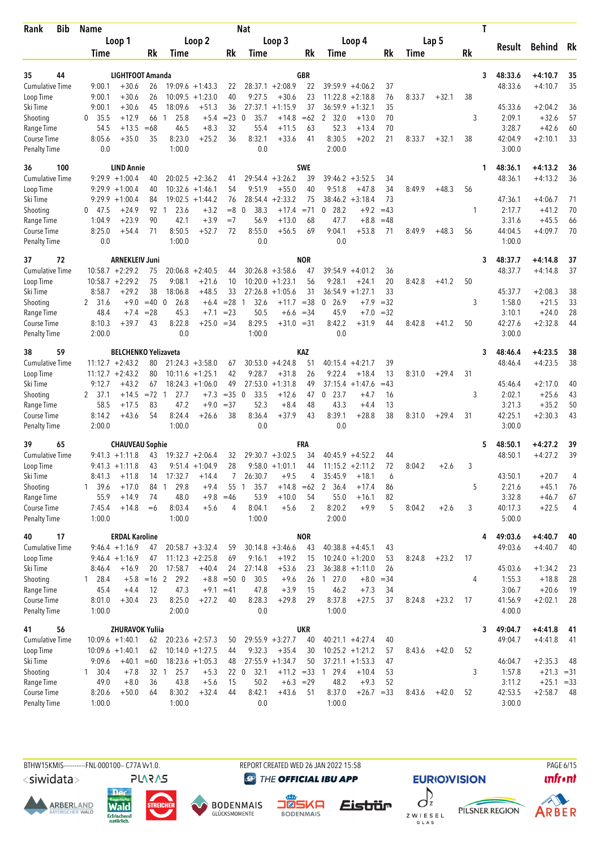| Bib<br>Rank                         | <b>Name</b>         |                                      |                      |                        |                                          |                 | <b>Nat</b>                   |                               |                  |                                          |                        |             |        |         |    | T                       |                           |          |
|-------------------------------------|---------------------|--------------------------------------|----------------------|------------------------|------------------------------------------|-----------------|------------------------------|-------------------------------|------------------|------------------------------------------|------------------------|-------------|--------|---------|----|-------------------------|---------------------------|----------|
|                                     |                     | Loop 1                               |                      |                        | Loop <sub>2</sub>                        |                 |                              | Loop 3                        |                  |                                          | Loop 4                 |             |        | Lap 5   |    | Result                  | <b>Behind</b>             | Rk       |
|                                     | Time                |                                      | Rk                   | Time                   |                                          | Rk              | Time                         |                               | Rk               | Time                                     |                        | Rk          | Time   |         | Rk |                         |                           |          |
|                                     |                     |                                      |                      |                        |                                          |                 |                              |                               |                  |                                          |                        |             |        |         |    |                         |                           |          |
| 35<br>44<br><b>Cumulative Time</b>  | 9:00.1              | LIGHTFOOT Amanda<br>$+30.6$          |                      |                        |                                          |                 |                              | $28:37.1 + 2:08.9$            | <b>GBR</b><br>22 | $39:59.9 + 4:06.2$                       |                        |             |        |         |    | 48:33.6<br>3<br>48:33.6 | $+4:10.7$<br>$+4:10.7$    | 35<br>35 |
| Loop Time                           | 9:00.1              | $+30.6$                              | 26<br>26             |                        | $19:09.6 + 1:43.3$<br>$10:09.5 + 1:23.0$ | 22<br>40        | 9:27.5                       | $+30.6$                       | 23               | 11:22.8                                  | $+2:18.8$              | 37<br>76    | 8:33.7 | $+32.1$ | 38 |                         |                           |          |
| Ski Time                            | 9:00.1              | $+30.6$                              | 45                   | 18:09.6                | $+51.3$                                  | 36              | 27:37.1                      | $+1:15.9$                     | 37               | 36:59.9                                  | $+1:32.1$              | 35          |        |         |    | 45:33.6                 | $+2:04.2$                 | 36       |
| Shooting                            | 0<br>35.5           | $+12.9$                              | 66                   | 25.8<br>-1             | $+5.4$                                   | $= 23$          | 35.7<br>0                    | $+14.8$                       | $=62$            | 2, 32.0                                  | $+13.0$                | 70          |        |         | 3  | 2:09.1                  | $+32.6$                   | 57       |
| Range Time                          | 54.5                | $+13.5$                              | $=68$                | 46.5                   | $+8.3$                                   | 32              | 55.4                         | $+11.5$                       | 63               | 52.3                                     | $+13.4$                | 70          |        |         |    | 3:28.7                  | $+42.6$                   | 60       |
| Course Time                         | 8:05.6              | $+35.0$                              | 35                   | 8:23.0                 | $+25.2$                                  | 36              | 8:32.1                       | $+33.6$                       | 41               | 8:30.5                                   | $+20.2$                | 21          | 8:33.7 | $+32.1$ | 38 | 42:04.9                 | $+2:10.1$                 | 33       |
| <b>Penalty Time</b>                 | 0.0                 |                                      |                      | 1:00.0                 |                                          |                 | 0.0                          |                               |                  | 2:00.0                                   |                        |             |        |         |    | 3:00.0                  |                           |          |
| 36<br>100                           |                     | <b>LIND Annie</b>                    |                      |                        |                                          |                 |                              |                               | <b>SWE</b>       |                                          |                        |             |        |         |    | 48:36.1<br>1            | $+4:13.2$                 | 36       |
| <b>Cumulative Time</b>              |                     | $9:29.9 +1:00.4$                     | 40                   |                        | $20:02.5 + 2:36.2$                       | 41              |                              | $29:54.4 + 3:26.2$            | 39               | 39:46.2 +3:52.5                          |                        | 34          |        |         |    | 48:36.1                 | $+4:13.2$                 | 36       |
| Loop Time                           |                     | $9:29.9 +1:00.4$                     | 40                   |                        | $10:32.6 + 1:46.1$                       | 54              | 9:51.9                       | $+55.0$                       | 40               | 9:51.8                                   | $+47.8$                | 34          | 8:49.9 | $+48.3$ | 56 |                         |                           |          |
| Ski Time                            |                     | $9:29.9 +1:00.4$                     | 84                   |                        | $19:02.5 + 1:44.2$                       | 76              | 28:54.4                      | $+2:33.2$                     | 75               | $38:46.2 + 3:18.4$                       |                        | 73          |        |         |    | 47:36.1                 | $+4:06.7$                 | 71       |
| Shooting                            | 0<br>47.5<br>1:04.9 | $+24.9$<br>$+23.9$                   | 92<br>90             | 23.6<br>1<br>42.1      | $+3.2$<br>$+3.9$                         | $= 8$<br>$=7$   | 38.3<br>$\mathbf{0}$<br>56.9 | $+17.4$<br>$+13.0$            | $= 71$           | 28.2<br>0<br>47.7                        | $+9.2$<br>$+8.8$       | $=43$       |        |         | 1  | 2:17.7<br>3:31.6        | $+41.2$<br>$+45.5$        | 70       |
| Range Time<br>Course Time           | 8:25.0              | $+54.4$                              | 71                   | 8:50.5                 | $+52.7$                                  | 72              | 8:55.0                       | $+56.5$                       | 68<br>69         | 9:04.1                                   | $+53.8$                | $=48$<br>71 | 8:49.9 | $+48.3$ | 56 | 44:04.5                 | $+4:09.7$                 | 66<br>70 |
| <b>Penalty Time</b>                 | 0.0                 |                                      |                      | 1:00.0                 |                                          |                 | 0.0                          |                               |                  | 0.0                                      |                        |             |        |         |    | 1:00.0                  |                           |          |
| 72<br>37                            |                     | <b>ARNEKLEIV Juni</b>                |                      |                        |                                          |                 |                              |                               | <b>NOR</b>       |                                          |                        |             |        |         |    | 48:37.7<br>3            | $+4:14.8$                 | 37       |
| <b>Cumulative Time</b>              |                     | $10:58.7 + 2:29.2$                   | 75                   |                        | $20:06.8 + 2:40.5$                       | 44              |                              | $30:26.8 + 3:58.6$            | 47               | $39:54.9 + 4:01.2$                       |                        | 36          |        |         |    | 48:37.7                 | $+4:14.8$                 | 37       |
| Loop Time                           |                     | $10:58.7 + 2:29.2$                   | 75                   | 9:08.1                 | $+21.6$                                  | 10              |                              | $10:20.0 + 1:23.1$            | 56               | 9:28.1                                   | $+24.1$                | 20          | 8:42.8 | $+41.2$ | 50 |                         |                           |          |
| Ski Time                            | 8:58.7              | +29.2                                | 38                   | 18:06.8                | $+48.5$                                  | 33              |                              | $27:26.8$ +1:05.6             | 31               | $36:54.9 + 1:27.1$                       |                        | 33          |        |         |    | 45:37.7                 | $+2:08.3$                 | 38       |
| Shooting                            | 2 31.6              | $+9.0$                               | $=40$                | $\overline{0}$<br>26.8 | $+6.4$                                   | $= 28$          | 32.6<br>$\overline{1}$       | $+11.7$                       | $= 38$           | $\mathbf 0$<br>26.9                      | $+7.9$                 | $=32$       |        |         | 3  | 1:58.0                  | $+21.5$                   | 33       |
| Range Time                          | 48.4                | $+7.4$                               | $= 28$               | 45.3                   | $+7.1$                                   | $= 23$          | 50.5                         |                               | $+6.6 = 34$      | 45.9                                     | $+7.0$                 | $= 32$      |        |         |    | 3:10.1                  | $+24.0$                   | 28       |
| Course Time                         | 8:10.3              | +39.7                                | 43                   | 8:22.8                 | $+25.0 = 34$                             |                 | 8:29.5                       | $+31.0 = 31$                  |                  | 8:42.2                                   | $+31.9$                | 44          | 8:42.8 | $+41.2$ | 50 | 42:27.6                 | $+2:32.8$                 | 44       |
| <b>Penalty Time</b>                 | 2:00.0              |                                      |                      | 0.0                    |                                          |                 | 1:00.0                       |                               |                  | 0.0                                      |                        |             |        |         |    | 3:00.0                  |                           |          |
| 59<br>38                            |                     | <b>BELCHENKO Yelizaveta</b>          |                      |                        |                                          |                 |                              |                               | KAZ              |                                          |                        |             |        |         |    | 3<br>48:46.4            | $+4:23.5$                 | 38       |
| Cumulative Time                     |                     | $11:12.7 + 2:43.2$                   | 80                   |                        | $21:24.3 + 3:58.0$                       | 67              |                              | $30:53.0 +4:24.8$             | 51               | 40:15.4                                  | $+4:21.7$              | 39          |        |         |    | 48:46.4                 | $+4:23.5$                 | 38       |
| Loop Time                           |                     | $11:12.7 + 2:43.2$                   | 80                   |                        | $10:11.6 + 1:25.1$                       | 42              | 9:28.7                       | $+31.8$                       | 26               | 9:22.4                                   | $+18.4$                | 13          | 8:31.0 | $+29.4$ | 31 |                         |                           |          |
| Ski Time                            | 9:12.7              | $+43.2$                              | 67                   |                        | $18:24.3 + 1:06.0$                       | 49              | 27:53.0                      | $+1:31.8$                     | 49               | 37:15.4                                  | $+1:47.6$              | $=43$       |        |         |    | 45:46.4                 | $+2:17.0$                 | 40       |
| Shooting<br>Range Time              | 2 37.1<br>58.5      | $+14.5$<br>$+17.5$                   | $= 72 \quad 1$<br>83 | 27.7<br>47.2           | $+7.3$<br>$+9.0$                         | $=35$<br>$= 37$ | 33.5<br>$\mathbf{0}$<br>52.3 | $+12.6$<br>$+8.4$             | 47<br>48         | $0$ 23.7<br>43.3                         | +4.7<br>$+4.4$         | 16<br>13    |        |         | 3  | 2:02.1<br>3:21.3        | $+25.6$<br>$+35.2$        | 43<br>50 |
| Course Time                         | 8:14.2              | $+43.6$                              | 54                   | 8:24.4                 | $+26.6$                                  | 38              | 8:36.4                       | $+37.9$                       | 43               | 8:39.1                                   | $+28.8$                | 38          | 8:31.0 | $+29.4$ | 31 | 42:25.1                 | $+2:30.3$                 | 43       |
| <b>Penalty Time</b>                 | 2:00.0              |                                      |                      | 1:00.0                 |                                          |                 | 0.0                          |                               |                  | 0.0                                      |                        |             |        |         |    | 3:00.0                  |                           |          |
| 65<br>39                            |                     | <b>CHAUVEAU Sophie</b>               |                      |                        |                                          |                 |                              |                               | FRA              |                                          |                        |             |        |         |    | 48:50.1<br>5            | $+4:27.2$                 | 39       |
| <b>Cumulative Time</b>              |                     | $9:41.3 +1:11.8$                     | 43                   |                        | $19:32.7 + 2:06.4$                       | 32              |                              | $29:30.7 + 3:02.5$            | 34               | 40:45.9                                  | $+4:52.2$              | 44          |        |         |    | 48:50.1                 | $+4:27.2$                 | 39       |
| Loop Time                           |                     | $9:41.3 +1:11.8$                     | 43                   |                        | $9:51.4 +1:04.9$                         | 28              |                              | $9:58.0 + 1:01.1$             | 44               | $11:15.2 + 2:11.2$                       |                        | 72          | 8:04.2 | $+2.6$  | 3  |                         |                           |          |
| Ski Time                            | 8:41.3              | $+11.8$                              | 14                   | 17:32.7                | $+14.4$                                  | 7               | 26:30.7                      | $+9.5$                        | 4                | 35:45.9                                  | $+18.1$                | 6           |        |         |    | 43:50.1                 | $+20.7$                   | 4        |
| Shooting                            | 1, 39.6             | $+17.0$                              | 84                   | 29.8<br>1              | $+9.4$                                   | 55              | 35.7<br>$\overline{1}$       | $+14.8$                       | $=62$            | 36.4<br>$\mathbf{2}$                     | $+17.4$                | 86          |        |         | 5  | 2:21.6                  | $+45.1$                   | 76       |
| Range Time                          | 55.9                | $+14.9$                              | 74                   | 48.0                   | $+9.8$                                   | $=46$           | 53.9                         | $+10.0$                       | 54               | 55.0                                     | $+16.1$                | 82          |        |         |    | 3:32.8                  | $+46.7$                   | 67       |
| Course Time<br><b>Penalty Time</b>  | 7:45.4<br>1:00.0    | $+14.8$                              | $=6$                 | 8:03.4<br>1:00.0       | $+5.6$                                   | 4               | 8:04.1<br>1:00.0             | $+5.6$                        | 2                | 8:20.2<br>2:00.0                         | $+9.9$                 | 5           | 8:04.2 | $+2.6$  | 3  | 40:17.3<br>5:00.0       | $+22.5$                   | 4        |
|                                     |                     |                                      |                      |                        |                                          |                 |                              |                               |                  |                                          |                        |             |        |         |    |                         |                           |          |
| 17<br>40                            |                     | <b>ERDAL Karoline</b>                |                      |                        | $20:58.7 + 3:32.4$                       |                 |                              |                               | <b>NOR</b>       |                                          |                        |             |        |         |    | 49:03.6<br>4            | $+4:40.7$                 | 40       |
| <b>Cumulative Time</b><br>Loop Time |                     | $9:46.4 +1:16.9$<br>$9:46.4 +1:16.9$ | 47<br>47             |                        | $11:12.3 + 2:25.8$                       | 59<br>69        | 9:16.1                       | $30:14.8 + 3:46.6$<br>$+19.2$ | 43<br>15         | $40:38.8 + 4:45.1$<br>$10:24.0 + 1:20.0$ |                        | 43<br>53    | 8:24.8 | $+23.2$ | 17 | 49:03.6                 | $+4:40.7$                 | 40       |
| Ski Time                            | 8:46.4              | $+16.9$                              | 20                   | 17:58.7                | $+40.4$                                  | 24              | 27:14.8                      | $+53.6$                       | 23               | $36:38.8 + 1:11.0$                       |                        | 26          |        |         |    | 45:03.6                 | $+1:34.2$                 | 23       |
| Shooting                            | 1 28.4              |                                      | $+5.8$ = 16 2        | 29.2                   | $+8.8$                                   | $=500$          | 30.5                         | $+9.6$                        | 26               | 127.0                                    | $+8.0$                 | $=34$       |        |         | 4  | 1:55.3                  | $+18.8$                   | 28       |
| Range Time                          | 45.4                | $+4.4$                               | 12                   | 47.3                   | $+9.1$                                   | $=41$           | 47.8                         | $+3.9$                        | 15               | 46.2                                     | $+7.3$                 | 34          |        |         |    | 3:06.7                  | $+20.6$                   | 19       |
| Course Time                         | 8:01.0              | $+30.4$                              | 23                   | 8:25.0                 | $+27.2$                                  | 40              | 8:28.3                       | $+29.8$                       | 29               | 8:37.8                                   | $+27.5$                | 37          | 8:24.8 | $+23.2$ | 17 | 41:56.9                 | $+2:02.1$                 | 28       |
| <b>Penalty Time</b>                 | 1:00.0              |                                      |                      | 2:00.0                 |                                          |                 | 0.0                          |                               |                  | 1:00.0                                   |                        |             |        |         |    | 4:00.0                  |                           |          |
| 56<br>41                            |                     | <b>ZHURAVOK Yuliia</b>               |                      |                        |                                          |                 |                              |                               | <b>UKR</b>       |                                          |                        |             |        |         |    | 49:04.7<br>3            | $+4:41.8$                 | 41       |
| <b>Cumulative Time</b>              |                     | $10:09.6 + 1:40.1$                   | 62                   |                        | $20:23.6 + 2:57.3$                       | 50              |                              | $29:55.9 + 3:27.7$            | 40               | $40:21.1 + 4:27.4$                       |                        | 40          |        |         |    | 49:04.7                 | $+4:41.8$                 | 41       |
| Loop Time                           |                     | $10:09.6 + 1:40.1$                   | 62                   |                        | $10:14.0 + 1:27.5$                       | 44              | 9:32.3                       | $+35.4$                       | 30               | $10:25.2 + 1:21.2$                       |                        | 57          | 8:43.6 | $+42.0$ | 52 |                         |                           |          |
| Ski Time                            | 9:09.6              | $+40.1$                              | $=60$                |                        | $18:23.6 + 1:05.3$                       | 48              |                              | $27:55.9 + 1:34.7$            | 50               | $37:21.1 + 1:53.3$                       |                        | 47          |        |         |    | 46:04.7                 | $+2:35.3$                 | 48       |
| Shooting                            | $1 \quad 30.4$      | $+7.8$<br>$+8.0$                     | 32 1<br>36           | 25.7                   | $+5.3$<br>$+5.6$                         | 15              | 32.1<br>220                  | $+11.2 = 33$                  | $+6.3 = 29$      | 29.4<br>$\mathbf{1}$<br>48.2             | $+10.4$                | 53<br>52    |        |         | 3  | 1:57.8<br>3:11.2        | $+21.3 = 31$              |          |
| Range Time<br>Course Time           | 49.0<br>8:20.6      | $+50.0$                              | 64                   | 43.8<br>8:30.2         | $+32.4$                                  | 44              | 50.2<br>8:42.1               | $+43.6$                       | 51               | 8:37.0                                   | $+9.3$<br>$+26.7 = 33$ |             | 8:43.6 | $+42.0$ | 52 | 42:53.5                 | $+25.1 = 33$<br>$+2:58.7$ | - 48     |
| <b>Penalty Time</b>                 | 1:00.0              |                                      |                      | 1:00.0                 |                                          |                 | 0.0                          |                               |                  | 1:00.0                                   |                        |             |        |         |    | 3:00.0                  |                           |          |
|                                     |                     |                                      |                      |                        |                                          |                 |                              |                               |                  |                                          |                        |             |        |         |    |                         |                           |          |

BTHW15KMIS----------FNL-000100-- C77A Vv1.0. REPORT CREATED WED 26 JAN 2022 15:58 PAGE 6/15

<siwidata>

**ARBERLAND** 





**DENMAIS** 

**@** THE OFFICIAL IBU APP



Eistrür

**EURIO)VISION** 





*<u><u>Infront</u>*</u>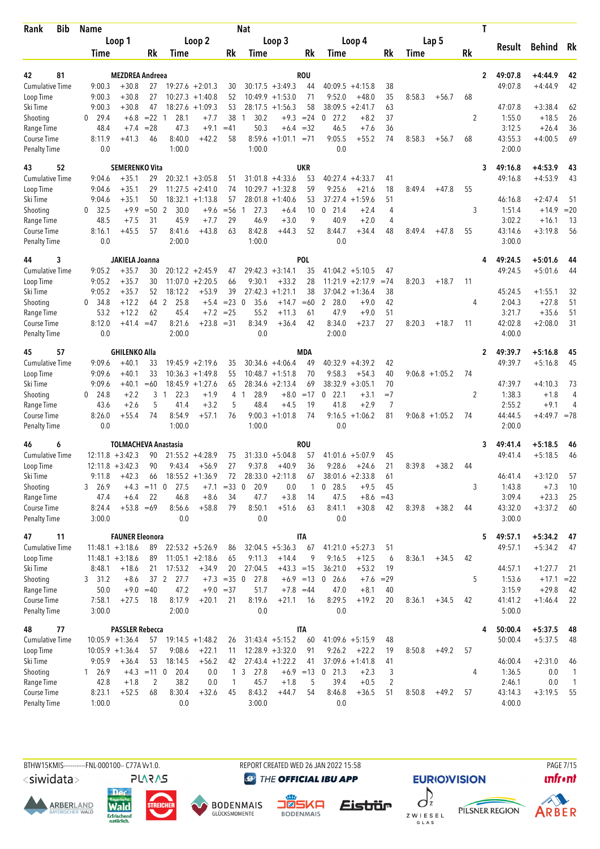| Bib<br>Rank               | <b>Name</b>      |                             |                   |                        |                    |                      | <b>Nat</b>           |                    |             |                        |                    |                |        |                   |    | T            |                   |                |                    |
|---------------------------|------------------|-----------------------------|-------------------|------------------------|--------------------|----------------------|----------------------|--------------------|-------------|------------------------|--------------------|----------------|--------|-------------------|----|--------------|-------------------|----------------|--------------------|
|                           |                  | Loop 1                      |                   |                        | Loop <sub>2</sub>  |                      |                      | Loop 3             |             |                        | Loop 4             |                |        | Lap 5             |    |              | Result            | <b>Behind</b>  | Rk                 |
|                           | Time             |                             | Rk                | Time                   |                    | Rk                   | Time                 |                    | Rk          | Time                   |                    | Rk             | Time   |                   | Rk |              |                   |                |                    |
| 81<br>42                  |                  | <b>MEZDREA Andreea</b>      |                   |                        |                    |                      |                      |                    | ROU         |                        |                    |                |        |                   |    | $\mathbf{2}$ | 49:07.8           | $+4:44.9$      | 42                 |
| <b>Cumulative Time</b>    | 9:00.3           | $+30.8$                     | 27                |                        | $19:27.6 + 2:01.3$ | 30                   |                      | $30:17.5 + 3:49.3$ | 44          | 40:09.5                | $+4:15.8$          | 38             |        |                   |    |              | 49:07.8           | $+4:44.9$      | 42                 |
| Loop Time                 | 9:00.3           | $+30.8$                     | 27                |                        | $10:27.3 +1:40.8$  | 52                   |                      | $10:49.9 + 1:53.0$ | 71          | 9:52.0                 | $+48.0$            | 35             | 8:58.3 | $+56.7$           | 68 |              |                   |                |                    |
| Ski Time                  | 9:00.3           | $+30.8$                     | 47                |                        | $18:27.6 + 1:09.3$ | 53                   |                      | $28:17.5 + 1:56.3$ | 58          | 38:09.5                | $+2:41.7$          | 63             |        |                   |    |              | 47:07.8           | $+3:38.4$      | 62                 |
| Shooting                  | $0$ 29.4         | $+6.8$                      | $= 22 \quad 1$    | 28.1                   | $+7.7$             | 38                   | 30.2<br>1            |                    | $+9.3 = 24$ | $0$ 27.2               | $+8.2$             | 37             |        |                   | 2  |              | 1:55.0            | $+18.5$        | 26                 |
| Range Time                | 48.4             | $+7.4$                      | $= 28$            | 47.3                   | $+9.1$             | $=41$                | 50.3                 | $+6.4$             | $=32$       | 46.5                   | $+7.6$             | 36             |        |                   |    |              | 3:12.5            | $+26.4$        | 36                 |
| Course Time               | 8:11.9           | $+41.3$                     | 46                | 8:40.0                 | $+42.2$            | 58                   | 8:59.6               | $+1:01.1$          | $= 71$      | 9:05.5                 | $+55.2$            | 74             | 8:58.3 | $+56.7$           | 68 |              | 43:55.3           | $+4:00.5$      | 69                 |
| <b>Penalty Time</b>       | 0.0              |                             |                   | 1:00.0                 |                    |                      | 1:00.0               |                    |             | 0.0                    |                    |                |        |                   |    |              | 2:00.0            |                |                    |
| 52<br>43                  |                  | <b>SEMERENKO Vita</b>       |                   |                        |                    |                      |                      |                    | <b>UKR</b>  |                        |                    |                |        |                   |    | 3            | 49:16.8           | $+4:53.9$      | 43                 |
| <b>Cumulative Time</b>    | 9:04.6           | $+35.1$                     | 29                |                        | $20:32.1 + 3:05.8$ | 51                   |                      | $31:01.8 + 4:33.6$ | 53          |                        | $40:27.4 +4:33.7$  | 41             |        |                   |    |              | 49:16.8           | $+4:53.9$      | 43                 |
| Loop Time                 | 9:04.6           | $+35.1$                     | 29                |                        | $11:27.5 + 2:41.0$ | 74                   |                      | $10:29.7 + 1:32.8$ | 59          | 9:25.6                 | $+21.6$            | 18             | 8:49.4 | $+47.8$           | 55 |              |                   |                |                    |
| Ski Time                  | 9:04.6           | $+35.1$                     | 50                |                        | $18:32.1 + 1:13.8$ | 57                   | 28:01.8              | $+1:40.6$          | 53          | 37:27.4                | $+1:59.6$          | 51             |        |                   |    |              | 46:16.8           | $+2:47.4$      | -51                |
| Shooting                  | 32.5<br>0        | $+9.9$                      | $=50$             | 2<br>30.0              | $+9.6$             | $=$ 56               | 27.3<br>$\mathbf{1}$ | $+6.4$             | 10          | 21.4<br>0              | $+2.4$             | 4              |        |                   | 3  |              | 1:51.4            | $+14.9$        | $=20$              |
| Range Time                | 48.5             | $+7.5$                      | 31                | 45.9                   | $+7.7$             | 29                   | 46.9                 | $+3.0$             | 9           | 40.9                   | $+2.0$             | 4              |        |                   |    |              | 3:02.2            | $+16.1$        | 13                 |
| Course Time               | 8:16.1           | $+45.5$                     | 57                | 8:41.6                 | $+43.8$            | 63                   | 8:42.8               | $+44.3$            | 52          | 8:44.7                 | $+34.4$            | 48             | 8:49.4 | $+47.8$           | 55 |              | 43:14.6           | $+3:19.8$      | 56                 |
| <b>Penalty Time</b>       | 0.0              |                             |                   | 2:00.0                 |                    |                      | 1:00.0               |                    |             | 0.0                    |                    |                |        |                   |    |              | 3:00.0            |                |                    |
| 3<br>44                   |                  | JAKIELA Joanna              |                   |                        |                    |                      |                      |                    | <b>POL</b>  |                        |                    |                |        |                   |    | 4            | 49:24.5           | $+5:01.6$      | 44                 |
| <b>Cumulative Time</b>    | 9:05.2           | $+35.7$                     | 30                |                        | $20:12.2 + 2:45.9$ | 47                   |                      | $29:42.3 + 3:14.1$ | 35          |                        | $41:04.2 +5:10.5$  | 47             |        |                   |    |              | 49:24.5           | $+5:01.6$      | 44                 |
| Loop Time                 | 9:05.2           | $+35.7$                     | 30                | 11:07.0                | $+2:20.5$          | 66                   | 9:30.1               | $+33.2$            | 28          | 11:21.9                | $+2:17.9$          | $=74$          | 8:20.3 | $+18.7$           | 11 |              |                   |                |                    |
| Ski Time                  | 9:05.2           | $+35.7$                     | 52                | 18:12.2                | $+53.9$            | 39                   | 27:42.3              | $+1:21.1$          | 38          |                        | $37:04.2 +1:36.4$  | 38             |        |                   |    |              | 45:24.5           | $+1:55.1$      | 32                 |
| Shooting                  | 0, 34.8          | $+12.2$                     | 64                | 2<br>25.8              | $+5.4$             | $= 23 \ 0$           | 35.6                 | $+14.7$            | $=60$       | 2<br>28.0              | $+9.0$             | 42             |        |                   | 4  |              | 2:04.3            | $+27.8$        | 51                 |
| Range Time                | 53.2             | $+12.2$                     | 62                | 45.4                   | $+7.2$             | $= 25$               | 55.2                 | $+11.3$            | 61          | 47.9                   | $+9.0$             | 51             |        |                   |    |              | 3:21.7            | $+35.6$        | 51                 |
| Course Time               | 8:12.0           | $+41.4$                     | $=47$             | 8:21.6                 | $+23.8 = 31$       |                      | 8:34.9               | $+36.4$            | 42          | 8:34.0                 | $+23.7$            | 27             | 8:20.3 | $+18.7$           | 11 |              | 42:02.8           | $+2:08.0$      | 31                 |
| <b>Penalty Time</b>       | 0.0              |                             |                   | 2:00.0                 |                    |                      | 0.0                  |                    |             | 2:00.0                 |                    |                |        |                   |    |              | 4:00.0            |                |                    |
| 57<br>45                  |                  | <b>GHILENKO Alla</b>        |                   |                        |                    |                      |                      |                    | <b>MDA</b>  |                        |                    |                |        |                   |    | $\mathbf{2}$ | 49:39.7           | $+5:16.8$      | 45                 |
| <b>Cumulative Time</b>    | 9:09.6           | $+40.1$                     | 33                |                        | $19:45.9 + 2:19.6$ | 35                   |                      | $30:34.6 +4:06.4$  | 49          | 40:32.9                | $+4:39.2$          | 42             |        |                   |    |              | 49:39.7           | $+5:16.8$      | 45                 |
| Loop Time                 | 9:09.6           | $+40.1$                     | 33                |                        | $10:36.3 +1:49.8$  | 55                   |                      | $10:48.7 + 1:51.8$ | 70          | 9:58.3                 | $+54.3$            | 40             |        | $9:06.8 +1:05.2$  | 74 |              |                   |                |                    |
| Ski Time                  | 9:09.6           | $+40.1$                     | $=60$             |                        | $18:45.9 + 1:27.6$ | 65                   | 28:34.6              | $+2:13.4$          | 69          | 38:32.9                | $+3:05.1$          | 70             |        |                   |    |              | 47:39.7           | $+4:10.3$      | 73                 |
| Shooting                  | 24.8<br>0        | $+2.2$                      | 3                 | $\overline{1}$<br>22.3 | $+1.9$             | 4                    | 28.9<br>1            | $+8.0$             | $=17$       | 22.1<br>$\mathbf 0$    | $+3.1$             | $=7$           |        |                   | 2  |              | 1:38.3            | $+1.8$         | 4                  |
| Range Time                | 43.6             | $+2.6$                      | 5                 | 41.4                   | $+3.2$             | 5                    | 48.4                 | $+4.5$             | 19          | 41.8                   | $+2.9$             | $\overline{7}$ |        |                   |    |              | 2:55.2            | $+9.1$         | 4                  |
| <b>Course Time</b>        | 8:26.0           | $+55.4$                     | 74                | 8:54.9                 | $+57.1$            | 76                   | 9:00.3               | $+1:01.8$          | 74          | 9:16.5                 | $+1:06.2$          | 81             |        | $9:06.8 + 1:05.2$ | 74 |              | 44:44.5           | $+4:49.7 = 78$ |                    |
| <b>Penalty Time</b>       | 0.0              |                             |                   | 1:00.0                 |                    |                      | 1:00.0               |                    |             | 0.0                    |                    |                |        |                   |    |              | 2:00.0            |                |                    |
| 46<br>6                   |                  | <b>TOLMACHEVA Anastasia</b> |                   |                        |                    |                      |                      |                    | rou         |                        |                    |                |        |                   |    | 3            | 49:41.4           | $+5:18.5$      | 46                 |
| <b>Cumulative Time</b>    |                  | $12:11.8 + 3:42.3$          | 90                |                        | $21:55.2 +4:28.9$  | 75                   |                      | $31:33.0 + 5:04.8$ | 57          |                        | $41:01.6 + 5:07.9$ | 45             |        |                   |    |              | 49:41.4           | $+5:18.5$      | 46                 |
| Loop Time                 |                  | $12:11.8 + 3:42.3$          | 90                | 9:43.4                 | $+56.9$            | 27                   | 9:37.8               | $+40.9$            | 36          | 9:28.6                 | $+24.6$            | 21             | 8:39.8 | $+38.2$           | 44 |              |                   |                |                    |
| Ski Time                  | 9:11.8           | $+42.3$                     | 66                |                        | $18:55.2 + 1:36.9$ | 72                   |                      | $28:33.0 + 2:11.8$ | 67          |                        | $38:01.6 + 2:33.8$ | 61             |        |                   |    |              | 46:41.4           | $+3:12.0$      | 57                 |
| Shooting                  | 3, 26.9          | $+4.3$                      | $=11$ 0           | 27.5                   | $+7.1$             | $= 33$               | 20.9<br>$\mathbf 0$  | 0.0                | 1           | $0$ 28.5               | $+9.5$             | 45             |        |                   | 3  |              | 1:43.8            | $+7.3$         | 10                 |
| Range Time<br>Course Time | 47.4             | $+6.4$                      | 22                | 46.8                   | $+8.6$             | 34                   | 47.7                 | $+3.8$             | 14          | 47.5                   | $+8.6$             | $=43$          |        |                   |    |              | 3:09.4            | $+23.3$        | 25                 |
| <b>Penalty Time</b>       | 8:24.4<br>3:00.0 | $+53.8 = 69$                |                   | 8:56.6<br>0.0          | $+58.8$            | 79                   | 8:50.1<br>0.0        | $+51.6$            | 63          | 8:41.1<br>0.0          | $+30.8$            | 42             | 8:39.8 | $+38.2$           | 44 |              | 43:32.0<br>3:00.0 | $+3:37.2$      | 60                 |
|                           |                  |                             |                   |                        |                    |                      |                      |                    |             |                        |                    |                |        |                   |    |              |                   |                |                    |
| 11<br>47                  |                  | <b>FAUNER Eleonora</b>      |                   |                        |                    |                      |                      |                    | ITA         |                        |                    |                |        |                   |    | 5            | 49:57.1           | $+5:34.2$      | 47                 |
| <b>Cumulative Time</b>    |                  | $11:48.1 + 3:18.6$          | 89                |                        | $22:53.2 + 5:26.9$ | 86                   |                      | $32:04.5 + 5:36.3$ | 67          |                        | $41:21.0 + 5:27.3$ | 51             |        |                   |    |              | 49:57.1           | $+5:34.2$      | 47                 |
| Loop Time                 |                  | $11:48.1 + 3:18.6$          | 89                |                        | $11:05.1 + 2:18.6$ | 65                   | 9:11.3               | $+14.4$            | 9           | 9:16.5                 | $+12.5$            | 6              | 8:36.1 | $+34.5$           | 42 |              |                   |                |                    |
| Ski Time                  | 8:48.1           | $+18.6$                     | 21                | 17:53.2                | $+34.9$            | 20                   | 27:04.5              | $+43.3 = 15$       |             | 36:21.0                | $+53.2$            | 19             |        |                   |    |              | 44:57.1           | $+1:27.7$      | 21                 |
| Shooting                  | 3, 31.2          | $+8.6$                      |                   | 37 2<br>27.7           |                    | $+7.3 = 35 \space 0$ | 27.8                 |                    | $+6.9 = 13$ | 26.6<br>$\overline{0}$ | $+7.6$             | $=29$          |        |                   | 5  |              | 1:53.6            | $+17.1$ = 22   |                    |
| Range Time<br>Course Time | 50.0             |                             | $+9.0 = 40$<br>18 | 47.2                   |                    | $+9.0 = 37$<br>21    | 51.7<br>8:19.6       | $+7.8 = 44$        | -16         | 47.0                   | $+8.1$<br>$+19.2$  | 40             |        |                   | 42 |              | 3:15.9<br>41:41.2 | $+29.8$        | 42                 |
| <b>Penalty Time</b>       | 7:58.1<br>3:00.0 | $+27.5$                     |                   | 8:17.9<br>2:00.0       | $+20.1$            |                      | 0.0                  | $+21.1$            |             | 8:29.5<br>0.0          |                    | 20             | 8:36.1 | $+34.5$           |    |              | 5:00.0            | $+1:46.4$      | 22                 |
|                           |                  |                             |                   |                        |                    |                      |                      |                    |             |                        |                    |                |        |                   |    |              |                   |                |                    |
| 77<br>48                  |                  | <b>PASSLER Rebecca</b>      |                   |                        |                    |                      |                      |                    | ITA         |                        |                    |                |        |                   |    | 4            | 50:00.4           | $+5:37.5$      | 48                 |
| <b>Cumulative Time</b>    |                  | $10:05.9 + 1:36.4$          | 57                |                        | $19:14.5 + 1:48.2$ | 26                   |                      | $31:43.4 +5:15.2$  | 60          |                        | $41:09.6 + 5:15.9$ | 48             |        |                   |    |              | 50:00.4           | $+5:37.5$      | 48                 |
| Loop Time                 |                  | $10:05.9 + 1:36.4$          | 57                | 9:08.6                 | $+22.1$            | 11                   |                      | $12:28.9 + 3:32.0$ | 91          | 9:26.2                 | $+22.2$            | 19             | 8:50.8 | $+49.2$           | 57 |              |                   |                |                    |
| Ski Time                  | 9:05.9           | $+36.4$                     | 53                | 18:14.5                | $+56.2$            | 42                   |                      | $27:43.4 +1:22.2$  | 41          |                        | $37:09.6 +1:41.8$  | 41             |        |                   |    |              | 46:00.4           | $+2:31.0$      | 46                 |
| Shooting                  | 1 26.9           |                             | $+4.3 = 11$ 0     | 20.4                   | 0.0                | $\mathbf{1}$         | 3<br>27.8            |                    | $+6.9 = 13$ | $0$ 21.3               | $+2.3$             | 3              |        |                   | 4  |              | 1:36.5            | 0.0            | -1<br>$\mathbf{1}$ |
| Range Time<br>Course Time | 42.8             | $+1.8$<br>$+52.5$           | 2<br>68           | 38.2                   | 0.0                | $\mathbf{1}$         | 45.7<br>8:43.2       | $+1.8$             | 5<br>54     | 39.4<br>8:46.8         | $+0.5$<br>$+36.5$  | 2              |        |                   | 57 |              | 2:46.1<br>43:14.3 | 0.0            |                    |
| <b>Penalty Time</b>       | 8:23.1<br>1:00.0 |                             |                   | 8:30.4<br>0.0          | $+32.6$            | 45                   | 3:00.0               | $+44.7$            |             | 0.0                    |                    | 51             | 8:50.8 | $+49.2$           |    |              | 4:00.0            | $+3:19.5$      | 55                 |
|                           |                  |                             |                   |                        |                    |                      |                      |                    |             |                        |                    |                |        |                   |    |              |                   |                |                    |

<siwidata>

**ARBERLAND** 







**DENMAIS** 

Eistrür

REPORT CREATED WED 26 JAN 2022 15:58

**@** THE OFFICIAL IBU APP



**EURIO)VISION** 





**PAGE 7/15**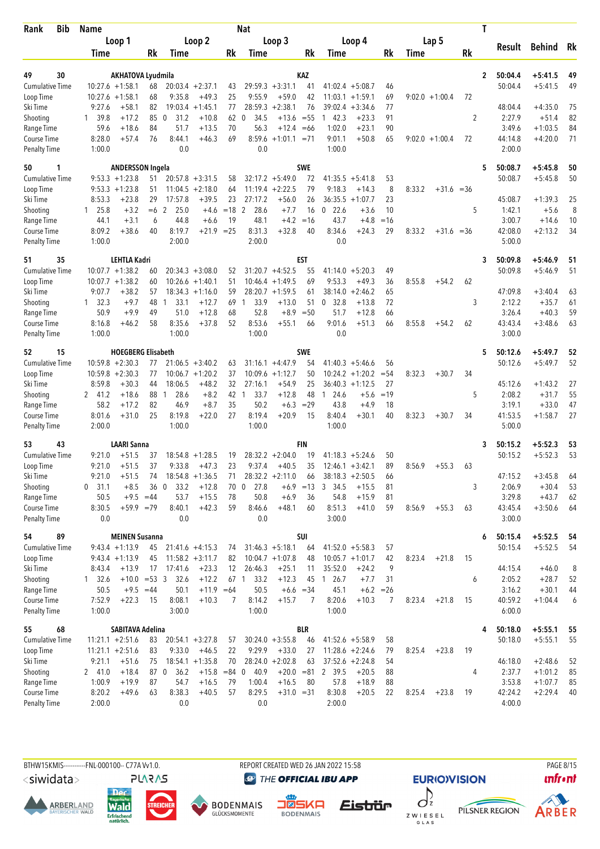| Bib<br>Rank                 | <b>Name</b>      |                           |      |                        |                    |       | Nat                  |                    |             |                                |             |                  |                | T |                   |               |    |
|-----------------------------|------------------|---------------------------|------|------------------------|--------------------|-------|----------------------|--------------------|-------------|--------------------------------|-------------|------------------|----------------|---|-------------------|---------------|----|
|                             |                  | Loop 1                    |      |                        | Loop 2             |       |                      | Loop 3             |             | Loop 4                         |             | Lap 5            |                |   |                   |               |    |
|                             | Time             |                           | Rk   | Time                   |                    | Rk    | Time                 |                    | Rk          | Time                           | Rk          | Time             | Rk             |   | Result            | <b>Behind</b> | Rk |
|                             |                  |                           |      |                        |                    |       |                      |                    |             |                                |             |                  |                |   |                   |               |    |
| 49<br>30                    |                  | <b>AKHATOVA Lyudmila</b>  |      |                        |                    |       |                      |                    | KAZ         |                                |             |                  |                | 2 | 50:04.4           | $+5:41.5$     | 49 |
| <b>Cumulative Time</b>      |                  | $10:27.6 + 1:58.1$        | 68   |                        | $20:03.4 +2:37.1$  | 43    |                      | $29:59.3 +3:31.1$  | 41          | $41:02.4 + 5:08.7$             | 46          |                  |                |   | 50:04.4           | $+5:41.5$     | 49 |
| Loop Time                   | 10:27.6          | $+1:58.1$                 | 68   | 9:35.8                 | $+49.3$            | 25    | 9:55.9               | $+59.0$            | 42          | 11:03.1<br>$+1:59.1$           | 69          | $9:02.0 +1:00.4$ | 72             |   |                   |               |    |
| Ski Time                    | 9:27.6           | $+58.1$                   | 82   |                        | $19:03.4 +1:45.1$  | 77    | 28:59.3              | $+2:38.1$          | 76          | 39:02.4<br>$+3:34.6$           | 77          |                  |                |   | 48:04.4           | $+4:35.0$     | 75 |
| Shooting                    | 1 39.8           | $+17.2$                   | 85   | $\overline{0}$<br>31.2 | $+10.8$            | 62    | 34.5<br>0            | $+13.6 = 55$       |             | 142.3<br>$+23.3$               | 91          |                  | $\overline{2}$ |   | 2:27.9            | $+51.4$       | 82 |
| Range Time                  | 59.6             | $+18.6$                   | 84   | 51.7                   | $+13.5$            | 70    | 56.3                 | $+12.4$            | $=66$       | 1:02.0<br>$+23.1$              | 90          |                  |                |   | 3:49.6            | $+1:03.5$     | 84 |
| Course Time<br>Penalty Time | 8:28.0<br>1:00.0 | $+57.4$                   | 76   | 8:44.1<br>0.0          | $+46.3$            | 69    | 8:59.6<br>0.0        | $+1:01.1 = 71$     |             | 9:01.1<br>$+50.8$<br>1:00.0    | 65          | $9:02.0 +1:00.4$ | 72             |   | 44:14.8<br>2:00.0 | $+4:20.0$     | 71 |
| 50<br>1                     |                  | <b>ANDERSSON Ingela</b>   |      |                        |                    |       |                      |                    | <b>SWE</b>  |                                |             |                  |                | 5 | 50:08.7           | $+5:45.8$     | 50 |
| <b>Cumulative Time</b>      |                  | $9:53.3 +1:23.8$          | 51   |                        | $20:57.8 + 3:31.5$ | 58    |                      | $32:17.2 +5:49.0$  | 72          | $41:35.5 + 5:41.8$             | 53          |                  |                |   | 50:08.7           | $+5:45.8$     | 50 |
| Loop Time                   |                  | $9:53.3 +1:23.8$          | 51   |                        | $11:04.5 + 2:18.0$ | 64    |                      | $11:19.4 +2:22.5$  | 79          | 9:18.3<br>$+14.3$              | 8           | 8:33.2           | $+31.6 = 36$   |   |                   |               |    |
| Ski Time                    | 8:53.3           | $+23.8$                   | 29   | 17:57.8                | $+39.5$            | 23    | 27:17.2              | $+56.0$            | 26          | 36:35.5<br>$+1:07.7$           | 23          |                  |                |   | 45:08.7           | $+1:39.3$     | 25 |
| Shooting                    | $1 \quad 25.8$   | $+3.2$                    | $=6$ | $\overline{2}$<br>25.0 | $+4.6$             | $=18$ | 2<br>28.6            | $+7.7$             | 16          | 22.6<br>$+3.6$<br>0            | 10          |                  | 5              |   | 1:42.1            | $+5.6$        | 8  |
| Range Time                  | 44.1             | $+3.1$                    | 6    | 44.8                   | $+6.6$             | 19    | 48.1                 | $+4.2$             | $=16$       | 43.7<br>$+4.8$                 | $=16$       |                  |                |   | 3:00.7            | $+14.6$       | 10 |
| Course Time                 | 8:09.2           | $+38.6$                   | 40   | 8:19.7                 | +21.9              | $=25$ | 8:31.3               | $+32.8$            | 40          | 8:34.6<br>$+24.3$              | 29          | 8:33.2           | $+31.6 = 36$   |   | 42:08.0           | $+2:13.2$     | 34 |
| Penalty Time                | 1:00.0           |                           |      | 2:00.0                 |                    |       | 2:00.0               |                    |             | 0.0                            |             |                  |                |   | 5:00.0            |               |    |
| 51<br>35                    |                  | <b>LEHTLA Kadri</b>       |      |                        |                    |       |                      |                    | <b>EST</b>  |                                |             |                  |                | 3 | 50:09.8           | $+5:46.9$     | 51 |
| <b>Cumulative Time</b>      |                  | $10:07.7 + 1:38.2$        | 60   |                        | $20:34.3 + 3:08.0$ | 52    |                      | $31:20.7 + 4:52.5$ | 55          | $+5:20.3$<br>41:14.0           | 49          |                  |                |   | 50:09.8           | $+5:46.9$     | 51 |
| Loop Time                   |                  | $10:07.7 + 1:38.2$        | 60   |                        | $10:26.6 + 1:40.1$ | 51    |                      | $10:46.4 + 1:49.5$ | 69          | 9:53.3<br>$+49.3$              | 36          | 8:55.8           | $+54.2$<br>62  |   |                   |               |    |
| Ski Time                    | 9:07.7           | $+38.2$                   | 57   |                        | $18:34.3 + 1:16.0$ | 59    |                      | $28:20.7 +1:59.5$  | 61          | 38:14.0<br>$+2:46.2$           | 65          |                  |                |   | 47:09.8           | $+3:40.4$     | 63 |
| Shooting                    | $1 \quad 32.3$   | $+9.7$                    | 48   | 33.1<br>1              | $+12.7$            | 69    | 33.9<br>$\mathbf{1}$ | $+13.0$            | 51          | 32.8<br>$+13.8$<br>0           | 72          |                  | 3              |   | 2:12.2            | $+35.7$       | 61 |
| Range Time                  | 50.9             | $+9.9$                    | 49   | 51.0                   | $+12.8$            | 68    | 52.8                 | $+8.9$             | $=50$       | 51.7<br>$+12.8$                | 66          |                  |                |   | 3:26.4            | $+40.3$       | 59 |
| Course Time                 | 8:16.8           | $+46.2$                   | 58   | 8:35.6                 | $+37.8$            | 52    | 8:53.6               | $+55.1$            | 66          | 9:01.6<br>$+51.3$              | 66          | 8:55.8           | $+54.2$<br>62  |   | 43:43.4           | $+3:48.6$     | 63 |
| <b>Penalty Time</b>         | 1:00.0           |                           |      | 1:00.0                 |                    |       | 1:00.0               |                    |             | 0.0                            |             |                  |                |   | 3:00.0            |               |    |
| 52<br>15                    |                  | <b>HOEGBERG Elisabeth</b> |      |                        |                    |       |                      |                    | <b>SWE</b>  |                                |             |                  |                | 5 | 50:12.6           | $+5:49.7$     | 52 |
| Cumulative Time             |                  | $10:59.8 + 2:30.3$        | 77   |                        | $21:06.5 + 3:40.2$ | 63    |                      | $31:16.1 + 4:47.9$ | 54          | $41:40.3 +5:46.6$              | 56          |                  |                |   | 50:12.6           | $+5:49.7$     | 52 |
| Loop Time                   |                  | $10:59.8 + 2:30.3$        | 77   |                        | $10:06.7 + 1:20.2$ | 37    | 10:09.6              | $+1:12.7$          | 50          | 10:24.2<br>$+1:20.2$           | $= 54$      | 8:32.3           | $+30.7$<br>34  |   |                   |               |    |
| Ski Time                    | 8:59.8           | $+30.3$                   | 44   | 18:06.5                | $+48.2$            | 32    | 27:16.1              | $+54.9$            | 25          | $36:40.3 +1:12.5$              | 27          |                  |                |   | 45:12.6           | $+1:43.2$     | 27 |
| Shooting                    | 2 41.2           | $+18.6$                   | 88   | 28.6<br>1              | $+8.2$             | 42    | 33.7<br>$\mathbf{1}$ | $+12.8$            | 48          | 24.6<br>$+5.6$<br>$\mathbf{1}$ | $=19$       |                  | 5              |   | 2:08.2            | $+31.7$       | 55 |
| Range Time                  | 58.2             | $+17.2$                   | 82   | 46.9                   | $+8.7$             | 35    | 50.2                 | $+6.3$             | $=29$       | 43.8<br>$+4.9$                 | 18          |                  |                |   | 3:19.1            | $+33.0$       | 47 |
| Course Time                 | 8:01.6           | $+31.0$                   | 25   | 8:19.8                 | $+22.0$            | 27    | 8:19.4               | $+20.9$            | 15          | 8:40.4<br>$+30.1$              | 40          | 8:32.3           | $+30.7$<br>34  |   | 41:53.5           | $+1:58.7$     | 27 |
| Penalty Time                | 2:00.0           |                           |      | 1:00.0                 |                    |       | 1:00.0               |                    |             | 1:00.0                         |             |                  |                |   | 5:00.0            |               |    |
| 53<br>43                    |                  | <b>LAARI Sanna</b>        |      |                        |                    |       |                      |                    | FIN         |                                |             |                  |                | 3 | 50:15.2           | $+5:52.3$     | 53 |
| <b>Cumulative Time</b>      | 9:21.0           | $+51.5$                   | 37   |                        | $18:54.8 + 1:28.5$ | 19    |                      | $28:32.2 + 2:04.0$ | 19          | 41:18.3<br>$+5:24.6$           | 50          |                  |                |   | 50:15.2           | $+5:52.3$     | 53 |
| Loop Time                   | 9:21.0           | $+51.5$                   | 37   | 9:33.8                 | $+47.3$            | 23    | 9:37.4               | $+40.5$            | 35          | $12:46.1 + 3:42.1$             | 89          | 8:56.9           | $+55.3$<br>63  |   |                   |               |    |
| Ski Time                    | 9:21.0           | $+51.5$                   | 74   |                        | $18:54.8 + 1:36.5$ | 71    |                      | $28:32.2 +2:11.0$  | 66          | $38:18.3 + 2:50.5$             | 66          |                  |                |   | 47:15.2           | $+3:45.8$     | 64 |
| Shooting                    | $0$ 31.1         | $+8.5$                    | 360  | 33.2                   | $+12.8$            |       | 27.8<br>70 0         |                    | $+6.9 = 13$ | 3 34.5<br>$+15.5$              | 81          |                  | 3              |   | 2:06.9            | $+30.4$       | 53 |
| Range Time                  | 50.5             | $+9.5 = 44$               |      | 53.7                   | $+15.5$            | 78    | 50.8                 | $+6.9$             | 36          | 54.8<br>$+15.9$                | 81          |                  |                |   | 3:29.8            | $+43.7$       | 62 |
| Course Time<br>Penalty Time | 8:30.5<br>0.0    | $+59.9 = 79$              |      | 8:40.1<br>0.0          | $+42.3$            | 59    | 8:46.6<br>0.0        | $+48.1$            | 60          | 8:51.3<br>$+41.0$<br>3:00.0    | 59          | 8:56.9           | $+55.3$<br>63  |   | 43:45.4<br>3:00.0 | $+3:50.6$     | 64 |
|                             |                  |                           |      |                        |                    |       |                      |                    |             |                                |             |                  |                |   |                   |               |    |
| 54<br>89                    |                  | <b>MEINEN Susanna</b>     |      |                        |                    |       |                      |                    | SUI         |                                |             |                  |                | 6 | 50:15.4           | $+5:52.5$     | 54 |
| <b>Cumulative Time</b>      |                  | $9:43.4 +1:13.9$          | 45   |                        | $21:41.6 +4:15.3$  | 74    |                      | $31:46.3 +5:18.1$  | 64          | $41:52.0 + 5:58.3$             | 57          |                  |                |   | 50:15.4           | $+5:52.5$     | 54 |
| Loop Time                   |                  | $9:43.4 +1:13.9$          | 45   |                        | $11:58.2 +3:11.7$  | 82    |                      | $10:04.7 +1:07.8$  | 48          | $10:05.7 + 1:01.7$             | 42          | 8:23.4           | $+21.8$<br>15  |   |                   |               |    |
| Ski Time                    | 8:43.4           | $+13.9$                   | 17   | 17:41.6                | $+23.3$            | 12    | 26:46.3              | $+25.1$            | 11          | 35:52.0<br>$+24.2$             | 9           |                  |                |   | 44:15.4           | $+46.0$       | 8  |
| Shooting                    | 132.6            | $+10.0 = 53$ 3            |      | 32.6                   | $+12.2$            |       | 67 1<br>33.2         | $+12.3$            |             | 45 1 26.7<br>$+7.7$            | 31          |                  | 6              |   | 2:05.2            | $+28.7$       | 52 |
| Range Time                  | 50.5             | $+9.5 = 44$               |      | 50.1                   | $+11.9 = 64$       |       | 50.5                 |                    | $+6.6 = 34$ | 45.1                           | $+6.2 = 26$ |                  |                |   | 3:16.2            | $+30.1$       | 44 |
| Course Time                 | 7:52.9           | $+22.3$                   | -15  | 8:08.1                 | $+10.3$            | 7     | 8:14.2               | $+15.7$            | 7           | 8:20.6<br>$+10.3$              | 7           | 8:23.4           | 15<br>$+21.8$  |   | 40:59.2           | $+1:04.4$     | 6  |
| Penalty Time                | 1:00.0           |                           |      | 3:00.0                 |                    |       | 1:00.0               |                    |             | 1:00.0                         |             |                  |                |   | 6:00.0            |               |    |
| 68<br>55                    |                  | SABITAVA Adelina          |      |                        |                    |       |                      |                    | BLR         |                                |             |                  |                | 4 | 50:18.0           | $+5:55.1$     | 55 |
| <b>Cumulative Time</b>      |                  | $11:21.1 + 2:51.6$        | 83   |                        | $20:54.1 + 3:27.8$ | 57    |                      | $30:24.0 + 3:55.8$ | 46          | $41:52.6 + 5:58.9$             | 58          |                  |                |   | 50:18.0           | $+5:55.1$     | 55 |
| Loop Time                   |                  | $11:21.1 + 2:51.6$        | 83   | 9:33.0                 | $+46.5$            | 22    | 9:29.9               | $+33.0$            | 27          | $11:28.6 + 2:24.6$             | 79          | 8:25.4           | 19<br>$+23.8$  |   |                   |               |    |
| Ski Time                    | 9:21.1           | $+51.6$                   | 75   |                        | $18:54.1 + 1:35.8$ | 70    |                      | $28:24.0 + 2:02.8$ | 63          | $37:52.6 + 2:24.8$             | 54          |                  |                |   | 46:18.0           | $+2:48.6$     | 52 |
| Shooting                    | 241.0            | $+18.4$                   | 87 0 | 36.2                   | $+15.8 = 84$ 0     |       | 40.9                 | $+20.0 = 81$       |             | 2 39.5<br>$+20.5$              | 88          |                  | 4              |   | 2:37.7            | $+1:01.2$     | 85 |
| Range Time                  | 1:00.9           | $+19.9$                   | 87   | 54.7                   | $+16.5$            | 79    | 1:00.4               | $+16.5$            | 80          | 57.8<br>$+18.9$                | 88          |                  |                |   | 3:53.8            | $+1:07.7$     | 85 |
| Course Time                 | 8:20.2           | $+49.6$                   | 63   | 8:38.3                 | $+40.5$            | 57    | 8:29.5               | $+31.0 = 31$       |             | 8:30.8<br>$+20.5$              | 22          | 8:25.4           | $+23.8$<br>19  |   | 42:24.2           | $+2:29.4$     | 40 |
| Penalty Time                | 2:00.0           |                           |      | 0.0                    |                    |       | 0.0                  |                    |             | 2:00.0                         |             |                  |                |   | 4:00.0            |               |    |

BTHW15KMIS----------FNL-000100-- C77A Vv1.0. REPORT CREATED WED 26 JAN 2022 15:58 PAGE 8/15

<siwidata>

**ARBERLAND** 







**@** THE OFFICIAL IBU APP

 $\int$ Eistrür Z W I E S E L<br>G L A S

**EURIO)VISION** 

PILSNER REGION

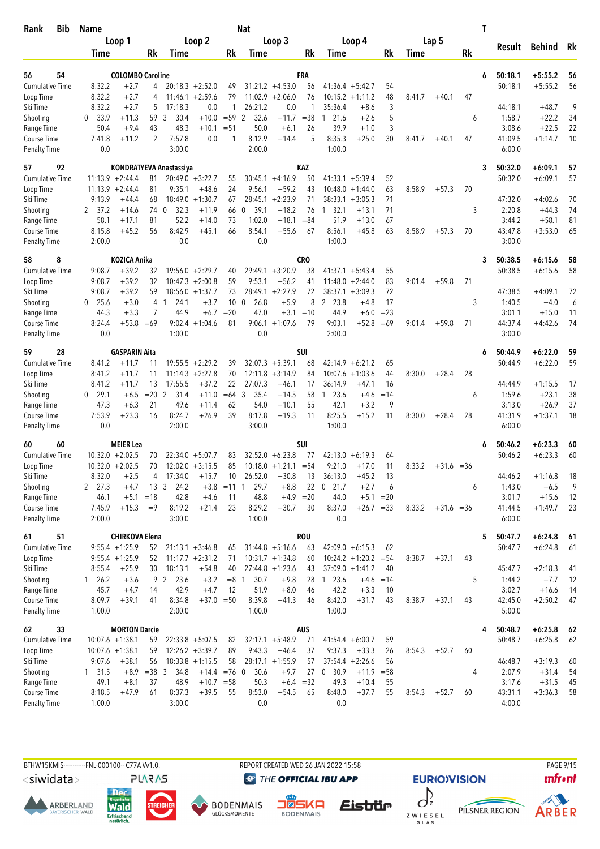| Bib<br>Rank               | Name           |                              |                |                         |                               |                 | Nat                  |                                         |                   |                                          |                             |              |        |                  |           | Τ |                   |                      |          |
|---------------------------|----------------|------------------------------|----------------|-------------------------|-------------------------------|-----------------|----------------------|-----------------------------------------|-------------------|------------------------------------------|-----------------------------|--------------|--------|------------------|-----------|---|-------------------|----------------------|----------|
|                           |                | Loop 1                       |                |                         | Loop 2                        |                 |                      | Loop 3                                  |                   | Loop 4                                   |                             |              |        | Lap <sub>5</sub> |           |   |                   |                      |          |
|                           | Time           |                              | Rk             | Time                    |                               | Rk              | Time                 |                                         | Rk                | Time                                     |                             | Rk           | Time   |                  | <b>Rk</b> |   | Result            | <b>Behind</b>        | Rk       |
| 56<br>54                  |                | <b>COLOMBO Caroline</b>      |                |                         |                               |                 |                      |                                         | FRA               |                                          |                             |              |        |                  |           | 6 | 50:18.1           | $+5:55.2$            | 56       |
| <b>Cumulative Time</b>    | 8:32.2         | $+2.7$                       | 4              |                         | $20:18.3 + 2:52.0$            | 49              |                      | $31:21.2 +4:53.0$                       | 56                | $41:36.4 +5:42.7$                        |                             | 54           |        |                  |           |   | 50:18.1           | $+5:55.2$            | 56       |
| Loop Time                 | 8:32.2         | $+2.7$                       | 4              | 11:46.1                 | $+2:59.6$                     | 79              |                      | $11:02.9 + 2:06.0$                      | 76                | $10:15.2 + 1:11.2$                       |                             | 48           | 8:41.7 | $+40.1$          | 47        |   |                   |                      |          |
| Ski Time                  | 8:32.2         | $+2.7$                       | 5              | 17:18.3                 | 0.0                           | $\mathbf{1}$    | 26:21.2              | 0.0                                     | 1                 | 35:36.4                                  | $+8.6$                      | 3            |        |                  |           |   | 44:18.1           | $+48.7$              | 9        |
| Shooting                  | 0, 33.9        | +11.3                        | 59             | 30.4<br>3               | $+10.0$                       | $= 59$          | 32.6<br>2            | $+11.7$                                 | $= 38$            | 21.6<br>1                                | $+2.6$                      | 5            |        |                  | 6         |   | 1:58.7            | $+22.2$              | 34       |
| Range Time                | 50.4           | $+9.4$                       | 43             | 48.3                    | $+10.1$                       | $= 51$          | 50.0                 | $+6.1$                                  | 26                | 39.9                                     | $+1.0$                      | 3            |        |                  |           |   | 3:08.6            | $+22.5$              | 22       |
| Course Time               | 7:41.8         | $+11.2$                      | $\overline{2}$ | 7:57.8                  | 0.0                           | $\mathbf{1}$    | 8:12.9               | $+14.4$                                 | 5                 | 8:35.3                                   | $+25.0$                     | 30           | 8:41.7 | $+40.1$          | 47        |   | 41:09.5           | $+1:14.7$            | 10       |
| Penalty Time              | 0.0            |                              |                | 3:00.0                  |                               |                 | 2:00.0               |                                         |                   | 1:00.0                                   |                             |              |        |                  |           |   | 6:00.0            |                      |          |
| 92<br>57                  |                |                              |                | KONDRATYEVA Anastassiya |                               |                 |                      |                                         | <b>KAZ</b>        |                                          |                             |              |        |                  |           | 3 | 50:32.0           | $+6:09.1$            | 57       |
| <b>Cumulative Time</b>    |                | $11:13.9 + 2:44.4$           | 81             |                         | $20:49.0 + 3:22.7$            | 55              |                      | $30:45.1 + 4:16.9$                      | 50                | $41:33.1 + 5:39.4$                       |                             | 52           |        |                  |           |   | 50:32.0           | $+6:09.1$            | 57       |
| Loop Time                 |                | $11:13.9 + 2:44.4$           | 81             | 9:35.1                  | $+48.6$                       | 24              | 9:56.1               | $+59.2$                                 | 43                | 10:48.0                                  | $+1:44.0$                   | 63           | 8:58.9 | $+57.3$          | 70        |   |                   |                      |          |
| Ski Time                  | 9:13.9         | $+44.4$                      | 68             | 18:49.0                 | $+1:30.7$                     | 67              | 28:45.1              | $+2:23.9$                               | 71                | 38:33.1                                  | $+3:05.3$                   | 71           |        |                  |           |   | 47:32.0           | $+4:02.6$            | 70       |
| Shooting                  | 2, 37.2        | $+14.6$                      | 74             | 32.3<br>$\overline{0}$  | $+11.9$                       | 66              | 39.1<br>0            | $+18.2$                                 | 76                | 32.1<br>$\mathbf{1}$                     | $+13.1$                     | 71           |        |                  | 3         |   | 2:20.8            | $+44.3$              | 74       |
| Range Time                | 58.1           | $+17.1$                      | 81             | 52.2                    | $+14.0$                       | 73              | 1:02.0               | $+18.1$                                 | $= 84$            | 51.9                                     | $+13.0$                     | 67           |        |                  |           |   | 3:44.2            | $+58.1$              | 81       |
| Course Time               | 8:15.8         | $+45.2$                      | 56             | 8:42.9                  | $+45.1$                       | 66              | 8:54.1               | $+55.6$                                 | 67                | 8:56.1                                   | $+45.8$                     | 63           | 8:58.9 | $+57.3$          | 70        |   | 43:47.8           | $+3:53.0$            | 65       |
| <b>Penalty Time</b>       | 2:00.0         |                              |                | 0.0                     |                               |                 | 0.0                  |                                         |                   | 1:00.0                                   |                             |              |        |                  |           |   | 3:00.0            |                      |          |
| 58<br>8                   |                | <b>KOZICA Anika</b>          |                |                         |                               |                 |                      |                                         | CRO               |                                          |                             |              |        |                  |           | 3 | 50:38.5           | $+6:15.6$            | 58       |
| <b>Cumulative Time</b>    | 9:08.7         | $+39.2$                      | 32             |                         | $19:56.0 + 2:29.7$            | 40              |                      | $29:49.1 + 3:20.9$                      | 38                | $41:37.1 + 5:43.4$                       |                             | 55           |        |                  |           |   | 50:38.5           | $+6:15.6$            | 58       |
| Loop Time                 | 9:08.7         | $+39.2$                      | 32             |                         | $10:47.3 + 2:00.8$            | 59              | 9:53.1               | $+56.2$                                 | 41                | $11:48.0 + 2:44.0$                       |                             | 83           | 9:01.4 | $+59.8$          | 71        |   |                   |                      |          |
| Ski Time                  | 9:08.7         | $+39.2$                      | 59             |                         | $18:56.0 + 1:37.7$            | 73              |                      | $28:49.1 + 2:27.9$                      | 72                | $38:37.1 + 3:09.3$                       |                             | 72           |        |                  |           |   | 47:38.5           | $+4:09.1$            | 72       |
| Shooting                  | $0$ 25.6       | $+3.0$                       | 4              | $\overline{1}$<br>24.1  | $+3.7$                        | 10 <sub>0</sub> | 26.8                 | $+5.9$                                  | 8                 | 23.8<br>$\mathbf{2}$                     | $+4.8$                      | 17           |        |                  | 3         |   | 1:40.5            | $+4.0$               | 6        |
| Range Time                | 44.3           | $+3.3$                       | 7              | 44.9                    | $+6.7$                        | $= 20$          | 47.0                 | $+3.1$                                  | $=10$             | 44.9                                     | $+6.0$                      | $= 23$       |        |                  |           |   | 3:01.1            | $+15.0$              | 11       |
| <b>Course Time</b>        | 8:24.4         | $+53.8$                      | $=69$          |                         | $9:02.4 +1:04.6$              | 81              | 9:06.1               | $+1:07.6$                               | 79                | 9:03.1                                   | $+52.8$                     | $=69$        | 9:01.4 | $+59.8$          | 71        |   | 44:37.4           | $+4:42.6$            | 74       |
| <b>Penalty Time</b>       | 0.0            |                              |                | 1:00.0                  |                               |                 | 0.0                  |                                         |                   | 2:00.0                                   |                             |              |        |                  |           |   | 3:00.0            |                      |          |
| 28<br>59                  |                | <b>GASPARIN Aita</b>         |                |                         |                               |                 |                      |                                         | SUI               |                                          |                             |              |        |                  |           | 6 | 50:44.9           | $+6:22.0$            | 59       |
| <b>Cumulative Time</b>    | 8:41.2         | $+11.7$                      | 11             | 19:55.5                 | $+2:29.2$                     | 39              |                      | $32:07.3 + 5:39.1$                      | 68                | $42:14.9 + 6:21.2$                       |                             | 65           |        |                  |           |   | 50:44.9           | $+6:22.0$            | 59       |
| Loop Time                 | 8:41.2         | $+11.7$                      | 11             | 11:14.3                 | $+2:27.8$                     | 70              | 12:11.8              | $+3:14.9$                               | 84                | 10:07.6                                  | $+1:03.6$                   | 44           | 8:30.0 | $+28.4$          | 28        |   |                   |                      |          |
| Ski Time                  | 8:41.2         | $+11.7$                      | 13             | 17:55.5                 | $+37.2$                       | 22              | 27:07.3              | $+46.1$                                 | 17                | 36:14.9                                  | $+47.1$                     | 16           |        |                  |           |   | 44:44.9           | $+1:15.5$            | 17       |
| Shooting                  | $0$ 29.1       | $+6.5$                       | $=20$          | 2<br>31.4               | $+11.0$                       | $=64$           | 3<br>35.4            | $+14.5$                                 | 58                | 23.6<br>$\mathbf{1}$                     | $+4.6$                      | $=14$        |        |                  | 6         |   | 1:59.6            | $+23.1$              | 38       |
| Range Time                | 47.3           | $+6.3$                       | 21             | 49.6                    | $+11.4$                       | 62              | 54.0                 | $+10.1$                                 | 55                | 42.1                                     | $+3.2$                      | 9            |        |                  |           |   | 3:13.0            | $+26.9$              | 37       |
| <b>Course Time</b>        | 7:53.9         | $+23.3$                      | 16             | 8:24.7                  | $+26.9$                       | 39              | 8:17.8               | $+19.3$                                 | 11                | 8:25.5                                   | $+15.2$                     | 11           | 8:30.0 | $+28.4$          | 28        |   | 41:31.9           | $+1:37.1$            | 18       |
| <b>Penalty Time</b>       | 0.0            |                              |                | 2:00.0                  |                               |                 | 3:00.0               |                                         |                   | 1:00.0                                   |                             |              |        |                  |           |   | 6:00.0            |                      |          |
| 60<br>60                  |                | <b>MEIER Lea</b>             |                |                         |                               |                 |                      |                                         | SUI               |                                          |                             |              |        |                  |           | 6 | 50:46.2           | $+6:23.3$            | 60       |
| <b>Cumulative Time</b>    |                | $10:32.0 + 2:02.5$           | 70             |                         | $22:34.0 + 5:07.7$            | 83              |                      | $32:52.0 + 6:23.8$                      | 77                | 42:13.0                                  | $+6:19.3$                   | 64           |        |                  |           |   | 50:46.2           | $+6:23.3$            | 60       |
| Loop Time                 |                | $10:32.0 + 2:02.5$           | 70             |                         | $12:02.0 + 3:15.5$            | 85              |                      | $10:18.0 + 1:21.1 = 54$                 |                   | 9:21.0                                   | $+17.0$                     | 11           | 8:33.2 | $+31.6 = 36$     |           |   |                   |                      |          |
| Ski Time                  | 8:32.0         | $+2.5$                       | 4              | 17:34.0                 | $+15.7$                       | 10              | 26:52.0              | $+30.8$                                 | 13                | 36:13.0                                  | $+45.2$                     | 13           |        |                  |           |   | 44:46.2           | $+1:16.8$            | 18       |
| Shooting                  | 2, 27.3        | $+4.7$                       |                | 13 <sup>3</sup><br>24.2 | $+3.8$                        | $=11$           | 29.7<br>$\mathbf{1}$ | $+8.8$                                  | 22                | $0$ 21.7                                 | $+2.7$                      | 6            |        |                  | 6         |   | 1:43.0            | $+6.5$               | 9        |
| Range Time<br>Course Time | 46.1<br>7:45.9 | $+5.1$<br>$+15.3$            | $=18$<br>$=9$  | 42.8<br>8:19.2          | $+4.6$<br>$+21.4$             | 11<br>23        | 48.8<br>8:29.2       | $+30.7$                                 | $+4.9$ = 20<br>30 | 44.0<br>8:37.0                           | $+5.1 = 20$<br>$+26.7 = 33$ |              | 8:33.2 |                  |           |   | 3:01.7<br>41:44.5 | $+15.6$<br>$+1:49.7$ | 12<br>23 |
| <b>Penalty Time</b>       | 2:00.0         |                              |                | 3:00.0                  |                               |                 | 1:00.0               |                                         |                   | 0.0                                      |                             |              |        | $+31.6 = 36$     |           |   | 6:00.0            |                      |          |
|                           |                |                              |                |                         |                               |                 |                      |                                         |                   |                                          |                             |              |        |                  |           |   |                   |                      |          |
| 51<br>61                  |                | <b>CHIRKOVA Elena</b>        |                |                         |                               |                 |                      |                                         | <b>ROU</b>        |                                          |                             |              |        |                  |           | 5 | 50:47.7           | $+6:24.8$            | 61       |
| <b>Cumulative Time</b>    |                | $9:55.4 + 1:25.9$            | 52             |                         | $21:13.1 + 3:46.8$            | 65              |                      | $31:44.8 + 5:16.6$                      | 63                | $42:09.0 + 6:15.3$                       |                             | 62           |        |                  |           |   | 50:47.7           | $+6:24.8$            | 61       |
| Loop Time<br>Ski Time     | 8:55.4         | $9:55.4 + 1:25.9$<br>$+25.9$ | 52<br>30       | 18:13.1                 | $11:17.7 + 2:31.2$<br>$+54.8$ | 71<br>40        |                      | $10:31.7 +1:34.8$<br>$27:44.8 + 1:23.6$ | 60<br>43          | $10:24.2 + 1:20.2$<br>$37:09.0 + 1:41.2$ |                             | $= 54$<br>40 | 8:38.7 | $+37.1$          | 43        |   | 45:47.7           | $+2:18.3$            | 41       |
| Shooting                  | 126.2          | $+3.6$                       | 9              | $\overline{2}$<br>23.6  | $+3.2$                        | $=8$ 1          | 30.7                 | $+9.8$                                  | 28                | 123.6                                    | $+4.6 = 14$                 |              |        |                  | 5         |   | 1:44.2            | $+7.7$               | 12       |
| Range Time                | 45.7           | $+4.7$                       | 14             | 42.9                    | $+4.7$                        | 12              | 51.9                 | $+8.0$                                  | 46                | 42.2                                     | $+3.3$                      | 10           |        |                  |           |   | 3:02.7            | $+16.6$              | 14       |
| Course Time               | 8:09.7         | $+39.1$                      | 41             | 8:34.8                  | $+37.0 = 50$                  |                 | 8:39.8               | $+41.3$                                 | 46                | 8:42.0                                   | $+31.7$                     | 43           | 8:38.7 | $+37.1$          | 43        |   | 42:45.0           | $+2:50.2$            | 47       |
| <b>Penalty Time</b>       | 1:00.0         |                              |                | 2:00.0                  |                               |                 | 1:00.0               |                                         |                   | 1:00.0                                   |                             |              |        |                  |           |   | 5:00.0            |                      |          |
| 33<br>62                  |                | <b>MORTON Darcie</b>         |                |                         |                               |                 |                      |                                         | AUS               |                                          |                             |              |        |                  |           | 4 | 50:48.7           | $+6:25.8$            | 62       |
| <b>Cumulative Time</b>    |                | $10:07.6 + 1:38.1$           | 59             |                         | $22:33.8 + 5:07.5$            | 82              |                      | $32:17.1 + 5:48.9$                      | 71                | $41:54.4 + 6:00.7$                       |                             | 59           |        |                  |           |   | 50:48.7           | $+6:25.8$            | 62       |
| Loop Time                 |                | $10:07.6 + 1:38.1$           | 59             |                         | $12:26.2 + 3:39.7$            | 89              | 9:43.3               | $+46.4$                                 | 37                | 9:37.3                                   | $+33.3$                     | 26           | 8:54.3 | $+52.7$          | 60        |   |                   |                      |          |
| Ski Time                  | 9:07.6         | $+38.1$                      | 56             |                         | $18:33.8 + 1:15.5$            | 58              |                      | $28:17.1 + 1:55.9$                      | 57                | $37:54.4 +2:26.6$                        |                             | 56           |        |                  |           |   | 46:48.7           | $+3:19.3$            | 60       |
| Shooting                  | 1, 31.5        |                              | $+8.9 = 38.3$  | 34.8                    | $+14.4 = 76$ 0                |                 | 30.6                 | $+9.7$                                  | 27                | 0, 30.9                                  | $+11.9$                     | $= 58$       |        |                  | 4         |   | 2:07.9            | $+31.4$              | 54       |
| Range Time                | 49.1           | $+8.1$                       | 37             | 48.9                    | $+10.7 = 58$                  |                 | 50.3                 |                                         | $+6.4 = 32$       | 49.3                                     | $+10.4$                     | 55           |        |                  |           |   | 3:17.6            | $+31.5$              | 45       |
| Course Time               | 8:18.5         | $+47.9$                      | 61             | 8:37.3                  | $+39.5$                       | 55              | 8:53.0               | $+54.5$                                 | 65                | 8:48.0                                   | $+37.7$                     | 55           | 8:54.3 | $+52.7$          | 60        |   | 43:31.1           | $+3:36.3$            | 58       |
| <b>Penalty Time</b>       | 1:00.0         |                              |                | 3:00.0                  |                               |                 | 0.0                  |                                         |                   | 0.0                                      |                             |              |        |                  |           |   | 4:00.0            |                      |          |

<siwidata>









REPORT CREATED WED 26 JAN 2022 15:58

**@** THE OFFICIAL IBU APP

 $\int$ Eistrür Z W I E S E L<br>G L A S





**PAGE 9/15**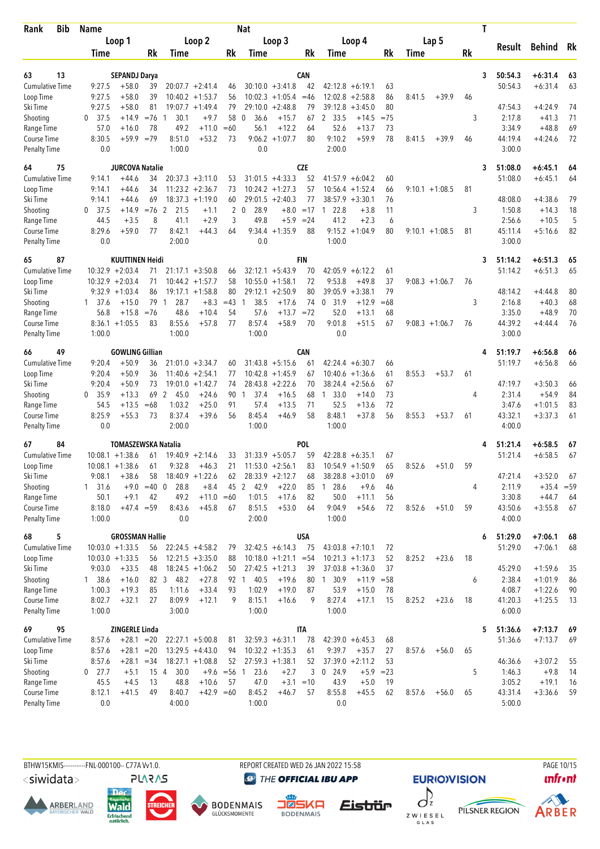| Lap <sub>5</sub><br>Loop 1<br>Loop 2<br>Loop 3<br>Loop 4<br><b>Behind</b><br>Rk<br>Result<br><b>Rk</b><br>Rk<br>Rk<br>Rk<br>Rk<br>Time<br>Time<br>Time<br>Time<br>Time<br>13<br>CAN<br>50:54.3<br>$+6:31.4$<br>63<br>SEPANDJ Darya<br>3<br>63<br>$+6:31.4$<br><b>Cumulative Time</b><br>9:27.5<br>$+58.0$<br>$30:10.0 + 3:41.8$<br>42<br>$42:12.8 + 6:19.1$<br>50:54.3<br>63<br>39<br>$20:07.7 + 2:41.4$<br>63<br>46<br>$+58.0$<br>39<br>9:27.5<br>$10:40.2 + 1:53.7$<br>56<br>$10:02.3 +1:05.4$<br>$=46$<br>12:02.8<br>$+2:58.8$<br>86<br>8:41.5<br>$+39.9$<br>Loop Time<br>46<br>9:27.5<br>$+58.0$<br>81<br>$19:07.7 + 1:49.4$<br>79<br>29:10.0<br>$+2:48.8$<br>79<br>39:12.8<br>80<br>47:54.3<br>$+4:24.9$<br>74<br>Ski Time<br>$+3:45.0$<br>$0$ 37.5<br>30.1<br>$+9.7$<br>58<br>36.6<br>2 33.5<br>3<br>2:17.8<br>$+41.3$<br>71<br>Shooting<br>$+14.9$<br>$= 76$<br>$\Omega$<br>$+15.7$<br>67<br>$+14.5$<br>$= 75$<br>-1<br>69<br>57.0<br>78<br>49.2<br>$+11.0$<br>$=60$<br>$+12.2$<br>52.6<br>$+13.7$<br>3:34.9<br>$+48.8$<br>Range Time<br>$+16.0$<br>56.1<br>73<br>64<br>$9:06.2 +1:07.7$<br>9:10.2<br>78<br>72<br>8:30.5<br>$+59.9$<br>$=79$<br>8:51.0<br>$+53.2$<br>73<br>80<br>$+59.9$<br>$+39.9$<br>44:19.4<br>$+4:24.6$<br>Course Time<br>8:41.5<br>46<br>0.0<br><b>Penalty Time</b><br>0.0<br>1:00.0<br>2:00.0<br>3:00.0<br>75<br><b>JURCOVA Natalie</b><br><b>CZE</b><br>64<br>51:08.0<br>$+6:45.1$<br>3<br>64<br>51:08.0<br>$+44.6$<br>$20:37.3 + 3:11.0$<br>$31:01.5 +4:33.3$<br>52<br>$+6:45.1$<br><b>Cumulative Time</b><br>9:14.1<br>34<br>53<br>$41:57.9 + 6:04.2$<br>60<br>64<br>34<br>$11:23.2 +2:36.7$<br>73<br>$10:24.2 + 1:27.3$<br>57<br>$9:10.1 + 1:08.5$<br>Loop Time<br>9:14.1<br>$+44.6$<br>10:56.4<br>$+1:52.4$<br>66<br>81<br>$+44.6$<br>69<br>$18:37.3 + 1:19.0$<br>60<br>$29:01.5 + 2:40.3$<br>77<br>$38:57.9 + 3:30.1$<br>76<br>48:08.0<br>$+4:38.6$<br>79<br>Ski Time<br>9:14.1<br>$\overline{2}$<br>28.9<br>$+8.0$<br>18<br>37.5<br>$+14.9$<br>$= 76$<br>2<br>21.5<br>$+1.1$<br>$\mathbf{0}$<br>$=17$<br>22.8<br>$+3.8$<br>11<br>3<br>1:50.8<br>$+14.3$<br>Shooting<br>0<br>$\overline{1}$<br>44.5<br>8<br>41.1<br>$+2.9$<br>3<br>49.8<br>$+5.9$<br>$= 24$<br>41.2<br>$+2.3$<br>2:56.6<br>$+10.5$<br>5<br>Range Time<br>$+3.5$<br>6<br>8:29.6<br>$+59.0$<br>77<br>8:42.1<br>$+44.3$<br>9:34.4<br>$+1:35.9$<br>88<br>$9:15.2 + 1:04.9$<br>80<br>$9:10.1 + 1:08.5$<br>81<br>45:11.4<br>$+5:16.6$<br>82<br>Course Time<br>64<br>0.0<br>0.0<br>2:00.0<br>1:00.0<br>3:00.0<br><b>Penalty Time</b><br>65<br>87<br><b>KUUTTINEN Heidi</b><br><b>FIN</b><br>51:14.2<br>$+6:51.3$<br>65<br>3<br>$10:32.9 + 2:03.4$<br>$32:12.1 + 5:43.9$<br>70<br>$42:05.9 + 6:12.2$<br>51:14.2<br>$+6:51.3$<br><b>Cumulative Time</b><br>$21:17.1 + 3:50.8$<br>61<br>65<br>71<br>66<br>Loop Time<br>$10:32.9 + 2:03.4$<br>71<br>$10:44.2 + 1:57.7$<br>58<br>$10:55.0 + 1:58.1$<br>72<br>9:53.8<br>$+49.8$<br>37<br>$9:08.3 +1:06.7$<br>76<br>79<br>$9:32.9 +1:03.4$<br>86<br>$19:17.1 + 1:58.8$<br>80<br>$29:12.1 + 2:50.9$<br>80<br>39:05.9<br>$+3:38.1$<br>48:14.2<br>$+4:44.8$<br>80<br>Ski Time<br>28.7<br>$=43$<br>$+15.0$<br>79<br>$+8.3$<br>38.5<br>$+17.6$<br>74<br>$\mathbf 0$<br>31.9<br>$+12.9$<br>$=68$<br>3<br>2:16.8<br>$+40.3$<br>68<br>Shooting<br>$1 \quad 37.6$<br>$\mathbf{1}$<br>$\mathbf{1}$<br>52.0<br>56.8<br>$+15.8$<br>$=76$<br>48.6<br>$+10.4$<br>54<br>57.6<br>$+13.7$<br>$=72$<br>$+13.1$<br>68<br>3:35.0<br>$+48.9$<br>70<br>Range Time<br>9:01.8<br>44:39.2<br>$8:36.1 + 1:05.5$<br>8:55.6<br>$+57.8$<br>77<br>8:57.4<br>$+58.9$<br>70<br>$+51.5$<br>67<br>$9:08.3 +1:06.7$<br>76<br>76<br><b>Course Time</b><br>83<br>$+4:44.4$<br>1:00.0<br>1:00.0<br>1:00.0<br>0.0<br>3:00.0<br><b>Penalty Time</b><br>49<br>$+6:56.8$<br>66<br><b>GOWLING Gillian</b><br><b>CAN</b><br>51:19.7<br>4<br>66<br>Cumulative Time<br>9:20.4<br>$+50.9$<br>$31:43.8 + 5:15.6$<br>$42:24.4 + 6:30.7$<br>51:19.7<br>$+6:56.8$<br>36<br>$21:01.0 + 3:34.7$<br>61<br>66<br>66<br>60<br>9:20.4<br>$+50.9$<br>36<br>$11:40.6 + 2:54.1$<br>$10:42.8 + 1:45.9$<br>10:40.6<br>$+1:36.6$<br>8:55.3<br>$+53.7$<br>Loop Time<br>77<br>67<br>61<br>61<br>9:20.4<br>$+50.9$<br>73<br>$19:01.0 + 1:42.7$<br>$28:43.8 + 2:22.6$<br>38:24.4<br>$+2:56.6$<br>67<br>47:19.7<br>$+3:50.3$<br>Ski Time<br>74<br>70<br>66<br>2:31.4<br>0, 35.9<br>$+13.3$<br>69<br>2<br>$+24.6$<br>37.4<br>$+16.5$<br>$1\quad 33.0$<br>73<br>$+54.9$<br>84<br>Shooting<br>45.0<br>90<br>$\mathbf{1}$<br>68<br>$+14.0$<br>4<br>72<br>54.5<br>$=68$<br>1:03.2<br>$+25.0$<br>91<br>57.4<br>$+13.5$<br>71<br>52.5<br>$+13.6$<br>3:47.6<br>$+1:01.5$<br>83<br>Range Time<br>$+13.5$<br>8:48.1<br>43:32.1<br>8:25.9<br>$+55.3$<br>73<br>8:37.4<br>+39.6<br>56<br>8:45.4<br>$+46.9$<br>58<br>$+37.8$<br>56<br>8:55.3<br>$+53.7$<br>61<br>$+3:37.3$<br>61<br><b>Course Time</b><br>0.0<br>2:00.0<br>1:00.0<br>1:00.0<br>4:00.0<br><b>Penalty Time</b><br><b>POL</b><br>67<br>84<br><b>TOMASZEWSKA Natalia</b><br>51:21.4<br>$+6:58.5$<br>67<br><b>Cumulative Time</b><br>$31:33.9 + 5:05.7$<br>59<br>51:21.4<br>$+6:58.5$<br>67<br>$10:08.1 + 1:38.6$<br>$19:40.9 + 2:14.6$<br>33<br>42:28.8<br>$+6:35.1$<br>67<br>61<br>$10:08.1 + 1:38.6$<br>61<br>9:32.8<br>$+46.3$<br>21<br>$11:53.0 + 2:56.1$<br>83<br>$10:54.9 + 1:50.9$<br>65<br>8:52.6<br>59<br>Loop Time<br>$+51.0$<br>Ski Time<br>$18:40.9 + 1:22.6$<br>47:21.4<br>$+3:52.0$<br>9:08.1<br>$+38.6$<br>62<br>$28:33.9 + 2:12.7$<br>$38:28.8 + 3:01.0$<br>67<br>58<br>68<br>69<br>Shooting<br>$+9.0$<br>$=40$ 0<br>28.8<br>$+8.4$<br>45 2<br>42.9<br>$+22.0$<br>128.6<br>2:11.9<br>$+35.4 = 59$<br>$1 \quad 31.6$<br>85<br>$+9.6$<br>46<br>4<br>3:30.8<br>Range Time<br>$+9.1$<br>49.2<br>$+11.0 = 60$<br>1:01.5<br>50.0<br>$+11.1$<br>$+44.7$<br>50.1<br>42<br>$+17.6$<br>82<br>56<br>64<br>Course Time<br>$+47.4 = 59$<br>8:43.6<br>$+45.8$<br>8:51.5<br>$+53.0$<br>9:04.9<br>$+54.6$<br>8:52.6<br>43:50.6<br>$+3:55.8$<br>67<br>8:18.0<br>67<br>64<br>72<br>$+51.0$<br>59<br><b>Penalty Time</b><br>1:00.0<br>0.0<br>2:00.0<br>1:00.0<br>4:00.0<br><b>GROSSMAN Hallie</b><br><b>USA</b><br>68<br>5<br>51:29.0<br>$+7:06.1$<br>68<br>6<br>$10:03.0 + 1:33.5$<br>51:29.0<br>$+7:06.1$<br>68<br><b>Cumulative Time</b><br>56<br>$22:24.5 +4:58.2$<br>$32:42.5 + 6:14.3$<br>75<br>$43:03.8 +7:10.1$<br>72<br>79<br>Loop Time<br>$10:03.0 + 1:33.5$<br>$12:21.5 + 3:35.0$<br>$10:18.0 + 1:21.1 = 54$<br>$10:21.3 +1:17.3$<br>52<br>8:25.2<br>$+23.6$<br>18<br>56<br>88<br>45:29.0<br>Ski Time<br>9:03.0<br>$+33.5$<br>$18:24.5 + 1:06.2$<br>50<br>$27:42.5 +1:21.3$<br>$37:03.8 +1:36.0$<br>37<br>$+1:59.6$<br>48<br>39<br>35<br>Shooting<br>138.6<br>$+16.0$<br>82 3 48.2<br>$+27.8$<br>40.5<br>$+19.6$<br>80 1 30.9<br>2:38.4<br>$+1:01.9$<br>92 1<br>$+11.9$ = 58<br>6<br>86<br>4:08.7<br>Range Time<br>1:00.3<br>$+33.4$<br>93<br>1:02.9<br>$+19.0$<br>53.9<br>$+1:22.6$<br>90<br>$+19.3$<br>85<br>1:11.6<br>87<br>$+15.0$<br>78<br>8:27.4<br>Course Time<br>8:02.7<br>$+32.1$<br>8:09.9<br>$+12.1$<br>9<br>8:15.1<br>9<br>18<br>41:20.3<br>$+1:25.5$<br>27<br>$+16.6$<br>$+17.1$<br>15<br>8:25.2<br>$+23.6$<br>13<br><b>Penalty Time</b><br>1:00.0<br>3:00.0<br>1:00.0<br>1:00.0<br>6:00.0<br>95<br>ZINGERLE Linda<br><b>ITA</b><br>51:36.6<br>$+7:13.7$<br>69<br>69<br>5<br><b>Cumulative Time</b><br>$+28.1 = 20$<br>$32:59.3 + 6:31.1$<br>$42:39.0 + 6:45.3$<br>51:36.6<br>$+7:13.7$<br>8:57.6<br>$22:27.1 + 5:00.8$<br>78<br>68<br>69<br>81<br>Loop Time<br>$13:29.5 +4:43.0$<br>$10:32.2 +1:35.3$<br>9:39.7<br>$+35.7$<br>8:57.6<br>$+28.1$<br>$=20$<br>94<br>61<br>27<br>8:57.6<br>$+56.0$<br>65<br>$27:59.3 +1:38.1$<br>$37:39.0 +2:11.2$<br>$+3:07.2$<br>Ski Time<br>8:57.6<br>$+28.1 = 34$<br>$18:27.1 + 1:08.8$<br>52<br>52<br>53<br>46:36.6<br>55<br>23.6<br>Shooting<br>$0$ 27.7<br>$+5.1$<br>15 4<br>30.0<br>$+9.6 = 56$ 1<br>$+2.7$<br>3<br>0, 24.9<br>$+5.9$<br>5<br>1:46.3<br>$+9.8$<br>14<br>$= 23$<br>43.9<br>Range Time<br>45.5<br>13<br>48.8<br>$+10.6$<br>57<br>47.0<br>$+3.1 = 10$<br>$+5.0$<br>3:05.2<br>$+19.1$<br>16<br>$+4.5$<br>19<br>Course Time<br>8:12.1<br>$+41.5$<br>8:40.7<br>$+42.9 = 60$<br>8:45.2<br>8:55.8<br>$+45.5$<br>43:31.4<br>$+3:36.6$<br>59<br>49<br>$+46.7$<br>57<br>62<br>8:57.6<br>$+56.0$<br>65<br><b>Penalty Time</b><br>4:00.0<br>1:00.0<br>0.0<br>0.0<br>5:00.0 | Bib<br>Rank | <b>Name</b> |  |  | Nat |  |  |  | Τ |  |  |
|---------------------------------------------------------------------------------------------------------------------------------------------------------------------------------------------------------------------------------------------------------------------------------------------------------------------------------------------------------------------------------------------------------------------------------------------------------------------------------------------------------------------------------------------------------------------------------------------------------------------------------------------------------------------------------------------------------------------------------------------------------------------------------------------------------------------------------------------------------------------------------------------------------------------------------------------------------------------------------------------------------------------------------------------------------------------------------------------------------------------------------------------------------------------------------------------------------------------------------------------------------------------------------------------------------------------------------------------------------------------------------------------------------------------------------------------------------------------------------------------------------------------------------------------------------------------------------------------------------------------------------------------------------------------------------------------------------------------------------------------------------------------------------------------------------------------------------------------------------------------------------------------------------------------------------------------------------------------------------------------------------------------------------------------------------------------------------------------------------------------------------------------------------------------------------------------------------------------------------------------------------------------------------------------------------------------------------------------------------------------------------------------------------------------------------------------------------------------------------------------------------------------------------------------------------------------------------------------------------------------------------------------------------------------------------------------------------------------------------------------------------------------------------------------------------------------------------------------------------------------------------------------------------------------------------------------------------------------------------------------------------------------------------------------------------------------------------------------------------------------------------------------------------------------------------------------------------------------------------------------------------------------------------------------------------------------------------------------------------------------------------------------------------------------------------------------------------------------------------------------------------------------------------------------------------------------------------------------------------------------------------------------------------------------------------------------------------------------------------------------------------------------------------------------------------------------------------------------------------------------------------------------------------------------------------------------------------------------------------------------------------------------------------------------------------------------------------------------------------------------------------------------------------------------------------------------------------------------------------------------------------------------------------------------------------------------------------------------------------------------------------------------------------------------------------------------------------------------------------------------------------------------------------------------------------------------------------------------------------------------------------------------------------------------------------------------------------------------------------------------------------------------------------------------------------------------------------------------------------------------------------------------------------------------------------------------------------------------------------------------------------------------------------------------------------------------------------------------------------------------------------------------------------------------------------------------------------------------------------------------------------------------------------------------------------------------------------------------------------------------------------------------------------------------------------------------------------------------------------------------------------------------------------------------------------------------------------------------------------------------------------------------------------------------------------------------------------------------------------------------------------------------------------------------------------------------------------------------------------------------------------------------------------------------------------------------------------------------------------------------------------------------------------------------------------------------------------------------------------------------------------------------------------------------------------------------------------------------------------------------------------------------------------------------------------------------------------------------------------------------------------------------------------------------------------------------------------------------------------------------------------------------------------------------------------------------------------------------------------------------------------------------------------------------------------------------------------------------------------------------------------------------------------------------------------------------------------------------------------------------------------------------------------------------------------------------------------------------------------------------------------------------------------------------------------------------------------------------------------------------------------------------------------------------------------------------------------------------------------------------------------------------------------------------------------------------------------------------------------------------------------------------------------------------------------------------------------------------------------------------------------------------------------------------------------------------------------------------------------------------------------------------------------------------------------------------------------------------------------------------------------------------------------------------------------------------------------------------------------------------------------------------------------------------------------------------------------------------------------------------------------------------------------------------------------------------------------------------------------------------------------------------------------------------------------------------------------------------------------------------------------------------------------------------------------------------------------------------------------|-------------|-------------|--|--|-----|--|--|--|---|--|--|
|                                                                                                                                                                                                                                                                                                                                                                                                                                                                                                                                                                                                                                                                                                                                                                                                                                                                                                                                                                                                                                                                                                                                                                                                                                                                                                                                                                                                                                                                                                                                                                                                                                                                                                                                                                                                                                                                                                                                                                                                                                                                                                                                                                                                                                                                                                                                                                                                                                                                                                                                                                                                                                                                                                                                                                                                                                                                                                                                                                                                                                                                                                                                                                                                                                                                                                                                                                                                                                                                                                                                                                                                                                                                                                                                                                                                                                                                                                                                                                                                                                                                                                                                                                                                                                                                                                                                                                                                                                                                                                                                                                                                                                                                                                                                                                                                                                                                                                                                                                                                                                                                                                                                                                                                                                                                                                                                                                                                                                                                                                                                                                                                                                                                                                                                                                                                                                                                                                                                                                                                                                                                                                                                                                                                                                                                                                                                                                                                                                                                                                                                                                                                                                                                                                                                                                                                                                                                                                                                                                                                                                                                                                                                                                                                                                                                                                                                                                                                                                                                                                                                                                                                                                                                                                                                                                                                                                                                                                                                                                                                                                                                                                                                                                                                                                                                                                                                                         |             |             |  |  |     |  |  |  |   |  |  |
|                                                                                                                                                                                                                                                                                                                                                                                                                                                                                                                                                                                                                                                                                                                                                                                                                                                                                                                                                                                                                                                                                                                                                                                                                                                                                                                                                                                                                                                                                                                                                                                                                                                                                                                                                                                                                                                                                                                                                                                                                                                                                                                                                                                                                                                                                                                                                                                                                                                                                                                                                                                                                                                                                                                                                                                                                                                                                                                                                                                                                                                                                                                                                                                                                                                                                                                                                                                                                                                                                                                                                                                                                                                                                                                                                                                                                                                                                                                                                                                                                                                                                                                                                                                                                                                                                                                                                                                                                                                                                                                                                                                                                                                                                                                                                                                                                                                                                                                                                                                                                                                                                                                                                                                                                                                                                                                                                                                                                                                                                                                                                                                                                                                                                                                                                                                                                                                                                                                                                                                                                                                                                                                                                                                                                                                                                                                                                                                                                                                                                                                                                                                                                                                                                                                                                                                                                                                                                                                                                                                                                                                                                                                                                                                                                                                                                                                                                                                                                                                                                                                                                                                                                                                                                                                                                                                                                                                                                                                                                                                                                                                                                                                                                                                                                                                                                                                                                         |             |             |  |  |     |  |  |  |   |  |  |
|                                                                                                                                                                                                                                                                                                                                                                                                                                                                                                                                                                                                                                                                                                                                                                                                                                                                                                                                                                                                                                                                                                                                                                                                                                                                                                                                                                                                                                                                                                                                                                                                                                                                                                                                                                                                                                                                                                                                                                                                                                                                                                                                                                                                                                                                                                                                                                                                                                                                                                                                                                                                                                                                                                                                                                                                                                                                                                                                                                                                                                                                                                                                                                                                                                                                                                                                                                                                                                                                                                                                                                                                                                                                                                                                                                                                                                                                                                                                                                                                                                                                                                                                                                                                                                                                                                                                                                                                                                                                                                                                                                                                                                                                                                                                                                                                                                                                                                                                                                                                                                                                                                                                                                                                                                                                                                                                                                                                                                                                                                                                                                                                                                                                                                                                                                                                                                                                                                                                                                                                                                                                                                                                                                                                                                                                                                                                                                                                                                                                                                                                                                                                                                                                                                                                                                                                                                                                                                                                                                                                                                                                                                                                                                                                                                                                                                                                                                                                                                                                                                                                                                                                                                                                                                                                                                                                                                                                                                                                                                                                                                                                                                                                                                                                                                                                                                                                                         |             |             |  |  |     |  |  |  |   |  |  |
|                                                                                                                                                                                                                                                                                                                                                                                                                                                                                                                                                                                                                                                                                                                                                                                                                                                                                                                                                                                                                                                                                                                                                                                                                                                                                                                                                                                                                                                                                                                                                                                                                                                                                                                                                                                                                                                                                                                                                                                                                                                                                                                                                                                                                                                                                                                                                                                                                                                                                                                                                                                                                                                                                                                                                                                                                                                                                                                                                                                                                                                                                                                                                                                                                                                                                                                                                                                                                                                                                                                                                                                                                                                                                                                                                                                                                                                                                                                                                                                                                                                                                                                                                                                                                                                                                                                                                                                                                                                                                                                                                                                                                                                                                                                                                                                                                                                                                                                                                                                                                                                                                                                                                                                                                                                                                                                                                                                                                                                                                                                                                                                                                                                                                                                                                                                                                                                                                                                                                                                                                                                                                                                                                                                                                                                                                                                                                                                                                                                                                                                                                                                                                                                                                                                                                                                                                                                                                                                                                                                                                                                                                                                                                                                                                                                                                                                                                                                                                                                                                                                                                                                                                                                                                                                                                                                                                                                                                                                                                                                                                                                                                                                                                                                                                                                                                                                                                         |             |             |  |  |     |  |  |  |   |  |  |
|                                                                                                                                                                                                                                                                                                                                                                                                                                                                                                                                                                                                                                                                                                                                                                                                                                                                                                                                                                                                                                                                                                                                                                                                                                                                                                                                                                                                                                                                                                                                                                                                                                                                                                                                                                                                                                                                                                                                                                                                                                                                                                                                                                                                                                                                                                                                                                                                                                                                                                                                                                                                                                                                                                                                                                                                                                                                                                                                                                                                                                                                                                                                                                                                                                                                                                                                                                                                                                                                                                                                                                                                                                                                                                                                                                                                                                                                                                                                                                                                                                                                                                                                                                                                                                                                                                                                                                                                                                                                                                                                                                                                                                                                                                                                                                                                                                                                                                                                                                                                                                                                                                                                                                                                                                                                                                                                                                                                                                                                                                                                                                                                                                                                                                                                                                                                                                                                                                                                                                                                                                                                                                                                                                                                                                                                                                                                                                                                                                                                                                                                                                                                                                                                                                                                                                                                                                                                                                                                                                                                                                                                                                                                                                                                                                                                                                                                                                                                                                                                                                                                                                                                                                                                                                                                                                                                                                                                                                                                                                                                                                                                                                                                                                                                                                                                                                                                                         |             |             |  |  |     |  |  |  |   |  |  |
|                                                                                                                                                                                                                                                                                                                                                                                                                                                                                                                                                                                                                                                                                                                                                                                                                                                                                                                                                                                                                                                                                                                                                                                                                                                                                                                                                                                                                                                                                                                                                                                                                                                                                                                                                                                                                                                                                                                                                                                                                                                                                                                                                                                                                                                                                                                                                                                                                                                                                                                                                                                                                                                                                                                                                                                                                                                                                                                                                                                                                                                                                                                                                                                                                                                                                                                                                                                                                                                                                                                                                                                                                                                                                                                                                                                                                                                                                                                                                                                                                                                                                                                                                                                                                                                                                                                                                                                                                                                                                                                                                                                                                                                                                                                                                                                                                                                                                                                                                                                                                                                                                                                                                                                                                                                                                                                                                                                                                                                                                                                                                                                                                                                                                                                                                                                                                                                                                                                                                                                                                                                                                                                                                                                                                                                                                                                                                                                                                                                                                                                                                                                                                                                                                                                                                                                                                                                                                                                                                                                                                                                                                                                                                                                                                                                                                                                                                                                                                                                                                                                                                                                                                                                                                                                                                                                                                                                                                                                                                                                                                                                                                                                                                                                                                                                                                                                                                         |             |             |  |  |     |  |  |  |   |  |  |
|                                                                                                                                                                                                                                                                                                                                                                                                                                                                                                                                                                                                                                                                                                                                                                                                                                                                                                                                                                                                                                                                                                                                                                                                                                                                                                                                                                                                                                                                                                                                                                                                                                                                                                                                                                                                                                                                                                                                                                                                                                                                                                                                                                                                                                                                                                                                                                                                                                                                                                                                                                                                                                                                                                                                                                                                                                                                                                                                                                                                                                                                                                                                                                                                                                                                                                                                                                                                                                                                                                                                                                                                                                                                                                                                                                                                                                                                                                                                                                                                                                                                                                                                                                                                                                                                                                                                                                                                                                                                                                                                                                                                                                                                                                                                                                                                                                                                                                                                                                                                                                                                                                                                                                                                                                                                                                                                                                                                                                                                                                                                                                                                                                                                                                                                                                                                                                                                                                                                                                                                                                                                                                                                                                                                                                                                                                                                                                                                                                                                                                                                                                                                                                                                                                                                                                                                                                                                                                                                                                                                                                                                                                                                                                                                                                                                                                                                                                                                                                                                                                                                                                                                                                                                                                                                                                                                                                                                                                                                                                                                                                                                                                                                                                                                                                                                                                                                                         |             |             |  |  |     |  |  |  |   |  |  |
|                                                                                                                                                                                                                                                                                                                                                                                                                                                                                                                                                                                                                                                                                                                                                                                                                                                                                                                                                                                                                                                                                                                                                                                                                                                                                                                                                                                                                                                                                                                                                                                                                                                                                                                                                                                                                                                                                                                                                                                                                                                                                                                                                                                                                                                                                                                                                                                                                                                                                                                                                                                                                                                                                                                                                                                                                                                                                                                                                                                                                                                                                                                                                                                                                                                                                                                                                                                                                                                                                                                                                                                                                                                                                                                                                                                                                                                                                                                                                                                                                                                                                                                                                                                                                                                                                                                                                                                                                                                                                                                                                                                                                                                                                                                                                                                                                                                                                                                                                                                                                                                                                                                                                                                                                                                                                                                                                                                                                                                                                                                                                                                                                                                                                                                                                                                                                                                                                                                                                                                                                                                                                                                                                                                                                                                                                                                                                                                                                                                                                                                                                                                                                                                                                                                                                                                                                                                                                                                                                                                                                                                                                                                                                                                                                                                                                                                                                                                                                                                                                                                                                                                                                                                                                                                                                                                                                                                                                                                                                                                                                                                                                                                                                                                                                                                                                                                                                         |             |             |  |  |     |  |  |  |   |  |  |
|                                                                                                                                                                                                                                                                                                                                                                                                                                                                                                                                                                                                                                                                                                                                                                                                                                                                                                                                                                                                                                                                                                                                                                                                                                                                                                                                                                                                                                                                                                                                                                                                                                                                                                                                                                                                                                                                                                                                                                                                                                                                                                                                                                                                                                                                                                                                                                                                                                                                                                                                                                                                                                                                                                                                                                                                                                                                                                                                                                                                                                                                                                                                                                                                                                                                                                                                                                                                                                                                                                                                                                                                                                                                                                                                                                                                                                                                                                                                                                                                                                                                                                                                                                                                                                                                                                                                                                                                                                                                                                                                                                                                                                                                                                                                                                                                                                                                                                                                                                                                                                                                                                                                                                                                                                                                                                                                                                                                                                                                                                                                                                                                                                                                                                                                                                                                                                                                                                                                                                                                                                                                                                                                                                                                                                                                                                                                                                                                                                                                                                                                                                                                                                                                                                                                                                                                                                                                                                                                                                                                                                                                                                                                                                                                                                                                                                                                                                                                                                                                                                                                                                                                                                                                                                                                                                                                                                                                                                                                                                                                                                                                                                                                                                                                                                                                                                                                                         |             |             |  |  |     |  |  |  |   |  |  |
|                                                                                                                                                                                                                                                                                                                                                                                                                                                                                                                                                                                                                                                                                                                                                                                                                                                                                                                                                                                                                                                                                                                                                                                                                                                                                                                                                                                                                                                                                                                                                                                                                                                                                                                                                                                                                                                                                                                                                                                                                                                                                                                                                                                                                                                                                                                                                                                                                                                                                                                                                                                                                                                                                                                                                                                                                                                                                                                                                                                                                                                                                                                                                                                                                                                                                                                                                                                                                                                                                                                                                                                                                                                                                                                                                                                                                                                                                                                                                                                                                                                                                                                                                                                                                                                                                                                                                                                                                                                                                                                                                                                                                                                                                                                                                                                                                                                                                                                                                                                                                                                                                                                                                                                                                                                                                                                                                                                                                                                                                                                                                                                                                                                                                                                                                                                                                                                                                                                                                                                                                                                                                                                                                                                                                                                                                                                                                                                                                                                                                                                                                                                                                                                                                                                                                                                                                                                                                                                                                                                                                                                                                                                                                                                                                                                                                                                                                                                                                                                                                                                                                                                                                                                                                                                                                                                                                                                                                                                                                                                                                                                                                                                                                                                                                                                                                                                                                         |             |             |  |  |     |  |  |  |   |  |  |
|                                                                                                                                                                                                                                                                                                                                                                                                                                                                                                                                                                                                                                                                                                                                                                                                                                                                                                                                                                                                                                                                                                                                                                                                                                                                                                                                                                                                                                                                                                                                                                                                                                                                                                                                                                                                                                                                                                                                                                                                                                                                                                                                                                                                                                                                                                                                                                                                                                                                                                                                                                                                                                                                                                                                                                                                                                                                                                                                                                                                                                                                                                                                                                                                                                                                                                                                                                                                                                                                                                                                                                                                                                                                                                                                                                                                                                                                                                                                                                                                                                                                                                                                                                                                                                                                                                                                                                                                                                                                                                                                                                                                                                                                                                                                                                                                                                                                                                                                                                                                                                                                                                                                                                                                                                                                                                                                                                                                                                                                                                                                                                                                                                                                                                                                                                                                                                                                                                                                                                                                                                                                                                                                                                                                                                                                                                                                                                                                                                                                                                                                                                                                                                                                                                                                                                                                                                                                                                                                                                                                                                                                                                                                                                                                                                                                                                                                                                                                                                                                                                                                                                                                                                                                                                                                                                                                                                                                                                                                                                                                                                                                                                                                                                                                                                                                                                                                                         |             |             |  |  |     |  |  |  |   |  |  |
|                                                                                                                                                                                                                                                                                                                                                                                                                                                                                                                                                                                                                                                                                                                                                                                                                                                                                                                                                                                                                                                                                                                                                                                                                                                                                                                                                                                                                                                                                                                                                                                                                                                                                                                                                                                                                                                                                                                                                                                                                                                                                                                                                                                                                                                                                                                                                                                                                                                                                                                                                                                                                                                                                                                                                                                                                                                                                                                                                                                                                                                                                                                                                                                                                                                                                                                                                                                                                                                                                                                                                                                                                                                                                                                                                                                                                                                                                                                                                                                                                                                                                                                                                                                                                                                                                                                                                                                                                                                                                                                                                                                                                                                                                                                                                                                                                                                                                                                                                                                                                                                                                                                                                                                                                                                                                                                                                                                                                                                                                                                                                                                                                                                                                                                                                                                                                                                                                                                                                                                                                                                                                                                                                                                                                                                                                                                                                                                                                                                                                                                                                                                                                                                                                                                                                                                                                                                                                                                                                                                                                                                                                                                                                                                                                                                                                                                                                                                                                                                                                                                                                                                                                                                                                                                                                                                                                                                                                                                                                                                                                                                                                                                                                                                                                                                                                                                                                         |             |             |  |  |     |  |  |  |   |  |  |
|                                                                                                                                                                                                                                                                                                                                                                                                                                                                                                                                                                                                                                                                                                                                                                                                                                                                                                                                                                                                                                                                                                                                                                                                                                                                                                                                                                                                                                                                                                                                                                                                                                                                                                                                                                                                                                                                                                                                                                                                                                                                                                                                                                                                                                                                                                                                                                                                                                                                                                                                                                                                                                                                                                                                                                                                                                                                                                                                                                                                                                                                                                                                                                                                                                                                                                                                                                                                                                                                                                                                                                                                                                                                                                                                                                                                                                                                                                                                                                                                                                                                                                                                                                                                                                                                                                                                                                                                                                                                                                                                                                                                                                                                                                                                                                                                                                                                                                                                                                                                                                                                                                                                                                                                                                                                                                                                                                                                                                                                                                                                                                                                                                                                                                                                                                                                                                                                                                                                                                                                                                                                                                                                                                                                                                                                                                                                                                                                                                                                                                                                                                                                                                                                                                                                                                                                                                                                                                                                                                                                                                                                                                                                                                                                                                                                                                                                                                                                                                                                                                                                                                                                                                                                                                                                                                                                                                                                                                                                                                                                                                                                                                                                                                                                                                                                                                                                                         |             |             |  |  |     |  |  |  |   |  |  |
|                                                                                                                                                                                                                                                                                                                                                                                                                                                                                                                                                                                                                                                                                                                                                                                                                                                                                                                                                                                                                                                                                                                                                                                                                                                                                                                                                                                                                                                                                                                                                                                                                                                                                                                                                                                                                                                                                                                                                                                                                                                                                                                                                                                                                                                                                                                                                                                                                                                                                                                                                                                                                                                                                                                                                                                                                                                                                                                                                                                                                                                                                                                                                                                                                                                                                                                                                                                                                                                                                                                                                                                                                                                                                                                                                                                                                                                                                                                                                                                                                                                                                                                                                                                                                                                                                                                                                                                                                                                                                                                                                                                                                                                                                                                                                                                                                                                                                                                                                                                                                                                                                                                                                                                                                                                                                                                                                                                                                                                                                                                                                                                                                                                                                                                                                                                                                                                                                                                                                                                                                                                                                                                                                                                                                                                                                                                                                                                                                                                                                                                                                                                                                                                                                                                                                                                                                                                                                                                                                                                                                                                                                                                                                                                                                                                                                                                                                                                                                                                                                                                                                                                                                                                                                                                                                                                                                                                                                                                                                                                                                                                                                                                                                                                                                                                                                                                                                         |             |             |  |  |     |  |  |  |   |  |  |
|                                                                                                                                                                                                                                                                                                                                                                                                                                                                                                                                                                                                                                                                                                                                                                                                                                                                                                                                                                                                                                                                                                                                                                                                                                                                                                                                                                                                                                                                                                                                                                                                                                                                                                                                                                                                                                                                                                                                                                                                                                                                                                                                                                                                                                                                                                                                                                                                                                                                                                                                                                                                                                                                                                                                                                                                                                                                                                                                                                                                                                                                                                                                                                                                                                                                                                                                                                                                                                                                                                                                                                                                                                                                                                                                                                                                                                                                                                                                                                                                                                                                                                                                                                                                                                                                                                                                                                                                                                                                                                                                                                                                                                                                                                                                                                                                                                                                                                                                                                                                                                                                                                                                                                                                                                                                                                                                                                                                                                                                                                                                                                                                                                                                                                                                                                                                                                                                                                                                                                                                                                                                                                                                                                                                                                                                                                                                                                                                                                                                                                                                                                                                                                                                                                                                                                                                                                                                                                                                                                                                                                                                                                                                                                                                                                                                                                                                                                                                                                                                                                                                                                                                                                                                                                                                                                                                                                                                                                                                                                                                                                                                                                                                                                                                                                                                                                                                                         |             |             |  |  |     |  |  |  |   |  |  |
|                                                                                                                                                                                                                                                                                                                                                                                                                                                                                                                                                                                                                                                                                                                                                                                                                                                                                                                                                                                                                                                                                                                                                                                                                                                                                                                                                                                                                                                                                                                                                                                                                                                                                                                                                                                                                                                                                                                                                                                                                                                                                                                                                                                                                                                                                                                                                                                                                                                                                                                                                                                                                                                                                                                                                                                                                                                                                                                                                                                                                                                                                                                                                                                                                                                                                                                                                                                                                                                                                                                                                                                                                                                                                                                                                                                                                                                                                                                                                                                                                                                                                                                                                                                                                                                                                                                                                                                                                                                                                                                                                                                                                                                                                                                                                                                                                                                                                                                                                                                                                                                                                                                                                                                                                                                                                                                                                                                                                                                                                                                                                                                                                                                                                                                                                                                                                                                                                                                                                                                                                                                                                                                                                                                                                                                                                                                                                                                                                                                                                                                                                                                                                                                                                                                                                                                                                                                                                                                                                                                                                                                                                                                                                                                                                                                                                                                                                                                                                                                                                                                                                                                                                                                                                                                                                                                                                                                                                                                                                                                                                                                                                                                                                                                                                                                                                                                                                         |             |             |  |  |     |  |  |  |   |  |  |
|                                                                                                                                                                                                                                                                                                                                                                                                                                                                                                                                                                                                                                                                                                                                                                                                                                                                                                                                                                                                                                                                                                                                                                                                                                                                                                                                                                                                                                                                                                                                                                                                                                                                                                                                                                                                                                                                                                                                                                                                                                                                                                                                                                                                                                                                                                                                                                                                                                                                                                                                                                                                                                                                                                                                                                                                                                                                                                                                                                                                                                                                                                                                                                                                                                                                                                                                                                                                                                                                                                                                                                                                                                                                                                                                                                                                                                                                                                                                                                                                                                                                                                                                                                                                                                                                                                                                                                                                                                                                                                                                                                                                                                                                                                                                                                                                                                                                                                                                                                                                                                                                                                                                                                                                                                                                                                                                                                                                                                                                                                                                                                                                                                                                                                                                                                                                                                                                                                                                                                                                                                                                                                                                                                                                                                                                                                                                                                                                                                                                                                                                                                                                                                                                                                                                                                                                                                                                                                                                                                                                                                                                                                                                                                                                                                                                                                                                                                                                                                                                                                                                                                                                                                                                                                                                                                                                                                                                                                                                                                                                                                                                                                                                                                                                                                                                                                                                                         |             |             |  |  |     |  |  |  |   |  |  |
|                                                                                                                                                                                                                                                                                                                                                                                                                                                                                                                                                                                                                                                                                                                                                                                                                                                                                                                                                                                                                                                                                                                                                                                                                                                                                                                                                                                                                                                                                                                                                                                                                                                                                                                                                                                                                                                                                                                                                                                                                                                                                                                                                                                                                                                                                                                                                                                                                                                                                                                                                                                                                                                                                                                                                                                                                                                                                                                                                                                                                                                                                                                                                                                                                                                                                                                                                                                                                                                                                                                                                                                                                                                                                                                                                                                                                                                                                                                                                                                                                                                                                                                                                                                                                                                                                                                                                                                                                                                                                                                                                                                                                                                                                                                                                                                                                                                                                                                                                                                                                                                                                                                                                                                                                                                                                                                                                                                                                                                                                                                                                                                                                                                                                                                                                                                                                                                                                                                                                                                                                                                                                                                                                                                                                                                                                                                                                                                                                                                                                                                                                                                                                                                                                                                                                                                                                                                                                                                                                                                                                                                                                                                                                                                                                                                                                                                                                                                                                                                                                                                                                                                                                                                                                                                                                                                                                                                                                                                                                                                                                                                                                                                                                                                                                                                                                                                                                         |             |             |  |  |     |  |  |  |   |  |  |
|                                                                                                                                                                                                                                                                                                                                                                                                                                                                                                                                                                                                                                                                                                                                                                                                                                                                                                                                                                                                                                                                                                                                                                                                                                                                                                                                                                                                                                                                                                                                                                                                                                                                                                                                                                                                                                                                                                                                                                                                                                                                                                                                                                                                                                                                                                                                                                                                                                                                                                                                                                                                                                                                                                                                                                                                                                                                                                                                                                                                                                                                                                                                                                                                                                                                                                                                                                                                                                                                                                                                                                                                                                                                                                                                                                                                                                                                                                                                                                                                                                                                                                                                                                                                                                                                                                                                                                                                                                                                                                                                                                                                                                                                                                                                                                                                                                                                                                                                                                                                                                                                                                                                                                                                                                                                                                                                                                                                                                                                                                                                                                                                                                                                                                                                                                                                                                                                                                                                                                                                                                                                                                                                                                                                                                                                                                                                                                                                                                                                                                                                                                                                                                                                                                                                                                                                                                                                                                                                                                                                                                                                                                                                                                                                                                                                                                                                                                                                                                                                                                                                                                                                                                                                                                                                                                                                                                                                                                                                                                                                                                                                                                                                                                                                                                                                                                                                                         |             |             |  |  |     |  |  |  |   |  |  |
|                                                                                                                                                                                                                                                                                                                                                                                                                                                                                                                                                                                                                                                                                                                                                                                                                                                                                                                                                                                                                                                                                                                                                                                                                                                                                                                                                                                                                                                                                                                                                                                                                                                                                                                                                                                                                                                                                                                                                                                                                                                                                                                                                                                                                                                                                                                                                                                                                                                                                                                                                                                                                                                                                                                                                                                                                                                                                                                                                                                                                                                                                                                                                                                                                                                                                                                                                                                                                                                                                                                                                                                                                                                                                                                                                                                                                                                                                                                                                                                                                                                                                                                                                                                                                                                                                                                                                                                                                                                                                                                                                                                                                                                                                                                                                                                                                                                                                                                                                                                                                                                                                                                                                                                                                                                                                                                                                                                                                                                                                                                                                                                                                                                                                                                                                                                                                                                                                                                                                                                                                                                                                                                                                                                                                                                                                                                                                                                                                                                                                                                                                                                                                                                                                                                                                                                                                                                                                                                                                                                                                                                                                                                                                                                                                                                                                                                                                                                                                                                                                                                                                                                                                                                                                                                                                                                                                                                                                                                                                                                                                                                                                                                                                                                                                                                                                                                                                         |             |             |  |  |     |  |  |  |   |  |  |
|                                                                                                                                                                                                                                                                                                                                                                                                                                                                                                                                                                                                                                                                                                                                                                                                                                                                                                                                                                                                                                                                                                                                                                                                                                                                                                                                                                                                                                                                                                                                                                                                                                                                                                                                                                                                                                                                                                                                                                                                                                                                                                                                                                                                                                                                                                                                                                                                                                                                                                                                                                                                                                                                                                                                                                                                                                                                                                                                                                                                                                                                                                                                                                                                                                                                                                                                                                                                                                                                                                                                                                                                                                                                                                                                                                                                                                                                                                                                                                                                                                                                                                                                                                                                                                                                                                                                                                                                                                                                                                                                                                                                                                                                                                                                                                                                                                                                                                                                                                                                                                                                                                                                                                                                                                                                                                                                                                                                                                                                                                                                                                                                                                                                                                                                                                                                                                                                                                                                                                                                                                                                                                                                                                                                                                                                                                                                                                                                                                                                                                                                                                                                                                                                                                                                                                                                                                                                                                                                                                                                                                                                                                                                                                                                                                                                                                                                                                                                                                                                                                                                                                                                                                                                                                                                                                                                                                                                                                                                                                                                                                                                                                                                                                                                                                                                                                                                                         |             |             |  |  |     |  |  |  |   |  |  |
|                                                                                                                                                                                                                                                                                                                                                                                                                                                                                                                                                                                                                                                                                                                                                                                                                                                                                                                                                                                                                                                                                                                                                                                                                                                                                                                                                                                                                                                                                                                                                                                                                                                                                                                                                                                                                                                                                                                                                                                                                                                                                                                                                                                                                                                                                                                                                                                                                                                                                                                                                                                                                                                                                                                                                                                                                                                                                                                                                                                                                                                                                                                                                                                                                                                                                                                                                                                                                                                                                                                                                                                                                                                                                                                                                                                                                                                                                                                                                                                                                                                                                                                                                                                                                                                                                                                                                                                                                                                                                                                                                                                                                                                                                                                                                                                                                                                                                                                                                                                                                                                                                                                                                                                                                                                                                                                                                                                                                                                                                                                                                                                                                                                                                                                                                                                                                                                                                                                                                                                                                                                                                                                                                                                                                                                                                                                                                                                                                                                                                                                                                                                                                                                                                                                                                                                                                                                                                                                                                                                                                                                                                                                                                                                                                                                                                                                                                                                                                                                                                                                                                                                                                                                                                                                                                                                                                                                                                                                                                                                                                                                                                                                                                                                                                                                                                                                                                         |             |             |  |  |     |  |  |  |   |  |  |
|                                                                                                                                                                                                                                                                                                                                                                                                                                                                                                                                                                                                                                                                                                                                                                                                                                                                                                                                                                                                                                                                                                                                                                                                                                                                                                                                                                                                                                                                                                                                                                                                                                                                                                                                                                                                                                                                                                                                                                                                                                                                                                                                                                                                                                                                                                                                                                                                                                                                                                                                                                                                                                                                                                                                                                                                                                                                                                                                                                                                                                                                                                                                                                                                                                                                                                                                                                                                                                                                                                                                                                                                                                                                                                                                                                                                                                                                                                                                                                                                                                                                                                                                                                                                                                                                                                                                                                                                                                                                                                                                                                                                                                                                                                                                                                                                                                                                                                                                                                                                                                                                                                                                                                                                                                                                                                                                                                                                                                                                                                                                                                                                                                                                                                                                                                                                                                                                                                                                                                                                                                                                                                                                                                                                                                                                                                                                                                                                                                                                                                                                                                                                                                                                                                                                                                                                                                                                                                                                                                                                                                                                                                                                                                                                                                                                                                                                                                                                                                                                                                                                                                                                                                                                                                                                                                                                                                                                                                                                                                                                                                                                                                                                                                                                                                                                                                                                                         |             |             |  |  |     |  |  |  |   |  |  |
|                                                                                                                                                                                                                                                                                                                                                                                                                                                                                                                                                                                                                                                                                                                                                                                                                                                                                                                                                                                                                                                                                                                                                                                                                                                                                                                                                                                                                                                                                                                                                                                                                                                                                                                                                                                                                                                                                                                                                                                                                                                                                                                                                                                                                                                                                                                                                                                                                                                                                                                                                                                                                                                                                                                                                                                                                                                                                                                                                                                                                                                                                                                                                                                                                                                                                                                                                                                                                                                                                                                                                                                                                                                                                                                                                                                                                                                                                                                                                                                                                                                                                                                                                                                                                                                                                                                                                                                                                                                                                                                                                                                                                                                                                                                                                                                                                                                                                                                                                                                                                                                                                                                                                                                                                                                                                                                                                                                                                                                                                                                                                                                                                                                                                                                                                                                                                                                                                                                                                                                                                                                                                                                                                                                                                                                                                                                                                                                                                                                                                                                                                                                                                                                                                                                                                                                                                                                                                                                                                                                                                                                                                                                                                                                                                                                                                                                                                                                                                                                                                                                                                                                                                                                                                                                                                                                                                                                                                                                                                                                                                                                                                                                                                                                                                                                                                                                                                         |             |             |  |  |     |  |  |  |   |  |  |
|                                                                                                                                                                                                                                                                                                                                                                                                                                                                                                                                                                                                                                                                                                                                                                                                                                                                                                                                                                                                                                                                                                                                                                                                                                                                                                                                                                                                                                                                                                                                                                                                                                                                                                                                                                                                                                                                                                                                                                                                                                                                                                                                                                                                                                                                                                                                                                                                                                                                                                                                                                                                                                                                                                                                                                                                                                                                                                                                                                                                                                                                                                                                                                                                                                                                                                                                                                                                                                                                                                                                                                                                                                                                                                                                                                                                                                                                                                                                                                                                                                                                                                                                                                                                                                                                                                                                                                                                                                                                                                                                                                                                                                                                                                                                                                                                                                                                                                                                                                                                                                                                                                                                                                                                                                                                                                                                                                                                                                                                                                                                                                                                                                                                                                                                                                                                                                                                                                                                                                                                                                                                                                                                                                                                                                                                                                                                                                                                                                                                                                                                                                                                                                                                                                                                                                                                                                                                                                                                                                                                                                                                                                                                                                                                                                                                                                                                                                                                                                                                                                                                                                                                                                                                                                                                                                                                                                                                                                                                                                                                                                                                                                                                                                                                                                                                                                                                                         |             |             |  |  |     |  |  |  |   |  |  |
|                                                                                                                                                                                                                                                                                                                                                                                                                                                                                                                                                                                                                                                                                                                                                                                                                                                                                                                                                                                                                                                                                                                                                                                                                                                                                                                                                                                                                                                                                                                                                                                                                                                                                                                                                                                                                                                                                                                                                                                                                                                                                                                                                                                                                                                                                                                                                                                                                                                                                                                                                                                                                                                                                                                                                                                                                                                                                                                                                                                                                                                                                                                                                                                                                                                                                                                                                                                                                                                                                                                                                                                                                                                                                                                                                                                                                                                                                                                                                                                                                                                                                                                                                                                                                                                                                                                                                                                                                                                                                                                                                                                                                                                                                                                                                                                                                                                                                                                                                                                                                                                                                                                                                                                                                                                                                                                                                                                                                                                                                                                                                                                                                                                                                                                                                                                                                                                                                                                                                                                                                                                                                                                                                                                                                                                                                                                                                                                                                                                                                                                                                                                                                                                                                                                                                                                                                                                                                                                                                                                                                                                                                                                                                                                                                                                                                                                                                                                                                                                                                                                                                                                                                                                                                                                                                                                                                                                                                                                                                                                                                                                                                                                                                                                                                                                                                                                                                         |             |             |  |  |     |  |  |  |   |  |  |
|                                                                                                                                                                                                                                                                                                                                                                                                                                                                                                                                                                                                                                                                                                                                                                                                                                                                                                                                                                                                                                                                                                                                                                                                                                                                                                                                                                                                                                                                                                                                                                                                                                                                                                                                                                                                                                                                                                                                                                                                                                                                                                                                                                                                                                                                                                                                                                                                                                                                                                                                                                                                                                                                                                                                                                                                                                                                                                                                                                                                                                                                                                                                                                                                                                                                                                                                                                                                                                                                                                                                                                                                                                                                                                                                                                                                                                                                                                                                                                                                                                                                                                                                                                                                                                                                                                                                                                                                                                                                                                                                                                                                                                                                                                                                                                                                                                                                                                                                                                                                                                                                                                                                                                                                                                                                                                                                                                                                                                                                                                                                                                                                                                                                                                                                                                                                                                                                                                                                                                                                                                                                                                                                                                                                                                                                                                                                                                                                                                                                                                                                                                                                                                                                                                                                                                                                                                                                                                                                                                                                                                                                                                                                                                                                                                                                                                                                                                                                                                                                                                                                                                                                                                                                                                                                                                                                                                                                                                                                                                                                                                                                                                                                                                                                                                                                                                                                                         |             |             |  |  |     |  |  |  |   |  |  |
|                                                                                                                                                                                                                                                                                                                                                                                                                                                                                                                                                                                                                                                                                                                                                                                                                                                                                                                                                                                                                                                                                                                                                                                                                                                                                                                                                                                                                                                                                                                                                                                                                                                                                                                                                                                                                                                                                                                                                                                                                                                                                                                                                                                                                                                                                                                                                                                                                                                                                                                                                                                                                                                                                                                                                                                                                                                                                                                                                                                                                                                                                                                                                                                                                                                                                                                                                                                                                                                                                                                                                                                                                                                                                                                                                                                                                                                                                                                                                                                                                                                                                                                                                                                                                                                                                                                                                                                                                                                                                                                                                                                                                                                                                                                                                                                                                                                                                                                                                                                                                                                                                                                                                                                                                                                                                                                                                                                                                                                                                                                                                                                                                                                                                                                                                                                                                                                                                                                                                                                                                                                                                                                                                                                                                                                                                                                                                                                                                                                                                                                                                                                                                                                                                                                                                                                                                                                                                                                                                                                                                                                                                                                                                                                                                                                                                                                                                                                                                                                                                                                                                                                                                                                                                                                                                                                                                                                                                                                                                                                                                                                                                                                                                                                                                                                                                                                                                         |             |             |  |  |     |  |  |  |   |  |  |
|                                                                                                                                                                                                                                                                                                                                                                                                                                                                                                                                                                                                                                                                                                                                                                                                                                                                                                                                                                                                                                                                                                                                                                                                                                                                                                                                                                                                                                                                                                                                                                                                                                                                                                                                                                                                                                                                                                                                                                                                                                                                                                                                                                                                                                                                                                                                                                                                                                                                                                                                                                                                                                                                                                                                                                                                                                                                                                                                                                                                                                                                                                                                                                                                                                                                                                                                                                                                                                                                                                                                                                                                                                                                                                                                                                                                                                                                                                                                                                                                                                                                                                                                                                                                                                                                                                                                                                                                                                                                                                                                                                                                                                                                                                                                                                                                                                                                                                                                                                                                                                                                                                                                                                                                                                                                                                                                                                                                                                                                                                                                                                                                                                                                                                                                                                                                                                                                                                                                                                                                                                                                                                                                                                                                                                                                                                                                                                                                                                                                                                                                                                                                                                                                                                                                                                                                                                                                                                                                                                                                                                                                                                                                                                                                                                                                                                                                                                                                                                                                                                                                                                                                                                                                                                                                                                                                                                                                                                                                                                                                                                                                                                                                                                                                                                                                                                                                                         |             |             |  |  |     |  |  |  |   |  |  |
|                                                                                                                                                                                                                                                                                                                                                                                                                                                                                                                                                                                                                                                                                                                                                                                                                                                                                                                                                                                                                                                                                                                                                                                                                                                                                                                                                                                                                                                                                                                                                                                                                                                                                                                                                                                                                                                                                                                                                                                                                                                                                                                                                                                                                                                                                                                                                                                                                                                                                                                                                                                                                                                                                                                                                                                                                                                                                                                                                                                                                                                                                                                                                                                                                                                                                                                                                                                                                                                                                                                                                                                                                                                                                                                                                                                                                                                                                                                                                                                                                                                                                                                                                                                                                                                                                                                                                                                                                                                                                                                                                                                                                                                                                                                                                                                                                                                                                                                                                                                                                                                                                                                                                                                                                                                                                                                                                                                                                                                                                                                                                                                                                                                                                                                                                                                                                                                                                                                                                                                                                                                                                                                                                                                                                                                                                                                                                                                                                                                                                                                                                                                                                                                                                                                                                                                                                                                                                                                                                                                                                                                                                                                                                                                                                                                                                                                                                                                                                                                                                                                                                                                                                                                                                                                                                                                                                                                                                                                                                                                                                                                                                                                                                                                                                                                                                                                                                         |             |             |  |  |     |  |  |  |   |  |  |
|                                                                                                                                                                                                                                                                                                                                                                                                                                                                                                                                                                                                                                                                                                                                                                                                                                                                                                                                                                                                                                                                                                                                                                                                                                                                                                                                                                                                                                                                                                                                                                                                                                                                                                                                                                                                                                                                                                                                                                                                                                                                                                                                                                                                                                                                                                                                                                                                                                                                                                                                                                                                                                                                                                                                                                                                                                                                                                                                                                                                                                                                                                                                                                                                                                                                                                                                                                                                                                                                                                                                                                                                                                                                                                                                                                                                                                                                                                                                                                                                                                                                                                                                                                                                                                                                                                                                                                                                                                                                                                                                                                                                                                                                                                                                                                                                                                                                                                                                                                                                                                                                                                                                                                                                                                                                                                                                                                                                                                                                                                                                                                                                                                                                                                                                                                                                                                                                                                                                                                                                                                                                                                                                                                                                                                                                                                                                                                                                                                                                                                                                                                                                                                                                                                                                                                                                                                                                                                                                                                                                                                                                                                                                                                                                                                                                                                                                                                                                                                                                                                                                                                                                                                                                                                                                                                                                                                                                                                                                                                                                                                                                                                                                                                                                                                                                                                                                                         |             |             |  |  |     |  |  |  |   |  |  |
|                                                                                                                                                                                                                                                                                                                                                                                                                                                                                                                                                                                                                                                                                                                                                                                                                                                                                                                                                                                                                                                                                                                                                                                                                                                                                                                                                                                                                                                                                                                                                                                                                                                                                                                                                                                                                                                                                                                                                                                                                                                                                                                                                                                                                                                                                                                                                                                                                                                                                                                                                                                                                                                                                                                                                                                                                                                                                                                                                                                                                                                                                                                                                                                                                                                                                                                                                                                                                                                                                                                                                                                                                                                                                                                                                                                                                                                                                                                                                                                                                                                                                                                                                                                                                                                                                                                                                                                                                                                                                                                                                                                                                                                                                                                                                                                                                                                                                                                                                                                                                                                                                                                                                                                                                                                                                                                                                                                                                                                                                                                                                                                                                                                                                                                                                                                                                                                                                                                                                                                                                                                                                                                                                                                                                                                                                                                                                                                                                                                                                                                                                                                                                                                                                                                                                                                                                                                                                                                                                                                                                                                                                                                                                                                                                                                                                                                                                                                                                                                                                                                                                                                                                                                                                                                                                                                                                                                                                                                                                                                                                                                                                                                                                                                                                                                                                                                                                         |             |             |  |  |     |  |  |  |   |  |  |
|                                                                                                                                                                                                                                                                                                                                                                                                                                                                                                                                                                                                                                                                                                                                                                                                                                                                                                                                                                                                                                                                                                                                                                                                                                                                                                                                                                                                                                                                                                                                                                                                                                                                                                                                                                                                                                                                                                                                                                                                                                                                                                                                                                                                                                                                                                                                                                                                                                                                                                                                                                                                                                                                                                                                                                                                                                                                                                                                                                                                                                                                                                                                                                                                                                                                                                                                                                                                                                                                                                                                                                                                                                                                                                                                                                                                                                                                                                                                                                                                                                                                                                                                                                                                                                                                                                                                                                                                                                                                                                                                                                                                                                                                                                                                                                                                                                                                                                                                                                                                                                                                                                                                                                                                                                                                                                                                                                                                                                                                                                                                                                                                                                                                                                                                                                                                                                                                                                                                                                                                                                                                                                                                                                                                                                                                                                                                                                                                                                                                                                                                                                                                                                                                                                                                                                                                                                                                                                                                                                                                                                                                                                                                                                                                                                                                                                                                                                                                                                                                                                                                                                                                                                                                                                                                                                                                                                                                                                                                                                                                                                                                                                                                                                                                                                                                                                                                                         |             |             |  |  |     |  |  |  |   |  |  |
|                                                                                                                                                                                                                                                                                                                                                                                                                                                                                                                                                                                                                                                                                                                                                                                                                                                                                                                                                                                                                                                                                                                                                                                                                                                                                                                                                                                                                                                                                                                                                                                                                                                                                                                                                                                                                                                                                                                                                                                                                                                                                                                                                                                                                                                                                                                                                                                                                                                                                                                                                                                                                                                                                                                                                                                                                                                                                                                                                                                                                                                                                                                                                                                                                                                                                                                                                                                                                                                                                                                                                                                                                                                                                                                                                                                                                                                                                                                                                                                                                                                                                                                                                                                                                                                                                                                                                                                                                                                                                                                                                                                                                                                                                                                                                                                                                                                                                                                                                                                                                                                                                                                                                                                                                                                                                                                                                                                                                                                                                                                                                                                                                                                                                                                                                                                                                                                                                                                                                                                                                                                                                                                                                                                                                                                                                                                                                                                                                                                                                                                                                                                                                                                                                                                                                                                                                                                                                                                                                                                                                                                                                                                                                                                                                                                                                                                                                                                                                                                                                                                                                                                                                                                                                                                                                                                                                                                                                                                                                                                                                                                                                                                                                                                                                                                                                                                                                         |             |             |  |  |     |  |  |  |   |  |  |
|                                                                                                                                                                                                                                                                                                                                                                                                                                                                                                                                                                                                                                                                                                                                                                                                                                                                                                                                                                                                                                                                                                                                                                                                                                                                                                                                                                                                                                                                                                                                                                                                                                                                                                                                                                                                                                                                                                                                                                                                                                                                                                                                                                                                                                                                                                                                                                                                                                                                                                                                                                                                                                                                                                                                                                                                                                                                                                                                                                                                                                                                                                                                                                                                                                                                                                                                                                                                                                                                                                                                                                                                                                                                                                                                                                                                                                                                                                                                                                                                                                                                                                                                                                                                                                                                                                                                                                                                                                                                                                                                                                                                                                                                                                                                                                                                                                                                                                                                                                                                                                                                                                                                                                                                                                                                                                                                                                                                                                                                                                                                                                                                                                                                                                                                                                                                                                                                                                                                                                                                                                                                                                                                                                                                                                                                                                                                                                                                                                                                                                                                                                                                                                                                                                                                                                                                                                                                                                                                                                                                                                                                                                                                                                                                                                                                                                                                                                                                                                                                                                                                                                                                                                                                                                                                                                                                                                                                                                                                                                                                                                                                                                                                                                                                                                                                                                                                                         |             |             |  |  |     |  |  |  |   |  |  |
|                                                                                                                                                                                                                                                                                                                                                                                                                                                                                                                                                                                                                                                                                                                                                                                                                                                                                                                                                                                                                                                                                                                                                                                                                                                                                                                                                                                                                                                                                                                                                                                                                                                                                                                                                                                                                                                                                                                                                                                                                                                                                                                                                                                                                                                                                                                                                                                                                                                                                                                                                                                                                                                                                                                                                                                                                                                                                                                                                                                                                                                                                                                                                                                                                                                                                                                                                                                                                                                                                                                                                                                                                                                                                                                                                                                                                                                                                                                                                                                                                                                                                                                                                                                                                                                                                                                                                                                                                                                                                                                                                                                                                                                                                                                                                                                                                                                                                                                                                                                                                                                                                                                                                                                                                                                                                                                                                                                                                                                                                                                                                                                                                                                                                                                                                                                                                                                                                                                                                                                                                                                                                                                                                                                                                                                                                                                                                                                                                                                                                                                                                                                                                                                                                                                                                                                                                                                                                                                                                                                                                                                                                                                                                                                                                                                                                                                                                                                                                                                                                                                                                                                                                                                                                                                                                                                                                                                                                                                                                                                                                                                                                                                                                                                                                                                                                                                                                         |             |             |  |  |     |  |  |  |   |  |  |
|                                                                                                                                                                                                                                                                                                                                                                                                                                                                                                                                                                                                                                                                                                                                                                                                                                                                                                                                                                                                                                                                                                                                                                                                                                                                                                                                                                                                                                                                                                                                                                                                                                                                                                                                                                                                                                                                                                                                                                                                                                                                                                                                                                                                                                                                                                                                                                                                                                                                                                                                                                                                                                                                                                                                                                                                                                                                                                                                                                                                                                                                                                                                                                                                                                                                                                                                                                                                                                                                                                                                                                                                                                                                                                                                                                                                                                                                                                                                                                                                                                                                                                                                                                                                                                                                                                                                                                                                                                                                                                                                                                                                                                                                                                                                                                                                                                                                                                                                                                                                                                                                                                                                                                                                                                                                                                                                                                                                                                                                                                                                                                                                                                                                                                                                                                                                                                                                                                                                                                                                                                                                                                                                                                                                                                                                                                                                                                                                                                                                                                                                                                                                                                                                                                                                                                                                                                                                                                                                                                                                                                                                                                                                                                                                                                                                                                                                                                                                                                                                                                                                                                                                                                                                                                                                                                                                                                                                                                                                                                                                                                                                                                                                                                                                                                                                                                                                                         |             |             |  |  |     |  |  |  |   |  |  |
|                                                                                                                                                                                                                                                                                                                                                                                                                                                                                                                                                                                                                                                                                                                                                                                                                                                                                                                                                                                                                                                                                                                                                                                                                                                                                                                                                                                                                                                                                                                                                                                                                                                                                                                                                                                                                                                                                                                                                                                                                                                                                                                                                                                                                                                                                                                                                                                                                                                                                                                                                                                                                                                                                                                                                                                                                                                                                                                                                                                                                                                                                                                                                                                                                                                                                                                                                                                                                                                                                                                                                                                                                                                                                                                                                                                                                                                                                                                                                                                                                                                                                                                                                                                                                                                                                                                                                                                                                                                                                                                                                                                                                                                                                                                                                                                                                                                                                                                                                                                                                                                                                                                                                                                                                                                                                                                                                                                                                                                                                                                                                                                                                                                                                                                                                                                                                                                                                                                                                                                                                                                                                                                                                                                                                                                                                                                                                                                                                                                                                                                                                                                                                                                                                                                                                                                                                                                                                                                                                                                                                                                                                                                                                                                                                                                                                                                                                                                                                                                                                                                                                                                                                                                                                                                                                                                                                                                                                                                                                                                                                                                                                                                                                                                                                                                                                                                                                         |             |             |  |  |     |  |  |  |   |  |  |
|                                                                                                                                                                                                                                                                                                                                                                                                                                                                                                                                                                                                                                                                                                                                                                                                                                                                                                                                                                                                                                                                                                                                                                                                                                                                                                                                                                                                                                                                                                                                                                                                                                                                                                                                                                                                                                                                                                                                                                                                                                                                                                                                                                                                                                                                                                                                                                                                                                                                                                                                                                                                                                                                                                                                                                                                                                                                                                                                                                                                                                                                                                                                                                                                                                                                                                                                                                                                                                                                                                                                                                                                                                                                                                                                                                                                                                                                                                                                                                                                                                                                                                                                                                                                                                                                                                                                                                                                                                                                                                                                                                                                                                                                                                                                                                                                                                                                                                                                                                                                                                                                                                                                                                                                                                                                                                                                                                                                                                                                                                                                                                                                                                                                                                                                                                                                                                                                                                                                                                                                                                                                                                                                                                                                                                                                                                                                                                                                                                                                                                                                                                                                                                                                                                                                                                                                                                                                                                                                                                                                                                                                                                                                                                                                                                                                                                                                                                                                                                                                                                                                                                                                                                                                                                                                                                                                                                                                                                                                                                                                                                                                                                                                                                                                                                                                                                                                                         |             |             |  |  |     |  |  |  |   |  |  |
|                                                                                                                                                                                                                                                                                                                                                                                                                                                                                                                                                                                                                                                                                                                                                                                                                                                                                                                                                                                                                                                                                                                                                                                                                                                                                                                                                                                                                                                                                                                                                                                                                                                                                                                                                                                                                                                                                                                                                                                                                                                                                                                                                                                                                                                                                                                                                                                                                                                                                                                                                                                                                                                                                                                                                                                                                                                                                                                                                                                                                                                                                                                                                                                                                                                                                                                                                                                                                                                                                                                                                                                                                                                                                                                                                                                                                                                                                                                                                                                                                                                                                                                                                                                                                                                                                                                                                                                                                                                                                                                                                                                                                                                                                                                                                                                                                                                                                                                                                                                                                                                                                                                                                                                                                                                                                                                                                                                                                                                                                                                                                                                                                                                                                                                                                                                                                                                                                                                                                                                                                                                                                                                                                                                                                                                                                                                                                                                                                                                                                                                                                                                                                                                                                                                                                                                                                                                                                                                                                                                                                                                                                                                                                                                                                                                                                                                                                                                                                                                                                                                                                                                                                                                                                                                                                                                                                                                                                                                                                                                                                                                                                                                                                                                                                                                                                                                                                         |             |             |  |  |     |  |  |  |   |  |  |
|                                                                                                                                                                                                                                                                                                                                                                                                                                                                                                                                                                                                                                                                                                                                                                                                                                                                                                                                                                                                                                                                                                                                                                                                                                                                                                                                                                                                                                                                                                                                                                                                                                                                                                                                                                                                                                                                                                                                                                                                                                                                                                                                                                                                                                                                                                                                                                                                                                                                                                                                                                                                                                                                                                                                                                                                                                                                                                                                                                                                                                                                                                                                                                                                                                                                                                                                                                                                                                                                                                                                                                                                                                                                                                                                                                                                                                                                                                                                                                                                                                                                                                                                                                                                                                                                                                                                                                                                                                                                                                                                                                                                                                                                                                                                                                                                                                                                                                                                                                                                                                                                                                                                                                                                                                                                                                                                                                                                                                                                                                                                                                                                                                                                                                                                                                                                                                                                                                                                                                                                                                                                                                                                                                                                                                                                                                                                                                                                                                                                                                                                                                                                                                                                                                                                                                                                                                                                                                                                                                                                                                                                                                                                                                                                                                                                                                                                                                                                                                                                                                                                                                                                                                                                                                                                                                                                                                                                                                                                                                                                                                                                                                                                                                                                                                                                                                                                                         |             |             |  |  |     |  |  |  |   |  |  |
|                                                                                                                                                                                                                                                                                                                                                                                                                                                                                                                                                                                                                                                                                                                                                                                                                                                                                                                                                                                                                                                                                                                                                                                                                                                                                                                                                                                                                                                                                                                                                                                                                                                                                                                                                                                                                                                                                                                                                                                                                                                                                                                                                                                                                                                                                                                                                                                                                                                                                                                                                                                                                                                                                                                                                                                                                                                                                                                                                                                                                                                                                                                                                                                                                                                                                                                                                                                                                                                                                                                                                                                                                                                                                                                                                                                                                                                                                                                                                                                                                                                                                                                                                                                                                                                                                                                                                                                                                                                                                                                                                                                                                                                                                                                                                                                                                                                                                                                                                                                                                                                                                                                                                                                                                                                                                                                                                                                                                                                                                                                                                                                                                                                                                                                                                                                                                                                                                                                                                                                                                                                                                                                                                                                                                                                                                                                                                                                                                                                                                                                                                                                                                                                                                                                                                                                                                                                                                                                                                                                                                                                                                                                                                                                                                                                                                                                                                                                                                                                                                                                                                                                                                                                                                                                                                                                                                                                                                                                                                                                                                                                                                                                                                                                                                                                                                                                                                         |             |             |  |  |     |  |  |  |   |  |  |
|                                                                                                                                                                                                                                                                                                                                                                                                                                                                                                                                                                                                                                                                                                                                                                                                                                                                                                                                                                                                                                                                                                                                                                                                                                                                                                                                                                                                                                                                                                                                                                                                                                                                                                                                                                                                                                                                                                                                                                                                                                                                                                                                                                                                                                                                                                                                                                                                                                                                                                                                                                                                                                                                                                                                                                                                                                                                                                                                                                                                                                                                                                                                                                                                                                                                                                                                                                                                                                                                                                                                                                                                                                                                                                                                                                                                                                                                                                                                                                                                                                                                                                                                                                                                                                                                                                                                                                                                                                                                                                                                                                                                                                                                                                                                                                                                                                                                                                                                                                                                                                                                                                                                                                                                                                                                                                                                                                                                                                                                                                                                                                                                                                                                                                                                                                                                                                                                                                                                                                                                                                                                                                                                                                                                                                                                                                                                                                                                                                                                                                                                                                                                                                                                                                                                                                                                                                                                                                                                                                                                                                                                                                                                                                                                                                                                                                                                                                                                                                                                                                                                                                                                                                                                                                                                                                                                                                                                                                                                                                                                                                                                                                                                                                                                                                                                                                                                                         |             |             |  |  |     |  |  |  |   |  |  |
|                                                                                                                                                                                                                                                                                                                                                                                                                                                                                                                                                                                                                                                                                                                                                                                                                                                                                                                                                                                                                                                                                                                                                                                                                                                                                                                                                                                                                                                                                                                                                                                                                                                                                                                                                                                                                                                                                                                                                                                                                                                                                                                                                                                                                                                                                                                                                                                                                                                                                                                                                                                                                                                                                                                                                                                                                                                                                                                                                                                                                                                                                                                                                                                                                                                                                                                                                                                                                                                                                                                                                                                                                                                                                                                                                                                                                                                                                                                                                                                                                                                                                                                                                                                                                                                                                                                                                                                                                                                                                                                                                                                                                                                                                                                                                                                                                                                                                                                                                                                                                                                                                                                                                                                                                                                                                                                                                                                                                                                                                                                                                                                                                                                                                                                                                                                                                                                                                                                                                                                                                                                                                                                                                                                                                                                                                                                                                                                                                                                                                                                                                                                                                                                                                                                                                                                                                                                                                                                                                                                                                                                                                                                                                                                                                                                                                                                                                                                                                                                                                                                                                                                                                                                                                                                                                                                                                                                                                                                                                                                                                                                                                                                                                                                                                                                                                                                                                         |             |             |  |  |     |  |  |  |   |  |  |
|                                                                                                                                                                                                                                                                                                                                                                                                                                                                                                                                                                                                                                                                                                                                                                                                                                                                                                                                                                                                                                                                                                                                                                                                                                                                                                                                                                                                                                                                                                                                                                                                                                                                                                                                                                                                                                                                                                                                                                                                                                                                                                                                                                                                                                                                                                                                                                                                                                                                                                                                                                                                                                                                                                                                                                                                                                                                                                                                                                                                                                                                                                                                                                                                                                                                                                                                                                                                                                                                                                                                                                                                                                                                                                                                                                                                                                                                                                                                                                                                                                                                                                                                                                                                                                                                                                                                                                                                                                                                                                                                                                                                                                                                                                                                                                                                                                                                                                                                                                                                                                                                                                                                                                                                                                                                                                                                                                                                                                                                                                                                                                                                                                                                                                                                                                                                                                                                                                                                                                                                                                                                                                                                                                                                                                                                                                                                                                                                                                                                                                                                                                                                                                                                                                                                                                                                                                                                                                                                                                                                                                                                                                                                                                                                                                                                                                                                                                                                                                                                                                                                                                                                                                                                                                                                                                                                                                                                                                                                                                                                                                                                                                                                                                                                                                                                                                                                                         |             |             |  |  |     |  |  |  |   |  |  |
|                                                                                                                                                                                                                                                                                                                                                                                                                                                                                                                                                                                                                                                                                                                                                                                                                                                                                                                                                                                                                                                                                                                                                                                                                                                                                                                                                                                                                                                                                                                                                                                                                                                                                                                                                                                                                                                                                                                                                                                                                                                                                                                                                                                                                                                                                                                                                                                                                                                                                                                                                                                                                                                                                                                                                                                                                                                                                                                                                                                                                                                                                                                                                                                                                                                                                                                                                                                                                                                                                                                                                                                                                                                                                                                                                                                                                                                                                                                                                                                                                                                                                                                                                                                                                                                                                                                                                                                                                                                                                                                                                                                                                                                                                                                                                                                                                                                                                                                                                                                                                                                                                                                                                                                                                                                                                                                                                                                                                                                                                                                                                                                                                                                                                                                                                                                                                                                                                                                                                                                                                                                                                                                                                                                                                                                                                                                                                                                                                                                                                                                                                                                                                                                                                                                                                                                                                                                                                                                                                                                                                                                                                                                                                                                                                                                                                                                                                                                                                                                                                                                                                                                                                                                                                                                                                                                                                                                                                                                                                                                                                                                                                                                                                                                                                                                                                                                                                         |             |             |  |  |     |  |  |  |   |  |  |
|                                                                                                                                                                                                                                                                                                                                                                                                                                                                                                                                                                                                                                                                                                                                                                                                                                                                                                                                                                                                                                                                                                                                                                                                                                                                                                                                                                                                                                                                                                                                                                                                                                                                                                                                                                                                                                                                                                                                                                                                                                                                                                                                                                                                                                                                                                                                                                                                                                                                                                                                                                                                                                                                                                                                                                                                                                                                                                                                                                                                                                                                                                                                                                                                                                                                                                                                                                                                                                                                                                                                                                                                                                                                                                                                                                                                                                                                                                                                                                                                                                                                                                                                                                                                                                                                                                                                                                                                                                                                                                                                                                                                                                                                                                                                                                                                                                                                                                                                                                                                                                                                                                                                                                                                                                                                                                                                                                                                                                                                                                                                                                                                                                                                                                                                                                                                                                                                                                                                                                                                                                                                                                                                                                                                                                                                                                                                                                                                                                                                                                                                                                                                                                                                                                                                                                                                                                                                                                                                                                                                                                                                                                                                                                                                                                                                                                                                                                                                                                                                                                                                                                                                                                                                                                                                                                                                                                                                                                                                                                                                                                                                                                                                                                                                                                                                                                                                                         |             |             |  |  |     |  |  |  |   |  |  |
|                                                                                                                                                                                                                                                                                                                                                                                                                                                                                                                                                                                                                                                                                                                                                                                                                                                                                                                                                                                                                                                                                                                                                                                                                                                                                                                                                                                                                                                                                                                                                                                                                                                                                                                                                                                                                                                                                                                                                                                                                                                                                                                                                                                                                                                                                                                                                                                                                                                                                                                                                                                                                                                                                                                                                                                                                                                                                                                                                                                                                                                                                                                                                                                                                                                                                                                                                                                                                                                                                                                                                                                                                                                                                                                                                                                                                                                                                                                                                                                                                                                                                                                                                                                                                                                                                                                                                                                                                                                                                                                                                                                                                                                                                                                                                                                                                                                                                                                                                                                                                                                                                                                                                                                                                                                                                                                                                                                                                                                                                                                                                                                                                                                                                                                                                                                                                                                                                                                                                                                                                                                                                                                                                                                                                                                                                                                                                                                                                                                                                                                                                                                                                                                                                                                                                                                                                                                                                                                                                                                                                                                                                                                                                                                                                                                                                                                                                                                                                                                                                                                                                                                                                                                                                                                                                                                                                                                                                                                                                                                                                                                                                                                                                                                                                                                                                                                                                         |             |             |  |  |     |  |  |  |   |  |  |
|                                                                                                                                                                                                                                                                                                                                                                                                                                                                                                                                                                                                                                                                                                                                                                                                                                                                                                                                                                                                                                                                                                                                                                                                                                                                                                                                                                                                                                                                                                                                                                                                                                                                                                                                                                                                                                                                                                                                                                                                                                                                                                                                                                                                                                                                                                                                                                                                                                                                                                                                                                                                                                                                                                                                                                                                                                                                                                                                                                                                                                                                                                                                                                                                                                                                                                                                                                                                                                                                                                                                                                                                                                                                                                                                                                                                                                                                                                                                                                                                                                                                                                                                                                                                                                                                                                                                                                                                                                                                                                                                                                                                                                                                                                                                                                                                                                                                                                                                                                                                                                                                                                                                                                                                                                                                                                                                                                                                                                                                                                                                                                                                                                                                                                                                                                                                                                                                                                                                                                                                                                                                                                                                                                                                                                                                                                                                                                                                                                                                                                                                                                                                                                                                                                                                                                                                                                                                                                                                                                                                                                                                                                                                                                                                                                                                                                                                                                                                                                                                                                                                                                                                                                                                                                                                                                                                                                                                                                                                                                                                                                                                                                                                                                                                                                                                                                                                                         |             |             |  |  |     |  |  |  |   |  |  |
|                                                                                                                                                                                                                                                                                                                                                                                                                                                                                                                                                                                                                                                                                                                                                                                                                                                                                                                                                                                                                                                                                                                                                                                                                                                                                                                                                                                                                                                                                                                                                                                                                                                                                                                                                                                                                                                                                                                                                                                                                                                                                                                                                                                                                                                                                                                                                                                                                                                                                                                                                                                                                                                                                                                                                                                                                                                                                                                                                                                                                                                                                                                                                                                                                                                                                                                                                                                                                                                                                                                                                                                                                                                                                                                                                                                                                                                                                                                                                                                                                                                                                                                                                                                                                                                                                                                                                                                                                                                                                                                                                                                                                                                                                                                                                                                                                                                                                                                                                                                                                                                                                                                                                                                                                                                                                                                                                                                                                                                                                                                                                                                                                                                                                                                                                                                                                                                                                                                                                                                                                                                                                                                                                                                                                                                                                                                                                                                                                                                                                                                                                                                                                                                                                                                                                                                                                                                                                                                                                                                                                                                                                                                                                                                                                                                                                                                                                                                                                                                                                                                                                                                                                                                                                                                                                                                                                                                                                                                                                                                                                                                                                                                                                                                                                                                                                                                                                         |             |             |  |  |     |  |  |  |   |  |  |
|                                                                                                                                                                                                                                                                                                                                                                                                                                                                                                                                                                                                                                                                                                                                                                                                                                                                                                                                                                                                                                                                                                                                                                                                                                                                                                                                                                                                                                                                                                                                                                                                                                                                                                                                                                                                                                                                                                                                                                                                                                                                                                                                                                                                                                                                                                                                                                                                                                                                                                                                                                                                                                                                                                                                                                                                                                                                                                                                                                                                                                                                                                                                                                                                                                                                                                                                                                                                                                                                                                                                                                                                                                                                                                                                                                                                                                                                                                                                                                                                                                                                                                                                                                                                                                                                                                                                                                                                                                                                                                                                                                                                                                                                                                                                                                                                                                                                                                                                                                                                                                                                                                                                                                                                                                                                                                                                                                                                                                                                                                                                                                                                                                                                                                                                                                                                                                                                                                                                                                                                                                                                                                                                                                                                                                                                                                                                                                                                                                                                                                                                                                                                                                                                                                                                                                                                                                                                                                                                                                                                                                                                                                                                                                                                                                                                                                                                                                                                                                                                                                                                                                                                                                                                                                                                                                                                                                                                                                                                                                                                                                                                                                                                                                                                                                                                                                                                                         |             |             |  |  |     |  |  |  |   |  |  |
|                                                                                                                                                                                                                                                                                                                                                                                                                                                                                                                                                                                                                                                                                                                                                                                                                                                                                                                                                                                                                                                                                                                                                                                                                                                                                                                                                                                                                                                                                                                                                                                                                                                                                                                                                                                                                                                                                                                                                                                                                                                                                                                                                                                                                                                                                                                                                                                                                                                                                                                                                                                                                                                                                                                                                                                                                                                                                                                                                                                                                                                                                                                                                                                                                                                                                                                                                                                                                                                                                                                                                                                                                                                                                                                                                                                                                                                                                                                                                                                                                                                                                                                                                                                                                                                                                                                                                                                                                                                                                                                                                                                                                                                                                                                                                                                                                                                                                                                                                                                                                                                                                                                                                                                                                                                                                                                                                                                                                                                                                                                                                                                                                                                                                                                                                                                                                                                                                                                                                                                                                                                                                                                                                                                                                                                                                                                                                                                                                                                                                                                                                                                                                                                                                                                                                                                                                                                                                                                                                                                                                                                                                                                                                                                                                                                                                                                                                                                                                                                                                                                                                                                                                                                                                                                                                                                                                                                                                                                                                                                                                                                                                                                                                                                                                                                                                                                                                         |             |             |  |  |     |  |  |  |   |  |  |
|                                                                                                                                                                                                                                                                                                                                                                                                                                                                                                                                                                                                                                                                                                                                                                                                                                                                                                                                                                                                                                                                                                                                                                                                                                                                                                                                                                                                                                                                                                                                                                                                                                                                                                                                                                                                                                                                                                                                                                                                                                                                                                                                                                                                                                                                                                                                                                                                                                                                                                                                                                                                                                                                                                                                                                                                                                                                                                                                                                                                                                                                                                                                                                                                                                                                                                                                                                                                                                                                                                                                                                                                                                                                                                                                                                                                                                                                                                                                                                                                                                                                                                                                                                                                                                                                                                                                                                                                                                                                                                                                                                                                                                                                                                                                                                                                                                                                                                                                                                                                                                                                                                                                                                                                                                                                                                                                                                                                                                                                                                                                                                                                                                                                                                                                                                                                                                                                                                                                                                                                                                                                                                                                                                                                                                                                                                                                                                                                                                                                                                                                                                                                                                                                                                                                                                                                                                                                                                                                                                                                                                                                                                                                                                                                                                                                                                                                                                                                                                                                                                                                                                                                                                                                                                                                                                                                                                                                                                                                                                                                                                                                                                                                                                                                                                                                                                                                                         |             |             |  |  |     |  |  |  |   |  |  |
|                                                                                                                                                                                                                                                                                                                                                                                                                                                                                                                                                                                                                                                                                                                                                                                                                                                                                                                                                                                                                                                                                                                                                                                                                                                                                                                                                                                                                                                                                                                                                                                                                                                                                                                                                                                                                                                                                                                                                                                                                                                                                                                                                                                                                                                                                                                                                                                                                                                                                                                                                                                                                                                                                                                                                                                                                                                                                                                                                                                                                                                                                                                                                                                                                                                                                                                                                                                                                                                                                                                                                                                                                                                                                                                                                                                                                                                                                                                                                                                                                                                                                                                                                                                                                                                                                                                                                                                                                                                                                                                                                                                                                                                                                                                                                                                                                                                                                                                                                                                                                                                                                                                                                                                                                                                                                                                                                                                                                                                                                                                                                                                                                                                                                                                                                                                                                                                                                                                                                                                                                                                                                                                                                                                                                                                                                                                                                                                                                                                                                                                                                                                                                                                                                                                                                                                                                                                                                                                                                                                                                                                                                                                                                                                                                                                                                                                                                                                                                                                                                                                                                                                                                                                                                                                                                                                                                                                                                                                                                                                                                                                                                                                                                                                                                                                                                                                                                         |             |             |  |  |     |  |  |  |   |  |  |
|                                                                                                                                                                                                                                                                                                                                                                                                                                                                                                                                                                                                                                                                                                                                                                                                                                                                                                                                                                                                                                                                                                                                                                                                                                                                                                                                                                                                                                                                                                                                                                                                                                                                                                                                                                                                                                                                                                                                                                                                                                                                                                                                                                                                                                                                                                                                                                                                                                                                                                                                                                                                                                                                                                                                                                                                                                                                                                                                                                                                                                                                                                                                                                                                                                                                                                                                                                                                                                                                                                                                                                                                                                                                                                                                                                                                                                                                                                                                                                                                                                                                                                                                                                                                                                                                                                                                                                                                                                                                                                                                                                                                                                                                                                                                                                                                                                                                                                                                                                                                                                                                                                                                                                                                                                                                                                                                                                                                                                                                                                                                                                                                                                                                                                                                                                                                                                                                                                                                                                                                                                                                                                                                                                                                                                                                                                                                                                                                                                                                                                                                                                                                                                                                                                                                                                                                                                                                                                                                                                                                                                                                                                                                                                                                                                                                                                                                                                                                                                                                                                                                                                                                                                                                                                                                                                                                                                                                                                                                                                                                                                                                                                                                                                                                                                                                                                                                                         |             |             |  |  |     |  |  |  |   |  |  |
|                                                                                                                                                                                                                                                                                                                                                                                                                                                                                                                                                                                                                                                                                                                                                                                                                                                                                                                                                                                                                                                                                                                                                                                                                                                                                                                                                                                                                                                                                                                                                                                                                                                                                                                                                                                                                                                                                                                                                                                                                                                                                                                                                                                                                                                                                                                                                                                                                                                                                                                                                                                                                                                                                                                                                                                                                                                                                                                                                                                                                                                                                                                                                                                                                                                                                                                                                                                                                                                                                                                                                                                                                                                                                                                                                                                                                                                                                                                                                                                                                                                                                                                                                                                                                                                                                                                                                                                                                                                                                                                                                                                                                                                                                                                                                                                                                                                                                                                                                                                                                                                                                                                                                                                                                                                                                                                                                                                                                                                                                                                                                                                                                                                                                                                                                                                                                                                                                                                                                                                                                                                                                                                                                                                                                                                                                                                                                                                                                                                                                                                                                                                                                                                                                                                                                                                                                                                                                                                                                                                                                                                                                                                                                                                                                                                                                                                                                                                                                                                                                                                                                                                                                                                                                                                                                                                                                                                                                                                                                                                                                                                                                                                                                                                                                                                                                                                                                         |             |             |  |  |     |  |  |  |   |  |  |
|                                                                                                                                                                                                                                                                                                                                                                                                                                                                                                                                                                                                                                                                                                                                                                                                                                                                                                                                                                                                                                                                                                                                                                                                                                                                                                                                                                                                                                                                                                                                                                                                                                                                                                                                                                                                                                                                                                                                                                                                                                                                                                                                                                                                                                                                                                                                                                                                                                                                                                                                                                                                                                                                                                                                                                                                                                                                                                                                                                                                                                                                                                                                                                                                                                                                                                                                                                                                                                                                                                                                                                                                                                                                                                                                                                                                                                                                                                                                                                                                                                                                                                                                                                                                                                                                                                                                                                                                                                                                                                                                                                                                                                                                                                                                                                                                                                                                                                                                                                                                                                                                                                                                                                                                                                                                                                                                                                                                                                                                                                                                                                                                                                                                                                                                                                                                                                                                                                                                                                                                                                                                                                                                                                                                                                                                                                                                                                                                                                                                                                                                                                                                                                                                                                                                                                                                                                                                                                                                                                                                                                                                                                                                                                                                                                                                                                                                                                                                                                                                                                                                                                                                                                                                                                                                                                                                                                                                                                                                                                                                                                                                                                                                                                                                                                                                                                                                                         |             |             |  |  |     |  |  |  |   |  |  |

BTHW15KMIS----------FNL-000100-- C77A Vv1.0. REPORT CREATED WED 26 JAN 2022 15:58 PAGE 10/15

<siwidata>

**ARBERLAND** 







**@** THE OFFICIAL IBU APP

Eistrür



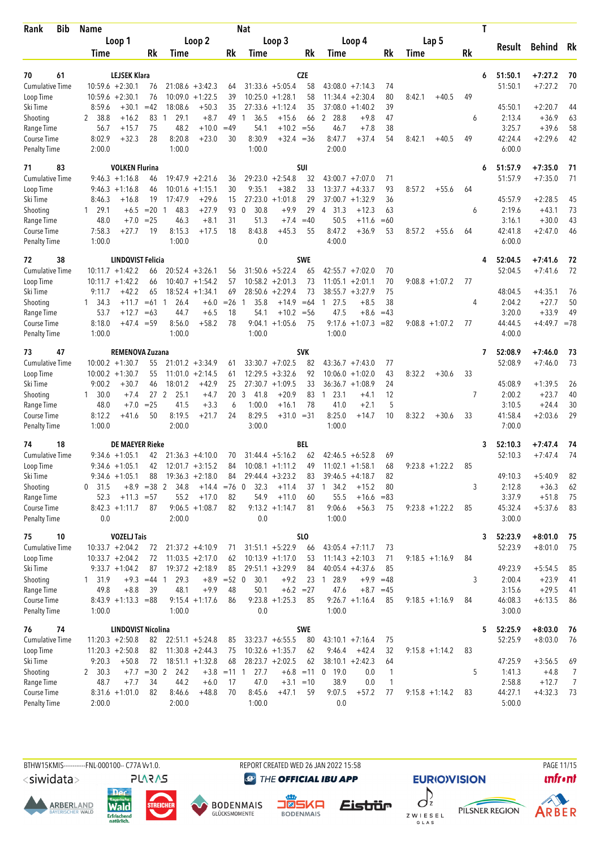| <b>Bib</b><br>Rank                 | <b>Name</b>                                  |                              |                         |                             |               | <b>Nat</b>          |                             |                  |                                       |              |                   | T  |                    |                        |                |
|------------------------------------|----------------------------------------------|------------------------------|-------------------------|-----------------------------|---------------|---------------------|-----------------------------|------------------|---------------------------------------|--------------|-------------------|----|--------------------|------------------------|----------------|
|                                    | Loop 1                                       |                              |                         | Loop 2                      |               |                     | Loop 3                      |                  | Loop 4                                |              | Lap 5             |    |                    |                        |                |
|                                    | Time                                         | Rk                           | Time                    |                             | Rk            | Time                |                             | Rk               | Time                                  | Rk           | Time              | Rk | Result             | Behind                 | Rk             |
|                                    |                                              |                              |                         |                             |               |                     |                             |                  |                                       |              |                   |    |                    |                        |                |
| 70<br>61                           | <b>LEJSEK Klara</b>                          |                              |                         |                             |               |                     |                             | <b>CZE</b>       |                                       |              |                   | 6  | 51:50.1            | $+7:27.2$              | 70             |
| <b>Cumulative Time</b>             | $10:59.6 + 2:30.1$                           | 76<br>76                     |                         | $21:08.6 + 3:42.3$          | 64            |                     | $31:33.6 + 5:05.4$          | 58               | $43:08.0 +7:14.3$<br>11:34.4          | 74           |                   | 49 | 51:50.1            | $+7:27.2$              | 70             |
| Loop Time<br>Ski Time              | $10:59.6 + 2:30.1$<br>8:59.6<br>$+30.1$      | $=42$                        | 10:09.0<br>18:08.6      | $+1:22.5$<br>$+50.3$        | 39<br>35      | 10:25.0<br>27:33.6  | $+1:28.1$<br>$+1:12.4$      | 58<br>35         | $+2:30.4$<br>37:08.0<br>$+1:40.2$     | 80<br>39     | 8:42.1<br>$+40.5$ |    | 45:50.1            | $+2:20.7$              | 44             |
| Shooting                           | 38.8<br>$+16.2$<br>2                         | 83                           | 29.1<br>-1              | $+8.7$                      | 49            | 36.5<br>1           | $+15.6$                     | 66               | 2 28.8<br>$+9.8$                      | 47           |                   | 6  | 2:13.4             | $+36.9$                | 63             |
| Range Time                         | 56.7<br>$+15.7$                              | 75                           | 48.2                    | $+10.0$                     | $=49$         | 54.1                | $+10.2 = 56$                |                  | $+7.8$<br>46.7                        | 38           |                   |    | 3:25.7             | $+39.6$                | 58             |
| Course Time                        | 8:02.9<br>$+32.3$                            | 28                           | 8:20.8                  | $+23.0$                     | 30            | 8:30.9              | $+32.4 = 36$                |                  | 8:47.7<br>$+37.4$                     | 54           | 8:42.1<br>$+40.5$ | 49 | 42:24.4            | $+2:29.6$              | 42             |
| <b>Penalty Time</b>                | 2:00.0                                       |                              | 1:00.0                  |                             |               | 1:00.0              |                             |                  | 2:00.0                                |              |                   |    | 6:00.0             |                        |                |
| 71<br>83                           |                                              | <b>VOLKEN Flurina</b>        |                         |                             |               |                     |                             | SUI              |                                       |              |                   | 6  | 51:57.9            | $+7:35.0$              | 71             |
| <b>Cumulative Time</b>             | $9:46.3 +1:16.8$                             | 46                           |                         | $19:47.9 + 2:21.6$          | 36            |                     | $29:23.0 + 2:54.8$          | 32               | $43:00.7 +7:07.0$                     | 71           |                   |    | 51:57.9            | $+7:35.0$              | 71             |
| Loop Time                          | $9:46.3 +1:16.8$                             | 46                           | 10:01.6                 | $+1:15.1$                   | 30            | 9:35.1              | $+38.2$                     | 33               | $+4:33.7$<br>13:37.7                  | 93           | 8:57.2<br>$+55.6$ | 64 |                    |                        |                |
| Ski Time                           | 8:46.3<br>$+16.8$                            | 19                           | 17:47.9                 | $+29.6$                     | 15            | 27:23.0             | $+1:01.8$                   | 29               | 37:00.7<br>$+1:32.9$                  | 36           |                   |    | 45:57.9            | $+2:28.5$              | 45             |
| Shooting                           | 29.1<br>$+6.5$<br>1                          | $=20$                        | 48.3<br>-1              | $+27.9$                     | 93            | 30.8<br>$\mathbf 0$ | $+9.9$                      | 29               | 31.3<br>$+12.3$<br>$\overline{4}$     | 63           |                   | 6  | 2:19.6             | $+43.1$                | 73             |
| Range Time                         | 48.0<br>$+7.0$                               | $= 25$                       | 46.3                    | $+8.1$                      | 31            | 51.3                | $+7.4$                      | $=40$            | 50.5<br>$+11.6$                       | $=60$        |                   |    | 3:16.1             | $+30.0$                | 43             |
| <b>Course Time</b>                 | $+27.7$<br>7:58.3                            | 19                           | 8:15.3                  | $+17.5$                     | 18            | 8:43.8              | $+45.3$                     | 55               | 8:47.2<br>$+36.9$                     | 53           | 8:57.2<br>$+55.6$ | 64 | 42:41.8            | $+2:47.0$              | 46             |
| <b>Penalty Time</b>                | 1:00.0                                       |                              | 1:00.0                  |                             |               | 0.0                 |                             |                  | 4:00.0                                |              |                   |    | 6:00.0             |                        |                |
| 38<br>72                           |                                              | LINDQVIST Felicia            |                         |                             |               |                     |                             | <b>SWE</b>       |                                       |              |                   | 4  | 52:04.5            | $+7:41.6$              | 72             |
| <b>Cumulative Time</b>             | $10:11.7 + 1:42.2$                           | 66                           |                         | $20:52.4 + 3:26.1$          | 56            |                     | $31:50.6 + 5:22.4$          | 65               | $42:55.7 + 7:02.0$                    | 70           |                   |    | 52:04.5            | $+7:41.6$              | 72             |
| Loop Time                          | $10:11.7 + 1:42.2$                           | 66                           |                         | $10:40.7 + 1:54.2$          | 57            |                     | $10:58.2 + 2:01.3$          | 73               | 11:05.1<br>$+2:01.1$                  | 70           | $9:08.8 + 1:07.2$ | 77 |                    |                        |                |
| Ski Time                           | 9:11.7<br>$+42.2$                            | 65                           |                         | $18:52.4 + 1:34.1$          | 69            |                     | $28:50.6 + 2:29.4$          | 73               | $38:55.7 + 3:27.9$                    | 75           |                   |    | 48:04.5            | $+4:35.1$              | 76             |
| Shooting<br>Range Time             | $1 \quad 34.3$<br>$+11.7$<br>53.7<br>$+12.7$ | $=61$ 1<br>$=63$             | 26.4<br>44.7            | $+6.0$<br>$+6.5$            | $=26$<br>18   | 35.8<br>-1<br>54.1  | $+14.9$<br>$+10.2 = 56$     | $=64$            | 27.5<br>$+8.5$<br>1<br>47.5<br>$+8.6$ | 38<br>$=43$  |                   | 4  | 2:04.2<br>3:20.0   | $+27.7$<br>$+33.9$     | 50<br>49       |
| Course Time                        | 8:18.0<br>$+47.4$                            | $= 59$                       | 8:56.0                  | $+58.2$                     | 78            | 9:04.1              | $+1:05.6$                   | 75               | 9:17.6<br>$+1:07.3$                   | $= 82$       | $9:08.8 + 1:07.2$ | 77 | 44:44.5            | $+4:49.7 = 78$         |                |
| <b>Penalty Time</b>                | 1:00.0                                       |                              | 1:00.0                  |                             |               | 1:00.0              |                             |                  | 1:00.0                                |              |                   |    | 4:00.0             |                        |                |
|                                    |                                              |                              |                         |                             |               |                     |                             |                  |                                       |              |                   |    |                    |                        |                |
| 47<br>73<br><b>Cumulative Time</b> | $10:00.2 + 1:30.7$                           | <b>REMENOVA Zuzana</b><br>55 |                         | $21:01.2 +3:34.9$           | 61            |                     | $33:30.7 +7:02.5$           | <b>SVK</b><br>82 | $43:36.7 +7:43.0$                     | 77           |                   | 7  | 52:08.9<br>52:08.9 | $+7:46.0$<br>$+7:46.0$ | 73<br>73       |
| Loop Time                          | $10:00.2 + 1:30.7$                           | 55                           |                         | $11:01.0 + 2:14.5$          | 61            |                     | $12:29.5 + 3:32.6$          | 92               | 10:06.0<br>$+1:02.0$                  | 43           | 8:32.2<br>$+30.6$ | 33 |                    |                        |                |
| Ski Time                           | 9:00.2<br>$+30.7$                            | 46                           | 18:01.2                 | $+42.9$                     | 25            |                     | $27:30.7 + 1:09.5$          | 33               | $36:36.7 + 1:08.9$                    | 24           |                   |    | 45:08.9            | $+1:39.5$              | 26             |
| Shooting                           | 30.0<br>$+7.4$<br>1                          |                              | 27 <sub>2</sub><br>25.1 | $+4.7$                      | 20            | 3<br>41.8           | $+20.9$                     | 83               | $1 \t23.1$<br>$+4.1$                  | 12           |                   | 7  | 2:00.2             | $+23.7$                | 40             |
| Range Time                         | 48.0<br>$+7.0$                               | $= 25$                       | 41.5                    | $+3.3$                      | 6             | 1:00.0              | $+16.1$                     | 78               | 41.0<br>$+2.1$                        | 5            |                   |    | 3:10.5             | $+24.4$                | 30             |
| Course Time                        | 8:12.2<br>$+41.6$                            | 50                           | 8:19.5                  | $+21.7$                     | 24            | 8:29.5              | $+31.0 = 31$                |                  | 8:25.0<br>$+14.7$                     | 10           | 8:32.2<br>$+30.6$ | 33 | 41:58.4            | $+2:03.6$              | 29             |
| <b>Penalty Time</b>                | 1:00.0                                       |                              | 2:00.0                  |                             |               | 3:00.0              |                             |                  | 1:00.0                                |              |                   |    | 7:00.0             |                        |                |
| 74<br>18                           |                                              | <b>DE MAEYER Rieke</b>       |                         |                             |               |                     |                             | BEL              |                                       |              |                   | 3  | 52:10.3            | $+7:47.4$              | 74             |
| <b>Cumulative Time</b>             | $9:34.6 +1:05.1$                             | 42                           |                         | $21:36.3 +4:10.0$           | 70            |                     | $31:44.4 + 5:16.2$          | 62               | $42:46.5 + 6:52.8$                    | 69           |                   |    | 52:10.3            | $+7:47.4$              | 74             |
| Loop Time                          | $9:34.6 +1:05.1$                             | 42                           |                         | $12:01.7 + 3:15.2$          | 84            |                     | $10:08.1 + 1:11.2$          | 49               | $11:02.1 + 1:58.1$                    | 68           | $9:23.8 +1:22.2$  | 85 |                    |                        |                |
| Ski Time                           | $9:34.6 + 1:05.1$                            | 88                           |                         | $19:36.3 +2:18.0$           | 84            |                     | $29:44.4 + 3:23.2$          | 83               | $39:46.5 + 4:18.7$                    | 82           |                   |    | 49:10.3            | $+5:40.9$              | 82             |
| Shooting                           | 31.5<br>0                                    | $+8.9 = 38$ 2                | 34.8                    | $+14.4 = 76$ 0              |               | 32.3                | $+11.4$                     | 37               | 34.2<br>$+15.2$<br>$\mathbf{1}$       | 80           |                   | 3  | 2:12.8             | $+36.3$                | 62             |
| Range Time<br>Course Time          | 52.3                                         | $+11.3 = 57$                 | 55.2                    | $+17.0$<br>$9:06.5 +1:08.7$ | 82<br>82      | 54.9                | $+11.0$<br>$9:13.2 +1:14.7$ | 60<br>81         | 55.5<br>$+16.6$<br>9:06.6             | $= 83$       |                   |    | 3:37.9<br>45:32.4  | $+51.8$<br>$+5:37.6$   | 75<br>83       |
| Penalty Time                       | $8:42.3 +1:11.7$<br>0.0                      | 87                           | 2:00.0                  |                             |               | 0.0                 |                             |                  | $+56.3$<br>1:00.0                     | 75           | $9:23.8 + 1:22.2$ | 85 | 3:00.0             |                        |                |
|                                    |                                              |                              |                         |                             |               |                     |                             | <b>SLO</b>       |                                       |              |                   |    |                    |                        |                |
| 75<br>10<br><b>Cumulative Time</b> | <b>VOZELJ Tais</b><br>$10:33.7 + 2:04.2$     | 72                           |                         | $21:37.2 +4:10.9$           | 71            |                     | $31:51.1 + 5:22.9$          | 66               | $43:05.4 +7:11.7$                     | 73           |                   | 3  | 52:23.9<br>52:23.9 | $+8:01.0$<br>$+8:01.0$ | -75<br>75      |
| Loop Time                          | $10:33.7 + 2:04.2$                           | 72                           |                         | $11:03.5 +2:17.0$           | 62            |                     | $10:13.9 + 1:17.0$          | 53               | $11:14.3 + 2:10.3$                    | 71           | $9:18.5 +1:16.9$  | 84 |                    |                        |                |
| Ski Time                           | $9:33.7 +1:04.2$                             | 87                           |                         | $19:37.2 +2:18.9$           | 85            |                     | $29:51.1 + 3:29.9$          | 84               | $40:05.4 +4:37.6$                     | 85           |                   |    | 49:23.9            | $+5:54.5$              | 85             |
| Shooting                           | 1, 31.9                                      | $+9.3 = 44$ 1                | 29.3                    | $+8.9$                      | $=52$ 0       | 30.1                | $+9.2$                      | 23               | 28.9<br>$\overline{1}$                | $+9.9 = 48$  |                   | 3  | 2:00.4             | $+23.9$                | 41             |
| Range Time                         | 49.8<br>$+8.8$                               | 39                           | 48.1                    | $+9.9$                      | 48            | 50.1                | $+6.2 = 27$                 |                  | 47.6<br>$+8.7$                        | $=45$        |                   |    | 3:15.6             | $+29.5$                | 41             |
| Course Time                        | $8:43.9 +1:13.3 = 88$                        |                              |                         | $9:15.4 +1:17.6$            | 86            |                     | $9:23.8 +1:25.3$            | 85               | $9:26.7 +1:16.4$                      | 85           | $9:18.5 +1:16.9$  | 84 | 46:08.3            | $+6:13.5$              | 86             |
| <b>Penalty Time</b>                | 1:00.0                                       |                              | 1:00.0                  |                             |               | 0.0                 |                             |                  | 1:00.0                                |              |                   |    | 3:00.0             |                        |                |
| 74<br>76                           |                                              | LINDQVIST Nicolina           |                         |                             |               |                     |                             | <b>SWE</b>       |                                       |              |                   | 5  | 52:25.9            | $+8:03.0$              | 76             |
| <b>Cumulative Time</b>             | $11:20.3 + 2:50.8$                           | 82                           |                         | $22:51.1 + 5:24.8$          | 85            |                     | $33:23.7 + 6:55.5$          | 80               | $43:10.1 + 7:16.4$                    | 75           |                   |    | 52:25.9            | $+8:03.0$              | 76             |
| Loop Time                          | $11:20.3 + 2:50.8$                           | 82                           |                         | $11:30.8 + 2:44.3$          | 75            |                     | $10:32.6 + 1:35.7$          | 62               | 9:46.4<br>$+42.4$                     | 32           | $9:15.8 + 1:14.2$ | 83 |                    |                        |                |
| Ski Time                           | 9:20.3<br>$+50.8$                            | 72                           |                         | $18:51.1 + 1:32.8$          | 68            |                     | $28:23.7 + 2:02.5$          | 62               | $38:10.1 + 2:42.3$                    | 64           |                   |    | 47:25.9            | $+3:56.5$              | 69             |
| Shooting                           | 2, 30.3                                      | $+7.7 = 30$ 2                | 24.2                    |                             | $+3.8$ = 11 1 | 27.7                |                             | $+6.8 = 11$      | $0$ 19.0<br>0.0                       | 1            |                   | 5  | 1:41.3             | $+4.8$                 | 7              |
| Range Time                         | 48.7<br>$+7.7$                               | 34                           | 44.2                    | $+6.0$                      | 17            | 47.0                | $+3.1 = 10$                 |                  | 38.9<br>0.0                           | $\mathbf{1}$ |                   |    | 2:58.8             | $+12.7$                | $\overline{7}$ |
| Course Time                        | $8:31.6 +1:01.0$                             | 82                           | 8:46.6                  | $+48.8$                     | 70            | 8:45.6              | $+47.1$                     | 59               | 9:07.5<br>$+57.2$                     | 77           | $9:15.8 + 1:14.2$ | 83 | 44:27.1            | $+4:32.3$              | -73            |
| <b>Penalty Time</b>                | 2:00.0                                       |                              | 2:00.0                  |                             |               | 1:00.0              |                             |                  | 0.0                                   |              |                   |    | 5:00.0             |                        |                |

<siwidata>

**ARBERLAND** 







REPORT CREATED WED 26 JAN 2022 15:58

**@** THE OFFICIAL IBU APP

Eistrür





PAGE 11/15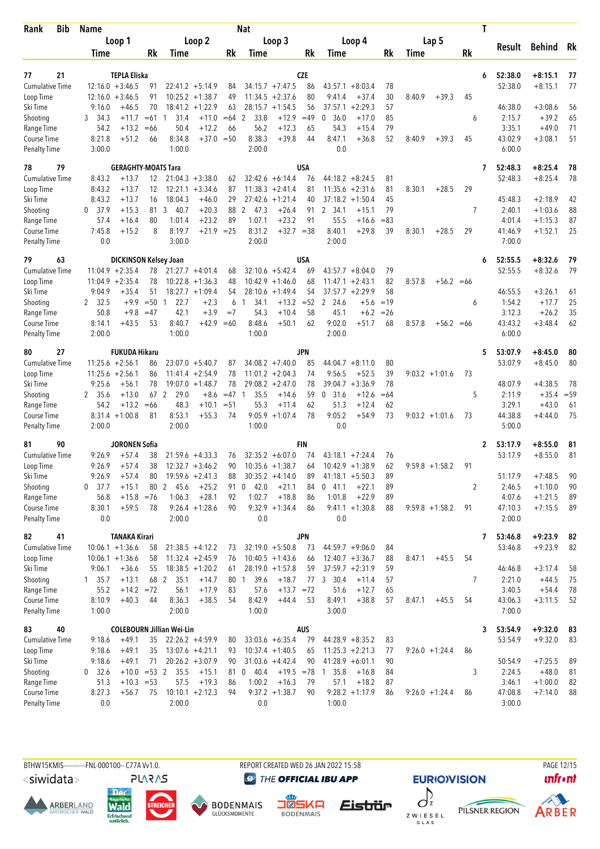| Bib<br>Rank                        | Name           |                               |             |                                  |                                          |              | Nat                    |                                        |            |                    |                      |          |        |                   |           | Τ            |                    |                        |          |
|------------------------------------|----------------|-------------------------------|-------------|----------------------------------|------------------------------------------|--------------|------------------------|----------------------------------------|------------|--------------------|----------------------|----------|--------|-------------------|-----------|--------------|--------------------|------------------------|----------|
|                                    |                | Loop 1                        |             |                                  | Loop 2                                   |              |                        | Loop 3                                 |            |                    | Loop 4               |          |        | Lap <sub>5</sub>  |           |              |                    |                        |          |
|                                    | Time           |                               | <b>Rk</b>   | Time                             |                                          | Rk           | Time                   |                                        | Rk         | Time               |                      | Rk       | Time   |                   | <b>Rk</b> |              | Result             | Behind                 | Rk       |
|                                    |                |                               |             |                                  |                                          |              |                        |                                        |            |                    |                      |          |        |                   |           |              |                    |                        |          |
| 21<br>77                           |                | <b>TEPLA Eliska</b>           |             |                                  |                                          |              |                        |                                        | <b>CZE</b> |                    |                      |          |        |                   |           | 6            | 52:38.0            | $+8:15.1$              | 77       |
| <b>Cumulative Time</b>             |                | $12:16.0 + 3:46.5$            | 91<br>91    |                                  | $22:41.2 +5:14.9$                        | 84           |                        | $34:15.7 +7:47.5$<br>$11:34.5 +2:37.6$ | 86<br>80   | 43:57.1<br>9:41.4  | $+8:03.4$<br>$+37.4$ | 78<br>30 |        |                   |           |              | 52:38.0            | $+8:15.1$              | 77       |
| Loop Time<br>Ski Time              | 9:16.0         | $12:16.0 + 3:46.5$<br>$+46.5$ | 70          |                                  | $10:25.2 + 1:38.7$<br>$18:41.2 + 1:22.9$ | 49<br>63     |                        | $28:15.7 + 1:54.5$                     | 56         | 37:57.1            | $+2:29.3$            | 57       | 8:40.9 | $+39.3$           | 45        |              | 46:38.0            | $+3:08.6$              | 56       |
| Shooting                           | 3 34.3         | $+11.7$                       | $=61$       | 31.4<br>$\overline{\phantom{0}}$ | $+11.0$                                  | $=64$        | 2<br>33.8              | $+12.9$                                | $=49$      | 36.0<br>0          | $+17.0$              | 85       |        |                   | 6         |              | 2:15.7             | $+39.2$                | 65       |
| Range Time                         | 54.2           | $+13.2$                       | $=66$       | 50.4                             | $+12.2$                                  | 66           | 56.2                   | $+12.3$                                | 65         | 54.3               | $+15.4$              | 79       |        |                   |           |              | 3:35.1             | $+49.0$                | 71       |
| Course Time                        | 8:21.8         | $+51.2$                       | 66          | 8:34.8                           | $+37.0$                                  | $=50$        | 8:38.3                 | $+39.8$                                | 44         | 8:47.1             | $+36.8$              | 52       | 8:40.9 | $+39.3$           | 45        |              | 43:02.9            | $+3:08.1$              | 51       |
| <b>Penalty Time</b>                | 3:00.0         |                               |             | 1:00.0                           |                                          |              | 2:00.0                 |                                        |            | 0.0                |                      |          |        |                   |           |              | 6:00.0             |                        |          |
| 79<br>78                           |                | <b>GERAGHTY-MOATS Tara</b>    |             |                                  |                                          |              |                        |                                        | <b>USA</b> |                    |                      |          |        |                   |           | 7            | 52:48.3            | $+8:25.4$              | 78       |
| <b>Cumulative Time</b>             | 8:43.2         | $+13.7$                       | 12          |                                  | $21:04.3 + 3:38.0$                       | 62           |                        | $32:42.6 + 6:14.4$                     | 76         | $44:18.2 + 8:24.5$ |                      | 81       |        |                   |           |              | 52:48.3            | $+8:25.4$              | 78       |
| Loop Time                          | 8:43.2         | $+13.7$                       | 12          |                                  | $12:21.1 + 3:34.6$                       | 87           |                        | $11:38.3 +2:41.4$                      | 81         | 11:35.6            | $+2:31.6$            | 81       | 8:30.1 | $+28.5$           | 29        |              |                    |                        |          |
| Ski Time                           | 8:43.2         | $+13.7$                       | 16          | 18:04.3                          | $+46.0$                                  | 29           |                        | $27:42.6 + 1:21.4$                     | 40         | 37:18.2            | $+1:50.4$            | 45       |        |                   |           |              | 45:48.3            | $+2:18.9$              | 42       |
| Shooting                           | - 37.9<br>0    | $+15.3$                       | 81          | 3<br>40.7                        | $+20.3$                                  | 88           | $\overline{2}$<br>47.3 | $+26.4$                                | 91         | 2 34.1             | $+15.1$              | 79       |        |                   | 7         |              | 2:40.1             | $+1:03.6$              | 88       |
| Range Time                         | 57.4           | $+16.4$                       | 80          | 1:01.4                           | $+23.2$                                  | 89           | 1:07.1                 | $+23.2$                                | 91         | 55.5               | $+16.6$              | $=83$    |        |                   |           |              | 4:01.4             | $+1:15.3$              | 87       |
| Course Time                        | 7:45.8         | $+15.2$                       | 8           | 8:19.7                           | $+21.9$ = 25                             |              | 8:31.2                 | $+32.7 = 38$                           |            | 8:40.1             | $+29.8$              | 39       | 8:30.1 | $+28.5$           | 29        |              | 41:46.9            | $+1:52.1$              | 25       |
| <b>Penalty Time</b>                | 0.0            |                               |             | 3:00.0                           |                                          |              | 2:00.0                 |                                        |            | 2:00.0             |                      |          |        |                   |           |              | 7:00.0             |                        |          |
| 79<br>63                           |                | <b>DICKINSON Kelsey Joan</b>  |             |                                  |                                          |              |                        |                                        | USA        |                    |                      |          |        |                   |           | 6            | 52:55.5            | $+8:32.6$              | 79       |
| <b>Cumulative Time</b>             |                | $11:04.9 + 2:35.4$            | 78          |                                  | $21:27.7 + 4:01.4$                       | 68           |                        | $32:10.6 + 5:42.4$                     | 69         | $43:57.7 + 8:04.0$ |                      | 79       |        |                   |           |              | 52:55.5            | $+8:32.6$              | 79       |
| Loop Time                          |                | $11:04.9 + 2:35.4$            | 78          | 10:22.8                          | $+1:36.3$                                | 48           |                        | $10:42.9 + 1:46.0$                     | 68         | 11:47.1            | $+2:43.1$            | 82       | 8:57.8 | $+56.2 = 66$      |           |              |                    |                        |          |
| Ski Time                           | 9:04.9         | $+35.4$                       | 51          |                                  | $18:27.7 + 1:09.4$                       | 54           |                        | $28:10.6 + 1:49.4$                     | 54         | $37:57.7 + 2:29.9$ |                      | 58       |        |                   |           |              | 46:55.5            | $+3:26.1$              | 61       |
| Shooting                           | 2, 32.5        | $+9.9$                        | $=50$       | 22.7<br>-1                       | $+2.3$                                   | 6            | 34.1<br>1              | $+13.2$                                | $=52$      | 2<br>24.6          | $+5.6$               | $=19$    |        |                   | 6         |              | 1:54.2             | $+17.7$                | 25       |
| Range Time                         | 50.8           | $+9.8$                        | $=47$       | 42.1                             | $+3.9$                                   | $=7$         | 54.3                   | $+10.4$                                | 58         | 45.1               | $+6.2$               | $= 26$   |        |                   |           |              | 3:12.3             | $+26.2$                | 35       |
| Course Time                        | 8:14.1         | $+43.5$                       | 53          | 8:40.7                           | +42.9                                    | $=60$        | 8:48.6                 | $+50.1$                                | 62         | 9:02.0             | $+51.7$              | 68       | 8:57.8 | $+56.2 = 66$      |           |              | 43:43.2            | $+3:48.4$              | 62       |
| <b>Penalty Time</b>                | 2:00.0         |                               |             | 1:00.0                           |                                          |              | 1:00.0                 |                                        |            | 2:00.0             |                      |          |        |                   |           |              | 6:00.0             |                        |          |
| 27<br>80                           |                | <b>FUKUDA Hikaru</b>          |             |                                  |                                          |              |                        |                                        | <b>JPN</b> |                    |                      |          |        |                   |           | 5            | 53:07.9            | $+8:45.0$              | 80       |
| Cumulative Time                    |                | $11:25.6 + 2:56.1$            | 86          |                                  | $23:07.0 + 5:40.7$                       | 87           |                        | $34:08.2 +7:40.0$                      | 85         | 44:04.7            | $+8:11.0$            | 80       |        |                   |           |              | 53:07.9            | $+8:45.0$              | 80       |
| Loop Time                          |                | $11:25.6 + 2:56.1$            | 86          |                                  | $11:41.4 + 2:54.9$                       | 78           |                        | $11:01.2 +2:04.3$                      | 74         | 9:56.5             | $+52.5$              | 39       |        | $9:03.2 +1:01.6$  | 73        |              |                    |                        |          |
| Ski Time                           | 9:25.6         | $+56.1$                       | 78          |                                  | $19:07.0 + 1:48.7$                       | 78           |                        | $29:08.2 + 2:47.0$                     | 78         | 39:04.7            | $+3:36.9$            | 78       |        |                   |           |              | 48:07.9            | $+4:38.5$              | 78       |
| Shooting                           | 2 35.6         | $+13.0$                       | 67          | 2<br>29.0                        | $+8.6$                                   | $=47$        | 35.5<br>$\mathbf{1}$   | $+14.6$                                | 59         | 0, 31.6            | $+12.6$              | $=64$    |        |                   | 5         |              | 2:11.9             | $+35.4$                | $= 59$   |
| Range Time                         | 54.2           | $+13.2$<br>$8:31.4 +1:00.8$   | $=66$<br>81 | 48.3<br>8:53.1                   | $+10.1$<br>$+55.3$                       | $= 51$<br>74 | 55.3<br>9:05.9         | $+11.4$<br>$+1:07.4$                   | 62<br>78   | 51.3<br>9:05.2     | $+12.4$<br>+54.9     | 62<br>73 |        | $9:03.2 +1:01.6$  | 73        |              | 3:29.1<br>44:38.8  | $+43.0$<br>$+4:44.0$   | 61<br>75 |
| Course Time<br><b>Penalty Time</b> | 2:00.0         |                               |             | 2:00.0                           |                                          |              | 1:00.0                 |                                        |            | 0.0                |                      |          |        |                   |           |              | 5:00.0             |                        |          |
| 90<br>81                           |                | <b>JORONEN Sofia</b>          |             |                                  |                                          |              |                        |                                        | <b>FIN</b> |                    |                      |          |        |                   |           |              |                    |                        |          |
| <b>Cumulative Time</b>             | 9:26.9         | $+57.4$                       | 38          |                                  | $21:59.6 + 4:33.3$                       | 76           |                        | $32:35.2 + 6:07.0$                     | 74         | $43:18.1 + 7:24.4$ |                      | 76       |        |                   |           | $\mathbf{2}$ | 53:17.9<br>53:17.9 | $+8:55.0$<br>$+8:55.0$ | 81<br>81 |
| Loop Time                          | 9:26.9         | $+57.4$                       | 38          |                                  | $12:32.7 + 3:46.2$                       | 90           |                        | $10:35.6 + 1:38.7$                     | 64         | $10:42.9 + 1:38.9$ |                      | 62       |        | $9:59.8 + 1:58.2$ | 91        |              |                    |                        |          |
| Ski Time                           | 9:26.9         | $+57.4$                       | 80          |                                  | $19:59.6 + 2:41.3$                       | 88           |                        | $30:35.2 +4:14.0$                      | 89         | $41:18.1 + 5:50.3$ |                      | 89       |        |                   |           |              | 51:17.9            | $+7:48.5$              | 90       |
| Shooting                           | 0, 37.7        | $+15.1$                       |             | 80 2 45.6                        | $+25.2$                                  | 91           | 42.0<br>$\mathbf{0}$   | $+21.1$                                | 84         | $0$ 41.1           | $+22.1$              | 89       |        |                   | 2         |              | 2:46.5             | $+1:10.0$              | 90       |
| Range Time                         | 56.8           | $+15.8$                       | $= 76$      | 1:06.3                           | $+28.1$                                  | 92           | 1:02.7                 | $+18.8$                                | 86         | 1:01.8             | $+22.9$              | 89       |        |                   |           |              | 4:07.6             | $+1:21.5$              | 89       |
| Course Time                        | 8:30.1         | $+59.5$                       | 78          |                                  | $9:26.4 +1:28.6$                         | 90           |                        | $9:32.9 +1:34.4$                       | 86         | $9:41.1 + 1:30.8$  |                      | 88       |        | $9:59.8 + 1:58.2$ | 91        |              | 47:10.3            | $+7:15.5$              | 89       |
| <b>Penalty Time</b>                | 0.0            |                               |             | 2:00.0                           |                                          |              | 0.0                    |                                        |            | 0.0                |                      |          |        |                   |           |              | 2:00.0             |                        |          |
| 82<br>41                           |                | <b>TANAKA Kirari</b>          |             |                                  |                                          |              |                        |                                        | <b>JPN</b> |                    |                      |          |        |                   |           | 7            | 53:46.8            | $+9:23.9$              | 82       |
| <b>Cumulative Time</b>             |                | $10:06.1 + 1:36.6$            | 58          |                                  | $21:38.5 +4:12.2$                        | 73           |                        | $32:19.0 + 5:50.8$                     | 73         | $44:59.7 +9:06.0$  |                      | 84       |        |                   |           |              | 53:46.8            | $+9:23.9$              | 82       |
| Loop Time                          |                | $10:06.1 + 1:36.6$            | 58          |                                  | $11:32.4 +2:45.9$                        | 76           |                        | $10:40.5 + 1:43.6$                     | 66         | $12:40.7 + 3:36.7$ |                      | 88       | 8:47.1 | $+45.5$           | 54        |              |                    |                        |          |
| Ski Time                           | 9:06.1         | $+36.6$                       | 55          |                                  | $18:38.5 + 1:20.2$                       | 61           |                        | $28:19.0 + 1:57.8$                     | 59         | $37:59.7 +2:31.9$  |                      | 59       |        |                   |           |              | 46:46.8            | $+3:17.4$              | 58       |
| Shooting                           | $1 \quad 35.7$ | $+13.1$                       | 68 2        | 35.1                             | $+14.7$                                  |              | 39.6<br>80 1           | $+18.7$                                |            | 77 3 30.4          | $+11.4$              | 57       |        |                   | 7         |              | 2:21.0             | $+44.5$                | 75       |
| Range Time                         | 55.2           | $+14.2 = 72$                  |             | 56.1                             | $+17.9$                                  | 83           | 57.6                   | $+13.7 = 72$                           |            | 51.6               | $+12.7$              | 65       |        |                   |           |              | 3:40.5             | $+54.4$                | 78       |
| Course Time                        | 8:10.9         | $+40.3$                       | 44          | 8:36.3                           | $+38.5$                                  | 54           | 8:42.9                 | $+44.4$                                | 53         | 8:49.1             | $+38.8$              | 57       | 8:47.1 | $+45.5$           | 54        |              | 43:06.3            | $+3:11.5$              | 52       |
| <b>Penalty Time</b>                | 1:00.0         |                               |             | 2:00.0                           |                                          |              | 1:00.0                 |                                        |            | 3:00.0             |                      |          |        |                   |           |              | 7:00.0             |                        |          |
| 40<br>83                           |                |                               |             | <b>COLEBOURN Jillian Wei-Lin</b> |                                          |              |                        |                                        | AUS        |                    |                      |          |        |                   |           | 3            | 53:54.9            | $+9:32.0$              | 83       |
| Cumulative Time                    | 9:18.6         | $+49.1$                       | 35          |                                  | $22:26.2 + 4:59.9$                       | 80           |                        | $33:03.6 + 6:35.4$                     | 79         | $44:28.9 + 8:35.2$ |                      | 83       |        |                   |           |              | 53:54.9            | $+9:32.0$              | 83       |
| Loop Time                          | 9:18.6         | $+49.1$                       | 35          |                                  | $13:07.6 +4:21.1$                        | 93           |                        | $10:37.4 +1:40.5$                      | 65         | $11:25.3 + 2:21.3$ |                      | 77       |        | $9:26.0 + 1:24.4$ | 86        |              |                    |                        |          |
| Ski Time                           | 9:18.6         | $+49.1$                       | 71          |                                  | $20:26.2 + 3:07.9$                       | 90           |                        | $31:03.6 +4:42.4$                      | 90         | $41:28.9 + 6:01.1$ |                      | 90       |        |                   |           |              | 50:54.9            | $+7:25.5$              | 89       |
| Shooting                           | $0$ 32.6       | $+10.0 = 53$ 2                |             | 35.5                             | $+15.1$                                  | 81           | 40.4<br>$\mathbf{0}$   | $+19.5 = 78$ 1                         |            | 35.8               | $+16.8$              | 84       |        |                   | 3         |              | 2:24.5             | $+48.0$                | 81       |
| Range Time                         | 51.3           | $+10.3 = 53$                  |             | 57.5                             | $+19.3$                                  | 86           | 1:00.2                 | $+16.3$                                | 79         | 57.1               | $+18.2$              | 87       |        |                   |           |              | 3:46.1             | $+1:00.0$              | 82       |
| Course Time                        | 8:27.3         | $+56.7$                       | 75          |                                  | $10:10.1 + 2:12.3$                       | 94           |                        | $9:37.2 +1:38.7$                       | 90         | $9:28.2 +1:17.9$   |                      | 86       |        | $9:26.0 + 1:24.4$ | 86        |              | 47:08.8            | $+7:14.0$              | 88       |
| <b>Penalty Time</b>                | 0.0            |                               |             | 2:00.0                           |                                          |              | 0.0                    |                                        |            | 1:00.0             |                      |          |        |                   |           |              | 3:00.0             |                        |          |

<siwidata>

**ARBERLAND** 







REPORT CREATED WED 26 JAN 2022 15:58

**@** THE OFFICIAL IBU APP

Eistrür





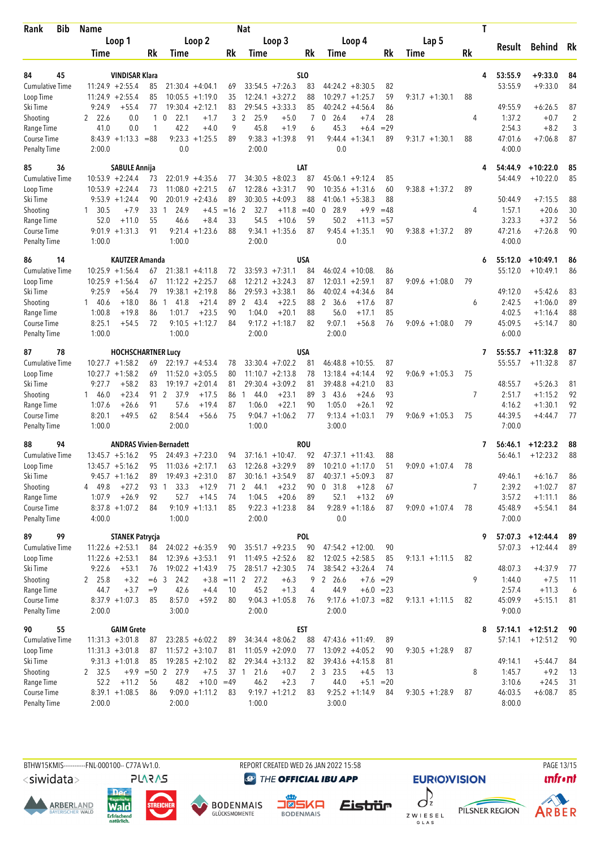| Bib<br>Rank               | <b>Name</b>                  |                                   |                                  |          | Nat                                                |              |                                       | T           |                   |           |                  |                        |          |
|---------------------------|------------------------------|-----------------------------------|----------------------------------|----------|----------------------------------------------------|--------------|---------------------------------------|-------------|-------------------|-----------|------------------|------------------------|----------|
|                           | Loop 1                       |                                   | Loop 2                           |          | Loop 3                                             |              | Loop 4                                |             | Lap <sub>5</sub>  |           |                  |                        |          |
|                           | Time                         | <b>Rk</b>                         | Time                             | Rk       | Time                                               | Rk           | Time                                  | <b>Rk</b>   | Time              | <b>Rk</b> | Result           | <b>Behind</b>          | Rk       |
|                           |                              |                                   |                                  |          |                                                    |              |                                       |             |                   |           |                  |                        |          |
| 84<br>45                  | <b>VINDISAR Klara</b>        |                                   |                                  |          |                                                    | SLO          |                                       |             |                   | 4         | 53:55.9          | $+9:33.0$              | 84       |
| <b>Cumulative Time</b>    | $11:24.9 + 2:55.4$           | 85                                | $21:30.4 +4:04.1$                | 69       | $33:54.5 +7:26.3$                                  | 83           | $44:24.2 + 8:30.5$                    | 82          |                   |           | 53:55.9          | $+9:33.0$              | 84       |
| Loop Time                 | $11:24.9 + 2:55.4$           | 85                                | $10:05.5 + 1:19.0$               | 35       | $12:24.1 + 3:27.2$                                 | 88           | $10:29.7 + 1:25.7$                    | 59          | $9:31.7 +1:30.1$  | 88        |                  |                        |          |
| Ski Time                  | 9:24.9<br>$+55.4$            | 77                                | $19:30.4 +2:12.1$                | 83       | $29:54.5 + 3:33.3$                                 | 85           | 40:24.2<br>$+4:56.4$                  | 86          |                   |           | 49:55.9          | $+6:26.5$              | 87       |
| Shooting                  | 2, 22.6<br>0.0<br>0.0        | $\mathbf{0}$<br>1<br>$\mathbf{1}$ | 22.1<br>$+1.7$<br>42.2<br>$+4.0$ | 3<br>9   | $\overline{2}$<br>25.9<br>$+5.0$<br>45.8<br>$+1.9$ | 7            | 0, 26.4<br>$+7.4$<br>45.3             | 28<br>$=29$ |                   | 4         | 1:37.2<br>2:54.3 | $+0.7$<br>$+8.2$       | 2<br>3   |
| Range Time<br>Course Time | 41.0<br>$8:43.9 +1:13.3$     | $= 88$                            | $9:23.3 +1:25.5$                 | 89       | $9:38.3 +1:39.8$                                   | 6<br>91      | $+6.4$<br>$9:44.4 + 1:34.1$           | 89          | $9:31.7 +1:30.1$  | 88        | 47:01.6          | $+7:06.8$              | 87       |
| <b>Penalty Time</b>       | 2:00.0                       |                                   | 0.0                              |          | 2:00.0                                             |              | 0.0                                   |             |                   |           | 4:00.0           |                        |          |
| 85<br>36                  | <b>SABULE Annija</b>         |                                   |                                  |          |                                                    | LAT          |                                       |             |                   |           | 54:44.9          | $+10:22.0$             | 85       |
| <b>Cumulative Time</b>    | $10:53.9 + 2:24.4$           | 73                                | $22:01.9 +4:35.6$                | 77       | $34:30.5 + 8:02.3$                                 | 87           | $45:06.1 + 9:12.4$                    | 85          |                   |           | 54:44.9          | $+10:22.0$             | 85       |
| Loop Time                 | $10:53.9 + 2:24.4$           | 73                                | 11:08.0<br>$+2:21.5$             | 67       | $12:28.6 + 3:31.7$                                 | 90           | 10:35.6<br>$+1:31.6$                  | 60          | $9:38.8 + 1:37.2$ | 89        |                  |                        |          |
| Ski Time                  | $9:53.9 + 1:24.4$            | 90                                | $20:01.9 + 2:43.6$               | 89       | $30:30.5 + 4:09.3$                                 | 88           | $41:06.1 + 5:38.3$                    | 88          |                   |           | 50:44.9          | $+7:15.5$              | 88       |
| Shooting                  | 1, 30.5<br>$+7.9$            | 33<br>1                           | 24.9<br>$+4.5$                   | $=16$    | 2<br>32.7<br>$+11.8$                               | $=40$        | 28.9<br>0<br>$+9.9$                   | $=48$       |                   | 4         | 1:57.1           | $+20.6$                | 30       |
| Range Time                | 52.0<br>$+11.0$              | 55                                | 46.6<br>$+8.4$                   | 33       | 54.5<br>$+10.6$                                    | 59           | 50.2<br>$+11.3$                       | $= 57$      |                   |           | 3:23.3           | $+37.2$                | 56       |
| Course Time               | $9:01.9 +1:31.3$             | 91                                | $9:21.4 +1:23.6$                 | 88       | 9:34.1<br>$+1:35.6$                                | 87           | $9:45.4 + 1:35.1$                     | 90          | $9:38.8 + 1:37.2$ | 89        | 47:21.6          | $+7:26.8$              | 90       |
| <b>Penalty Time</b>       | 1:00.0                       |                                   | 1:00.0                           |          | 2:00.0                                             |              | 0.0                                   |             |                   |           | 4:00.0           |                        |          |
| 86<br>14                  |                              | <b>KAUTZER Amanda</b>             |                                  |          |                                                    | <b>USA</b>   |                                       |             |                   | 6         | 55:12.0          | $+10:49.1$             | 86       |
| <b>Cumulative Time</b>    | $10:25.9 + 1:56.4$           | 67                                | $21:38.1 + 4:11.8$               | 72       | $33:59.3 +7:31.1$                                  | 84           | $46:02.4 + 10:08$                     | 86          |                   |           | 55:12.0          | $+10:49.1$             | 86       |
| Loop Time                 | $10:25.9 + 1:56.4$           | 67                                | $11:12.2 + 2:25.7$               | 68       | $12:21.2 + 3:24.3$                                 | 87           | $12:03.1 + 2:59.1$                    | 87          | $9:09.6 +1:08.0$  | 79        |                  |                        |          |
| Ski Time                  | 9:25.9<br>$+56.4$            | 79                                | $19:38.1 + 2:19.8$               | 86       | $29:59.3 + 3:38.1$                                 | 86           | $40:02.4 +4:34.6$                     | 84          |                   |           | 49:12.0          | $+5:42.6$              | 83       |
| Shooting                  | 140.6<br>$+18.0$             | 86<br>1                           | 41.8<br>$+21.4$                  | 89       | $\mathbf{2}$<br>43.4<br>$+22.5$                    | 88           | 2 36.6<br>$+17.6$                     | 87          |                   | 6         | 2:42.5           | $+1:06.0$              | 89       |
| Range Time                | 1:00.8<br>$+19.8$            | 86                                | $+23.5$<br>1:01.7                | 90       | $+20.1$<br>1:04.0                                  | 88           | 56.0<br>$+17.1$                       | 85          |                   |           | 4:02.5           | $+1:16.4$              | 88       |
| Course Time               | 8:25.1<br>$+54.5$            | 72                                | $9:10.5 +1:12.7$                 | 84       | $9:17.2 +1:18.7$                                   | 82           | 9:07.1<br>$+56.8$                     | 76          | $9:09.6 +1:08.0$  | 79        | 45:09.5          | $+5:14.7$              | 80       |
| <b>Penalty Time</b>       | 1:00.0                       |                                   | 1:00.0                           |          | 2:00.0                                             |              | 2:00.0                                |             |                   |           | 6:00.0           |                        |          |
| 78<br>87                  |                              | <b>HOCHSCHARTNER Lucy</b>         |                                  |          |                                                    | <b>USA</b>   |                                       |             |                   | 7         | 55:55.7          | $+11:32.8$             | 87       |
| <b>Cumulative Time</b>    | $10:27.7 + 1:58.2$           | 69                                | $22:19.7 + 4:53.4$               | 78       | $33:30.4 +7:02.2$                                  | 81           | $46:48.8 + 10:55$ .                   | 87          |                   |           | 55:55.7          | $+11:32.8$             | 87       |
| Loop Time                 | $10:27.7 + 1:58.2$           | 69                                | 11:52.0<br>$+3:05.5$             | 80       | $11:10.7 + 2:13.8$                                 | 78           | $13:18.4 + 4:14.4$                    | 92          | $9:06.9 +1:05.3$  | 75        |                  |                        |          |
| Ski Time                  | $+58.2$<br>9:27.7            | 83                                | $19:19.7 + 2:01.4$               | 81       | $29:30.4 + 3:09.2$                                 | 81           | $39:48.8 + 4:21.0$                    | 83          |                   |           | 48:55.7          | $+5:26.3$              | 81       |
| Shooting                  | $+23.4$<br>146.0             | 91 2                              | 37.9<br>$+17.5$                  | 86       | 44.0<br>$+23.1$<br>$\mathbf{1}$                    | 89           | 343.6<br>$+24.6$                      | 93          |                   | 7         | 2:51.7           | $+1:15.2$              | 92       |
| Range Time                | 1:07.6<br>$+26.6$            | 91                                | 57.6<br>$+19.4$                  | 87       | 1:06.0<br>$+22.1$                                  | 90           | 1:05.0<br>$+26.1$                     | 92          |                   |           | 4:16.2           | $+1:30.1$              | 92       |
| Course Time               | 8:20.1<br>$+49.5$            | 62                                | 8:54.4<br>+56.6                  | 75       | $9:04.7 +1:06.2$                                   | 77           | $9:13.4 +1:03.1$                      | 79          | $9:06.9 +1:05.3$  | 75        | 44:39.5          | $+4:44.7$              | 77       |
| <b>Penalty Time</b>       | 1:00.0                       |                                   | 2:00.0                           |          | 1:00.0                                             |              | 3:00.0                                |             |                   |           | 7:00.0           |                        |          |
| 88<br>94                  |                              | <b>ANDRAS Vivien-Bernadett</b>    |                                  |          |                                                    | <b>ROU</b>   |                                       |             |                   | 7         | 56:46.1          | $+12:23.2$             | 88       |
| <b>Cumulative Time</b>    | $13:45.7 + 5:16.2$           | 95                                | $24:49.3 +7:23.0$                | 94       | $37:16.1 + 10:47$ .                                | 92           | $47:37.1 + 11:43$ .                   | 88          |                   |           | 56:46.1          | $+12:23.2$             | 88       |
| Loop Time                 | $13:45.7 + 5:16.2$           | 95                                | $11:03.6 +2:17.1$                | 63       | $12:26.8 + 3:29.9$                                 | 89           | $10:21.0 + 1:17.0$                    | 51          | $9:09.0 + 1:07.4$ | 78        |                  |                        |          |
| Ski Time                  | $9:45.7 +1:16.2$             | 89                                | $19:49.3 + 2:31.0$               | 87       | $30:16.1 + 3:54.9$                                 | 87           | $40:37.1 + 5:09.3$                    | 87          |                   |           | 49:46.1          | $+6:16.7$              | 86       |
| Shooting                  | 4 49.8<br>$+27.2$<br>$+26.9$ | 93 1                              | 33.3<br>$+12.9$<br>52.7          | 71       | $\overline{2}$<br>44.1<br>$+23.2$<br>$+20.6$       | 90           | 0, 31.8<br>$+12.8$<br>52.1<br>$+13.2$ | 67          |                   | 7         | 2:39.2<br>3:57.2 | $+1:02.7$              | 87       |
| Range Time<br>Course Time | 1:07.9<br>$8:37.8 +1:07.2$   | 92<br>84                          | $+14.5$<br>$9:10.9 +1:13.1$      | 74<br>85 | 1:04.5<br>$9:22.3 +1:23.8$                         | 89<br>84     | $9:28.9 +1:18.6$                      | 69<br>87    | $9:09.0 + 1:07.4$ | 78        | 45:48.9          | $+1:11.1$<br>$+5:54.1$ | 86<br>84 |
| <b>Penalty Time</b>       | 4:00.0                       |                                   | 1:00.0                           |          | 2:00.0                                             |              | 0.0                                   |             |                   |           | 7:00.0           |                        |          |
| 99<br>89                  | <b>STANEK Patrycja</b>       |                                   |                                  |          |                                                    | POL          |                                       |             |                   | 9         | 57:07.3          | $+12:44.4$             | 89       |
| <b>Cumulative Time</b>    | $11:22.6 + 2:53.1$           | 84                                | $24:02.2 + 6:35.9$               | 90       | $35:51.7 + 9:23.5$                                 | 90           | $47:54.2 + 12:00$ .                   | 90          |                   |           | 57:07.3          | $+12:44.4$             | 89       |
| Loop Time                 | $11:22.6 + 2:53.1$           | 84                                | $12:39.6 + 3:53.1$               | 91       | $11:49.5 + 2:52.6$                                 | 82           | $12:02.5 + 2:58.5$                    | 85          | $9:13.1 + 1:11.5$ | 82        |                  |                        |          |
| Ski Time                  | 9:22.6<br>$+53.1$            | 76                                | 19:02.2 +1:43.9                  | 75       | $28:51.7 + 2:30.5$                                 | 74           | $38:54.2 + 3:26.4$                    | 74          |                   |           | 48:07.3          | $+4:37.9$              | 77       |
| Shooting                  | 2 25.8<br>$+3.2$             | $=6$ 3                            | 24.2<br>$+3.8 = 11$ 2            |          | 27.2<br>$+6.3$                                     | 9            | 2 26.6<br>$+7.6 = 29$                 |             |                   | 9         | 1:44.0           | $+7.5$                 | 11       |
| Range Time                | 44.7<br>$+3.7$               | $=9$                              | 42.6<br>$+4.4$                   | 10       | 45.2<br>$+1.3$                                     | 4            | 44.9<br>$+6.0 = 23$                   |             |                   |           | 2:57.4           | $+11.3$                | 6        |
| Course Time               | $8:37.9 +1:07.3$             | 85                                | 8:57.0<br>$+59.2$                | 80       | $9:04.3 +1:05.8$                                   | 76           | $9:17.6 +1:07.3 = 82$                 |             | $9:13.1 + 1:11.5$ | 82        | 45:09.9          | $+5:15.1$              | 81       |
| Penalty Time              | 2:00.0                       |                                   | 3:00.0                           |          | 2:00.0                                             |              | 2:00.0                                |             |                   |           | 9:00.0           |                        |          |
| 55<br>90                  | <b>GAIM Grete</b>            |                                   |                                  |          |                                                    | EST          |                                       |             |                   | 8         | 57:14.1          | $+12:51.2$             | 90       |
| <b>Cumulative Time</b>    | $11:31.3 + 3:01.8$           | 87                                | $23:28.5 + 6:02.2$               | 89       | $34:34.4 + 8:06.2$                                 | 88           | $47:43.6 +11:49$ .                    | 89          |                   |           | 57:14.1          | $+12:51.2$             | 90       |
| Loop Time                 | $11:31.3 + 3:01.8$           | 87                                | $11:57.2 +3:10.7$                | 81       | $11:05.9 + 2:09.0$                                 | 77           | $13:09.2 +4:05.2$                     | 90          | $9:30.5 +1:28.9$  | 87        |                  |                        |          |
| Ski Time                  | $9:31.3 +1:01.8$             | 85                                | $19:28.5 + 2:10.2$               | 82       | $29:34.4 + 3:13.2$                                 | 82           | $39:43.6 +4:15.8$                     | 81          |                   |           | 49:14.1          | $+5:44.7$              | 84       |
| Shooting                  | 2 32.5                       | $+9.9 = 50$ 2                     | 27.9<br>$+7.5$                   | 37 1     | 21.6<br>$+0.7$                                     | $\mathbf{2}$ | 3 23.5<br>$+4.5$                      | 13          |                   | 8         | 1:45.7           | $+9.2$                 | 13       |
| Range Time                | 52.2<br>$+11.2$              | 56                                | 48.2<br>$+10.0 = 49$             |          | 46.2<br>$+2.3$                                     | 7            | 44.0<br>$+5.1 = 20$                   |             |                   |           | 3:10.6           | $+24.5$                | 31       |
| Course Time               | $8:39.1 + 1:08.5$            | 86                                | $9:09.0 +1:11.2$                 | 83       | $9:19.7 + 1:21.2$                                  | 83           | $9:25.2 +1:14.9$                      | 84          | $9:30.5 +1:28.9$  | 87        | 46:03.5          | $+6:08.7$              | 85       |
| <b>Penalty Time</b>       | 2:00.0                       |                                   | 2:00.0                           |          | 1:00.0                                             |              | 3:00.0                                |             |                   |           | 8:00.0           |                        |          |

<siwidata>







**BODENMAIS** 

**DENMAIS** 

REPORT CREATED WED 26 JAN 2022 15:58

**@** THE OFFICIAL IBU APP









Z W I E S E L<br>G L A S

**EURIO)VISION**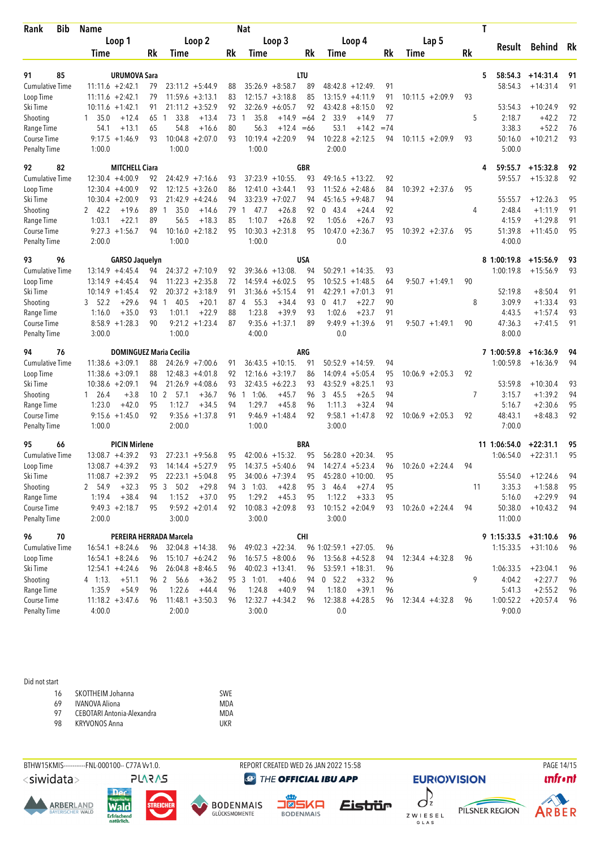| Bib<br>Rank                        | <b>Name</b>    |                         | Nat             |                                |                    |      |                             |                   |            |                           |        | T                  |    |                        |            |    |  |
|------------------------------------|----------------|-------------------------|-----------------|--------------------------------|--------------------|------|-----------------------------|-------------------|------------|---------------------------|--------|--------------------|----|------------------------|------------|----|--|
|                                    |                | Loop 1                  |                 |                                | Loop 2             |      |                             | Loop 3            |            | Loop 4                    |        | Lap 5              |    |                        |            |    |  |
|                                    | Time           |                         | Rk              | Time                           |                    | Rk   | Time                        |                   | Rk         | Time                      | Rk     | Time               | Rk | Result                 | Behind Rk  |    |  |
| 85<br>91                           |                | <b>URUMOVA Sara</b>     |                 |                                |                    |      |                             |                   | LTU        |                           |        |                    |    | 58:54.3<br>5           | $+14:31.4$ | 91 |  |
| <b>Cumulative Time</b>             |                | $11:11.6 + 2:42.1$      | 79              |                                | $23:11.2 +5:44.9$  | 88   | $35:26.9 + 8:58.7$          |                   | 89         | $48:42.8 + 12:49$         | 91     |                    |    | 58:54.3                | $+14:31.4$ | 91 |  |
| Loop Time                          |                | $11:11.6 + 2:42.1$      | 79              |                                | $11:59.6 + 3:13.1$ | 83   | $12:15.7 + 3:18.8$          |                   | 85         | $13:15.9 +4:11.9$         | 91     | $10:11.5 + 2:09.9$ | 93 |                        |            |    |  |
| Ski Time                           |                | $10:11.6 + 1:42.1$      | 91              |                                | $21:11.2 + 3:52.9$ | 92   | $32:26.9 + 6:05.7$          |                   | 92         | 43:42.8<br>$+8:15.0$      | 92     |                    |    | 53:54.3                | $+10:24.9$ | 92 |  |
| Shooting                           | $1\quad 35.0$  | $+12.4$                 | 65              | 33.8<br>$\mathbf{1}$           | $+13.4$            | 73   | 35.8<br>$\mathbf{1}$        | $+14.9$           | $=64$      | 2 33.9<br>$+14.9$         | 77     |                    | 5  | 2:18.7                 | $+42.2$    | 72 |  |
| Range Time                         | 54.1           | $+13.1$                 | 65              | 54.8                           | $+16.6$            | 80   | 56.3                        | $+12.4 = 66$      |            | 53.1<br>$+14.2$           | $= 74$ |                    |    | 3:38.3                 | $+52.2$    | 76 |  |
| Course Time                        |                | $9:17.5 + 1:46.9$       | 93              |                                | $10:04.8 + 2:07.0$ | 93   | $10:19.4 + 2:20.9$          |                   | 94         | $10:22.8 + 2:12.5$        | 94     | $10:11.5 + 2:09.9$ | 93 | 50:16.0                | $+10:21.2$ | 93 |  |
| <b>Penalty Time</b>                | 1:00.0         |                         |                 | 1:00.0                         |                    |      | 1:00.0                      |                   |            | 2:00.0                    |        |                    |    | 5:00.0                 |            |    |  |
| 92<br>82                           |                | <b>MITCHELL Ciara</b>   |                 |                                |                    |      |                             |                   | <b>GBR</b> |                           |        |                    | 4  | 59:55.7                | $+15:32.8$ | 92 |  |
| <b>Cumulative Time</b>             |                | $12:30.4 +4:00.9$       | 92              |                                | $24:42.9 +7:16.6$  | 93   | $37:23.9 + 10:55$ .         |                   | 93         | $49:16.5 + 13:22$         | 92     |                    |    | 59:55.7                | $+15:32.8$ | 92 |  |
| Loop Time                          |                | $12:30.4 +4:00.9$       | 92              |                                | $12:12.5 + 3:26.0$ | 86   | $12:41.0 + 3:44.1$          |                   | 93         | $+2:48.6$<br>11:52.6      | 84     | $10:39.2 +2:37.6$  | 95 |                        |            |    |  |
| Ski Time                           |                | $10:30.4 + 2:00.9$      | 93              |                                | $21:42.9 + 4:24.6$ | 94   | $33:23.9 +7:02.7$           |                   | 94         | $+9:48.7$<br>45:16.5      | 94     |                    |    | 55:55.7                | $+12:26.3$ | 95 |  |
| Shooting                           | 2 42.2         | $+19.6$                 | 89              | 35.0<br>$\mathbf{1}$           | $+14.6$            | 79   | 47.7<br>$\mathbf{1}$        | $+26.8$           | 92         | 043.4<br>$+24.4$          | 92     |                    | 4  | 2:48.4                 | $+1:11.9$  | 91 |  |
| Range Time                         | 1:03.1         | $+22.1$                 | 89              | 56.5                           | $+18.3$            | 85   | 1:10.7                      | $+26.8$           | 92         | 1:05.6<br>$+26.7$         | 93     |                    |    | 4:15.9                 | $+1:29.8$  | 91 |  |
| Course Time                        |                | $9:27.3 +1:56.7$        | 94              |                                | $10:16.0 + 2:18.2$ | 95   | $10:30.3 + 2:31.8$          |                   | 95         | $10:47.0 + 2:36.7$        | 95     | $10:39.2 +2:37.6$  | 95 | 51:39.8                | $+11:45.0$ | 95 |  |
| <b>Penalty Time</b>                | 2:00.0         |                         |                 | 1:00.0                         |                    |      | 1:00.0                      |                   |            | 0.0                       |        |                    |    | 4:00.0                 |            |    |  |
| 96<br>93                           |                | <b>GARSO Jaquelyn</b>   |                 |                                |                    |      |                             |                   | USA        |                           |        |                    |    | 8 1:00:19.8            | $+15:56.9$ | 93 |  |
| <b>Cumulative Time</b>             |                | $13:14.9 + 4:45.4$      | 94              |                                | $24:37.2 +7:10.9$  | 92   | $39:36.6 + 13:08$           |                   | 94         | $50:29.1 + 14:35$ .       | 93     |                    |    | 1:00:19.8              | $+15:56.9$ | 93 |  |
| Loop Time                          |                | $13:14.9 + 4:45.4$      | 94              |                                | $11:22.3 +2:35.8$  | 72   | $14:59.4 + 6:02.5$          |                   | 95         | $10:52.5 + 1:48.5$        | 64     | $9:50.7 +1:49.1$   | 90 |                        |            |    |  |
| Ski Time                           |                | $10:14.9 + 1:45.4$      | 92              |                                | $20:37.2 +3:18.9$  | 91   | $31:36.6 + 5:15.4$          |                   | 91         | $42:29.1 + 7:01.3$        | 91     |                    |    | 52:19.8                | $+8:50.4$  | 91 |  |
| Shooting                           | 52.2<br>3      | $+29.6$                 | 94              | 40.5<br>1                      | $+20.1$            | 87 4 | 55.3                        | $+34.4$           | 93         | $0$ 41.7<br>$+22.7$       | 90     |                    | 8  | 3:09.9                 | $+1:33.4$  | 93 |  |
| Range Time                         | 1:16.0         | $+35.0$                 | 93              | 1:01.1                         | $+22.9$            | 88   | 1:23.8                      | $+39.9$           | 93         | 1:02.6<br>$+23.7$         | 91     |                    |    | 4:43.5                 | $+1:57.4$  | 93 |  |
| Course Time                        |                | $8:58.9 + 1:28.3$       | 90              |                                | $9:21.2 +1:23.4$   | 87   | 9:35.6                      | $+1:37.1$         | 89         | $9:49.9 +1:39.6$          | 91     | $9:50.7 + 1:49.1$  | 90 | 47:36.3                | $+7:41.5$  | 91 |  |
| <b>Penalty Time</b>                | 3:00.0         |                         |                 | 1:00.0                         |                    |      | 4:00.0                      |                   |            | 0.0                       |        |                    |    | 8:00.0                 |            |    |  |
| 94<br>76                           |                |                         |                 | <b>DOMINGUEZ Maria Cecilia</b> |                    |      |                             |                   | ARG        |                           |        |                    |    | 7 1:00:59.8            | $+16:36.9$ | 94 |  |
| <b>Cumulative Time</b>             |                | $11:38.6 + 3:09.1$      | 88              |                                | $24:26.9 +7:00.6$  | 91   | $36:43.5 + 10:15$ .         |                   | 91         | $50:52.9 + 14:59$         | 94     |                    |    | 1:00:59.8              | $+16:36.9$ | 94 |  |
| Loop Time                          |                | $11:38.6 + 3:09.1$      | 88              |                                | $12:48.3 +4:01.8$  | 92   | $12:16.6 + 3:19.7$          |                   | 86         | 14:09.4<br>$+5:05.4$      | 95     | $10:06.9 + 2:05.3$ | 92 |                        |            |    |  |
| Ski Time                           |                | $10:38.6 + 2:09.1$      | 94              |                                | $21:26.9 + 4:08.6$ | 93   | $32:43.5 + 6:22.3$          |                   | 93         | $43:52.9 + 8:25.1$        | 93     |                    |    | 53:59.8                | $+10:30.4$ | 93 |  |
| Shooting                           | $1 \quad 26.4$ | $+3.8$                  | 10 <sub>2</sub> | 57.1                           | $+36.7$            | 96   | 1:06.<br>$\mathbf{1}$       | $+45.7$           | 96         | 345.5<br>$+26.5$          | 94     |                    | 7  | 3:15.7                 | $+1:39.2$  | 94 |  |
| Range Time                         | 1:23.0         | $+42.0$                 | 95              | 1:12.7                         | $+34.5$            | 94   | 1:29.7                      | $+45.8$           | 96         | 1:11.3<br>$+32.4$         | 94     |                    |    | 5:16.7                 | $+2:30.6$  | 95 |  |
| Course Time                        |                | $9:15.6 + 1:45.0$       | 92              |                                | $9:35.6 + 1:37.8$  | 91   |                             | $9:46.9 + 1:48.4$ | 92         | $9:58.1 + 1:47.8$         | 92     | $10:06.9 + 2:05.3$ | 92 | 48:43.1                | $+8:48.3$  | 92 |  |
| <b>Penalty Time</b>                | 1:00.0         |                         |                 | 2:00.0                         |                    |      | 1:00.0                      |                   |            | 3:00.0                    |        |                    |    | 7:00.0                 |            |    |  |
| 95<br>66                           |                | <b>PICIN Mirlene</b>    |                 |                                |                    |      |                             |                   | BRA        |                           |        |                    |    | 11 1:06:54.0           | $+22:31.1$ | 95 |  |
| <b>Cumulative Time</b>             |                | $13:08.7 + 4:39.2$      | 93              |                                | $27:23.1 + 9:56.8$ | 95   | $42:00.6 + 15:32$ .         |                   | 95         | $56:28.0 + 20:34$         | 95     |                    |    | 1:06:54.0              | $+22:31.1$ | 95 |  |
| Loop Time                          |                | $13:08.7 + 4:39.2$      | 93              |                                | $14:14.4 + 5:27.9$ | 95   | $14:37.5 + 5:40.6$          |                   | 94         | $14:27.4 + 5:23.4$        | 96     | $10:26.0 + 2:24.4$ | 94 |                        |            |    |  |
| Ski Time                           |                | $11:08.7 + 2:39.2$      | 95              |                                | $22:23.1 + 5:04.8$ | 95   | $34:00.6 +7:39.4$           |                   | 95         | $45:28.0 + 10:00$ .       | 95     |                    |    | 55:54.0                | $+12:24.6$ | 94 |  |
| Shooting                           | 2 54.9         | $+32.3$                 | 95 3            | 50.2                           | $+29.8$            | 94   | $3 - 1:03$ .                | $+42.8$           | 95         | $+27.4$<br>3 46.4         | 95     |                    | 11 | 3:35.3                 | $+1:58.8$  | 95 |  |
| Range Time                         | 1:19.4         | $+38.4$                 | 94              | 1:15.2                         | $+37.0$            | 95   | 1:29.2                      | $+45.3$           | 95         | 1:12.2<br>$+33.3$         | 95     |                    |    | 5:16.0                 | $+2:29.9$  | 94 |  |
| Course Time                        |                | $9:49.3 + 2:18.7$       | 95              |                                | $9:59.2 +2:01.4$   | 92   | $10:08.3 + 2:09.8$          |                   | 93         | $10:15.2 + 2:04.9$        | 93     | $10:26.0 + 2:24.4$ | 94 | 50:38.0                | $+10:43.2$ | 94 |  |
| <b>Penalty Time</b>                | 2:00.0         |                         |                 | 3:00.0                         |                    |      | 3:00.0                      |                   |            | 3:00.0                    |        |                    |    | 11:00.0                |            |    |  |
| 96<br>70                           |                | PEREIRA HERRADA Marcela |                 |                                |                    |      |                             |                   | <b>CHI</b> |                           |        |                    |    | $9 1:15:33.5 +31:10.6$ |            | 96 |  |
| <b>Cumulative Time</b>             |                | $16:54.1 + 8:24.6$      | 96              |                                | $32:04.8 + 14:38$  | 96   | $49:02.3 +22:34.$           |                   |            | 96 1:02:59.1 +27:05.      | 96     |                    |    | 1:15:33.5              | $+31:10.6$ | 96 |  |
| Loop Time                          |                | $16:54.1 + 8:24.6$      |                 |                                | $15:10.7 + 6:24.2$ | 96   | $16:57.5 + 8:00.6$          |                   | 96         | $13:56.8 + 4:52.8$        | 94     | $12:34.4 +4:32.8$  | 96 |                        |            |    |  |
| Ski Time                           |                | $12:54.1 + 4:24.6$      | 96              |                                | $26:04.8 + 8:46.5$ | 96   | $40:02.3 +13:41$ .          |                   | 96         | $53:59.1 + 18:31$         | 96     |                    |    | 1:06:33.5              | $+23:04.1$ | 96 |  |
|                                    |                |                         | 96              |                                |                    |      |                             |                   |            |                           |        |                    | 9  |                        |            |    |  |
| Shooting                           | 4 1:13.        | $+51.1$                 |                 | 96 2 56.6                      | $+36.2$            | 95   | $3 - 1:01$ .                | $+40.6$           | 94         | 0 52.2<br>$+33.2$         | 96     |                    |    | 4:04.2                 | $+2:27.7$  | 96 |  |
| Range Time                         | 1:35.9         | $+54.9$                 | 96              | 1:22.6                         | $+44.4$            | 96   | 1:24.8                      | $+40.9$           | 94         | 1:18.0<br>$+39.1$         | 96     |                    |    | 5:41.3                 | $+2:55.2$  | 96 |  |
| Course Time<br><b>Penalty Time</b> | 4:00.0         | $11:18.2 + 3:47.6$      | 96              | 2:00.0                         | $11:48.1 + 3:50.3$ | 96   | $12:32.7 +4:34.2$<br>3:00.0 |                   | 96         | $12:38.8 + 4:28.5$<br>0.0 | 96     | $12:34.4 +4:32.8$  | 96 | 1:00:52.2<br>9:00.0    | $+20:57.4$ | 96 |  |

## Did not start

| 16 | SKOTTHEIM Johanna          | SWF. |
|----|----------------------------|------|
| 69 | <b>IVANOVA Aliona</b>      | MDA  |
| 97 | CEBOTARI Antonia-Alexandra | MDA  |
| 98 | KRYVONOS Anna              | UKR  |
|    |                            |      |



<siwidata>











REPORT CREATED WED 26 JAN 2022 15:58

**<sup>***<sup><i>O</sup>* THE OFFICIAL IBU APP</sup></sup>







PAGE 14/15

Z W I E S E L<br>G L A S